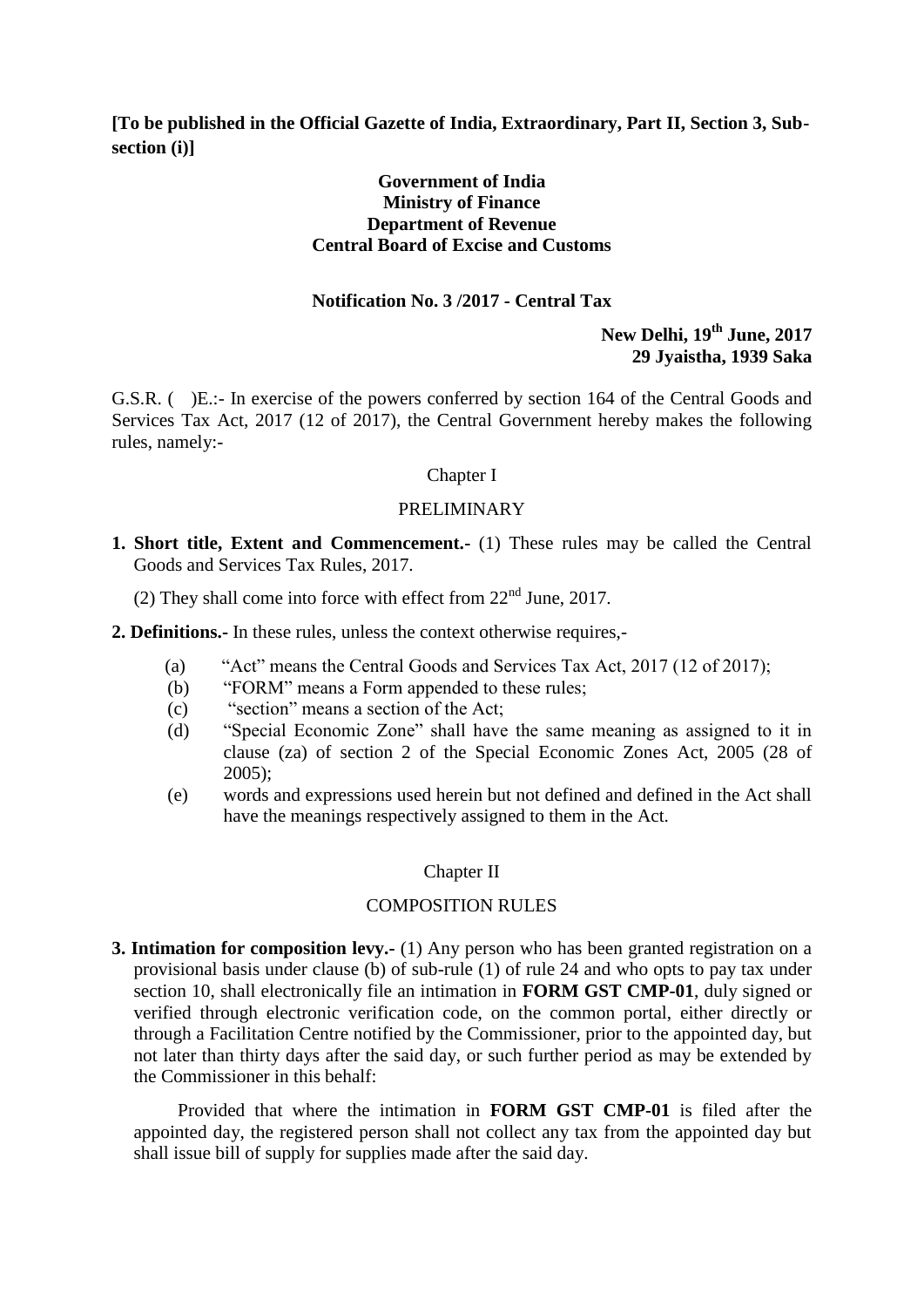**[To be published in the Official Gazette of India, Extraordinary, Part II, Section 3, Subsection (i)]**

#### **Government of India Ministry of Finance Department of Revenue Central Board of Excise and Customs**

#### **Notification No. 3 /2017 - Central Tax**

## **New Delhi, 19th June, 2017 29 Jyaistha, 1939 Saka**

G.S.R. ( )E.:- In exercise of the powers conferred by section 164 of the Central Goods and Services Tax Act, 2017 (12 of 2017), the Central Government hereby makes the following rules, namely:-

#### Chapter I

#### PRELIMINARY

- **1. Short title, Extent and Commencement.-** (1) These rules may be called the Central Goods and Services Tax Rules, 2017.
	- (2) They shall come into force with effect from  $22<sup>nd</sup>$  June, 2017.

**2. Definitions.-** In these rules, unless the context otherwise requires,-

- (a) "Act" means the Central Goods and Services Tax Act, 2017 (12 of 2017);
- (b) "FORM" means a Form appended to these rules;
- (c) "section" means a section of the Act;
- (d) "Special Economic Zone" shall have the same meaning as assigned to it in clause (za) of section 2 of the Special Economic Zones Act, 2005 (28 of 2005);
- (e) words and expressions used herein but not defined and defined in the Act shall have the meanings respectively assigned to them in the Act.

#### Chapter II

#### COMPOSITION RULES

**3. Intimation for composition levy.-** (1) Any person who has been granted registration on a provisional basis under clause (b) of sub-rule (1) of rule 24 and who opts to pay tax under section 10, shall electronically file an intimation in **FORM GST CMP-01**, duly signed or verified through electronic verification code, on the common portal, either directly or through a Facilitation Centre notified by the Commissioner, prior to the appointed day, but not later than thirty days after the said day, or such further period as may be extended by the Commissioner in this behalf:

Provided that where the intimation in **FORM GST CMP-01** is filed after the appointed day, the registered person shall not collect any tax from the appointed day but shall issue bill of supply for supplies made after the said day.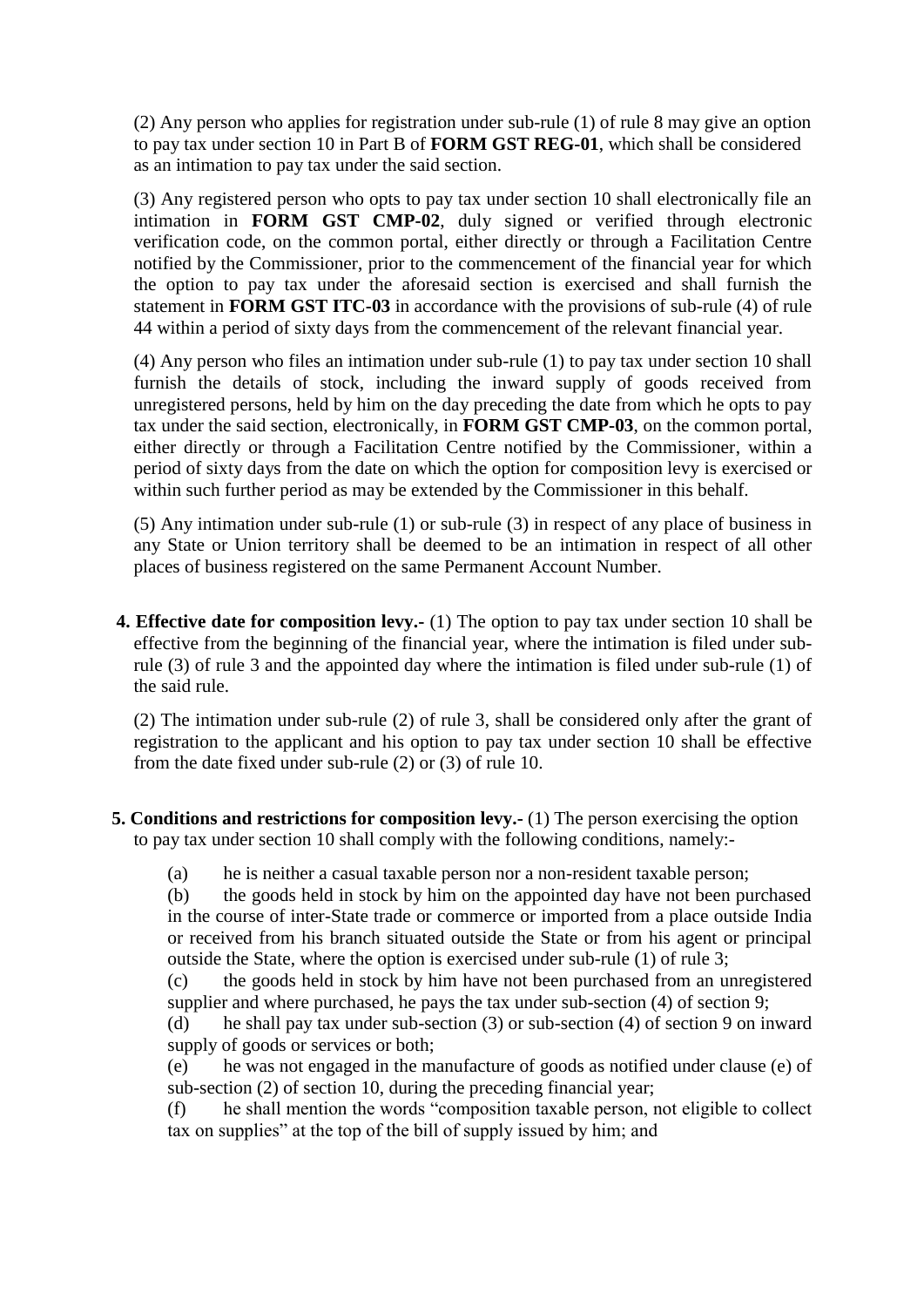(2) Any person who applies for registration under sub-rule (1) of rule 8 may give an option to pay tax under section 10 in Part B of **FORM GST REG-01**, which shall be considered as an intimation to pay tax under the said section.

(3) Any registered person who opts to pay tax under section 10 shall electronically file an intimation in **FORM GST CMP-02**, duly signed or verified through electronic verification code, on the common portal, either directly or through a Facilitation Centre notified by the Commissioner, prior to the commencement of the financial year for which the option to pay tax under the aforesaid section is exercised and shall furnish the statement in **FORM GST ITC-03** in accordance with the provisions of sub-rule (4) of rule 44 within a period of sixty days from the commencement of the relevant financial year.

(4) Any person who files an intimation under sub-rule (1) to pay tax under section 10 shall furnish the details of stock, including the inward supply of goods received from unregistered persons, held by him on the day preceding the date from which he opts to pay tax under the said section, electronically, in **FORM GST CMP-03**, on the common portal, either directly or through a Facilitation Centre notified by the Commissioner, within a period of sixty days from the date on which the option for composition levy is exercised or within such further period as may be extended by the Commissioner in this behalf.

(5) Any intimation under sub-rule (1) or sub-rule (3) in respect of any place of business in any State or Union territory shall be deemed to be an intimation in respect of all other places of business registered on the same Permanent Account Number.

**4. Effective date for composition levy.-** (1) The option to pay tax under section 10 shall be effective from the beginning of the financial year, where the intimation is filed under subrule (3) of rule 3 and the appointed day where the intimation is filed under sub-rule (1) of the said rule.

(2) The intimation under sub-rule (2) of rule 3, shall be considered only after the grant of registration to the applicant and his option to pay tax under section 10 shall be effective from the date fixed under sub-rule (2) or (3) of rule 10.

- **5. Conditions and restrictions for composition levy.** (1) The person exercising the option to pay tax under section 10 shall comply with the following conditions, namely:-
	- (a) he is neither a casual taxable person nor a non-resident taxable person;

(b) the goods held in stock by him on the appointed day have not been purchased in the course of inter-State trade or commerce or imported from a place outside India or received from his branch situated outside the State or from his agent or principal outside the State, where the option is exercised under sub-rule (1) of rule 3;

(c) the goods held in stock by him have not been purchased from an unregistered supplier and where purchased, he pays the tax under sub-section (4) of section 9;

(d) he shall pay tax under sub-section (3) or sub-section (4) of section 9 on inward supply of goods or services or both;

(e) he was not engaged in the manufacture of goods as notified under clause (e) of sub-section (2) of section 10, during the preceding financial year;

(f) he shall mention the words "composition taxable person, not eligible to collect tax on supplies" at the top of the bill of supply issued by him; and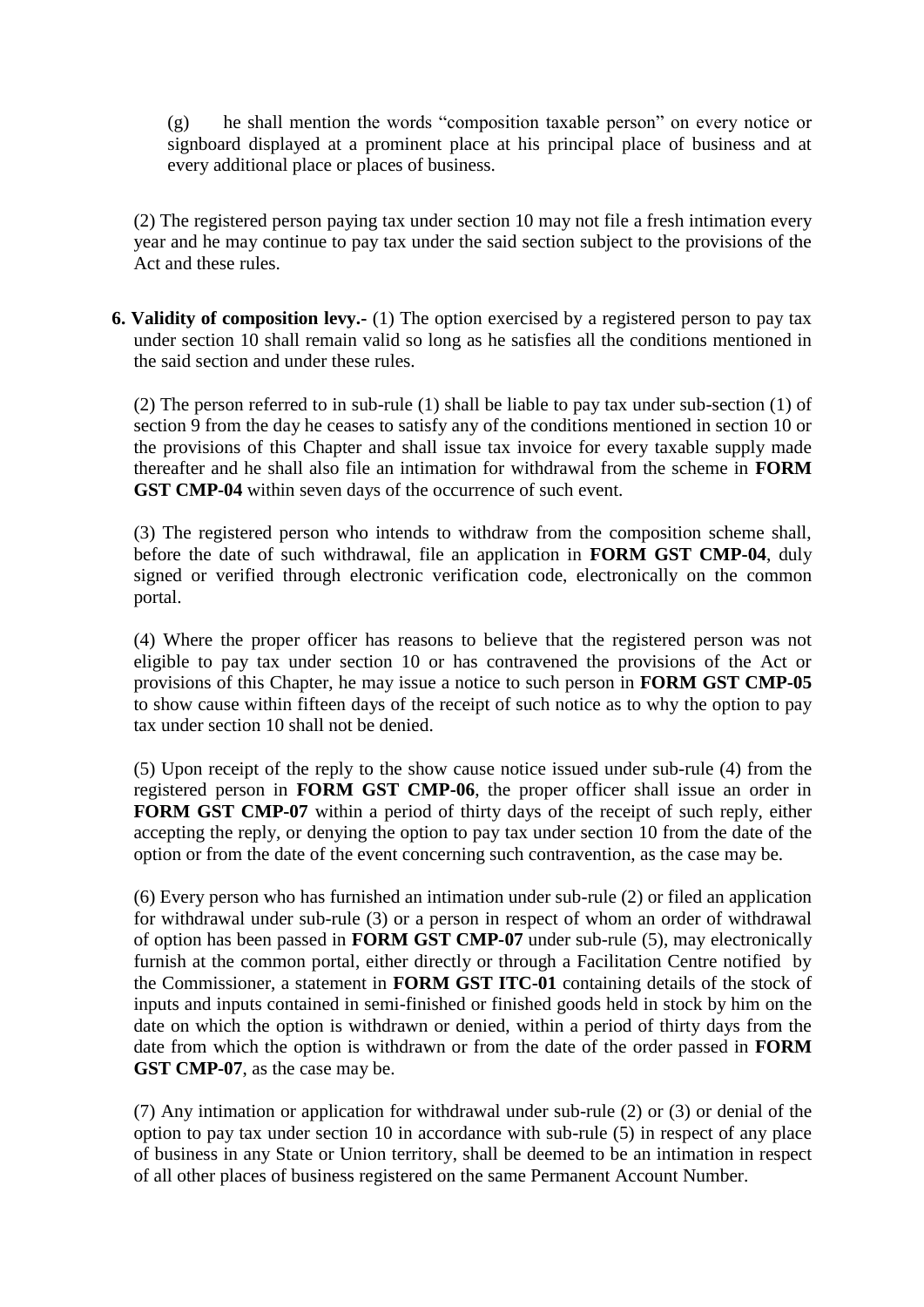(g) he shall mention the words "composition taxable person" on every notice or signboard displayed at a prominent place at his principal place of business and at every additional place or places of business.

(2) The registered person paying tax under section 10 may not file a fresh intimation every year and he may continue to pay tax under the said section subject to the provisions of the Act and these rules.

**6. Validity of composition levy.-** (1) The option exercised by a registered person to pay tax under section 10 shall remain valid so long as he satisfies all the conditions mentioned in the said section and under these rules.

(2) The person referred to in sub-rule (1) shall be liable to pay tax under sub-section (1) of section 9 from the day he ceases to satisfy any of the conditions mentioned in section 10 or the provisions of this Chapter and shall issue tax invoice for every taxable supply made thereafter and he shall also file an intimation for withdrawal from the scheme in **FORM GST CMP-04** within seven days of the occurrence of such event.

(3) The registered person who intends to withdraw from the composition scheme shall, before the date of such withdrawal, file an application in **FORM GST CMP-04**, duly signed or verified through electronic verification code, electronically on the common portal.

(4) Where the proper officer has reasons to believe that the registered person was not eligible to pay tax under section 10 or has contravened the provisions of the Act or provisions of this Chapter, he may issue a notice to such person in **FORM GST CMP-05** to show cause within fifteen days of the receipt of such notice as to why the option to pay tax under section 10 shall not be denied.

(5) Upon receipt of the reply to the show cause notice issued under sub-rule (4) from the registered person in **FORM GST CMP-06**, the proper officer shall issue an order in **FORM GST CMP-07** within a period of thirty days of the receipt of such reply, either accepting the reply, or denying the option to pay tax under section 10 from the date of the option or from the date of the event concerning such contravention, as the case may be.

(6) Every person who has furnished an intimation under sub-rule (2) or filed an application for withdrawal under sub-rule (3) or a person in respect of whom an order of withdrawal of option has been passed in **FORM GST CMP-07** under sub-rule (5), may electronically furnish at the common portal, either directly or through a Facilitation Centre notified by the Commissioner, a statement in **FORM GST ITC-01** containing details of the stock of inputs and inputs contained in semi-finished or finished goods held in stock by him on the date on which the option is withdrawn or denied, within a period of thirty days from the date from which the option is withdrawn or from the date of the order passed in **FORM GST CMP-07**, as the case may be.

(7) Any intimation or application for withdrawal under sub-rule (2) or (3) or denial of the option to pay tax under section 10 in accordance with sub-rule (5) in respect of any place of business in any State or Union territory, shall be deemed to be an intimation in respect of all other places of business registered on the same Permanent Account Number.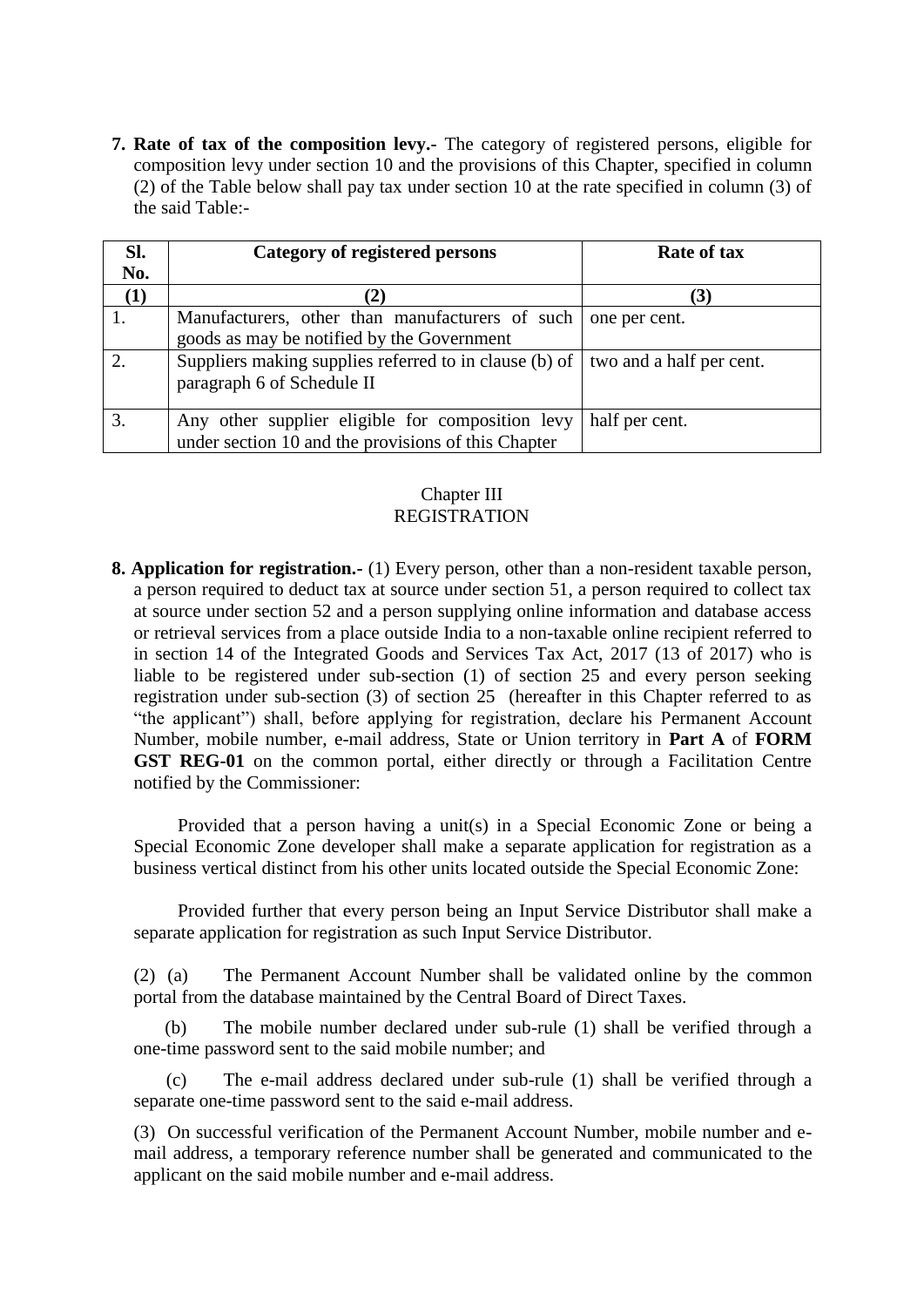**7. Rate of tax of the composition levy.-** The category of registered persons, eligible for composition levy under section 10 and the provisions of this Chapter, specified in column (2) of the Table below shall pay tax under section 10 at the rate specified in column (3) of the said Table:-

| SI. | Category of registered persons                         | Rate of tax              |
|-----|--------------------------------------------------------|--------------------------|
| No. |                                                        |                          |
| (1) | $\mathbf{2}$                                           | (3)                      |
| ı.  | Manufacturers, other than manufacturers of such        | one per cent.            |
|     | goods as may be notified by the Government             |                          |
| 2.  | Suppliers making supplies referred to in clause (b) of | two and a half per cent. |
|     | paragraph 6 of Schedule II                             |                          |
|     |                                                        |                          |
|     | Any other supplier eligible for composition levy       | half per cent.           |
|     | under section 10 and the provisions of this Chapter    |                          |

## Chapter III REGISTRATION

**8. Application for registration.-** (1) Every person, other than a non-resident taxable person, a person required to deduct tax at source under section 51, a person required to collect tax at source under section 52 and a person supplying online information and database access or retrieval services from a place outside India to a non-taxable online recipient referred to in section 14 of the Integrated Goods and Services Tax Act, 2017 (13 of 2017) who is liable to be registered under sub-section (1) of section 25 and every person seeking registration under sub-section (3) of section 25 (hereafter in this Chapter referred to as "the applicant") shall, before applying for registration, declare his Permanent Account Number, mobile number, e-mail address, State or Union territory in **Part A** of **FORM GST REG-01** on the common portal, either directly or through a Facilitation Centre notified by the Commissioner:

Provided that a person having a unit(s) in a Special Economic Zone or being a Special Economic Zone developer shall make a separate application for registration as a business vertical distinct from his other units located outside the Special Economic Zone:

Provided further that every person being an Input Service Distributor shall make a separate application for registration as such Input Service Distributor.

(2) (a) The Permanent Account Number shall be validated online by the common portal from the database maintained by the Central Board of Direct Taxes.

 (b) The mobile number declared under sub-rule (1) shall be verified through a one-time password sent to the said mobile number; and

 (c) The e-mail address declared under sub-rule (1) shall be verified through a separate one-time password sent to the said e-mail address.

(3) On successful verification of the Permanent Account Number, mobile number and email address, a temporary reference number shall be generated and communicated to the applicant on the said mobile number and e-mail address.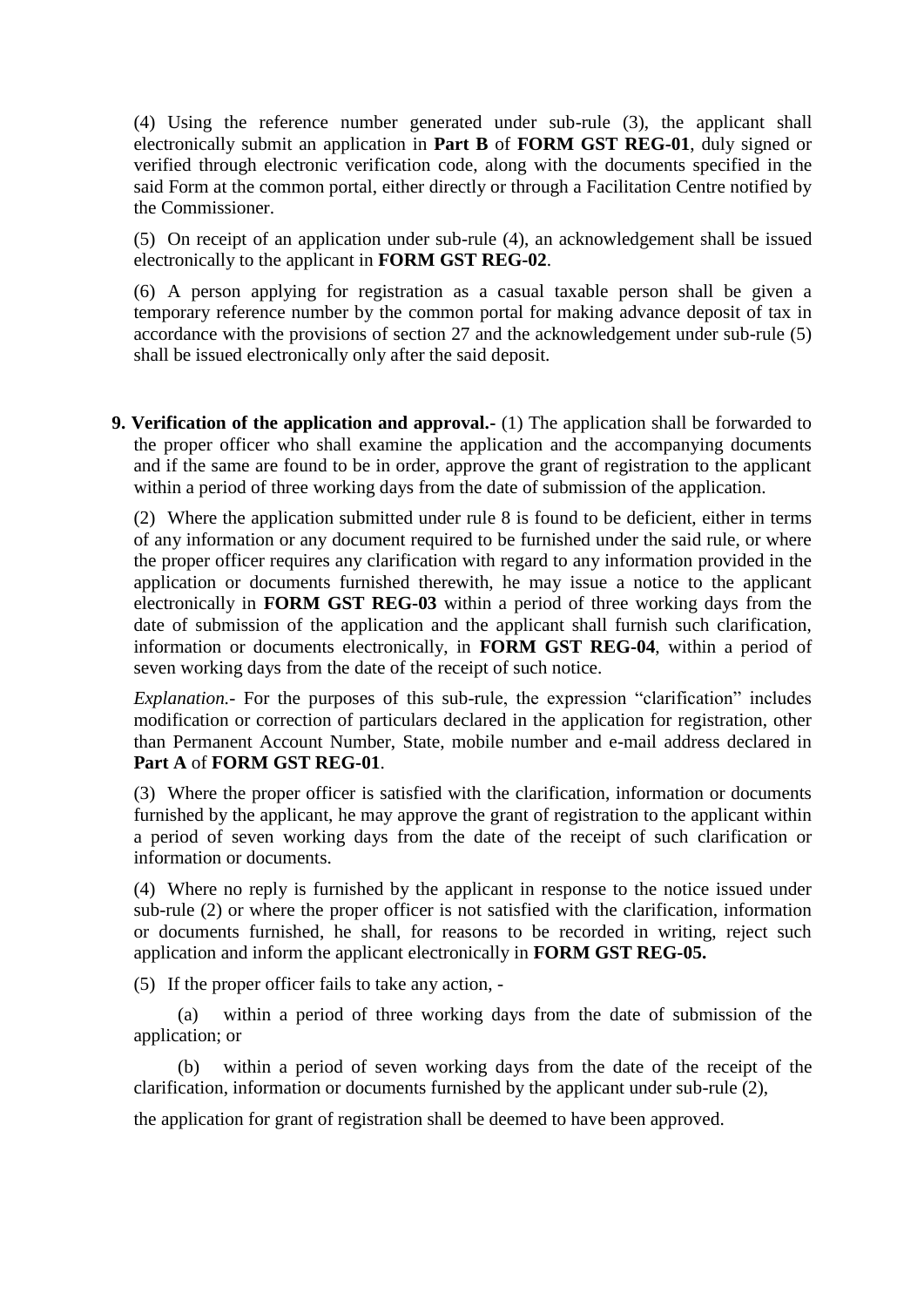(4) Using the reference number generated under sub-rule (3), the applicant shall electronically submit an application in **Part B** of **FORM GST REG-01**, duly signed or verified through electronic verification code, along with the documents specified in the said Form at the common portal, either directly or through a Facilitation Centre notified by the Commissioner.

(5) On receipt of an application under sub-rule (4), an acknowledgement shall be issued electronically to the applicant in **FORM GST REG-02**.

(6) A person applying for registration as a casual taxable person shall be given a temporary reference number by the common portal for making advance deposit of tax in accordance with the provisions of section 27 and the acknowledgement under sub-rule (5) shall be issued electronically only after the said deposit.

**9. Verification of the application and approval.-** (1) The application shall be forwarded to the proper officer who shall examine the application and the accompanying documents and if the same are found to be in order, approve the grant of registration to the applicant within a period of three working days from the date of submission of the application.

(2) Where the application submitted under rule 8 is found to be deficient, either in terms of any information or any document required to be furnished under the said rule, or where the proper officer requires any clarification with regard to any information provided in the application or documents furnished therewith, he may issue a notice to the applicant electronically in **FORM GST REG-03** within a period of three working days from the date of submission of the application and the applicant shall furnish such clarification, information or documents electronically, in **FORM GST REG-04**, within a period of seven working days from the date of the receipt of such notice.

*Explanation.-* For the purposes of this sub-rule, the expression "clarification" includes modification or correction of particulars declared in the application for registration, other than Permanent Account Number, State, mobile number and e-mail address declared in **Part A** of **FORM GST REG-01**.

(3) Where the proper officer is satisfied with the clarification, information or documents furnished by the applicant, he may approve the grant of registration to the applicant within a period of seven working days from the date of the receipt of such clarification or information or documents.

(4) Where no reply is furnished by the applicant in response to the notice issued under sub-rule (2) or where the proper officer is not satisfied with the clarification, information or documents furnished, he shall, for reasons to be recorded in writing, reject such application and inform the applicant electronically in **FORM GST REG-05.** 

(5) If the proper officer fails to take any action, -

(a) within a period of three working days from the date of submission of the application; or

(b) within a period of seven working days from the date of the receipt of the clarification, information or documents furnished by the applicant under sub-rule (2),

the application for grant of registration shall be deemed to have been approved.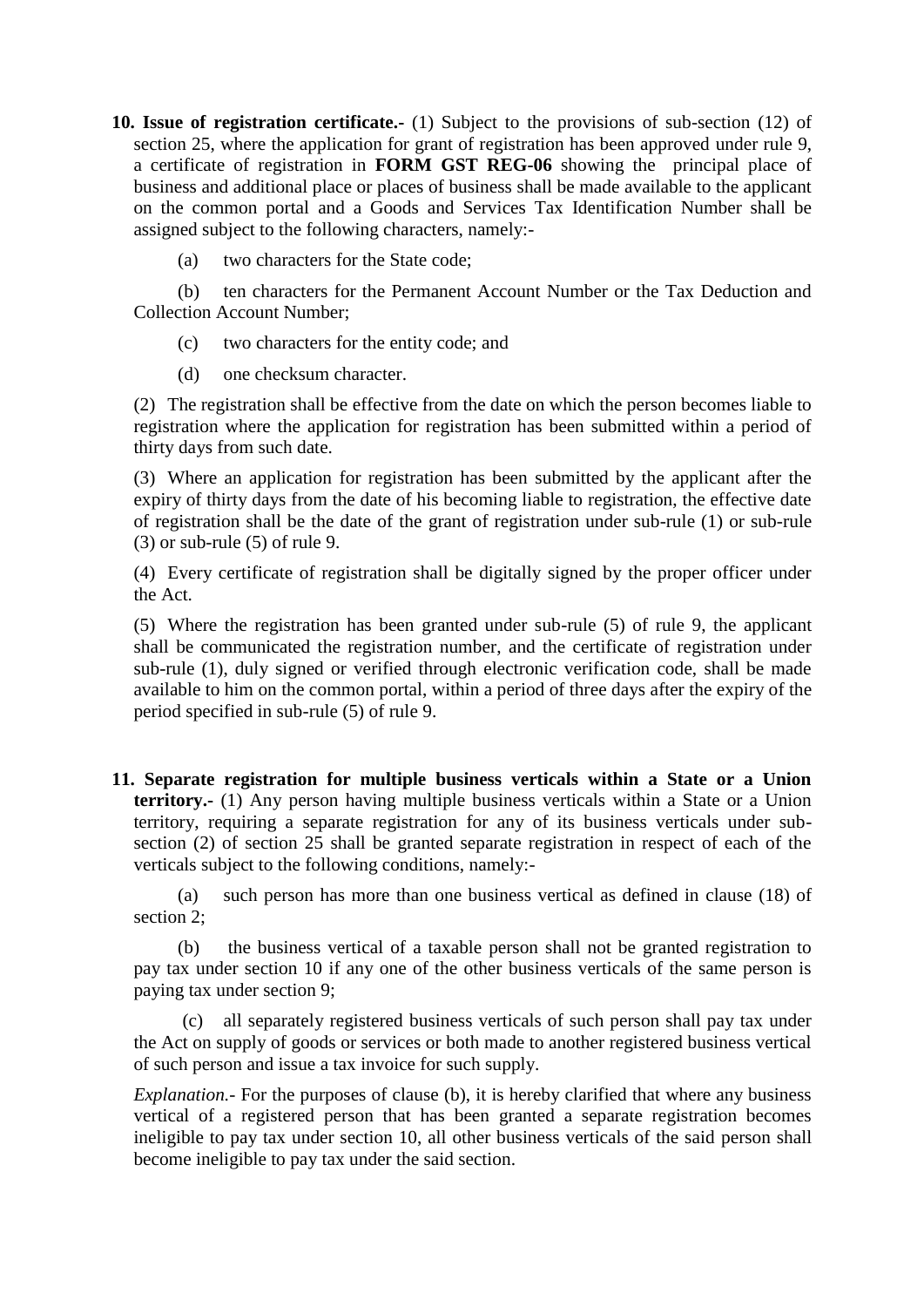**10. Issue of registration certificate.-** (1) Subject to the provisions of sub-section (12) of section 25, where the application for grant of registration has been approved under rule 9, a certificate of registration in **FORM GST REG-06** showing the principal place of business and additional place or places of business shall be made available to the applicant on the common portal and a Goods and Services Tax Identification Number shall be assigned subject to the following characters, namely:-

(a) two characters for the State code;

(b) ten characters for the Permanent Account Number or the Tax Deduction and Collection Account Number;

- (c) two characters for the entity code; and
- (d) one checksum character.

(2) The registration shall be effective from the date on which the person becomes liable to registration where the application for registration has been submitted within a period of thirty days from such date.

(3) Where an application for registration has been submitted by the applicant after the expiry of thirty days from the date of his becoming liable to registration, the effective date of registration shall be the date of the grant of registration under sub-rule (1) or sub-rule (3) or sub-rule (5) of rule 9.

(4) Every certificate of registration shall be digitally signed by the proper officer under the Act.

(5) Where the registration has been granted under sub-rule (5) of rule 9, the applicant shall be communicated the registration number, and the certificate of registration under sub-rule (1), duly signed or verified through electronic verification code, shall be made available to him on the common portal, within a period of three days after the expiry of the period specified in sub-rule (5) of rule 9.

**11. Separate registration for multiple business verticals within a State or a Union territory.-** (1) Any person having multiple business verticals within a State or a Union territory, requiring a separate registration for any of its business verticals under subsection (2) of section 25 shall be granted separate registration in respect of each of the verticals subject to the following conditions, namely:-

(a) such person has more than one business vertical as defined in clause (18) of section 2;

(b) the business vertical of a taxable person shall not be granted registration to pay tax under section 10 if any one of the other business verticals of the same person is paying tax under section 9;

(c) all separately registered business verticals of such person shall pay tax under the Act on supply of goods or services or both made to another registered business vertical of such person and issue a tax invoice for such supply.

*Explanation.*- For the purposes of clause (b), it is hereby clarified that where any business vertical of a registered person that has been granted a separate registration becomes ineligible to pay tax under section 10, all other business verticals of the said person shall become ineligible to pay tax under the said section.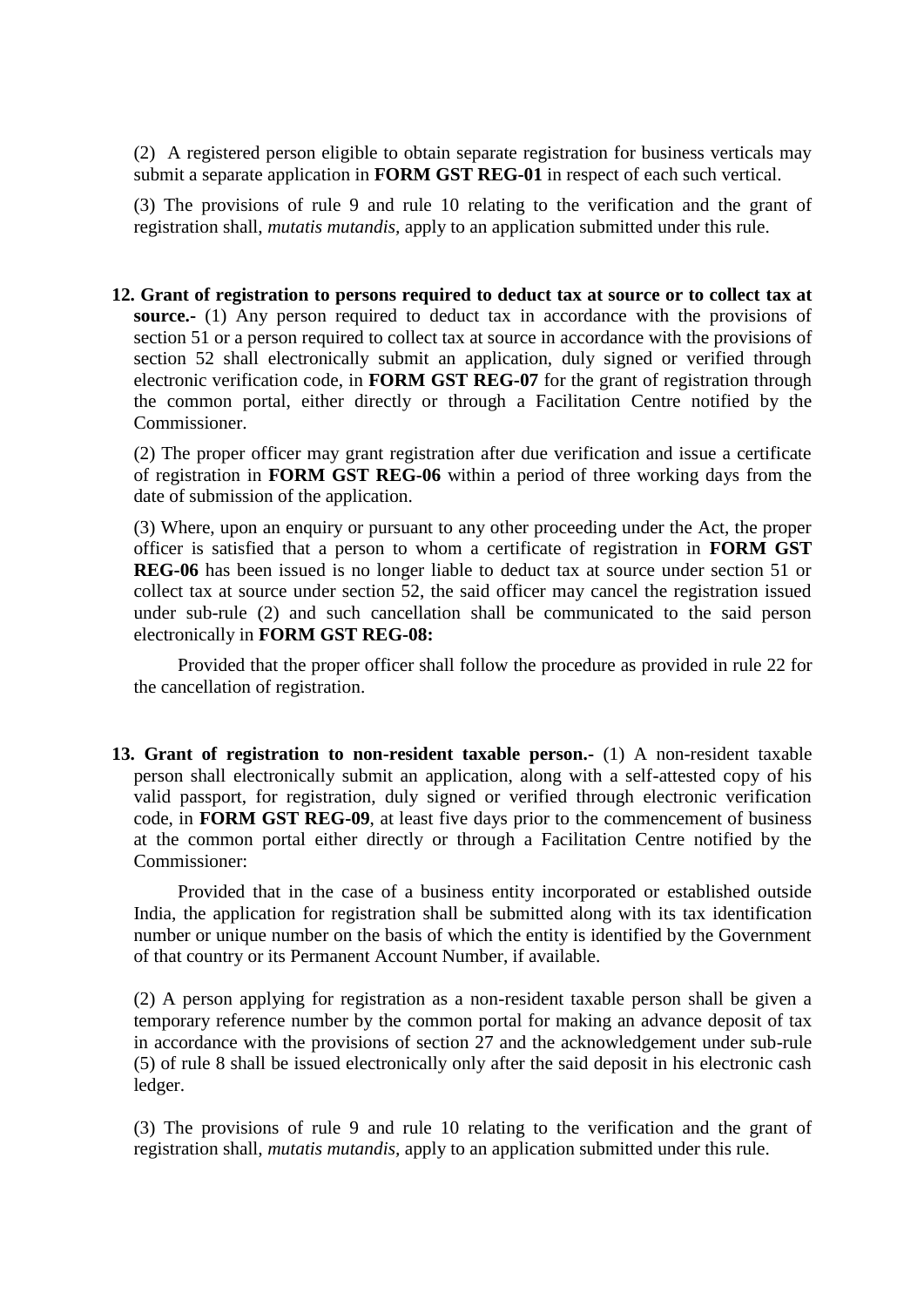(2) A registered person eligible to obtain separate registration for business verticals may submit a separate application in **FORM GST REG-01** in respect of each such vertical.

(3) The provisions of rule 9 and rule 10 relating to the verification and the grant of registration shall, *mutatis mutandis,* apply to an application submitted under this rule.

**12. Grant of registration to persons required to deduct tax at source or to collect tax at source.-** (1) Any person required to deduct tax in accordance with the provisions of section 51 or a person required to collect tax at source in accordance with the provisions of section 52 shall electronically submit an application, duly signed or verified through electronic verification code, in **FORM GST REG-07** for the grant of registration through the common portal, either directly or through a Facilitation Centre notified by the Commissioner.

(2) The proper officer may grant registration after due verification and issue a certificate of registration in **FORM GST REG-06** within a period of three working days from the date of submission of the application.

(3) Where, upon an enquiry or pursuant to any other proceeding under the Act, the proper officer is satisfied that a person to whom a certificate of registration in **FORM GST REG-06** has been issued is no longer liable to deduct tax at source under section 51 or collect tax at source under section 52, the said officer may cancel the registration issued under sub-rule (2) and such cancellation shall be communicated to the said person electronically in **FORM GST REG-08:** 

Provided that the proper officer shall follow the procedure as provided in rule 22 for the cancellation of registration.

**13. Grant of registration to non-resident taxable person.-** (1) A non-resident taxable person shall electronically submit an application, along with a self-attested copy of his valid passport, for registration, duly signed or verified through electronic verification code, in **FORM GST REG-09**, at least five days prior to the commencement of business at the common portal either directly or through a Facilitation Centre notified by the Commissioner:

Provided that in the case of a business entity incorporated or established outside India, the application for registration shall be submitted along with its tax identification number or unique number on the basis of which the entity is identified by the Government of that country or its Permanent Account Number, if available.

(2) A person applying for registration as a non-resident taxable person shall be given a temporary reference number by the common portal for making an advance deposit of tax in accordance with the provisions of section 27 and the acknowledgement under sub-rule (5) of rule 8 shall be issued electronically only after the said deposit in his electronic cash ledger.

(3) The provisions of rule 9 and rule 10 relating to the verification and the grant of registration shall, *mutatis mutandis,* apply to an application submitted under this rule.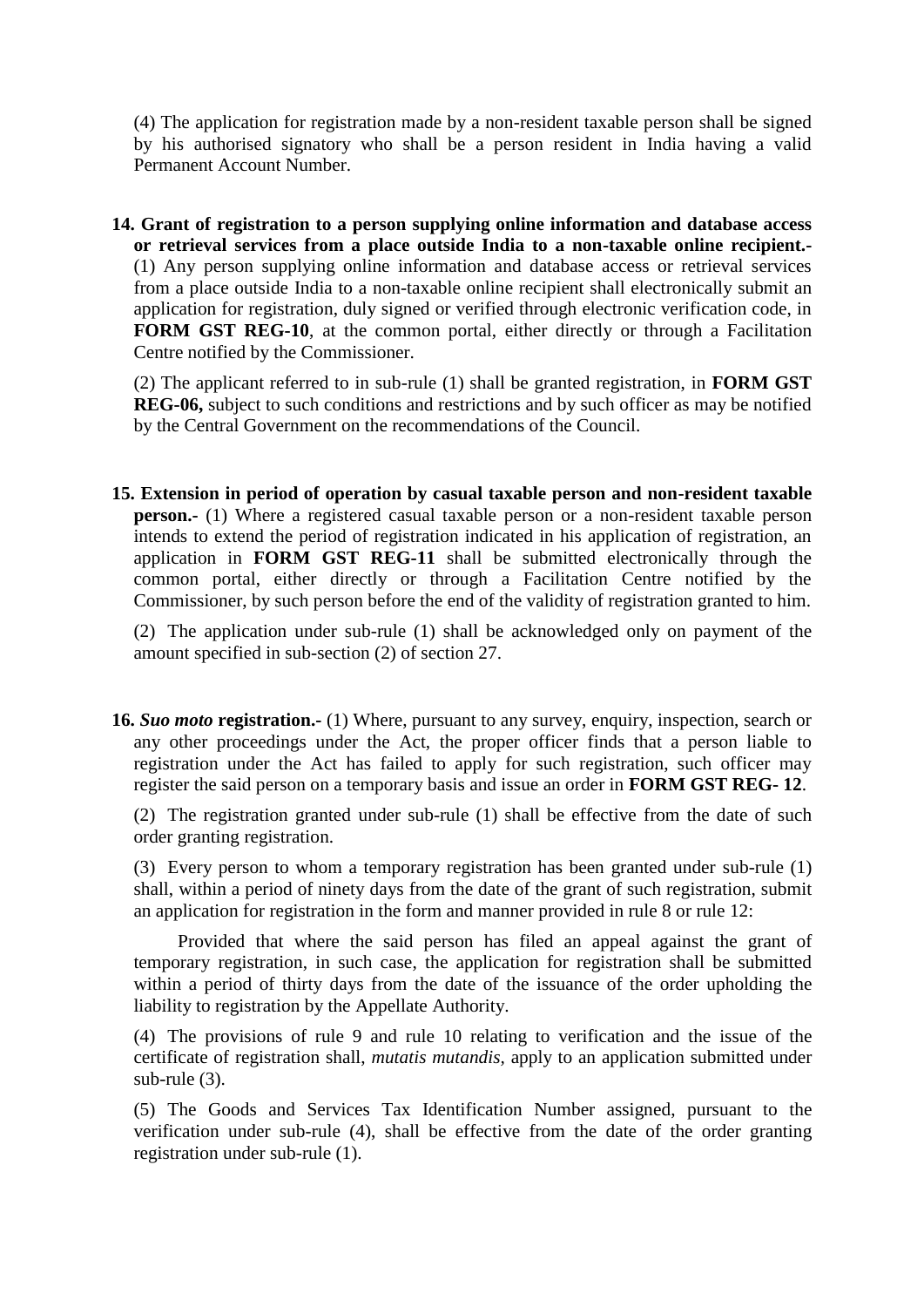(4) The application for registration made by a non-resident taxable person shall be signed by his authorised signatory who shall be a person resident in India having a valid Permanent Account Number.

**14. Grant of registration to a person supplying online information and database access or retrieval services from a place outside India to a non-taxable online recipient.-**  (1) Any person supplying online information and database access or retrieval services from a place outside India to a non-taxable online recipient shall electronically submit an application for registration, duly signed or verified through electronic verification code, in **FORM GST REG-10**, at the common portal, either directly or through a Facilitation Centre notified by the Commissioner.

(2) The applicant referred to in sub-rule (1) shall be granted registration, in **FORM GST REG-06,** subject to such conditions and restrictions and by such officer as may be notified by the Central Government on the recommendations of the Council.

**15. Extension in period of operation by casual taxable person and non-resident taxable person.**- (1) Where a registered casual taxable person or a non-resident taxable person intends to extend the period of registration indicated in his application of registration, an application in **FORM GST REG-11** shall be submitted electronically through the common portal, either directly or through a Facilitation Centre notified by the Commissioner, by such person before the end of the validity of registration granted to him.

(2) The application under sub-rule (1) shall be acknowledged only on payment of the amount specified in sub-section (2) of section 27.

**16.** *Suo moto* **registration.-** (1) Where, pursuant to any survey, enquiry, inspection, search or any other proceedings under the Act, the proper officer finds that a person liable to registration under the Act has failed to apply for such registration, such officer may register the said person on a temporary basis and issue an order in **FORM GST REG- 12**.

(2) The registration granted under sub-rule (1) shall be effective from the date of such order granting registration.

(3) Every person to whom a temporary registration has been granted under sub-rule (1) shall, within a period of ninety days from the date of the grant of such registration, submit an application for registration in the form and manner provided in rule 8 or rule 12:

Provided that where the said person has filed an appeal against the grant of temporary registration, in such case, the application for registration shall be submitted within a period of thirty days from the date of the issuance of the order upholding the liability to registration by the Appellate Authority.

(4) The provisions of rule 9 and rule 10 relating to verification and the issue of the certificate of registration shall, *mutatis mutandis,* apply to an application submitted under sub-rule (3).

(5) The Goods and Services Tax Identification Number assigned, pursuant to the verification under sub-rule (4), shall be effective from the date of the order granting registration under sub-rule (1).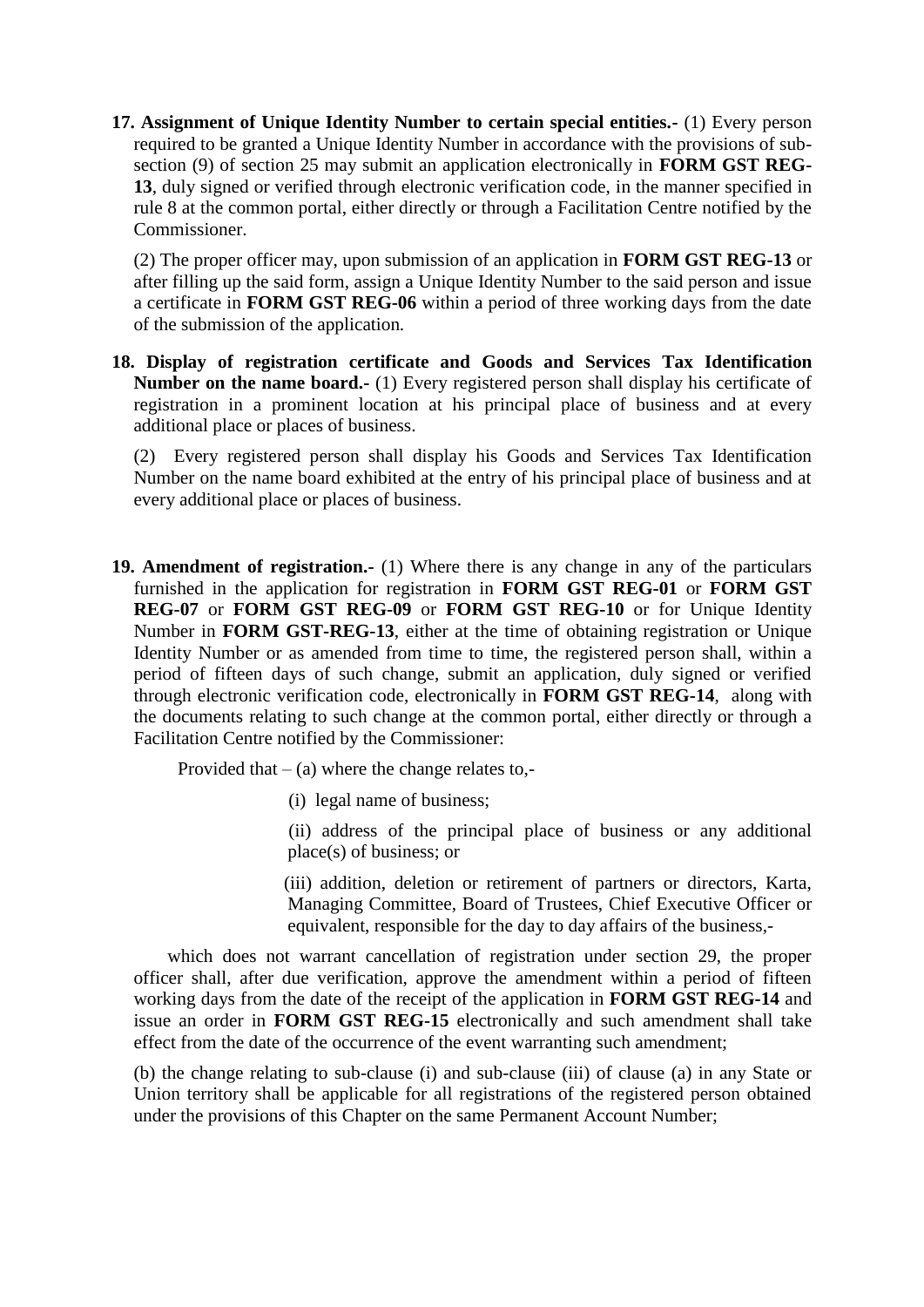**17. Assignment of Unique Identity Number to certain special entities.-** (1) Every person required to be granted a Unique Identity Number in accordance with the provisions of subsection (9) of section 25 may submit an application electronically in **FORM GST REG-13**, duly signed or verified through electronic verification code, in the manner specified in rule 8 at the common portal, either directly or through a Facilitation Centre notified by the Commissioner.

(2) The proper officer may, upon submission of an application in **FORM GST REG-13** or after filling up the said form, assign a Unique Identity Number to the said person and issue a certificate in **FORM GST REG-06** within a period of three working days from the date of the submission of the application*.*

**18. Display of registration certificate and Goods and Services Tax Identification Number on the name board.-** (1) Every registered person shall display his certificate of registration in a prominent location at his principal place of business and at every additional place or places of business.

(2) Every registered person shall display his Goods and Services Tax Identification Number on the name board exhibited at the entry of his principal place of business and at every additional place or places of business.

**19. Amendment of registration.-** (1) Where there is any change in any of the particulars furnished in the application for registration in **FORM GST REG-01** or **FORM GST REG-07** or **FORM GST REG-09** or **FORM GST REG-10** or for Unique Identity Number in **FORM GST-REG-13**, either at the time of obtaining registration or Unique Identity Number or as amended from time to time, the registered person shall, within a period of fifteen days of such change, submit an application, duly signed or verified through electronic verification code, electronically in **FORM GST REG-14**, along with the documents relating to such change at the common portal, either directly or through a Facilitation Centre notified by the Commissioner:

Provided that  $-$  (a) where the change relates to,-

- (i) legal name of business;
- (ii) address of the principal place of business or any additional place(s) of business; or
- (iii) addition, deletion or retirement of partners or directors, Karta, Managing Committee, Board of Trustees, Chief Executive Officer or equivalent, responsible for the day to day affairs of the business,-

which does not warrant cancellation of registration under section 29, the proper officer shall, after due verification, approve the amendment within a period of fifteen working days from the date of the receipt of the application in **FORM GST REG-14** and issue an order in **FORM GST REG-15** electronically and such amendment shall take effect from the date of the occurrence of the event warranting such amendment;

(b) the change relating to sub-clause (i) and sub-clause (iii) of clause (a) in any State or Union territory shall be applicable for all registrations of the registered person obtained under the provisions of this Chapter on the same Permanent Account Number;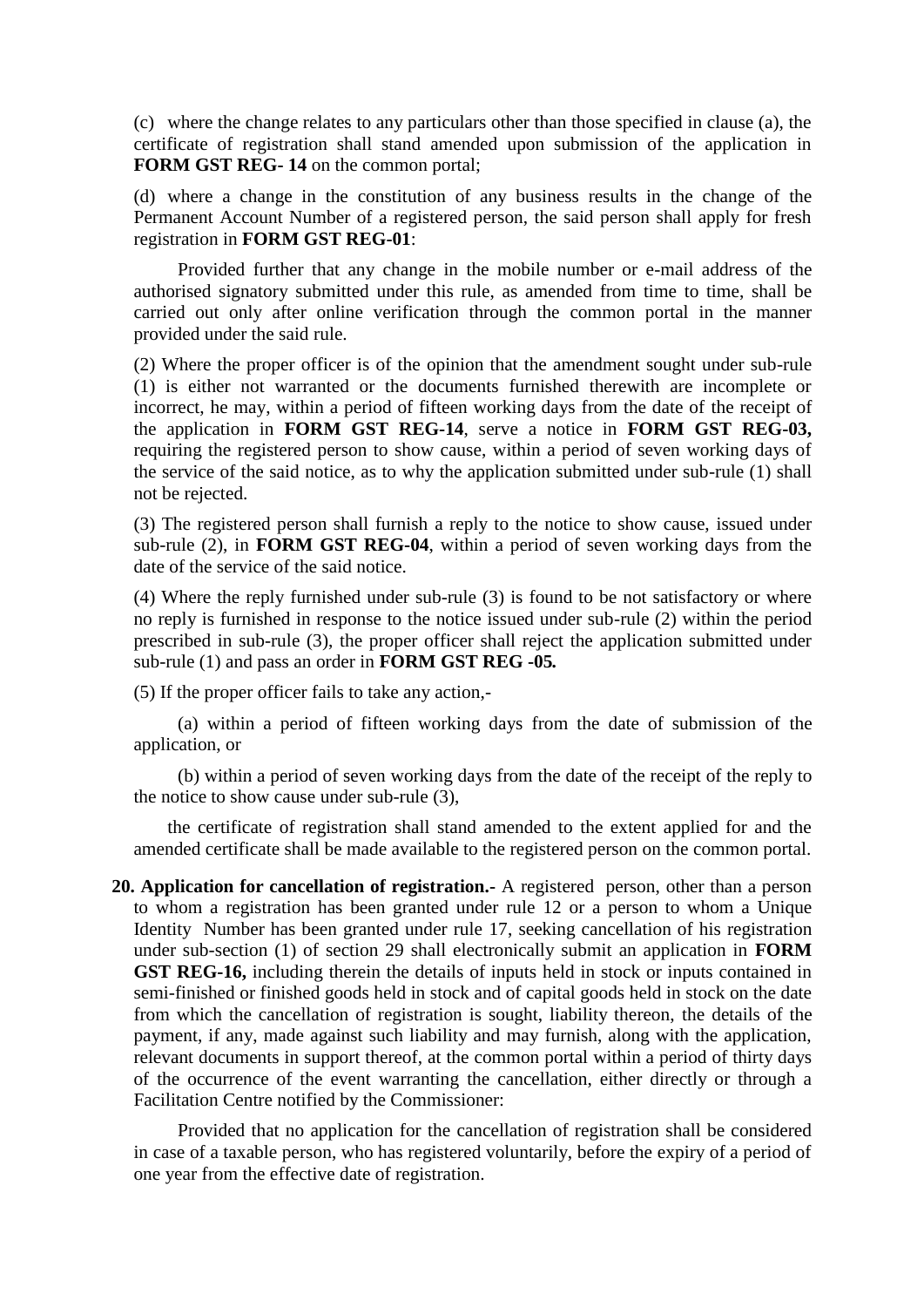(c) where the change relates to any particulars other than those specified in clause (a), the certificate of registration shall stand amended upon submission of the application in **FORM GST REG-14** on the common portal:

(d) where a change in the constitution of any business results in the change of the Permanent Account Number of a registered person, the said person shall apply for fresh registration in **FORM GST REG-01**:

Provided further that any change in the mobile number or e-mail address of the authorised signatory submitted under this rule, as amended from time to time, shall be carried out only after online verification through the common portal in the manner provided under the said rule.

(2) Where the proper officer is of the opinion that the amendment sought under sub-rule (1) is either not warranted or the documents furnished therewith are incomplete or incorrect, he may, within a period of fifteen working days from the date of the receipt of the application in **FORM GST REG-14**, serve a notice in **FORM GST REG-03,** requiring the registered person to show cause, within a period of seven working days of the service of the said notice, as to why the application submitted under sub-rule (1) shall not be rejected.

(3) The registered person shall furnish a reply to the notice to show cause, issued under sub-rule (2), in **FORM GST REG-04**, within a period of seven working days from the date of the service of the said notice.

(4) Where the reply furnished under sub-rule (3) is found to be not satisfactory or where no reply is furnished in response to the notice issued under sub-rule (2) within the period prescribed in sub-rule (3), the proper officer shall reject the application submitted under sub-rule (1) and pass an order in **FORM GST REG -05***.*

(5) If the proper officer fails to take any action,-

(a) within a period of fifteen working days from the date of submission of the application, or

(b) within a period of seven working days from the date of the receipt of the reply to the notice to show cause under sub-rule (3),

the certificate of registration shall stand amended to the extent applied for and the amended certificate shall be made available to the registered person on the common portal.

**20. Application for cancellation of registration.-** A registered person, other than a person to whom a registration has been granted under rule 12 or a person to whom a Unique Identity Number has been granted under rule 17, seeking cancellation of his registration under sub-section (1) of section 29 shall electronically submit an application in **FORM GST REG-16,** including therein the details of inputs held in stock or inputs contained in semi-finished or finished goods held in stock and of capital goods held in stock on the date from which the cancellation of registration is sought, liability thereon, the details of the payment, if any, made against such liability and may furnish, along with the application, relevant documents in support thereof, at the common portal within a period of thirty days of the occurrence of the event warranting the cancellation, either directly or through a Facilitation Centre notified by the Commissioner:

Provided that no application for the cancellation of registration shall be considered in case of a taxable person, who has registered voluntarily, before the expiry of a period of one year from the effective date of registration.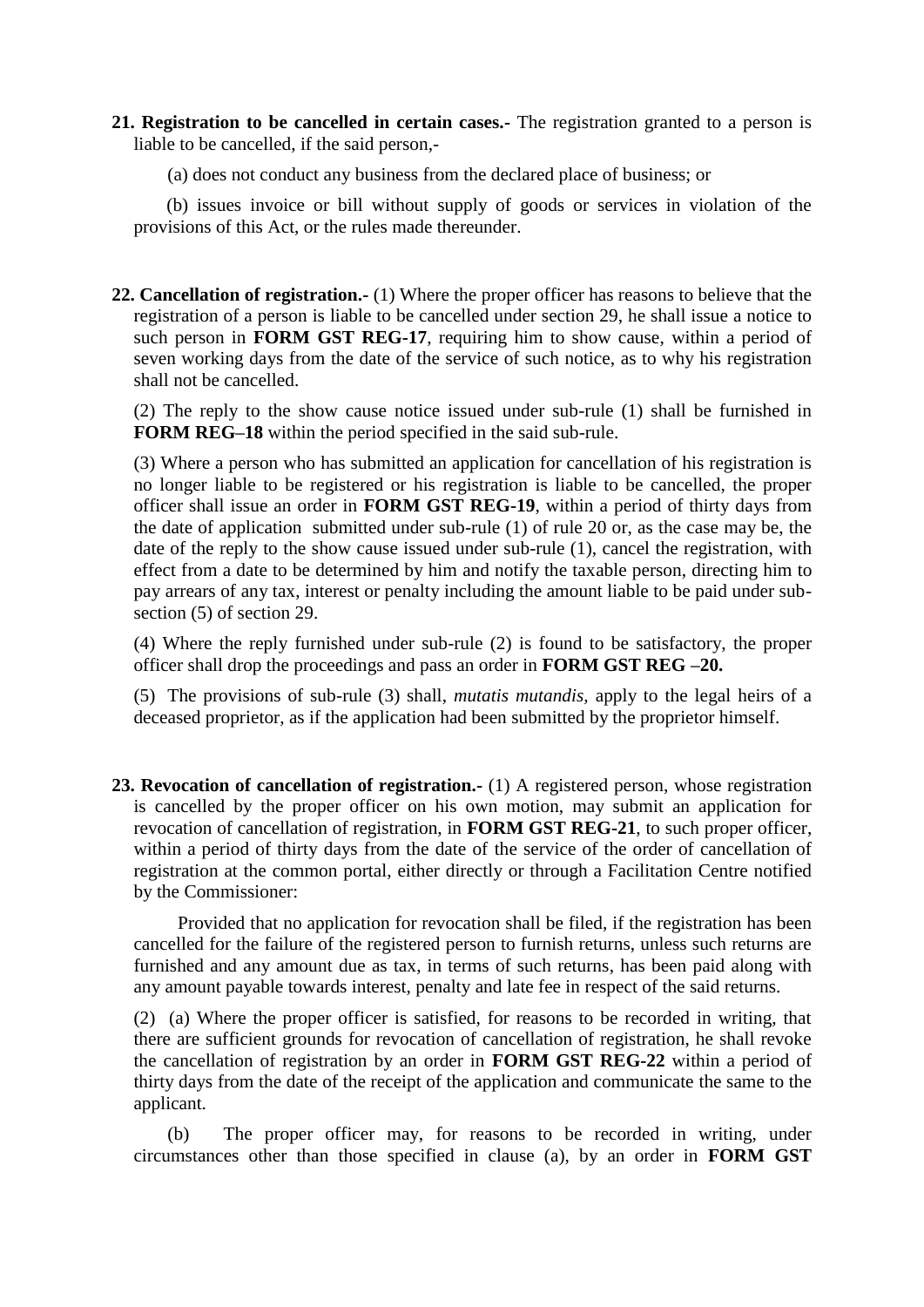- **21. Registration to be cancelled in certain cases.-** The registration granted to a person is liable to be cancelled, if the said person,-
	- (a) does not conduct any business from the declared place of business; or

(b) issues invoice or bill without supply of goods or services in violation of the provisions of this Act, or the rules made thereunder.

**22. Cancellation of registration.-** (1) Where the proper officer has reasons to believe that the registration of a person is liable to be cancelled under section 29, he shall issue a notice to such person in **FORM GST REG-17**, requiring him to show cause, within a period of seven working days from the date of the service of such notice, as to why his registration shall not be cancelled.

(2) The reply to the show cause notice issued under sub-rule (1) shall be furnished in **FORM REG–18** within the period specified in the said sub-rule.

(3) Where a person who has submitted an application for cancellation of his registration is no longer liable to be registered or his registration is liable to be cancelled, the proper officer shall issue an order in **FORM GST REG-19**, within a period of thirty days from the date of application submitted under sub-rule (1) of rule 20 or, as the case may be, the date of the reply to the show cause issued under sub-rule (1), cancel the registration, with effect from a date to be determined by him and notify the taxable person, directing him to pay arrears of any tax, interest or penalty including the amount liable to be paid under subsection (5) of section 29.

(4) Where the reply furnished under sub-rule (2) is found to be satisfactory, the proper officer shall drop the proceedings and pass an order in **FORM GST REG –20.**

(5) The provisions of sub-rule (3) shall, *mutatis mutandis,* apply to the legal heirs of a deceased proprietor, as if the application had been submitted by the proprietor himself.

**23. Revocation of cancellation of registration.-** (1) A registered person, whose registration is cancelled by the proper officer on his own motion, may submit an application for revocation of cancellation of registration, in **FORM GST REG-21**, to such proper officer, within a period of thirty days from the date of the service of the order of cancellation of registration at the common portal, either directly or through a Facilitation Centre notified by the Commissioner:

Provided that no application for revocation shall be filed, if the registration has been cancelled for the failure of the registered person to furnish returns, unless such returns are furnished and any amount due as tax, in terms of such returns, has been paid along with any amount payable towards interest, penalty and late fee in respect of the said returns.

(2) (a) Where the proper officer is satisfied, for reasons to be recorded in writing, that there are sufficient grounds for revocation of cancellation of registration, he shall revoke the cancellation of registration by an order in **FORM GST REG-22** within a period of thirty days from the date of the receipt of the application and communicate the same to the applicant.

(b) The proper officer may, for reasons to be recorded in writing, under circumstances other than those specified in clause (a), by an order in **FORM GST**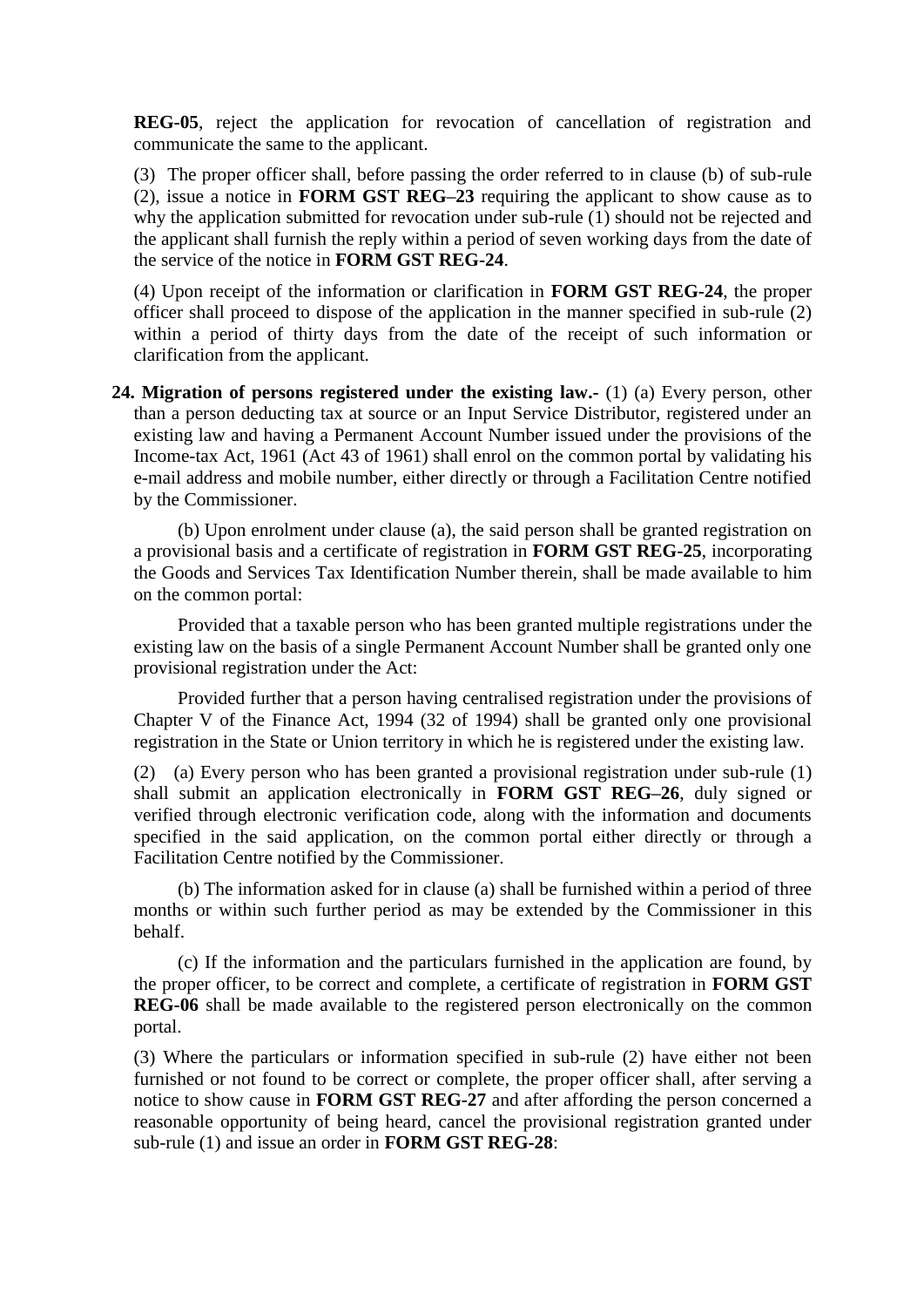**REG-05**, reject the application for revocation of cancellation of registration and communicate the same to the applicant.

(3) The proper officer shall, before passing the order referred to in clause (b) of sub-rule (2), issue a notice in **FORM GST REG–23** requiring the applicant to show cause as to why the application submitted for revocation under sub-rule (1) should not be rejected and the applicant shall furnish the reply within a period of seven working days from the date of the service of the notice in **FORM GST REG-24**.

(4) Upon receipt of the information or clarification in **FORM GST REG-24**, the proper officer shall proceed to dispose of the application in the manner specified in sub-rule (2) within a period of thirty days from the date of the receipt of such information or clarification from the applicant.

**24. Migration of persons registered under the existing law.-** (1) (a) Every person, other than a person deducting tax at source or an Input Service Distributor, registered under an existing law and having a Permanent Account Number issued under the provisions of the Income-tax Act, 1961 (Act 43 of 1961) shall enrol on the common portal by validating his e-mail address and mobile number, either directly or through a Facilitation Centre notified by the Commissioner.

(b) Upon enrolment under clause (a), the said person shall be granted registration on a provisional basis and a certificate of registration in **FORM GST REG-25**, incorporating the Goods and Services Tax Identification Number therein, shall be made available to him on the common portal:

Provided that a taxable person who has been granted multiple registrations under the existing law on the basis of a single Permanent Account Number shall be granted only one provisional registration under the Act:

Provided further that a person having centralised registration under the provisions of Chapter V of the Finance Act, 1994 (32 of 1994) shall be granted only one provisional registration in the State or Union territory in which he is registered under the existing law.

(2) (a) Every person who has been granted a provisional registration under sub-rule (1) shall submit an application electronically in **FORM GST REG–26**, duly signed or verified through electronic verification code, along with the information and documents specified in the said application, on the common portal either directly or through a Facilitation Centre notified by the Commissioner.

(b) The information asked for in clause (a) shall be furnished within a period of three months or within such further period as may be extended by the Commissioner in this behalf.

(c) If the information and the particulars furnished in the application are found, by the proper officer, to be correct and complete, a certificate of registration in **FORM GST REG-06** shall be made available to the registered person electronically on the common portal.

(3) Where the particulars or information specified in sub-rule (2) have either not been furnished or not found to be correct or complete, the proper officer shall, after serving a notice to show cause in **FORM GST REG-27** and after affording the person concerned a reasonable opportunity of being heard, cancel the provisional registration granted under sub-rule (1) and issue an order in **FORM GST REG-28**: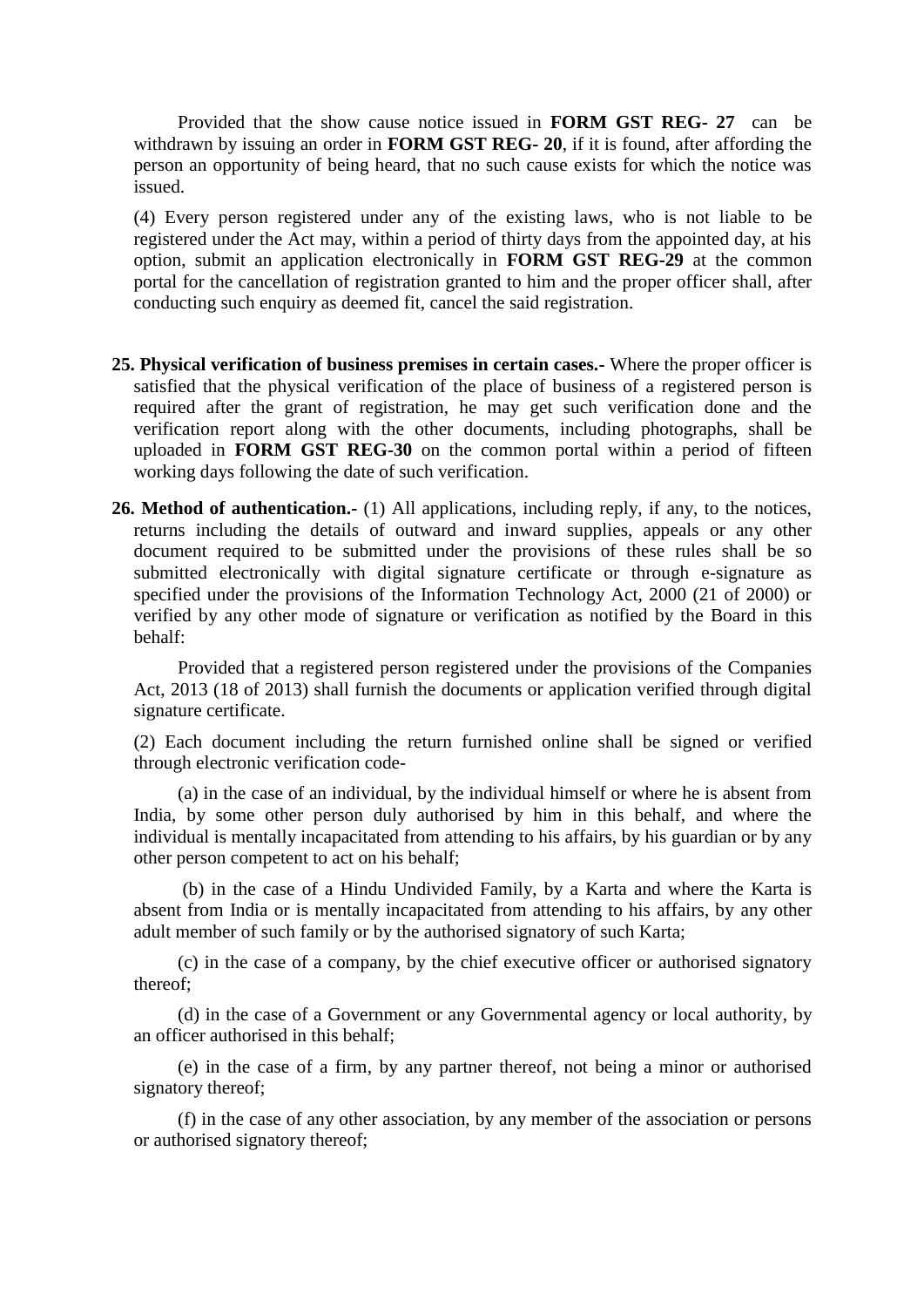Provided that the show cause notice issued in **FORM GST REG- 27** can be withdrawn by issuing an order in **FORM GST REG- 20**, if it is found, after affording the person an opportunity of being heard, that no such cause exists for which the notice was issued.

(4) Every person registered under any of the existing laws, who is not liable to be registered under the Act may, within a period of thirty days from the appointed day, at his option, submit an application electronically in **FORM GST REG-29** at the common portal for the cancellation of registration granted to him and the proper officer shall, after conducting such enquiry as deemed fit, cancel the said registration.

- **25. Physical verification of business premises in certain cases.-** Where the proper officer is satisfied that the physical verification of the place of business of a registered person is required after the grant of registration, he may get such verification done and the verification report along with the other documents, including photographs, shall be uploaded in **FORM GST REG-30** on the common portal within a period of fifteen working days following the date of such verification.
- **26. Method of authentication.-** (1) All applications, including reply, if any, to the notices, returns including the details of outward and inward supplies, appeals or any other document required to be submitted under the provisions of these rules shall be so submitted electronically with digital signature certificate or through e-signature as specified under the provisions of the Information Technology Act, 2000 (21 of 2000) or verified by any other mode of signature or verification as notified by the Board in this behalf:

Provided that a registered person registered under the provisions of the Companies Act, 2013 (18 of 2013) shall furnish the documents or application verified through digital signature certificate.

(2) Each document including the return furnished online shall be signed or verified through electronic verification code-

(a) in the case of an individual, by the individual himself or where he is absent from India, by some other person duly authorised by him in this behalf, and where the individual is mentally incapacitated from attending to his affairs, by his guardian or by any other person competent to act on his behalf;

(b) in the case of a Hindu Undivided Family, by a Karta and where the Karta is absent from India or is mentally incapacitated from attending to his affairs, by any other adult member of such family or by the authorised signatory of such Karta;

(c) in the case of a company, by the chief executive officer or authorised signatory thereof;

(d) in the case of a Government or any Governmental agency or local authority, by an officer authorised in this behalf;

(e) in the case of a firm, by any partner thereof, not being a minor or authorised signatory thereof;

(f) in the case of any other association, by any member of the association or persons or authorised signatory thereof;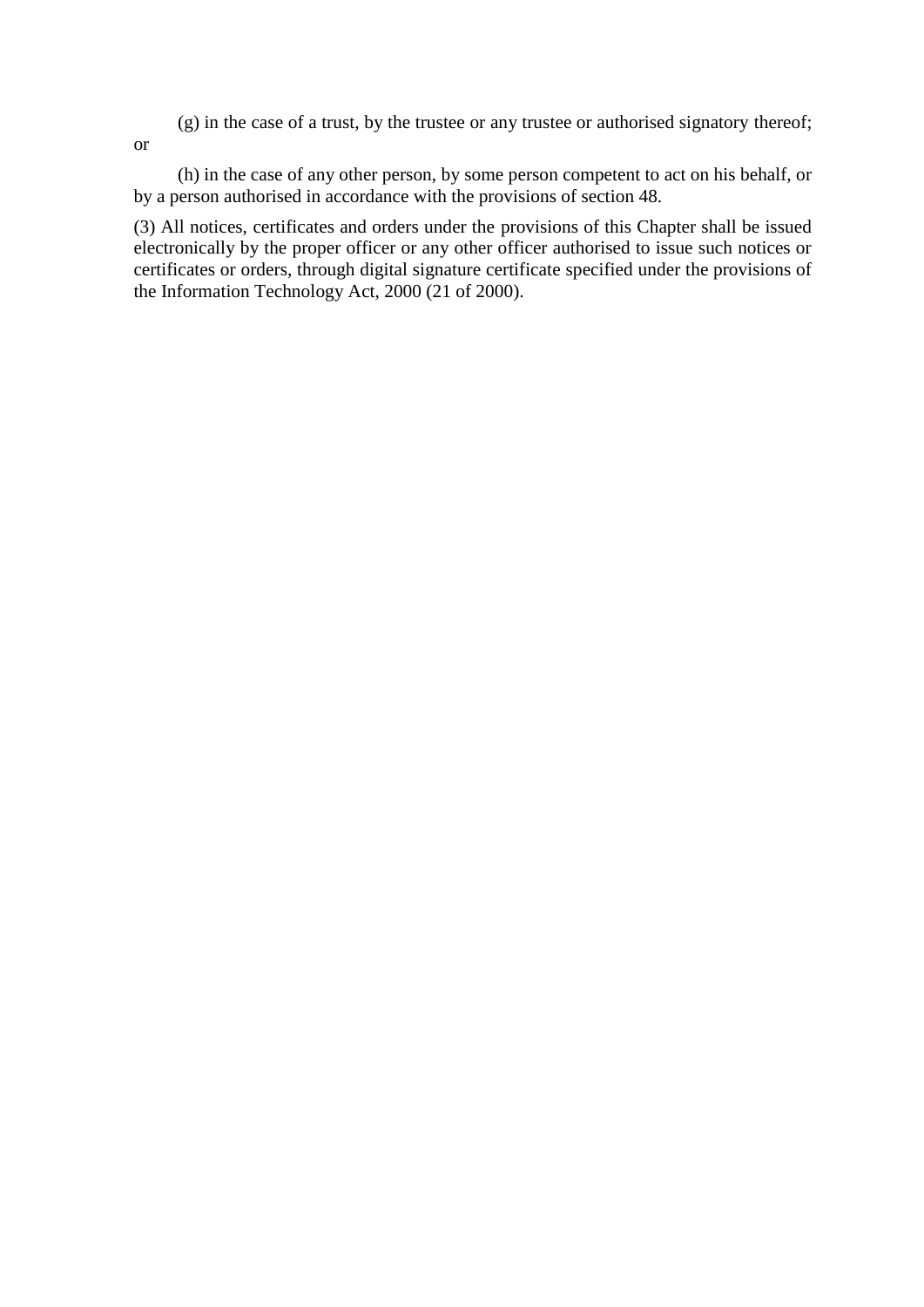(g) in the case of a trust, by the trustee or any trustee or authorised signatory thereof;

or

(h) in the case of any other person, by some person competent to act on his behalf, or by a person authorised in accordance with the provisions of section 48.

(3) All notices, certificates and orders under the provisions of this Chapter shall be issued electronically by the proper officer or any other officer authorised to issue such notices or certificates or orders, through digital signature certificate specified under the provisions of the Information Technology Act, 2000 (21 of 2000).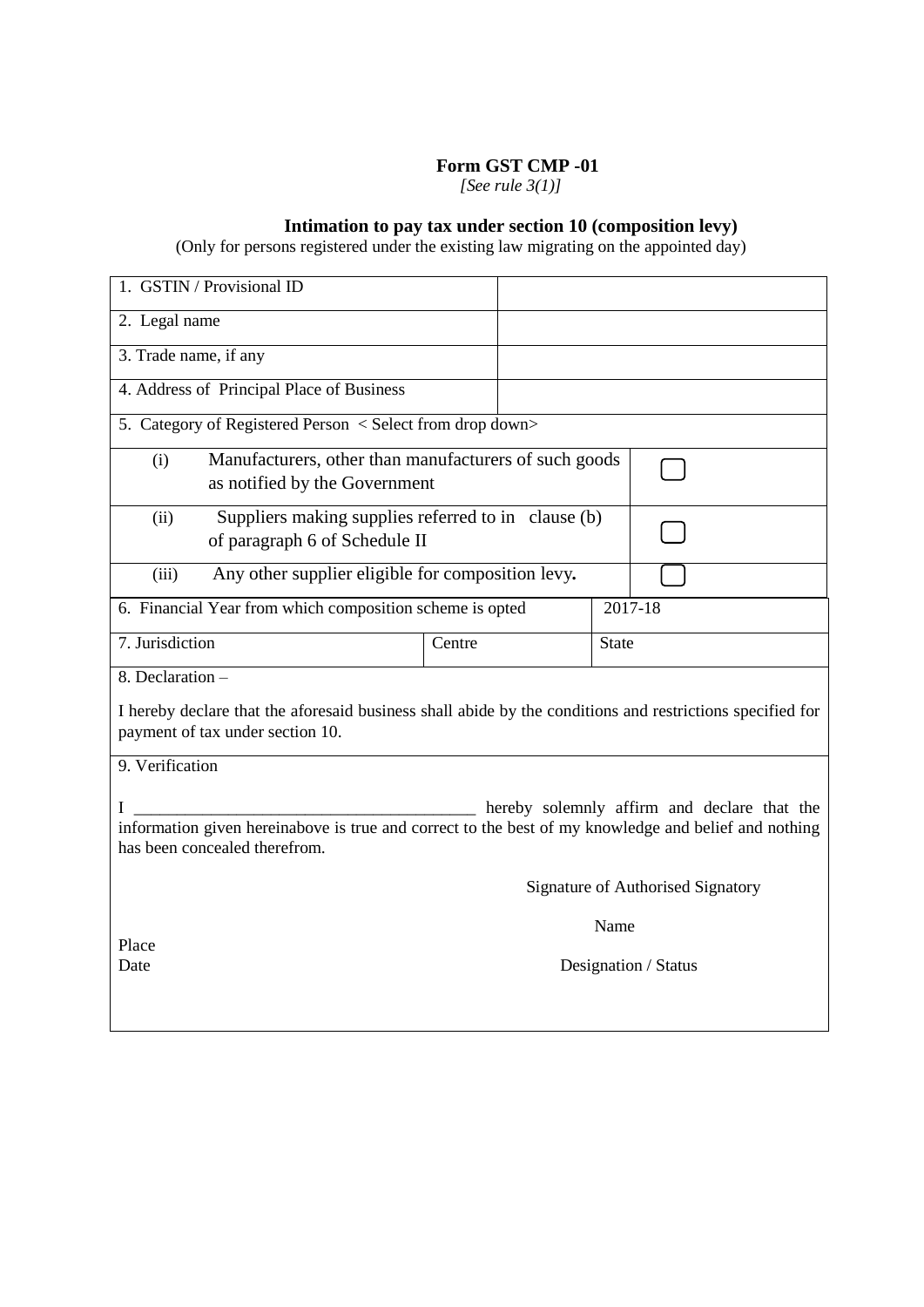## **Form GST CMP -01**

*[See rule 3(1)]*

#### **Intimation to pay tax under section 10 (composition levy)**

(Only for persons registered under the existing law migrating on the appointed day)

| 1. GSTIN / Provisional ID                                                                                                                                                                 |                                                                                                           |      |                                   |  |  |  |  |  |
|-------------------------------------------------------------------------------------------------------------------------------------------------------------------------------------------|-----------------------------------------------------------------------------------------------------------|------|-----------------------------------|--|--|--|--|--|
| 2. Legal name                                                                                                                                                                             |                                                                                                           |      |                                   |  |  |  |  |  |
| 3. Trade name, if any                                                                                                                                                                     |                                                                                                           |      |                                   |  |  |  |  |  |
| 4. Address of Principal Place of Business                                                                                                                                                 |                                                                                                           |      |                                   |  |  |  |  |  |
|                                                                                                                                                                                           | 5. Category of Registered Person < Select from drop down>                                                 |      |                                   |  |  |  |  |  |
| Manufacturers, other than manufacturers of such goods<br>(i)<br>as notified by the Government                                                                                             |                                                                                                           |      |                                   |  |  |  |  |  |
| Suppliers making supplies referred to in clause (b)<br>(ii)<br>of paragraph 6 of Schedule II                                                                                              |                                                                                                           |      |                                   |  |  |  |  |  |
| (iii)                                                                                                                                                                                     | Any other supplier eligible for composition levy.                                                         |      |                                   |  |  |  |  |  |
|                                                                                                                                                                                           | 6. Financial Year from which composition scheme is opted                                                  |      | 2017-18                           |  |  |  |  |  |
| 7. Jurisdiction                                                                                                                                                                           | Centre                                                                                                    |      | <b>State</b>                      |  |  |  |  |  |
| $8.$ Declaration $-$<br>payment of tax under section 10.<br>9. Verification                                                                                                               | I hereby declare that the aforesaid business shall abide by the conditions and restrictions specified for |      |                                   |  |  |  |  |  |
| hereby solemnly affirm and declare that the<br>I<br>information given hereinabove is true and correct to the best of my knowledge and belief and nothing<br>has been concealed therefrom. |                                                                                                           |      |                                   |  |  |  |  |  |
|                                                                                                                                                                                           |                                                                                                           |      | Signature of Authorised Signatory |  |  |  |  |  |
|                                                                                                                                                                                           |                                                                                                           | Name |                                   |  |  |  |  |  |
| Place<br>Date                                                                                                                                                                             |                                                                                                           |      | Designation / Status              |  |  |  |  |  |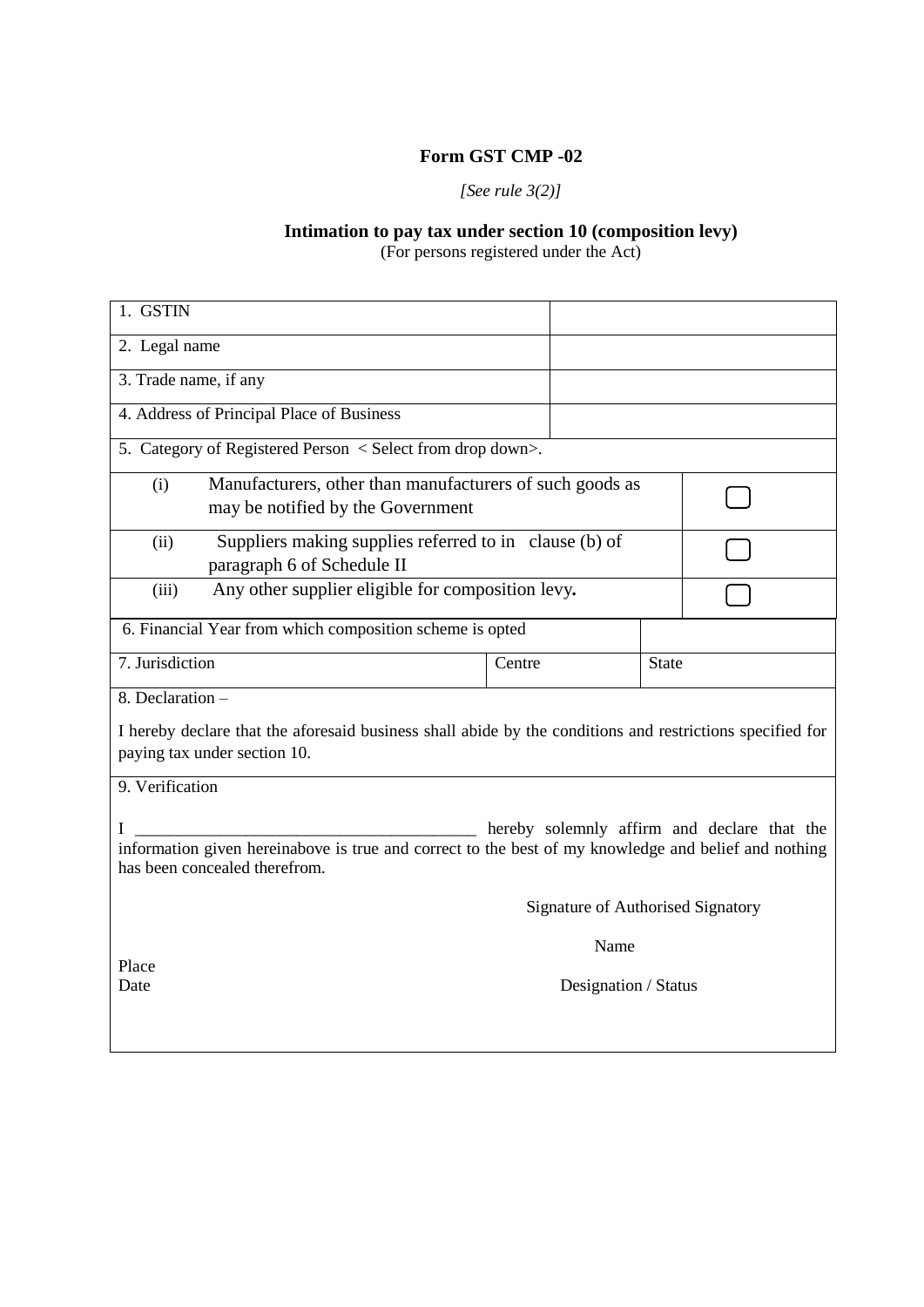# **Form GST CMP -02**

# *[See rule 3(2)]*

# **Intimation to pay tax under section 10 (composition levy)**

(For persons registered under the Act)

| 1. GSTIN                                                                                                                              |                                             |              |  |  |  |  |  |
|---------------------------------------------------------------------------------------------------------------------------------------|---------------------------------------------|--------------|--|--|--|--|--|
| 2. Legal name                                                                                                                         |                                             |              |  |  |  |  |  |
| 3. Trade name, if any                                                                                                                 |                                             |              |  |  |  |  |  |
| 4. Address of Principal Place of Business                                                                                             |                                             |              |  |  |  |  |  |
| 5. Category of Registered Person < Select from drop down>.                                                                            |                                             |              |  |  |  |  |  |
| Manufacturers, other than manufacturers of such goods as<br>(i)                                                                       |                                             |              |  |  |  |  |  |
| may be notified by the Government                                                                                                     |                                             |              |  |  |  |  |  |
| Suppliers making supplies referred to in clause (b) of<br>(ii)<br>paragraph 6 of Schedule II                                          |                                             |              |  |  |  |  |  |
| Any other supplier eligible for composition levy.<br>(iii)                                                                            |                                             |              |  |  |  |  |  |
| 6. Financial Year from which composition scheme is opted                                                                              |                                             |              |  |  |  |  |  |
| 7. Jurisdiction                                                                                                                       | Centre                                      | <b>State</b> |  |  |  |  |  |
| 8. Declaration -                                                                                                                      |                                             |              |  |  |  |  |  |
| I hereby declare that the aforesaid business shall abide by the conditions and restrictions specified for                             |                                             |              |  |  |  |  |  |
| paying tax under section 10.                                                                                                          |                                             |              |  |  |  |  |  |
| 9. Verification                                                                                                                       |                                             |              |  |  |  |  |  |
| I                                                                                                                                     | hereby solemnly affirm and declare that the |              |  |  |  |  |  |
| information given hereinabove is true and correct to the best of my knowledge and belief and nothing<br>has been concealed therefrom. |                                             |              |  |  |  |  |  |
| Signature of Authorised Signatory                                                                                                     |                                             |              |  |  |  |  |  |
| Name                                                                                                                                  |                                             |              |  |  |  |  |  |
| Place<br>Date                                                                                                                         | Designation / Status                        |              |  |  |  |  |  |
|                                                                                                                                       |                                             |              |  |  |  |  |  |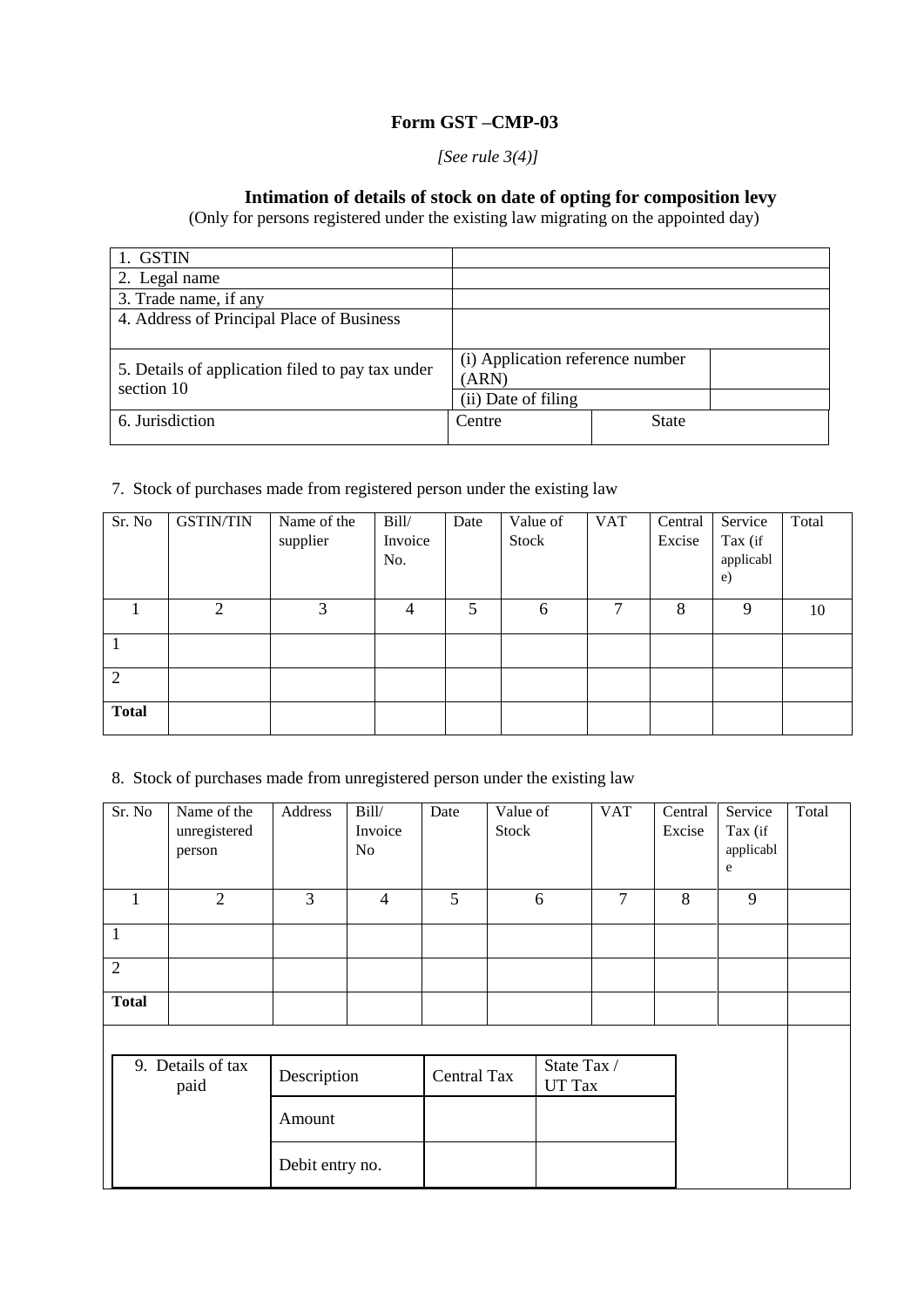# **Form GST –CMP-03**

#### *[See rule 3(4)]*

# **Intimation of details of stock on date of opting for composition levy**

(Only for persons registered under the existing law migrating on the appointed day)

| 1. GSTIN                                         |                                  |              |  |
|--------------------------------------------------|----------------------------------|--------------|--|
| 2. Legal name                                    |                                  |              |  |
| 3. Trade name, if any                            |                                  |              |  |
| 4. Address of Principal Place of Business        |                                  |              |  |
|                                                  |                                  |              |  |
| 5. Details of application filed to pay tax under | (i) Application reference number |              |  |
| section 10                                       | (ARN)                            |              |  |
|                                                  | (ii) Date of filing              |              |  |
| 6. Jurisdiction                                  | Centre                           | <b>State</b> |  |
|                                                  |                                  |              |  |

#### 7. Stock of purchases made from registered person under the existing law

| Sr. No         | <b>GSTIN/TIN</b> | Name of the | Bill/   | Date | Value of | <b>VAT</b> | Central | Service                   | Total |
|----------------|------------------|-------------|---------|------|----------|------------|---------|---------------------------|-------|
|                |                  | supplier    | Invoice |      | Stock    |            | Excise  | Tax (if                   |       |
|                |                  |             | No.     |      |          |            |         | applicabl<br>$\epsilon$ ) |       |
|                |                  |             |         |      |          |            |         |                           |       |
|                | 2                | 3           | 4       | 5    | 6        | 7          | 8       | 9                         | 10    |
|                |                  |             |         |      |          |            |         |                           |       |
|                |                  |             |         |      |          |            |         |                           |       |
| $\overline{2}$ |                  |             |         |      |          |            |         |                           |       |
|                |                  |             |         |      |          |            |         |                           |       |
| <b>Total</b>   |                  |             |         |      |          |            |         |                           |       |
|                |                  |             |         |      |          |            |         |                           |       |

#### 8. Stock of purchases made from unregistered person under the existing law

| Sr. N <sub>0</sub> | Name of the<br>unregistered<br>person | Address         | Bill/<br>Invoice<br>N <sub>o</sub> | Date               | Value of<br>Stock |                       | <b>VAT</b>     | Central<br>Excise | Service<br>Tax (if<br>applicabl<br>e | Total |
|--------------------|---------------------------------------|-----------------|------------------------------------|--------------------|-------------------|-----------------------|----------------|-------------------|--------------------------------------|-------|
| 1                  | $\overline{2}$                        | 3               | $\overline{4}$                     | 5                  |                   | 6                     | $\overline{7}$ | 8                 | 9                                    |       |
| $\mathbf{1}$       |                                       |                 |                                    |                    |                   |                       |                |                   |                                      |       |
| $\overline{2}$     |                                       |                 |                                    |                    |                   |                       |                |                   |                                      |       |
| <b>Total</b>       |                                       |                 |                                    |                    |                   |                       |                |                   |                                      |       |
|                    |                                       |                 |                                    |                    |                   |                       |                |                   |                                      |       |
|                    | 9. Details of tax<br>paid             | Description     |                                    | <b>Central Tax</b> |                   | State Tax /<br>UT Tax |                |                   |                                      |       |
|                    |                                       | Amount          |                                    |                    |                   |                       |                |                   |                                      |       |
|                    |                                       | Debit entry no. |                                    |                    |                   |                       |                |                   |                                      |       |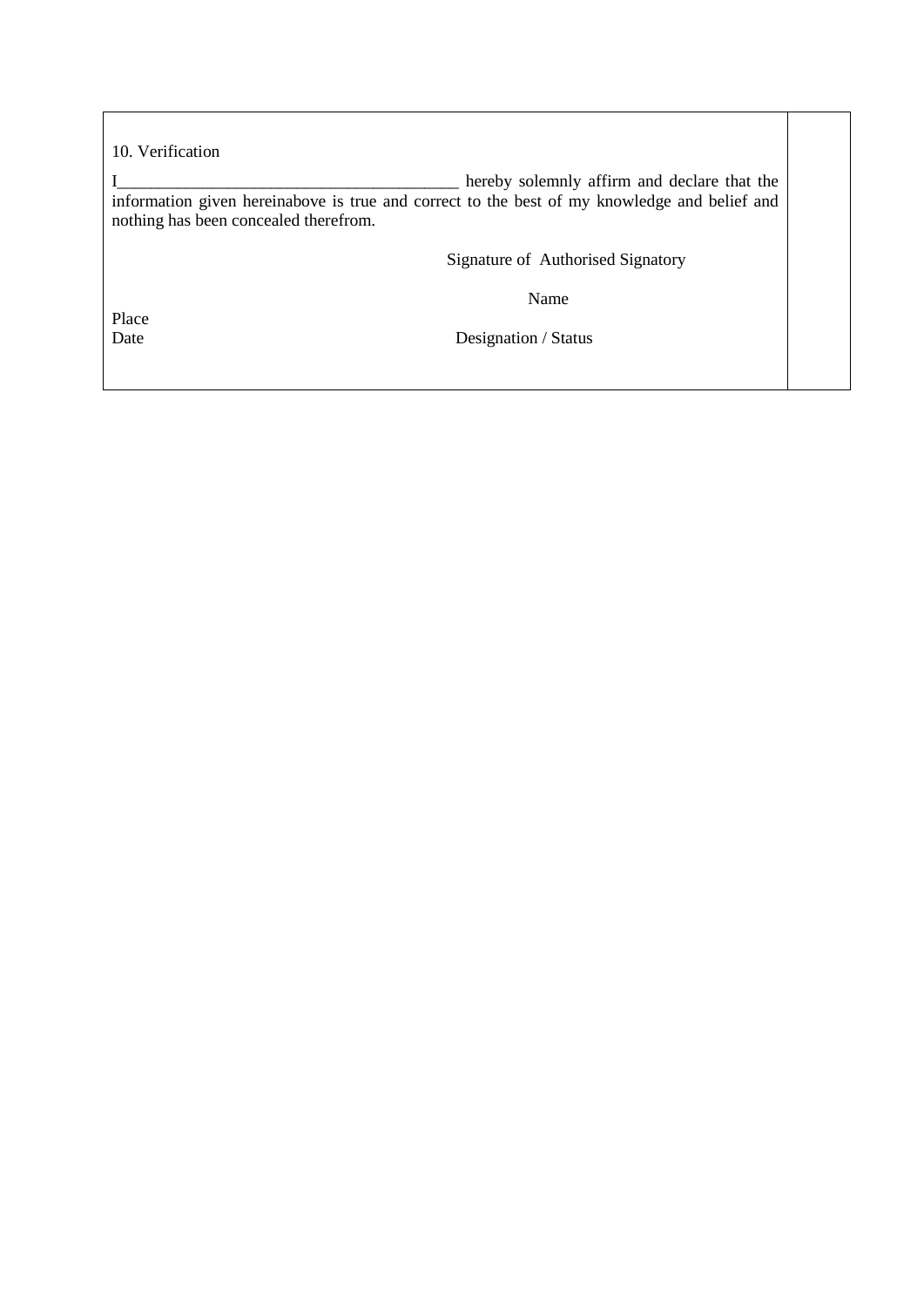10. Verification

I\_\_\_\_\_\_\_\_\_\_\_\_\_\_\_\_\_\_\_\_\_\_\_\_\_\_\_\_\_\_\_\_\_\_\_\_\_\_\_\_ hereby solemnly affirm and declare that the information given hereinabove is true and correct to the best of my knowledge and belief and nothing has been concealed therefrom.

Signature of Authorised Signatory

Name

Place<br>Date

Designation / Status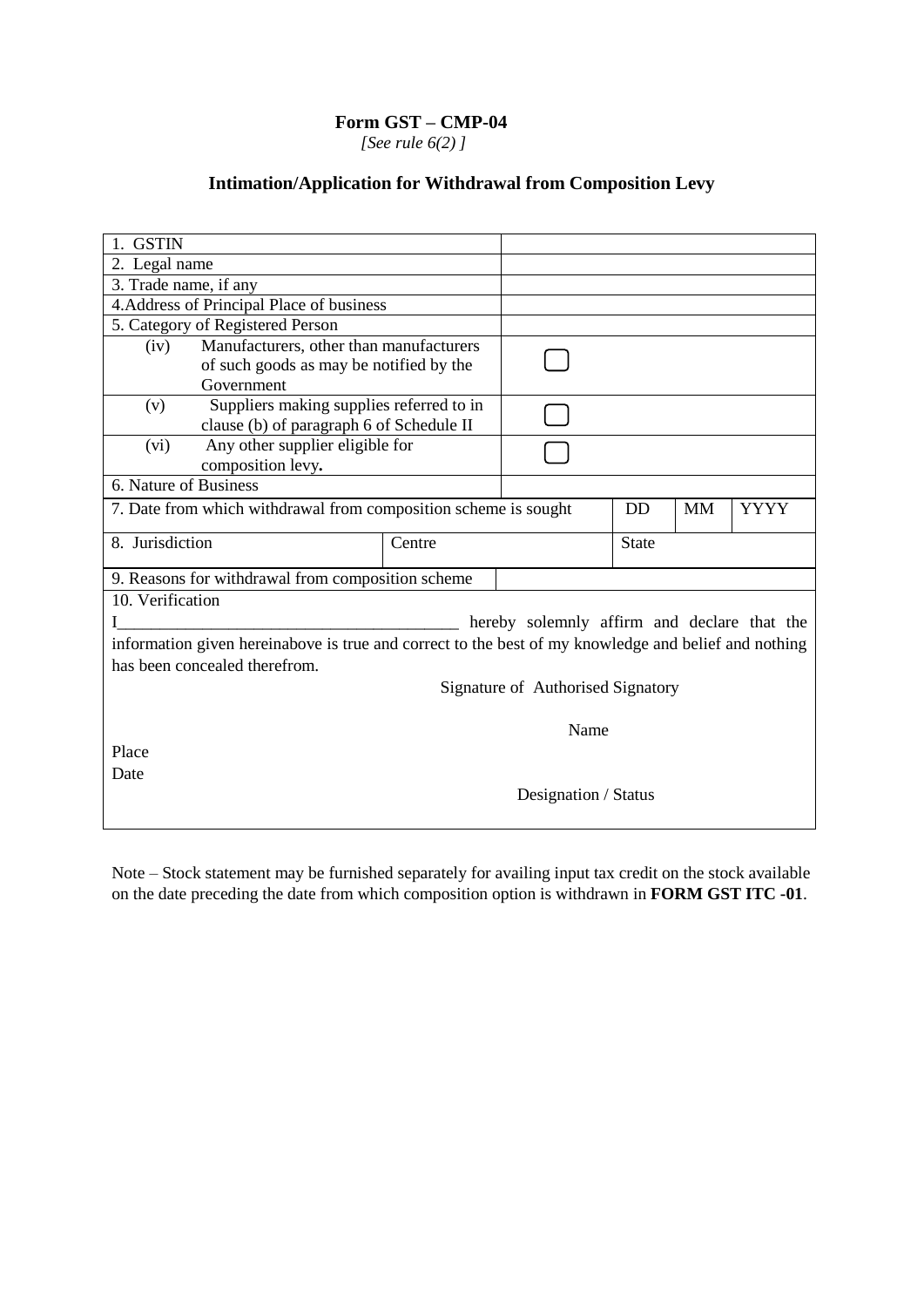## **Form GST – CMP-04**

 *[See rule 6(2) ]*

# **Intimation/Application for Withdrawal from Composition Levy**

| 1. GSTIN              |                                                                                                      |        |                                             |              |           |             |
|-----------------------|------------------------------------------------------------------------------------------------------|--------|---------------------------------------------|--------------|-----------|-------------|
| 2. Legal name         |                                                                                                      |        |                                             |              |           |             |
| 3. Trade name, if any |                                                                                                      |        |                                             |              |           |             |
|                       | 4. Address of Principal Place of business                                                            |        |                                             |              |           |             |
|                       | 5. Category of Registered Person                                                                     |        |                                             |              |           |             |
| (iv)                  | Manufacturers, other than manufacturers                                                              |        |                                             |              |           |             |
|                       | of such goods as may be notified by the                                                              |        |                                             |              |           |             |
|                       | Government                                                                                           |        |                                             |              |           |             |
| (v)                   | Suppliers making supplies referred to in                                                             |        |                                             |              |           |             |
|                       | clause (b) of paragraph 6 of Schedule II                                                             |        |                                             |              |           |             |
| (vi)                  | Any other supplier eligible for                                                                      |        |                                             |              |           |             |
|                       | composition levy.                                                                                    |        |                                             |              |           |             |
| 6. Nature of Business |                                                                                                      |        |                                             |              |           |             |
|                       | 7. Date from which withdrawal from composition scheme is sought                                      |        |                                             | <b>DD</b>    | <b>MM</b> | <b>YYYY</b> |
| 8. Jurisdiction       |                                                                                                      | Centre |                                             | <b>State</b> |           |             |
|                       |                                                                                                      |        |                                             |              |           |             |
|                       | 9. Reasons for withdrawal from composition scheme                                                    |        |                                             |              |           |             |
| 10. Verification      |                                                                                                      |        |                                             |              |           |             |
|                       |                                                                                                      |        | hereby solemnly affirm and declare that the |              |           |             |
|                       | information given hereinabove is true and correct to the best of my knowledge and belief and nothing |        |                                             |              |           |             |
|                       | has been concealed therefrom.                                                                        |        |                                             |              |           |             |
|                       |                                                                                                      |        | Signature of Authorised Signatory           |              |           |             |
|                       |                                                                                                      |        |                                             |              |           |             |
|                       |                                                                                                      | Name   |                                             |              |           |             |
| Place                 |                                                                                                      |        |                                             |              |           |             |
| Date                  |                                                                                                      |        |                                             |              |           |             |
|                       |                                                                                                      |        | Designation / Status                        |              |           |             |
|                       |                                                                                                      |        |                                             |              |           |             |
|                       |                                                                                                      |        |                                             |              |           |             |

Note – Stock statement may be furnished separately for availing input tax credit on the stock available on the date preceding the date from which composition option is withdrawn in **FORM GST ITC -01**.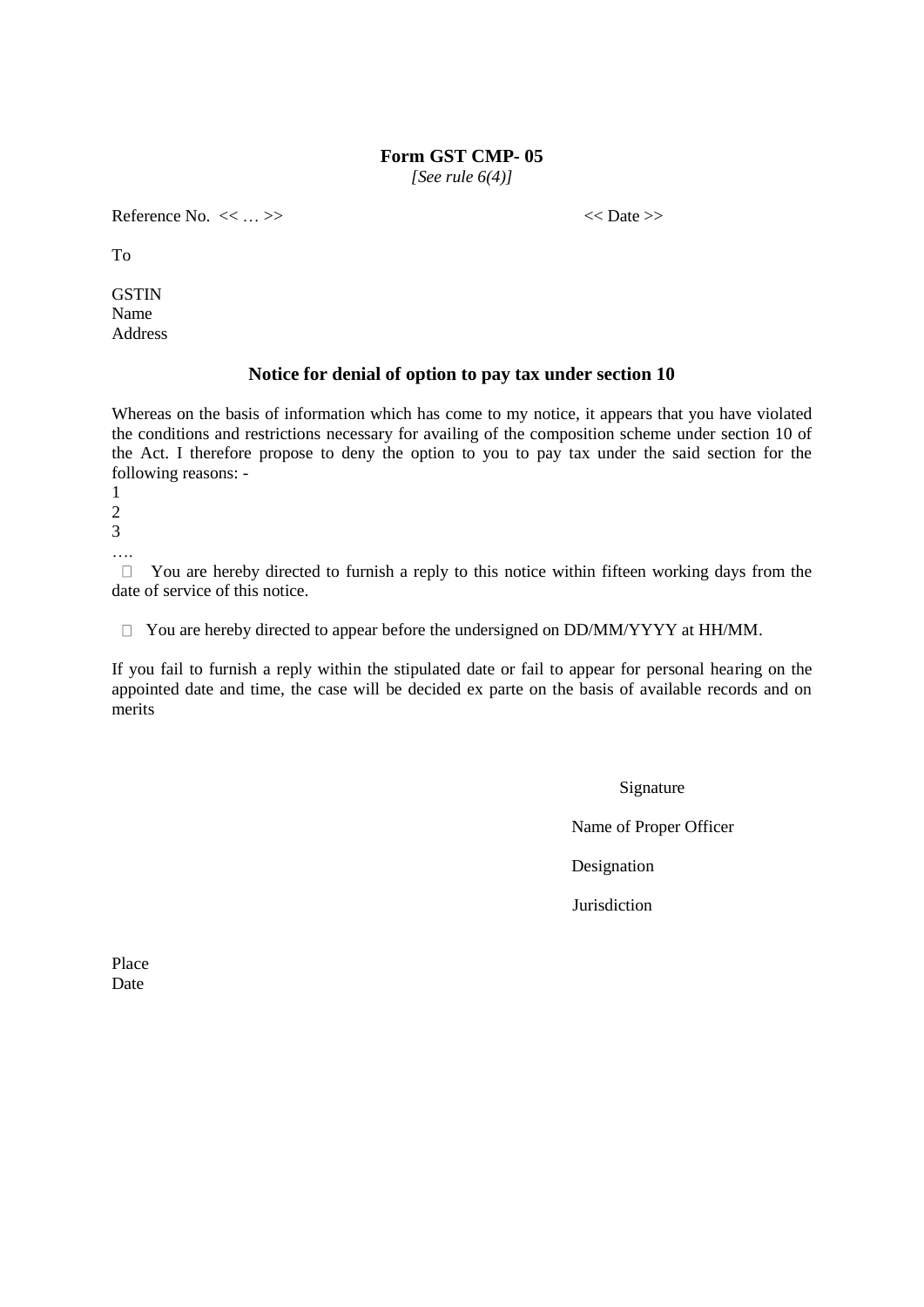#### **Form GST CMP- 05**

*[See rule 6(4)]*

Reference No.  $<< \ldots >>$   $<<$  Date >>

To

**GSTIN** Name Address

#### **Notice for denial of option to pay tax under section 10**

Whereas on the basis of information which has come to my notice, it appears that you have violated the conditions and restrictions necessary for availing of the composition scheme under section 10 of the Act. I therefore propose to deny the option to you to pay tax under the said section for the following reasons: -

 $\Box$  You are hereby directed to furnish a reply to this notice within fifteen working days from the date of service of this notice.

 $\Box$  You are hereby directed to appear before the undersigned on DD/MM/YYYY at HH/MM.

If you fail to furnish a reply within the stipulated date or fail to appear for personal hearing on the appointed date and time, the case will be decided ex parte on the basis of available records and on merits

Signature

Name of Proper Officer

Designation

**Jurisdiction** 

Place Date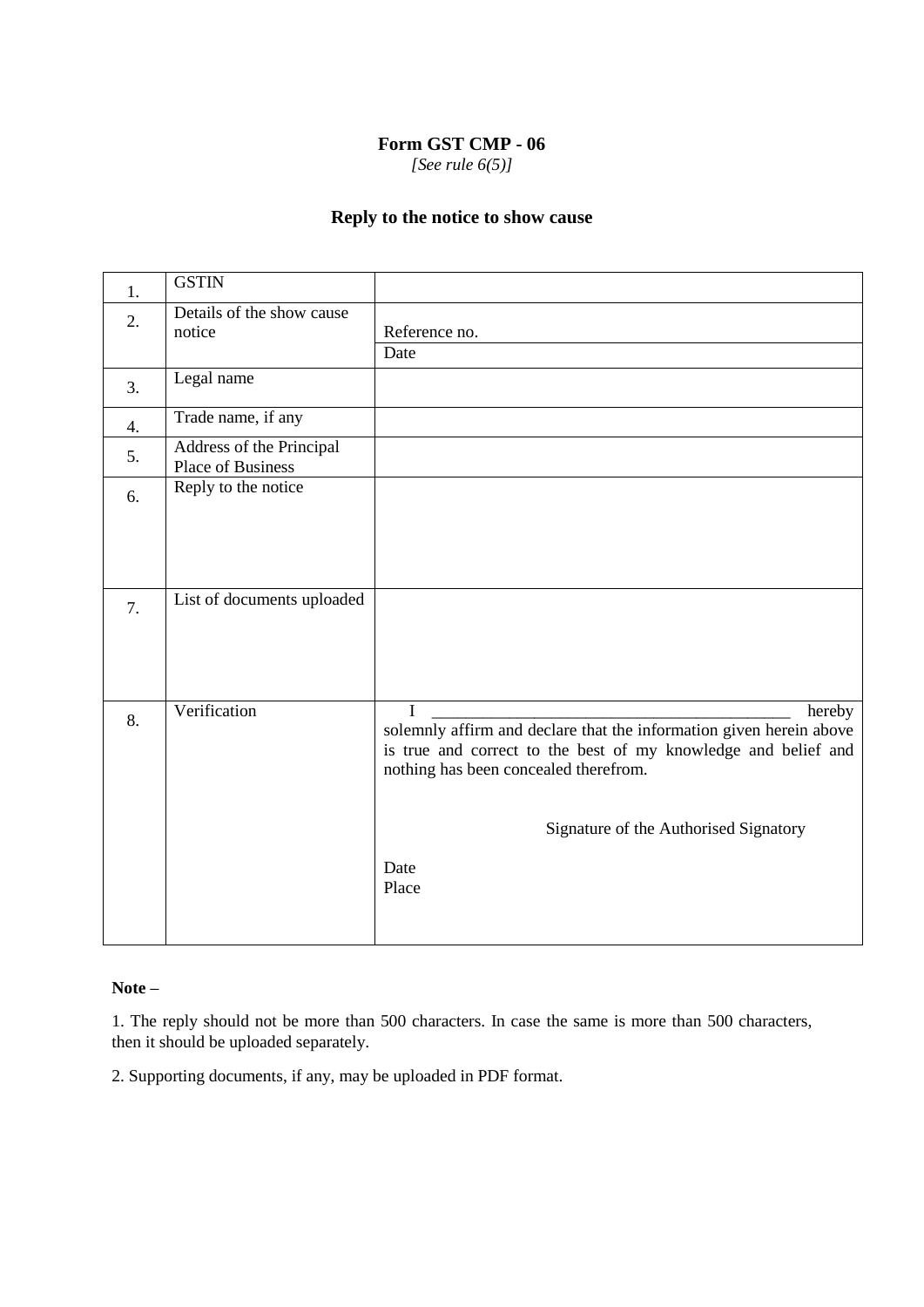### **Form GST CMP - 06**

*[See rule 6(5)]*

# **Reply to the notice to show cause**

| 1.               | <b>GSTIN</b>                                         |                                                                                                         |
|------------------|------------------------------------------------------|---------------------------------------------------------------------------------------------------------|
| 2.               | Details of the show cause<br>notice                  | Reference no.                                                                                           |
|                  |                                                      | Date                                                                                                    |
| 3.               | Legal name                                           |                                                                                                         |
| $\overline{4}$ . | Trade name, if any                                   |                                                                                                         |
| 5.               | Address of the Principal<br><b>Place of Business</b> |                                                                                                         |
| 6.               | Reply to the notice                                  |                                                                                                         |
|                  |                                                      |                                                                                                         |
|                  |                                                      |                                                                                                         |
| 7.               | List of documents uploaded                           |                                                                                                         |
|                  |                                                      |                                                                                                         |
|                  |                                                      |                                                                                                         |
| 8.               | Verification                                         | $\mathbf I$<br>hereby<br>solemnly affirm and declare that the information given herein above            |
|                  |                                                      | is true and correct to the best of my knowledge and belief and<br>nothing has been concealed therefrom. |
|                  |                                                      |                                                                                                         |
|                  |                                                      | Signature of the Authorised Signatory                                                                   |
|                  |                                                      | Date<br>Place                                                                                           |
|                  |                                                      |                                                                                                         |

#### **Note –**

1. The reply should not be more than 500 characters. In case the same is more than 500 characters, then it should be uploaded separately.

2. Supporting documents, if any, may be uploaded in PDF format.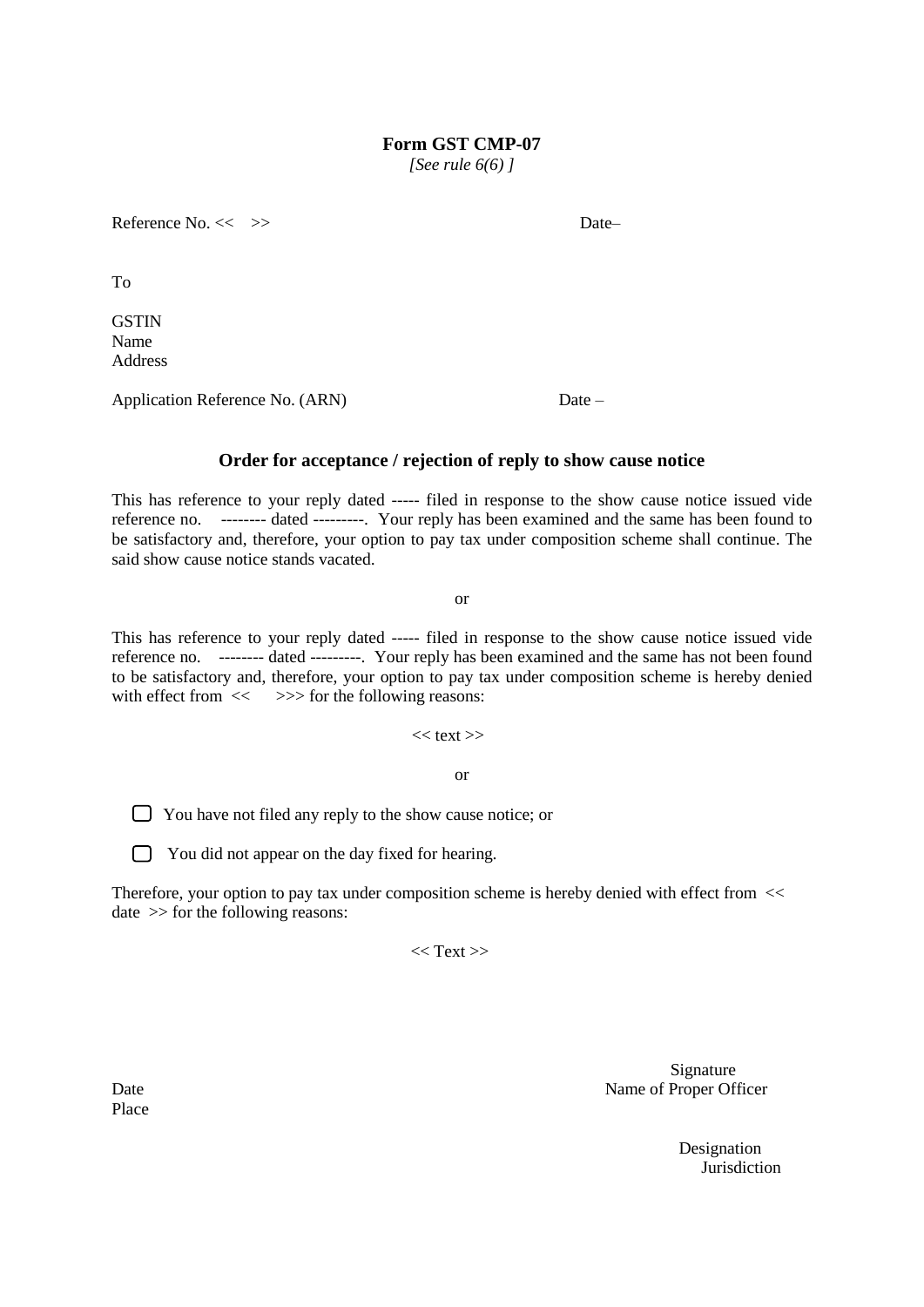**Form GST CMP-07**

*[See rule 6(6) ]*

Reference No. << >> > Date

To

**GSTIN** Name Address

Application Reference No. (ARN) Date –

# **Order for acceptance / rejection of reply to show cause notice**

This has reference to your reply dated ----- filed in response to the show cause notice issued vide reference no. -------- dated ---------. Your reply has been examined and the same has been found to be satisfactory and, therefore, your option to pay tax under composition scheme shall continue. The said show cause notice stands vacated.

or

This has reference to your reply dated ----- filed in response to the show cause notice issued vide reference no. -------- dated ---------. Your reply has been examined and the same has not been found to be satisfactory and, therefore, your option to pay tax under composition scheme is hereby denied with effect from  $\ll$   $>>$  for the following reasons:

 $<<$  text $>>$ 

or

You have not filed any reply to the show cause notice; or

The You did not appear on the day fixed for hearing.

Therefore, your option to pay tax under composition scheme is hereby denied with effect from << date >> for the following reasons:

 $<<$  Text $>>$ 

Signature Date Name of Proper Officer

> Designation **Jurisdiction**

Place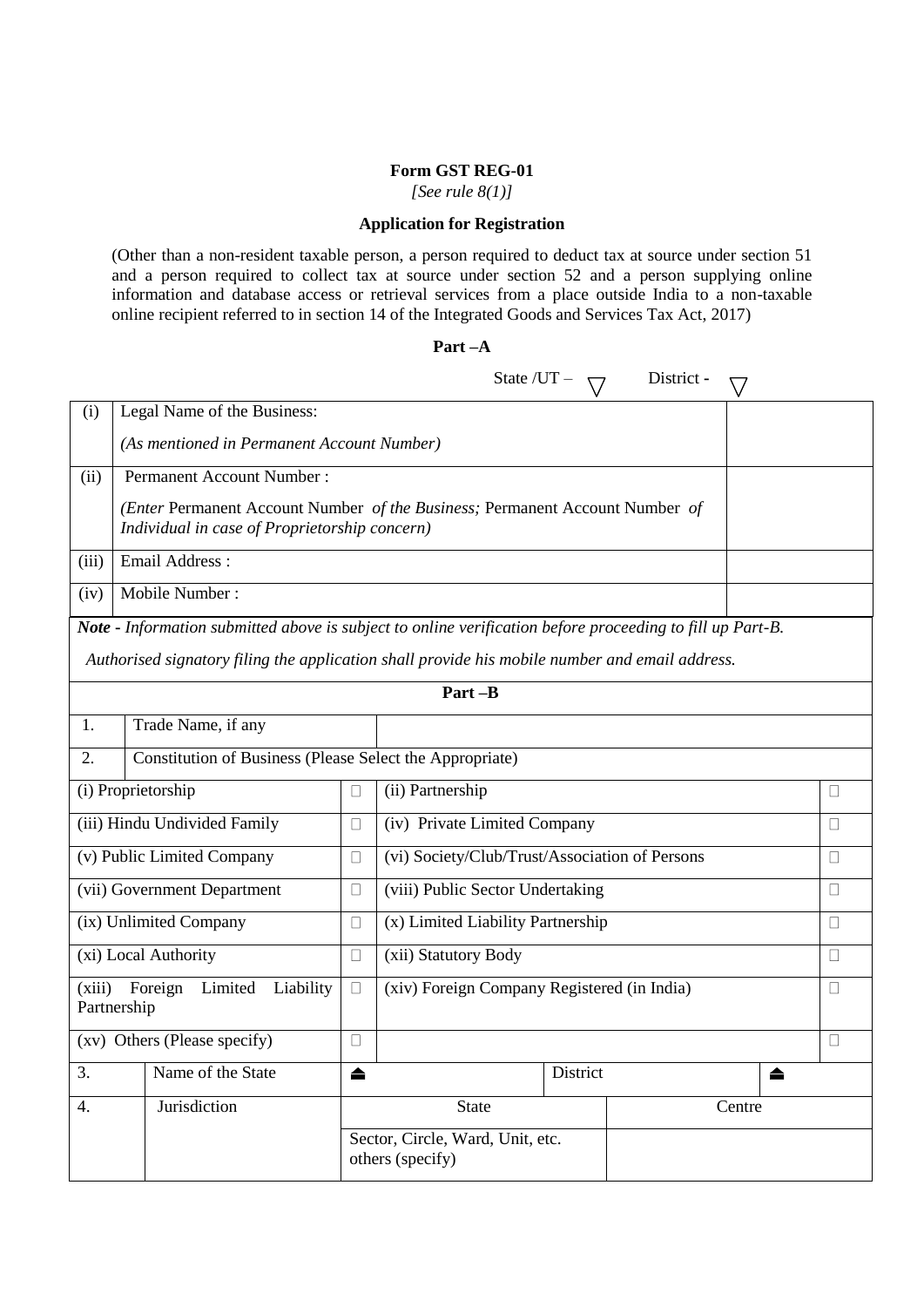#### **Form GST REG-01**

*[See rule 8(1)]*

#### **Application for Registration**

(Other than a non-resident taxable person, a person required to deduct tax at source under section 51 and a person required to collect tax at source under section 52 and a person supplying online information and database access or retrieval services from a place outside India to a non-taxable online recipient referred to in section 14 of the Integrated Goods and Services Tax Act, 2017)

|                       |                                                          |                                                      | State $/UT -$                                                                                                    | District - |              |  |  |  |  |
|-----------------------|----------------------------------------------------------|------------------------------------------------------|------------------------------------------------------------------------------------------------------------------|------------|--------------|--|--|--|--|
| (i)                   | Legal Name of the Business:                              |                                                      |                                                                                                                  |            |              |  |  |  |  |
|                       | (As mentioned in Permanent Account Number)               |                                                      |                                                                                                                  |            |              |  |  |  |  |
| (ii)                  | <b>Permanent Account Number:</b>                         |                                                      |                                                                                                                  |            |              |  |  |  |  |
|                       | Individual in case of Proprietorship concern)            |                                                      | (Enter Permanent Account Number of the Business; Permanent Account Number of                                     |            |              |  |  |  |  |
| (iii)                 | Email Address:                                           |                                                      |                                                                                                                  |            |              |  |  |  |  |
| (iv)                  | Mobile Number:                                           |                                                      |                                                                                                                  |            |              |  |  |  |  |
|                       |                                                          |                                                      | <b>Note - Information submitted above is subject to online verification before proceeding to fill up Part-B.</b> |            |              |  |  |  |  |
|                       |                                                          |                                                      | Authorised signatory filing the application shall provide his mobile number and email address.                   |            |              |  |  |  |  |
|                       |                                                          |                                                      | Part-B                                                                                                           |            |              |  |  |  |  |
| 1.                    | Trade Name, if any                                       |                                                      |                                                                                                                  |            |              |  |  |  |  |
| 2.                    | Constitution of Business (Please Select the Appropriate) |                                                      |                                                                                                                  |            |              |  |  |  |  |
|                       | (i) Proprietorship                                       | $\Box$                                               | (ii) Partnership                                                                                                 |            | П            |  |  |  |  |
|                       | (iii) Hindu Undivided Family                             | $\Box$                                               | (iv) Private Limited Company                                                                                     |            | $\mathbf{L}$ |  |  |  |  |
|                       | (v) Public Limited Company                               | $\Box$                                               | (vi) Society/Club/Trust/Association of Persons                                                                   |            | П            |  |  |  |  |
|                       | (vii) Government Department                              | $\Box$                                               | (viii) Public Sector Undertaking                                                                                 |            | $\mathbf{L}$ |  |  |  |  |
|                       | (ix) Unlimited Company                                   | $\Box$                                               | (x) Limited Liability Partnership                                                                                |            |              |  |  |  |  |
|                       | (xi) Local Authority                                     | $\Box$                                               | (xii) Statutory Body                                                                                             |            | $\mathbf{L}$ |  |  |  |  |
| (xiii)<br>Partnership | Foreign<br>Limited<br>Liability                          | $\Box$                                               | (xiv) Foreign Company Registered (in India)                                                                      |            |              |  |  |  |  |
|                       | (xv) Others (Please specify)                             | $\Box$                                               |                                                                                                                  |            |              |  |  |  |  |
| 3.                    | Name of the State                                        | ▲                                                    | District                                                                                                         | ▲          |              |  |  |  |  |
| 4.                    | Jurisdiction                                             |                                                      | <b>State</b>                                                                                                     | Centre     |              |  |  |  |  |
|                       |                                                          | Sector, Circle, Ward, Unit, etc.<br>others (specify) |                                                                                                                  |            |              |  |  |  |  |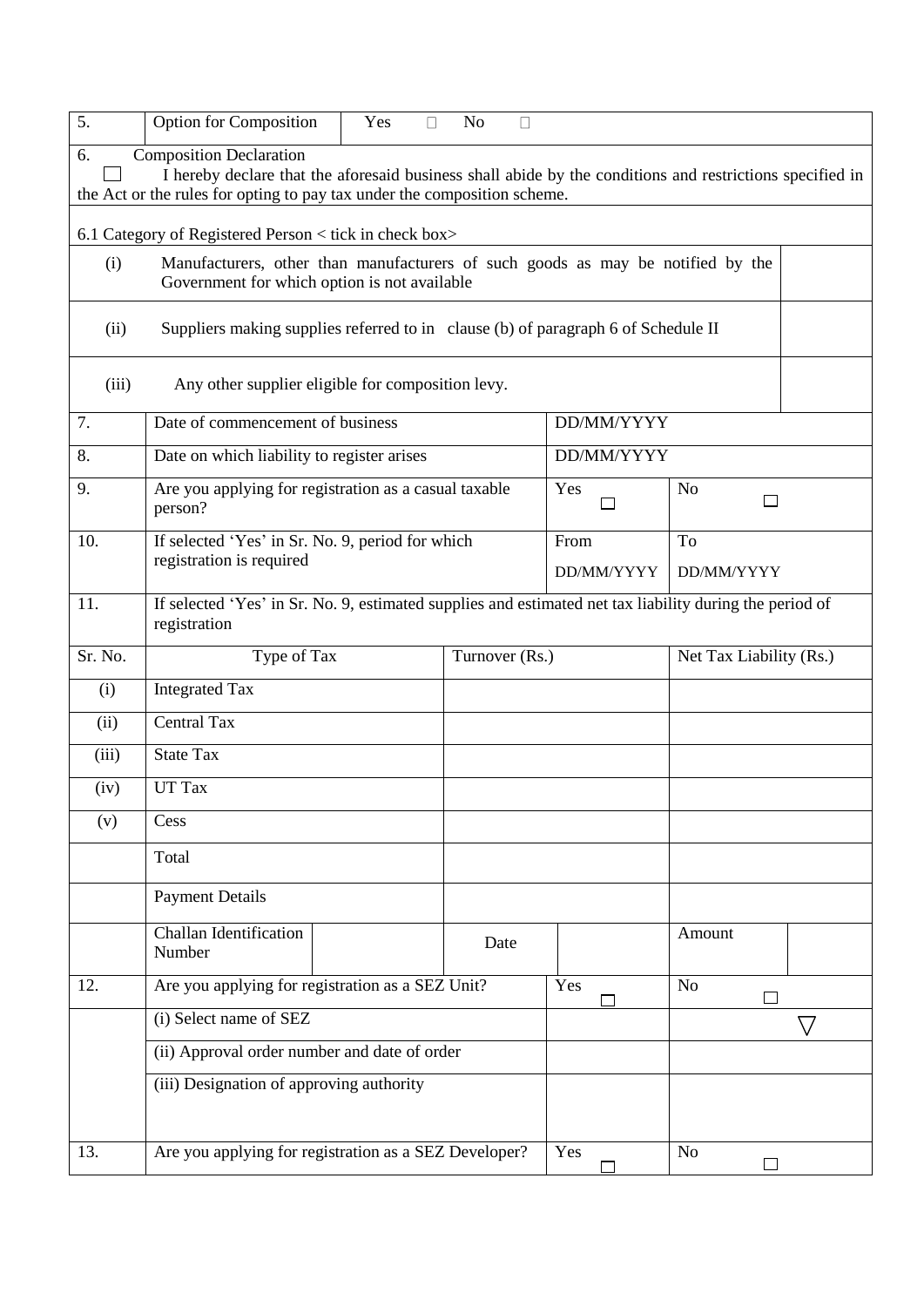| 5.                                                                                                                                     | <b>Option for Composition</b>                                                                                                              | Yes | $\Box$ | N <sub>o</sub><br>Г |            |                         |                    |  |
|----------------------------------------------------------------------------------------------------------------------------------------|--------------------------------------------------------------------------------------------------------------------------------------------|-----|--------|---------------------|------------|-------------------------|--------------------|--|
| 6.                                                                                                                                     | <b>Composition Declaration</b><br>I hereby declare that the aforesaid business shall abide by the conditions and restrictions specified in |     |        |                     |            |                         |                    |  |
|                                                                                                                                        | the Act or the rules for opting to pay tax under the composition scheme.                                                                   |     |        |                     |            |                         |                    |  |
|                                                                                                                                        | 6.1 Category of Registered Person < tick in check box>                                                                                     |     |        |                     |            |                         |                    |  |
| Manufacturers, other than manufacturers of such goods as may be notified by the<br>(i)<br>Government for which option is not available |                                                                                                                                            |     |        |                     |            |                         |                    |  |
| (ii)<br>Suppliers making supplies referred to in clause (b) of paragraph 6 of Schedule II                                              |                                                                                                                                            |     |        |                     |            |                         |                    |  |
| (iii)<br>Any other supplier eligible for composition levy.                                                                             |                                                                                                                                            |     |        |                     |            |                         |                    |  |
| 7.                                                                                                                                     | Date of commencement of business                                                                                                           |     |        |                     | DD/MM/YYYY |                         |                    |  |
| 8.                                                                                                                                     | Date on which liability to register arises                                                                                                 |     |        |                     | DD/MM/YYYY |                         |                    |  |
| 9.                                                                                                                                     | Are you applying for registration as a casual taxable<br>person?                                                                           |     |        |                     | Yes        | N <sub>o</sub><br>ΙI    |                    |  |
| 10.                                                                                                                                    | If selected 'Yes' in Sr. No. 9, period for which                                                                                           |     |        |                     | From       | To                      |                    |  |
|                                                                                                                                        | registration is required                                                                                                                   |     |        |                     | DD/MM/YYYY | DD/MM/YYYY              |                    |  |
| 11.                                                                                                                                    | If selected 'Yes' in Sr. No. 9, estimated supplies and estimated net tax liability during the period of<br>registration                    |     |        |                     |            |                         |                    |  |
| Sr. No.                                                                                                                                | Type of Tax                                                                                                                                |     |        | Turnover (Rs.)      |            | Net Tax Liability (Rs.) |                    |  |
| (i)                                                                                                                                    | <b>Integrated Tax</b>                                                                                                                      |     |        |                     |            |                         |                    |  |
| (ii)                                                                                                                                   | <b>Central Tax</b>                                                                                                                         |     |        |                     |            |                         |                    |  |
| (iii)                                                                                                                                  | <b>State Tax</b>                                                                                                                           |     |        |                     |            |                         |                    |  |
| (iv)                                                                                                                                   | UT Tax                                                                                                                                     |     |        |                     |            |                         |                    |  |
| (v)                                                                                                                                    | Cess                                                                                                                                       |     |        |                     |            |                         |                    |  |
|                                                                                                                                        | Total                                                                                                                                      |     |        |                     |            |                         |                    |  |
|                                                                                                                                        | <b>Payment Details</b>                                                                                                                     |     |        |                     |            |                         |                    |  |
|                                                                                                                                        | Challan Identification<br>Number                                                                                                           |     |        | Date                |            | Amount                  |                    |  |
| 12.                                                                                                                                    | Are you applying for registration as a SEZ Unit?                                                                                           |     |        |                     | Yes        | N <sub>o</sub><br>П     |                    |  |
|                                                                                                                                        | (i) Select name of SEZ                                                                                                                     |     |        |                     |            |                         | $\bigtriangledown$ |  |
|                                                                                                                                        | (ii) Approval order number and date of order                                                                                               |     |        |                     |            |                         |                    |  |
|                                                                                                                                        | (iii) Designation of approving authority                                                                                                   |     |        |                     |            |                         |                    |  |
|                                                                                                                                        |                                                                                                                                            |     |        |                     |            |                         |                    |  |
| 13.                                                                                                                                    | Are you applying for registration as a SEZ Developer?                                                                                      |     |        |                     | Yes        | N <sub>o</sub>          |                    |  |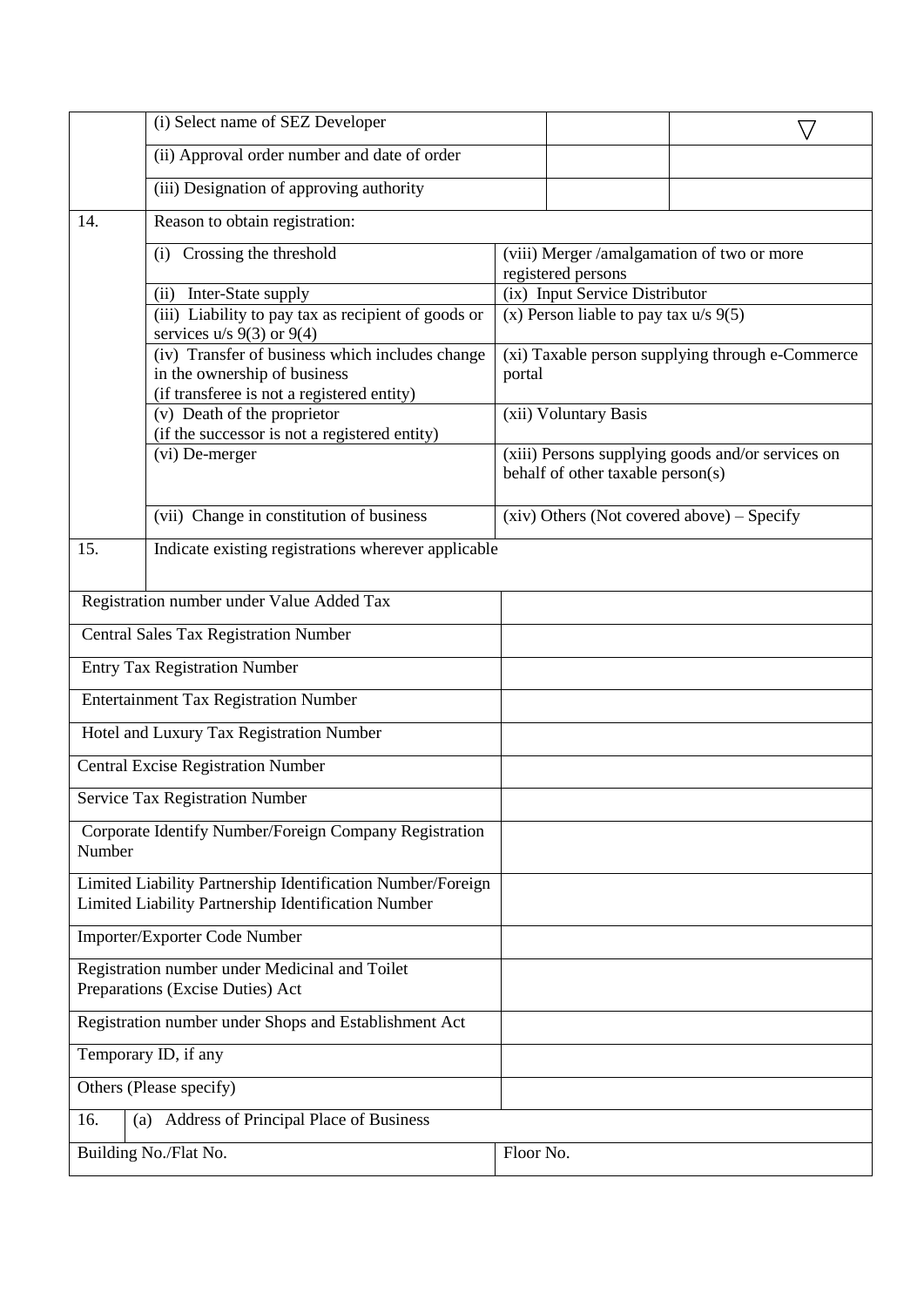|                                                       | (i) Select name of SEZ Developer                                                                                   |           |                                                      |                                                   |
|-------------------------------------------------------|--------------------------------------------------------------------------------------------------------------------|-----------|------------------------------------------------------|---------------------------------------------------|
|                                                       | (ii) Approval order number and date of order                                                                       |           |                                                      |                                                   |
|                                                       | (iii) Designation of approving authority                                                                           |           |                                                      |                                                   |
| 14.                                                   | Reason to obtain registration:                                                                                     |           |                                                      |                                                   |
|                                                       | (i) Crossing the threshold                                                                                         |           |                                                      | (viii) Merger /amalgamation of two or more        |
|                                                       |                                                                                                                    |           | registered persons<br>(ix) Input Service Distributor |                                                   |
|                                                       | (ii) Inter-State supply<br>(iii) Liability to pay tax as recipient of goods or                                     |           | (x) Person liable to pay tax $u/s$ 9(5)              |                                                   |
|                                                       | services $u/s$ 9(3) or 9(4)                                                                                        |           |                                                      |                                                   |
|                                                       | (iv) Transfer of business which includes change                                                                    |           |                                                      | (xi) Taxable person supplying through e-Commerce  |
|                                                       | in the ownership of business                                                                                       | portal    |                                                      |                                                   |
|                                                       | (if transferee is not a registered entity)<br>(v) Death of the proprietor                                          |           | (xii) Voluntary Basis                                |                                                   |
|                                                       | (if the successor is not a registered entity)                                                                      |           |                                                      |                                                   |
|                                                       | (vi) De-merger                                                                                                     |           |                                                      | (xiii) Persons supplying goods and/or services on |
|                                                       |                                                                                                                    |           | behalf of other taxable person(s)                    |                                                   |
|                                                       | (vii) Change in constitution of business                                                                           |           |                                                      | $(xiv)$ Others (Not covered above) – Specify      |
| 15.                                                   | Indicate existing registrations wherever applicable                                                                |           |                                                      |                                                   |
|                                                       |                                                                                                                    |           |                                                      |                                                   |
|                                                       | Registration number under Value Added Tax                                                                          |           |                                                      |                                                   |
|                                                       | <b>Central Sales Tax Registration Number</b>                                                                       |           |                                                      |                                                   |
|                                                       | <b>Entry Tax Registration Number</b>                                                                               |           |                                                      |                                                   |
|                                                       | <b>Entertainment Tax Registration Number</b>                                                                       |           |                                                      |                                                   |
|                                                       | Hotel and Luxury Tax Registration Number                                                                           |           |                                                      |                                                   |
|                                                       | <b>Central Excise Registration Number</b>                                                                          |           |                                                      |                                                   |
|                                                       | <b>Service Tax Registration Number</b>                                                                             |           |                                                      |                                                   |
| Number                                                | Corporate Identify Number/Foreign Company Registration                                                             |           |                                                      |                                                   |
|                                                       | Limited Liability Partnership Identification Number/Foreign<br>Limited Liability Partnership Identification Number |           |                                                      |                                                   |
|                                                       | Importer/Exporter Code Number                                                                                      |           |                                                      |                                                   |
|                                                       | Registration number under Medicinal and Toilet                                                                     |           |                                                      |                                                   |
| Preparations (Excise Duties) Act                      |                                                                                                                    |           |                                                      |                                                   |
| Registration number under Shops and Establishment Act |                                                                                                                    |           |                                                      |                                                   |
|                                                       | Temporary ID, if any                                                                                               |           |                                                      |                                                   |
|                                                       | Others (Please specify)                                                                                            |           |                                                      |                                                   |
| 16.                                                   | (a) Address of Principal Place of Business                                                                         |           |                                                      |                                                   |
|                                                       | Building No./Flat No.                                                                                              | Floor No. |                                                      |                                                   |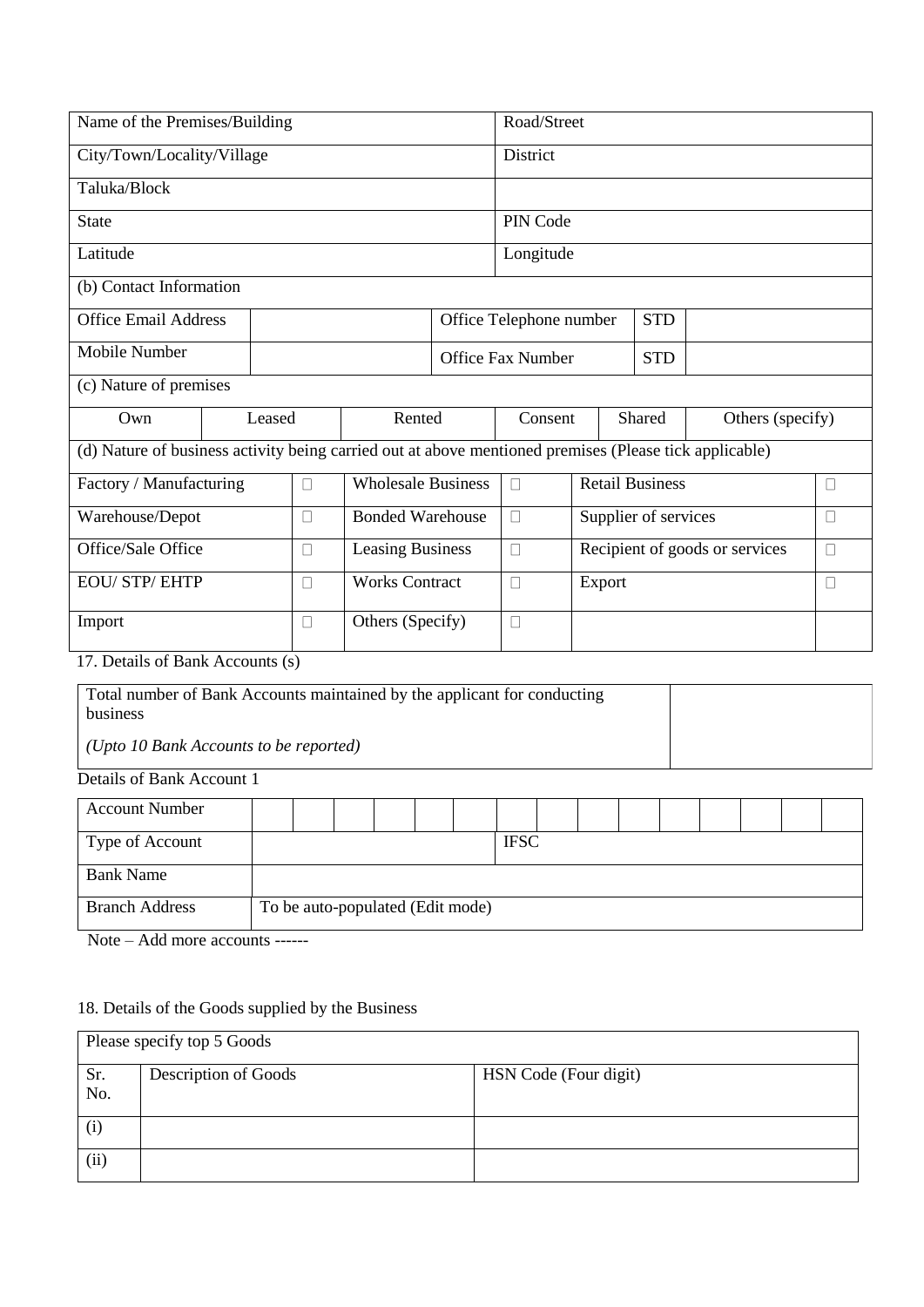| Name of the Premises/Building                                                        |                                                                                                        |  |        |                                  |                           | Road/Street |           |                                |            |  |                  |        |        |
|--------------------------------------------------------------------------------------|--------------------------------------------------------------------------------------------------------|--|--------|----------------------------------|---------------------------|-------------|-----------|--------------------------------|------------|--|------------------|--------|--------|
| City/Town/Locality/Village                                                           |                                                                                                        |  |        |                                  |                           | District    |           |                                |            |  |                  |        |        |
| Taluka/Block                                                                         |                                                                                                        |  |        |                                  |                           |             |           |                                |            |  |                  |        |        |
| <b>State</b>                                                                         |                                                                                                        |  |        |                                  |                           | PIN Code    |           |                                |            |  |                  |        |        |
| Latitude                                                                             |                                                                                                        |  |        |                                  |                           |             | Longitude |                                |            |  |                  |        |        |
| (b) Contact Information                                                              |                                                                                                        |  |        |                                  |                           |             |           |                                |            |  |                  |        |        |
| <b>Office Email Address</b><br>Office Telephone number                               |                                                                                                        |  |        |                                  |                           |             |           | <b>STD</b>                     |            |  |                  |        |        |
| <b>Mobile Number</b>                                                                 |                                                                                                        |  |        |                                  | <b>Office Fax Number</b>  |             |           |                                | <b>STD</b> |  |                  |        |        |
| (c) Nature of premises                                                               |                                                                                                        |  |        |                                  |                           |             |           |                                |            |  |                  |        |        |
| Own                                                                                  | Leased                                                                                                 |  |        | Rented                           |                           |             | Consent   |                                | Shared     |  | Others (specify) |        |        |
|                                                                                      | (d) Nature of business activity being carried out at above mentioned premises (Please tick applicable) |  |        |                                  |                           |             |           |                                |            |  |                  |        |        |
| Factory / Manufacturing<br>$\Box$                                                    |                                                                                                        |  |        |                                  | <b>Wholesale Business</b> |             |           | <b>Retail Business</b>         |            |  |                  |        | П      |
| Warehouse/Depot                                                                      |                                                                                                        |  | $\Box$ |                                  | <b>Bonded Warehouse</b>   |             |           | Supplier of services           |            |  |                  | $\Box$ |        |
| Office/Sale Office                                                                   |                                                                                                        |  | $\Box$ | <b>Leasing Business</b>          |                           | $\Box$      |           | Recipient of goods or services |            |  |                  |        | $\Box$ |
| <b>EOU/ STP/ EHTP</b>                                                                |                                                                                                        |  | П      | <b>Works Contract</b>            |                           | $\Box$      |           | Export                         |            |  |                  |        | $\Box$ |
| Import                                                                               |                                                                                                        |  | П      | Others (Specify)                 |                           | $\Box$      |           |                                |            |  |                  |        |        |
| 17. Details of Bank Accounts (s)                                                     |                                                                                                        |  |        |                                  |                           |             |           |                                |            |  |                  |        |        |
| Total number of Bank Accounts maintained by the applicant for conducting<br>business |                                                                                                        |  |        |                                  |                           |             |           |                                |            |  |                  |        |        |
| (Upto 10 Bank Accounts to be reported)                                               |                                                                                                        |  |        |                                  |                           |             |           |                                |            |  |                  |        |        |
| Details of Bank Account 1                                                            |                                                                                                        |  |        |                                  |                           |             |           |                                |            |  |                  |        |        |
| <b>Account Number</b>                                                                |                                                                                                        |  |        |                                  |                           |             |           |                                |            |  |                  |        |        |
| Type of Account                                                                      |                                                                                                        |  |        |                                  |                           | <b>IFSC</b> |           |                                |            |  |                  |        |        |
| <b>Bank Name</b>                                                                     |                                                                                                        |  |        |                                  |                           |             |           |                                |            |  |                  |        |        |
| <b>Branch Address</b>                                                                |                                                                                                        |  |        | To be auto-populated (Edit mode) |                           |             |           |                                |            |  |                  |        |        |

18. Details of the Goods supplied by the Business

Note – Add more accounts ------

|      | Please specify top 5 Goods |                       |  |  |  |  |  |  |  |
|------|----------------------------|-----------------------|--|--|--|--|--|--|--|
| Sr.  | Description of Goods       | HSN Code (Four digit) |  |  |  |  |  |  |  |
| No.  |                            |                       |  |  |  |  |  |  |  |
| (i)  |                            |                       |  |  |  |  |  |  |  |
| (ii) |                            |                       |  |  |  |  |  |  |  |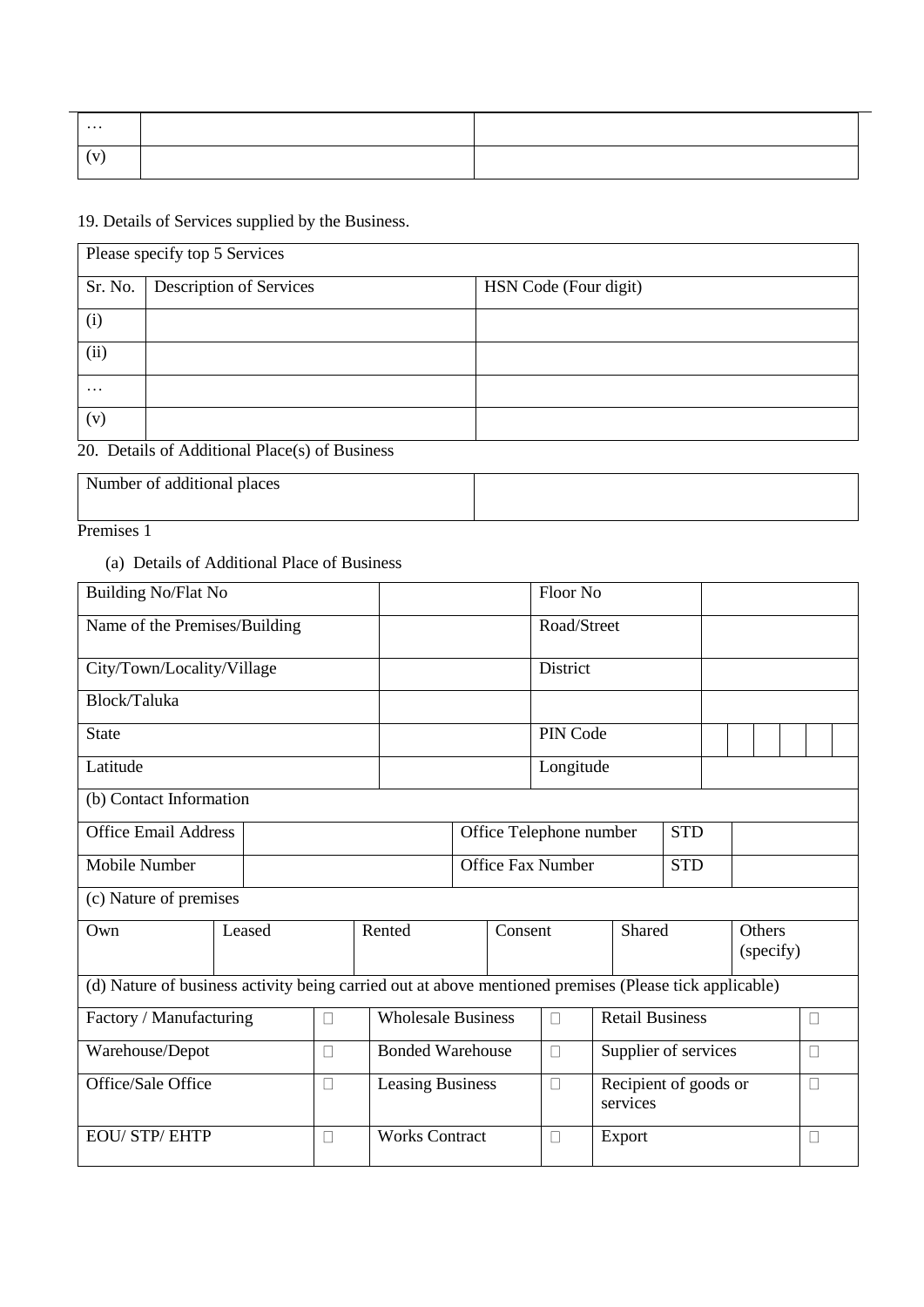| $\cdots$ |  |
|----------|--|
|          |  |

19. Details of Services supplied by the Business.

|          | Please specify top 5 Services  |                       |  |  |  |  |  |  |  |
|----------|--------------------------------|-----------------------|--|--|--|--|--|--|--|
| Sr. No.  | <b>Description of Services</b> | HSN Code (Four digit) |  |  |  |  |  |  |  |
| (i)      |                                |                       |  |  |  |  |  |  |  |
| (ii)     |                                |                       |  |  |  |  |  |  |  |
| $\cdots$ |                                |                       |  |  |  |  |  |  |  |
| (v)      |                                |                       |  |  |  |  |  |  |  |

20. Details of Additional Place(s) of Business

| Number of additional places |  |
|-----------------------------|--|
|                             |  |

Premises 1

#### (a) Details of Additional Place of Business

| <b>Building No/Flat No</b>                                                                             |  |        |   |                           |                          |                         | Floor No    |                                   |            |                     |        |
|--------------------------------------------------------------------------------------------------------|--|--------|---|---------------------------|--------------------------|-------------------------|-------------|-----------------------------------|------------|---------------------|--------|
| Name of the Premises/Building                                                                          |  |        |   |                           |                          |                         | Road/Street |                                   |            |                     |        |
| City/Town/Locality/Village                                                                             |  |        |   |                           |                          |                         | District    |                                   |            |                     |        |
| Block/Taluka                                                                                           |  |        |   |                           |                          |                         |             |                                   |            |                     |        |
| <b>State</b>                                                                                           |  |        |   |                           |                          | PIN Code                |             |                                   |            |                     |        |
| Latitude                                                                                               |  |        |   |                           | Longitude                |                         |             |                                   |            |                     |        |
| (b) Contact Information                                                                                |  |        |   |                           |                          |                         |             |                                   |            |                     |        |
| <b>Office Email Address</b>                                                                            |  |        |   |                           |                          | Office Telephone number |             | <b>STD</b>                        |            |                     |        |
| Mobile Number                                                                                          |  |        |   |                           | <b>Office Fax Number</b> |                         |             |                                   | <b>STD</b> |                     |        |
| (c) Nature of premises                                                                                 |  |        |   |                           |                          |                         |             |                                   |            |                     |        |
| Own                                                                                                    |  | Leased |   | Rented                    |                          | Consent                 | Shared      |                                   |            | Others<br>(specify) |        |
| (d) Nature of business activity being carried out at above mentioned premises (Please tick applicable) |  |        |   |                           |                          |                         |             |                                   |            |                     |        |
| Factory / Manufacturing                                                                                |  |        | П | <b>Wholesale Business</b> |                          |                         | $\Box$      | <b>Retail Business</b>            |            |                     | $\Box$ |
| Warehouse/Depot                                                                                        |  |        | П | <b>Bonded Warehouse</b>   |                          |                         | $\Box$      | Supplier of services              |            |                     | $\Box$ |
| Office/Sale Office<br>$\Box$                                                                           |  |        |   | <b>Leasing Business</b>   |                          |                         | $\Box$      | Recipient of goods or<br>services |            |                     | $\Box$ |
| <b>EOU/ STP/ EHTP</b>                                                                                  |  |        | П | <b>Works Contract</b>     | $\Box$                   |                         |             | Export                            | $\Box$     |                     |        |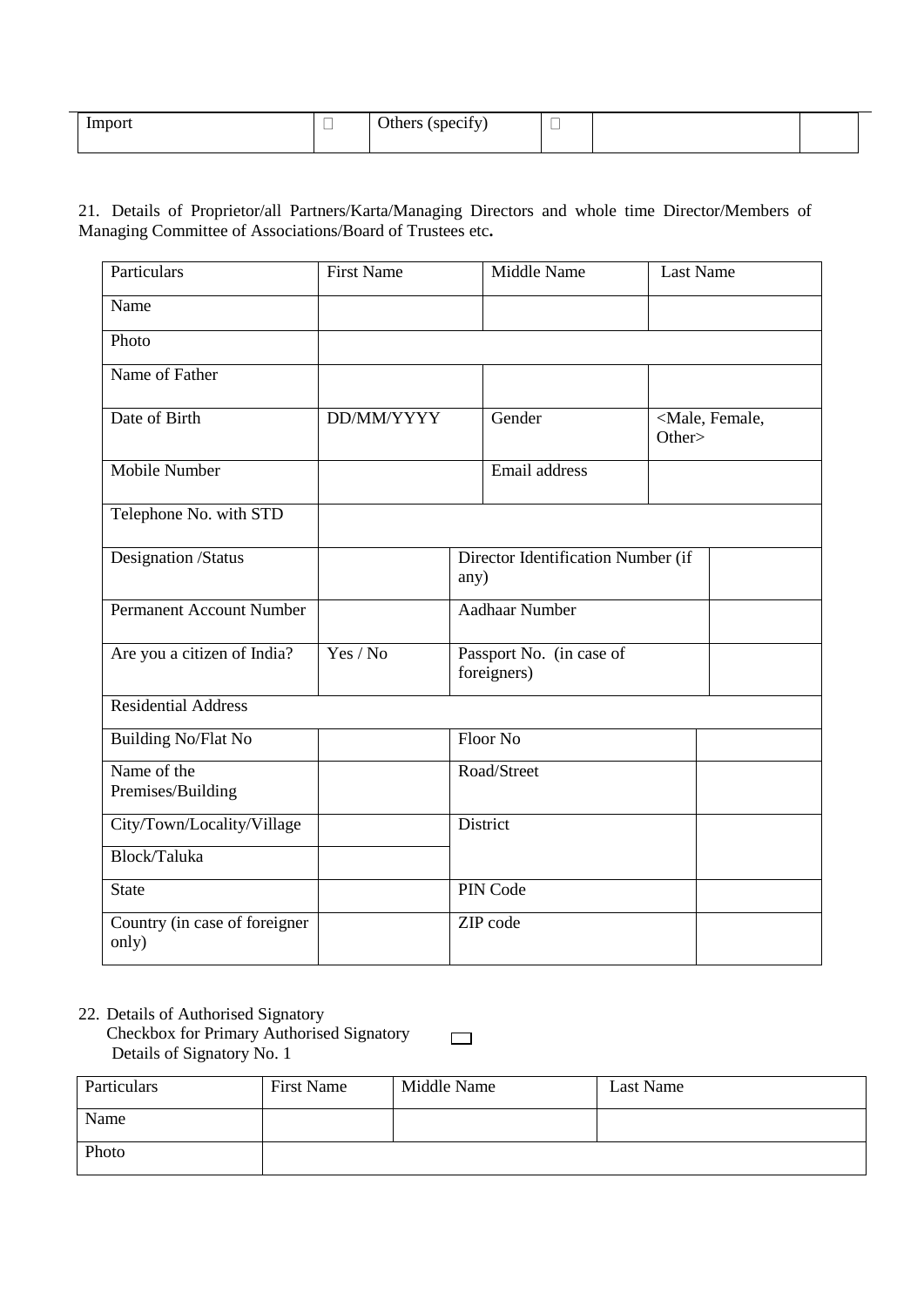| -<br>mport | $\overline{\phantom{0}}$ | $\cdot$ $\sim$<br>Others<br>(specify)<br>$\tilde{\phantom{a}}$ | $\overline{\phantom{a}}$<br>一 |  |  |
|------------|--------------------------|----------------------------------------------------------------|-------------------------------|--|--|
|            |                          |                                                                |                               |  |  |

21. Details of Proprietor/all Partners/Karta/Managing Directors and whole time Director/Members of Managing Committee of Associations/Board of Trustees etc**.**

| Particulars                            | <b>First Name</b> | Middle Name                                | <b>Last Name</b>                       |  |  |  |  |  |
|----------------------------------------|-------------------|--------------------------------------------|----------------------------------------|--|--|--|--|--|
| Name                                   |                   |                                            |                                        |  |  |  |  |  |
| Photo                                  |                   |                                            |                                        |  |  |  |  |  |
| Name of Father                         |                   |                                            |                                        |  |  |  |  |  |
| Date of Birth                          | DD/MM/YYYY        | Gender                                     | <male, female,<br="">Other&gt;</male,> |  |  |  |  |  |
| <b>Mobile Number</b>                   |                   | Email address                              |                                        |  |  |  |  |  |
| Telephone No. with STD                 |                   |                                            |                                        |  |  |  |  |  |
| Designation /Status                    |                   | Director Identification Number (if<br>any) |                                        |  |  |  |  |  |
| <b>Permanent Account Number</b>        |                   | <b>Aadhaar Number</b>                      |                                        |  |  |  |  |  |
| Are you a citizen of India?            | Yes / No          | Passport No. (in case of<br>foreigners)    |                                        |  |  |  |  |  |
| <b>Residential Address</b>             |                   |                                            |                                        |  |  |  |  |  |
| <b>Building No/Flat No</b>             |                   | Floor No                                   |                                        |  |  |  |  |  |
| Name of the<br>Premises/Building       |                   | Road/Street                                |                                        |  |  |  |  |  |
| City/Town/Locality/Village             |                   | District                                   |                                        |  |  |  |  |  |
| Block/Taluka                           |                   |                                            |                                        |  |  |  |  |  |
| <b>State</b>                           |                   | PIN Code                                   |                                        |  |  |  |  |  |
| Country (in case of foreigner<br>only) |                   | ZIP code                                   |                                        |  |  |  |  |  |

22. Details of Authorised Signatory

Checkbox for Primary Authorised Signatory Details of Signatory No. 1

 $\Box$ 

| Particulars | <b>First Name</b> | Middle Name | Last Name |
|-------------|-------------------|-------------|-----------|
| Name        |                   |             |           |
| Photo       |                   |             |           |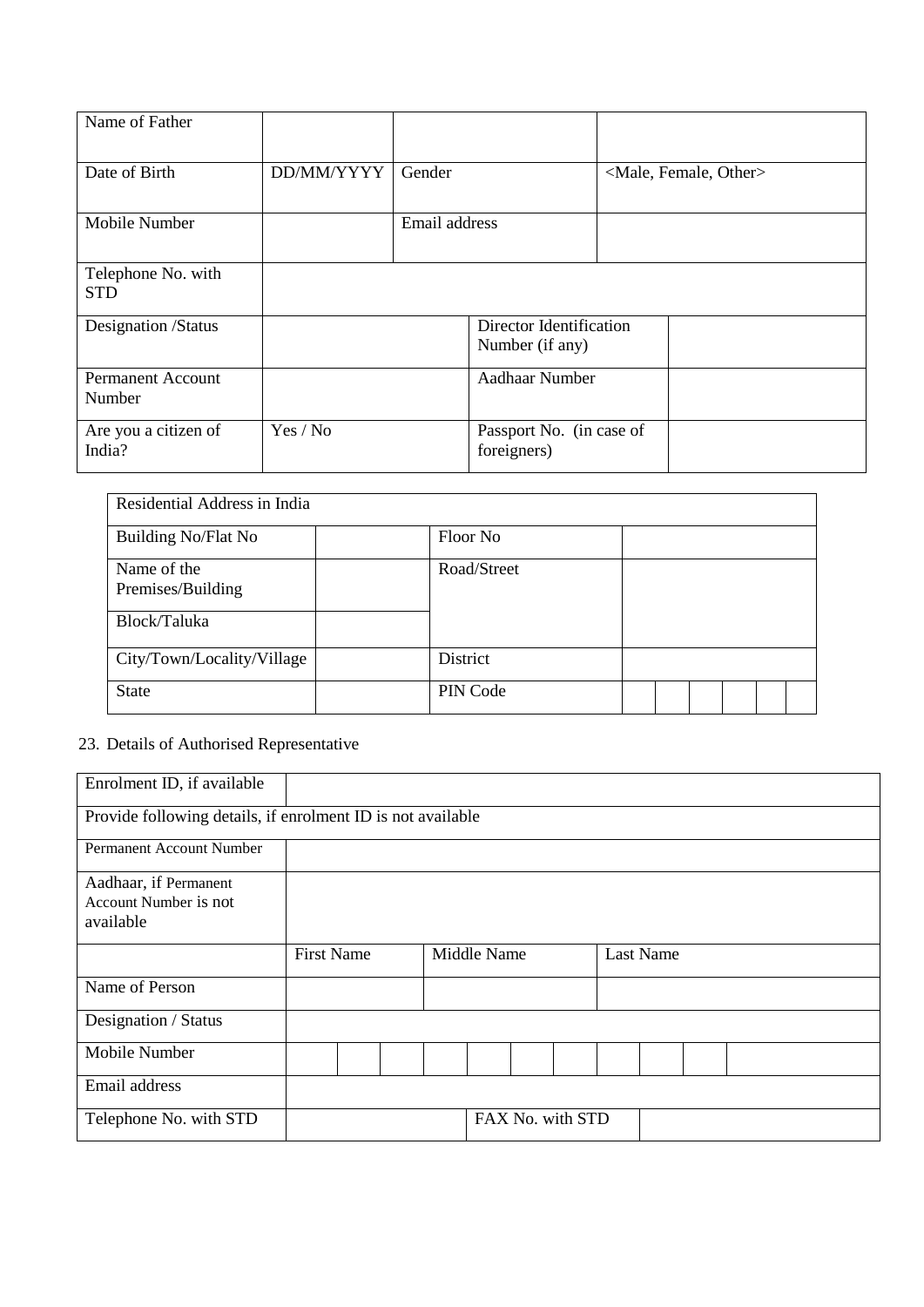| Name of Father                     |            |               |                                            |                                     |  |  |  |  |
|------------------------------------|------------|---------------|--------------------------------------------|-------------------------------------|--|--|--|--|
| Date of Birth                      | DD/MM/YYYY | Gender        |                                            | <male, female,="" other=""></male,> |  |  |  |  |
| Mobile Number                      |            | Email address |                                            |                                     |  |  |  |  |
| Telephone No. with<br><b>STD</b>   |            |               |                                            |                                     |  |  |  |  |
| Designation /Status                |            |               | Director Identification<br>Number (if any) |                                     |  |  |  |  |
| <b>Permanent Account</b><br>Number |            |               | Aadhaar Number                             |                                     |  |  |  |  |
| Are you a citizen of<br>India?     | Yes / No   |               | Passport No. (in case of<br>foreigners)    |                                     |  |  |  |  |

| Residential Address in India                     |             |  |  |  |
|--------------------------------------------------|-------------|--|--|--|
| <b>Building No/Flat No</b>                       | Floor No    |  |  |  |
| Name of the<br>Premises/Building<br>Block/Taluka | Road/Street |  |  |  |
| City/Town/Locality/Village                       | District    |  |  |  |
| <b>State</b>                                     | PIN Code    |  |  |  |

# 23. Details of Authorised Representative

| Enrolment ID, if available                                  |  |                   |  |  |                  |  |  |  |                  |  |  |
|-------------------------------------------------------------|--|-------------------|--|--|------------------|--|--|--|------------------|--|--|
| Provide following details, if enrolment ID is not available |  |                   |  |  |                  |  |  |  |                  |  |  |
| Permanent Account Number                                    |  |                   |  |  |                  |  |  |  |                  |  |  |
| Aadhaar, if Permanent                                       |  |                   |  |  |                  |  |  |  |                  |  |  |
| Account Number is not                                       |  |                   |  |  |                  |  |  |  |                  |  |  |
| available                                                   |  |                   |  |  |                  |  |  |  |                  |  |  |
|                                                             |  |                   |  |  |                  |  |  |  |                  |  |  |
|                                                             |  | <b>First Name</b> |  |  | Middle Name      |  |  |  | <b>Last Name</b> |  |  |
| Name of Person                                              |  |                   |  |  |                  |  |  |  |                  |  |  |
| Designation / Status                                        |  |                   |  |  |                  |  |  |  |                  |  |  |
| Mobile Number                                               |  |                   |  |  |                  |  |  |  |                  |  |  |
| Email address                                               |  |                   |  |  |                  |  |  |  |                  |  |  |
| Telephone No. with STD                                      |  |                   |  |  | FAX No. with STD |  |  |  |                  |  |  |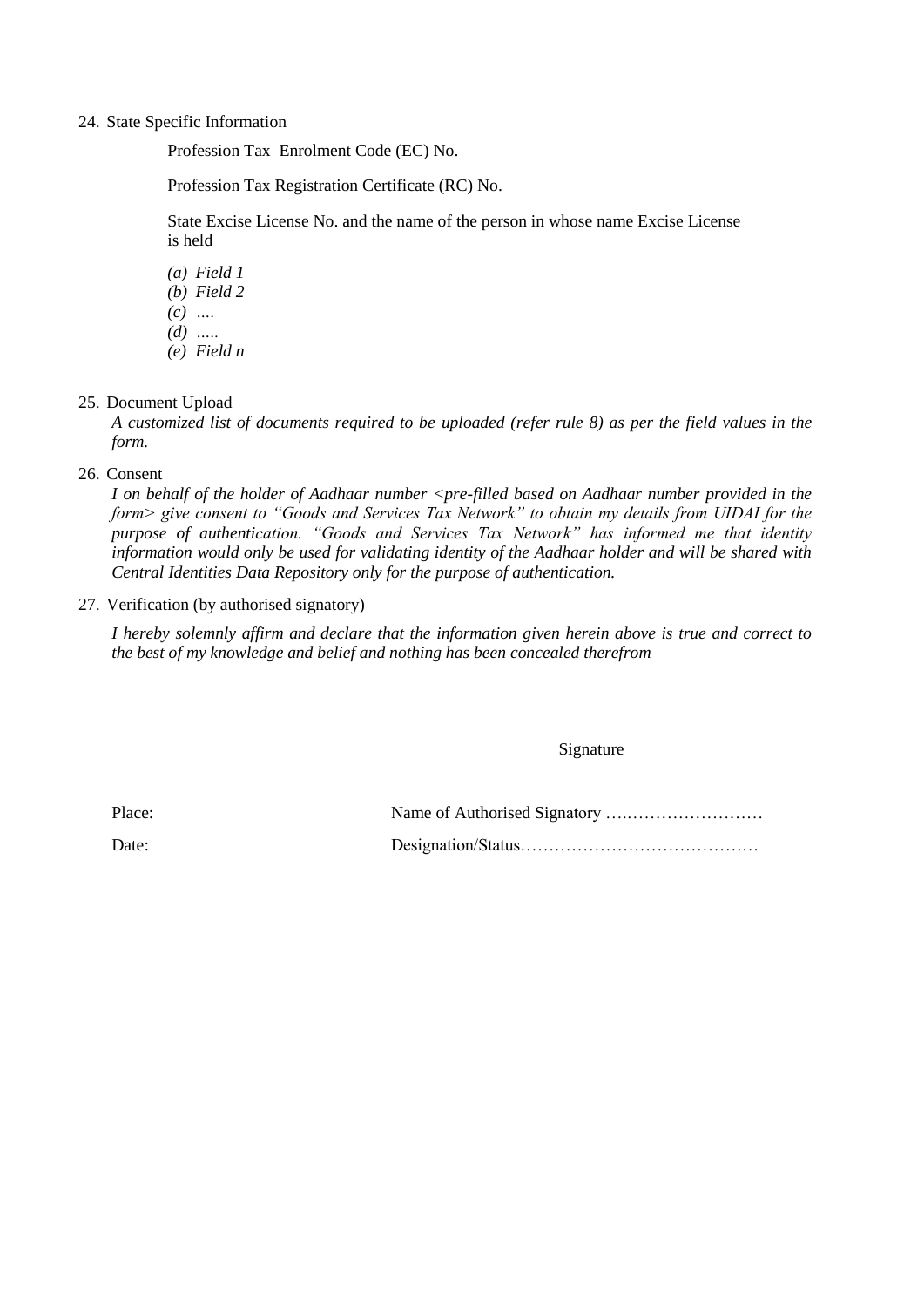#### 24. State Specific Information

Profession Tax Enrolment Code (EC) No.

Profession Tax Registration Certificate (RC) No.

State Excise License No. and the name of the person in whose name Excise License is held

*(a) Field 1 (b) Field 2 (c) …. (d) ….. (e) Field n*

#### 25. Document Upload

*A customized list of documents required to be uploaded (refer rule 8) as per the field values in the form.* 

26. Consent

*I on behalf of the holder of Aadhaar number <pre-filled based on Aadhaar number provided in the form> give consent to "Goods and Services Tax Network" to obtain my details from UIDAI for the purpose of authentication. "Goods and Services Tax Network" has informed me that identity information would only be used for validating identity of the Aadhaar holder and will be shared with Central Identities Data Repository only for the purpose of authentication.*

27. Verification (by authorised signatory)

*I hereby solemnly affirm and declare that the information given herein above is true and correct to the best of my knowledge and belief and nothing has been concealed therefrom*

Signature

Place: Name of Authorised Signatory ….……………………

Date: Designation/Status……………………………………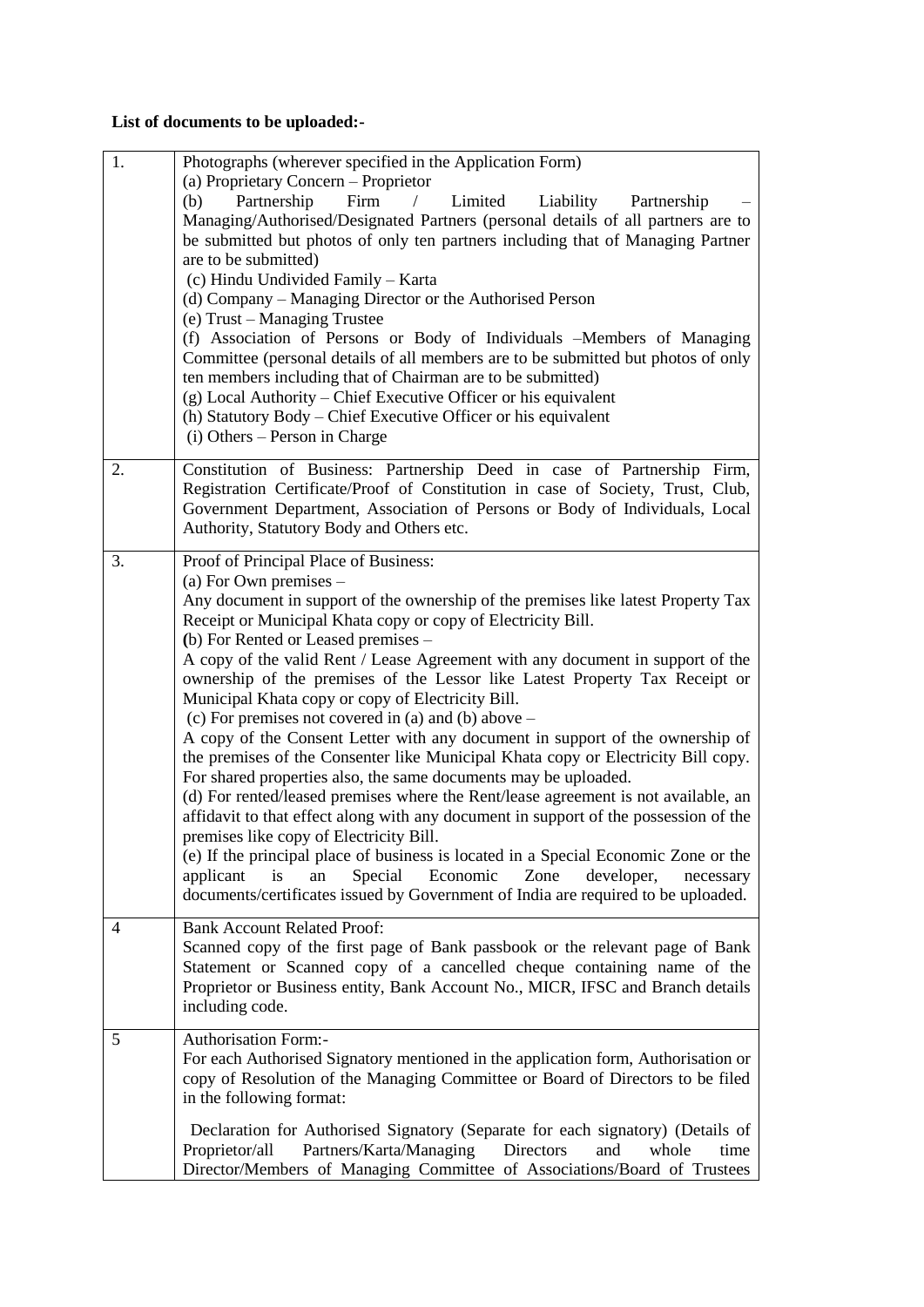# **List of documents to be uploaded:-**

| 1. | Photographs (wherever specified in the Application Form)<br>(a) Proprietary Concern – Proprietor<br>Firm<br>Limited<br>(b)<br>Partnership<br>Liability<br>$\sqrt{2}$<br>Partnership<br>Managing/Authorised/Designated Partners (personal details of all partners are to<br>be submitted but photos of only ten partners including that of Managing Partner<br>are to be submitted)<br>(c) Hindu Undivided Family - Karta<br>(d) Company – Managing Director or the Authorised Person<br>(e) Trust – Managing Trustee<br>(f) Association of Persons or Body of Individuals -Members of Managing<br>Committee (personal details of all members are to be submitted but photos of only<br>ten members including that of Chairman are to be submitted)<br>(g) Local Authority – Chief Executive Officer or his equivalent<br>(h) Statutory Body – Chief Executive Officer or his equivalent<br>$(i)$ Others – Person in Charge                                                                                                                                                                                                                                                                                                                                                    |
|----|-------------------------------------------------------------------------------------------------------------------------------------------------------------------------------------------------------------------------------------------------------------------------------------------------------------------------------------------------------------------------------------------------------------------------------------------------------------------------------------------------------------------------------------------------------------------------------------------------------------------------------------------------------------------------------------------------------------------------------------------------------------------------------------------------------------------------------------------------------------------------------------------------------------------------------------------------------------------------------------------------------------------------------------------------------------------------------------------------------------------------------------------------------------------------------------------------------------------------------------------------------------------------------|
| 2. | Constitution of Business: Partnership Deed in case of Partnership Firm,<br>Registration Certificate/Proof of Constitution in case of Society, Trust, Club,<br>Government Department, Association of Persons or Body of Individuals, Local<br>Authority, Statutory Body and Others etc.                                                                                                                                                                                                                                                                                                                                                                                                                                                                                                                                                                                                                                                                                                                                                                                                                                                                                                                                                                                        |
| 3. | Proof of Principal Place of Business:<br>(a) For Own premises $-$<br>Any document in support of the ownership of the premises like latest Property Tax<br>Receipt or Municipal Khata copy or copy of Electricity Bill.<br>(b) For Rented or Leased premises –<br>A copy of the valid Rent / Lease Agreement with any document in support of the<br>ownership of the premises of the Lessor like Latest Property Tax Receipt or<br>Municipal Khata copy or copy of Electricity Bill.<br>(c) For premises not covered in (a) and (b) above $-$<br>A copy of the Consent Letter with any document in support of the ownership of<br>the premises of the Consenter like Municipal Khata copy or Electricity Bill copy.<br>For shared properties also, the same documents may be uploaded.<br>(d) For rented/leased premises where the Rent/lease agreement is not available, an<br>affidavit to that effect along with any document in support of the possession of the<br>premises like copy of Electricity Bill.<br>(e) If the principal place of business is located in a Special Economic Zone or the<br>applicant<br>an<br>Special<br>Economic<br>Zone<br>developer,<br>is<br>necessary<br>documents/certificates issued by Government of India are required to be uploaded. |
| 4  | <b>Bank Account Related Proof:</b><br>Scanned copy of the first page of Bank passbook or the relevant page of Bank<br>Statement or Scanned copy of a cancelled cheque containing name of the<br>Proprietor or Business entity, Bank Account No., MICR, IFSC and Branch details<br>including code.                                                                                                                                                                                                                                                                                                                                                                                                                                                                                                                                                                                                                                                                                                                                                                                                                                                                                                                                                                             |
| 5  | <b>Authorisation Form:-</b><br>For each Authorised Signatory mentioned in the application form, Authorisation or<br>copy of Resolution of the Managing Committee or Board of Directors to be filed<br>in the following format:<br>Declaration for Authorised Signatory (Separate for each signatory) (Details of<br>Partners/Karta/Managing<br>Directors<br>Proprietor/all<br>and<br>whole<br>time<br>Director/Members of Managing Committee of Associations/Board of Trustees                                                                                                                                                                                                                                                                                                                                                                                                                                                                                                                                                                                                                                                                                                                                                                                                |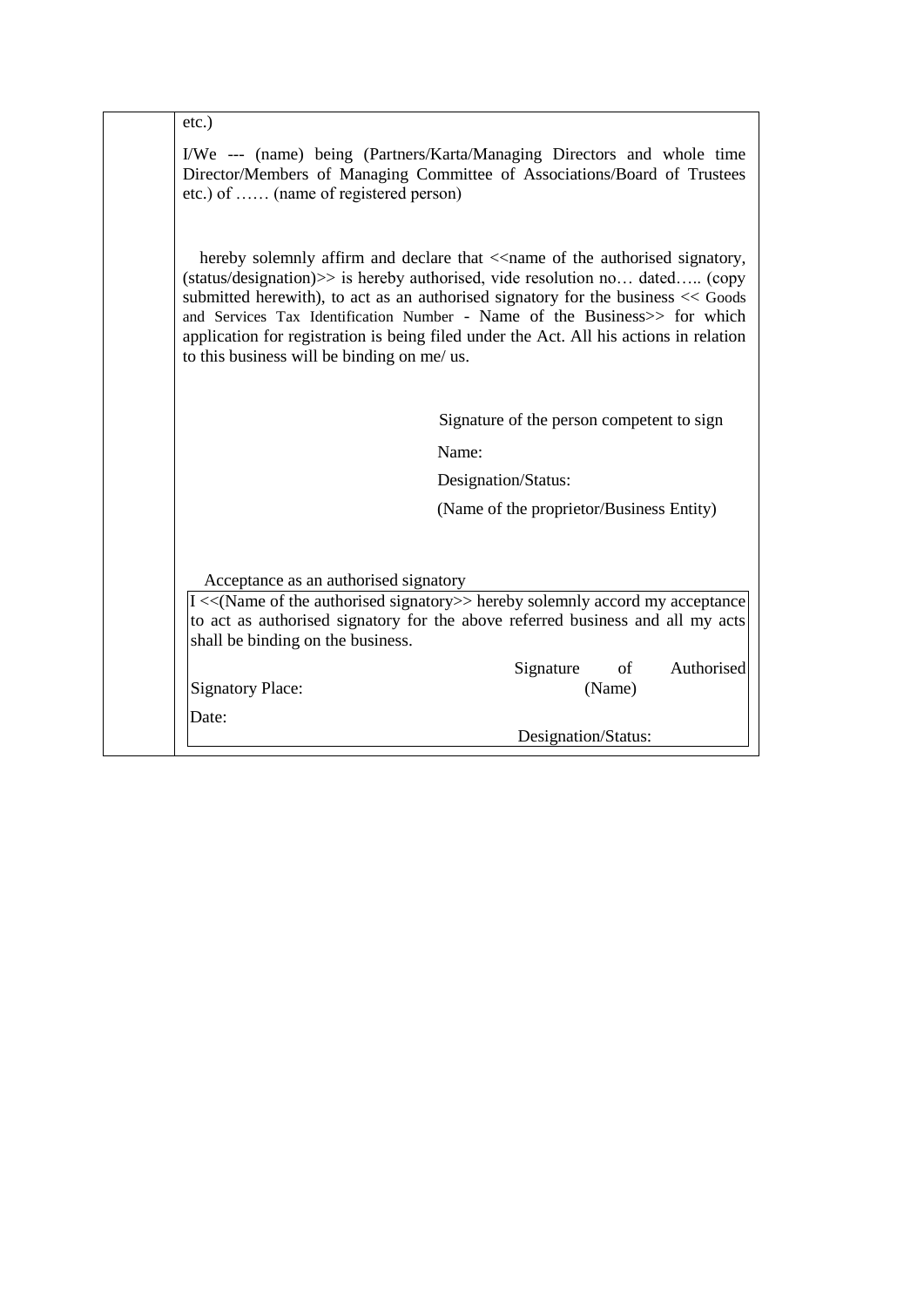| $etc.$ )                                                                   |                                                                                                                                                                                                                                                                                                                                                                                                                                                                |
|----------------------------------------------------------------------------|----------------------------------------------------------------------------------------------------------------------------------------------------------------------------------------------------------------------------------------------------------------------------------------------------------------------------------------------------------------------------------------------------------------------------------------------------------------|
| etc.) of  (name of registered person)                                      | I/We --- (name) being (Partners/Karta/Managing Directors and whole time<br>Director/Members of Managing Committee of Associations/Board of Trustees                                                                                                                                                                                                                                                                                                            |
| to this business will be binding on me/ us.                                | hereby solemnly affirm and declare that < <name authorised="" of="" signatory,<br="" the="">(status/designation)&gt;&gt; is hereby authorised, vide resolution no dated (copy<br/>submitted herewith), to act as an authorised signatory for the business &lt;&lt; Goods<br/>and Services Tax Identification Number - Name of the Business&gt;&gt; for which<br/>application for registration is being filed under the Act. All his actions in relation</name> |
|                                                                            | Signature of the person competent to sign                                                                                                                                                                                                                                                                                                                                                                                                                      |
|                                                                            | Name:                                                                                                                                                                                                                                                                                                                                                                                                                                                          |
|                                                                            | Designation/Status:                                                                                                                                                                                                                                                                                                                                                                                                                                            |
|                                                                            | (Name of the proprietor/Business Entity)                                                                                                                                                                                                                                                                                                                                                                                                                       |
| Acceptance as an authorised signatory<br>shall be binding on the business. | I << (Name of the authorised signatory >> hereby solemnly accord my acceptance<br>to act as authorised signatory for the above referred business and all my acts                                                                                                                                                                                                                                                                                               |
|                                                                            | Authorised<br>Signature<br>of                                                                                                                                                                                                                                                                                                                                                                                                                                  |
| <b>Signatory Place:</b>                                                    | (Name)                                                                                                                                                                                                                                                                                                                                                                                                                                                         |
|                                                                            |                                                                                                                                                                                                                                                                                                                                                                                                                                                                |
| Date:                                                                      | Designation/Status:                                                                                                                                                                                                                                                                                                                                                                                                                                            |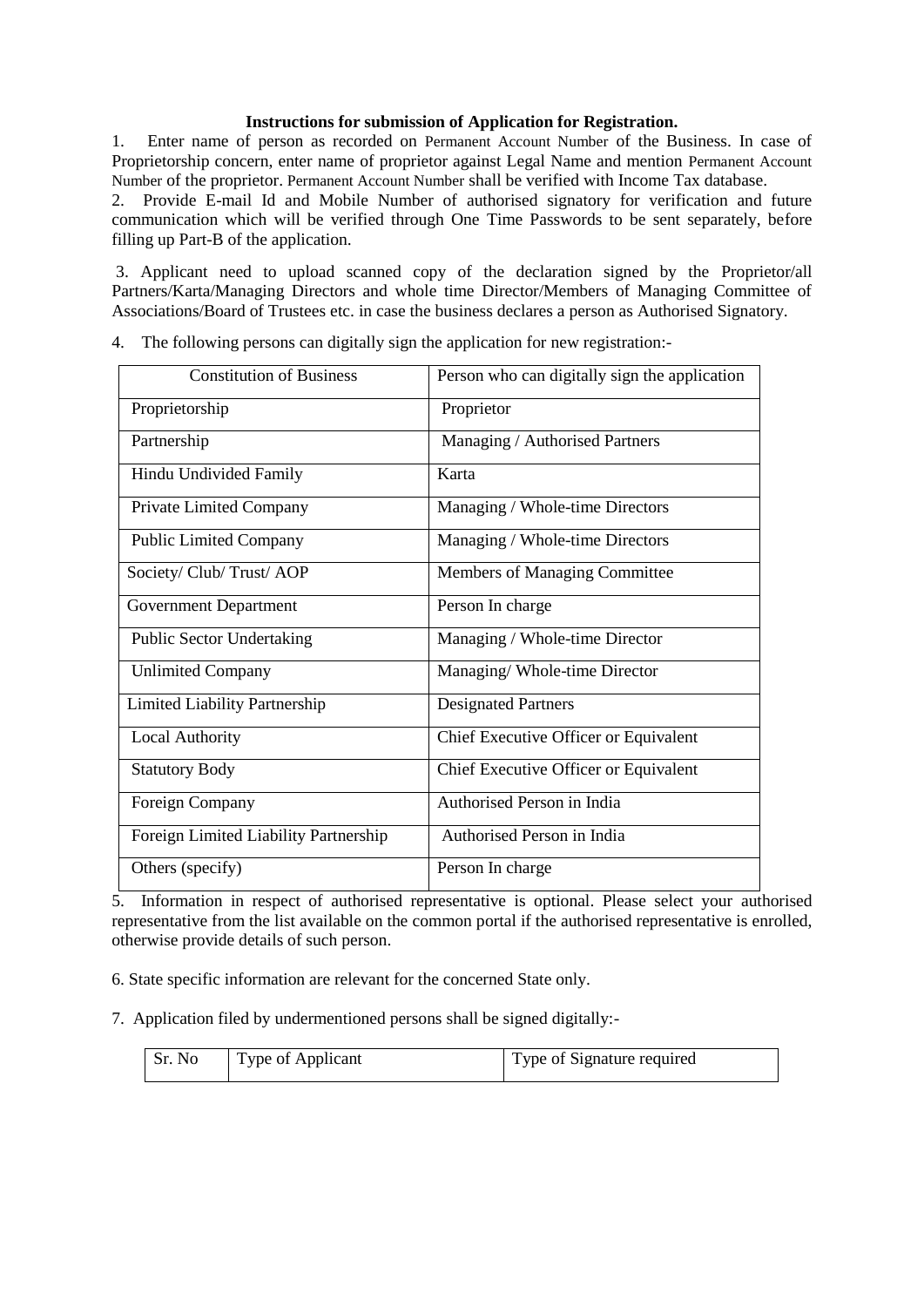#### **Instructions for submission of Application for Registration.**

1. Enter name of person as recorded on Permanent Account Number of the Business. In case of Proprietorship concern, enter name of proprietor against Legal Name and mention Permanent Account Number of the proprietor. Permanent Account Number shall be verified with Income Tax database.

2. Provide E-mail Id and Mobile Number of authorised signatory for verification and future communication which will be verified through One Time Passwords to be sent separately, before filling up Part-B of the application.

3. Applicant need to upload scanned copy of the declaration signed by the Proprietor/all Partners/Karta/Managing Directors and whole time Director/Members of Managing Committee of Associations/Board of Trustees etc. in case the business declares a person as Authorised Signatory.

| <b>Constitution of Business</b>       | Person who can digitally sign the application |
|---------------------------------------|-----------------------------------------------|
| Proprietorship                        | Proprietor                                    |
| Partnership                           | Managing / Authorised Partners                |
| Hindu Undivided Family                | Karta                                         |
| Private Limited Company               | Managing / Whole-time Directors               |
| <b>Public Limited Company</b>         | Managing / Whole-time Directors               |
| Society/ Club/ Trust/ AOP             | Members of Managing Committee                 |
| <b>Government Department</b>          | Person In charge                              |
| <b>Public Sector Undertaking</b>      | Managing / Whole-time Director                |
| <b>Unlimited Company</b>              | Managing/ Whole-time Director                 |
| <b>Limited Liability Partnership</b>  | <b>Designated Partners</b>                    |
| <b>Local Authority</b>                | Chief Executive Officer or Equivalent         |
| <b>Statutory Body</b>                 | Chief Executive Officer or Equivalent         |
| Foreign Company                       | Authorised Person in India                    |
| Foreign Limited Liability Partnership | Authorised Person in India                    |
| Others (specify)                      | Person In charge                              |

4. The following persons can digitally sign the application for new registration:-

5. Information in respect of authorised representative is optional. Please select your authorised representative from the list available on the common portal if the authorised representative is enrolled, otherwise provide details of such person.

6. State specific information are relevant for the concerned State only.

7. Application filed by undermentioned persons shall be signed digitally:-

| Sr. No | Type of Applicant | Type of Signature required |
|--------|-------------------|----------------------------|
|        |                   |                            |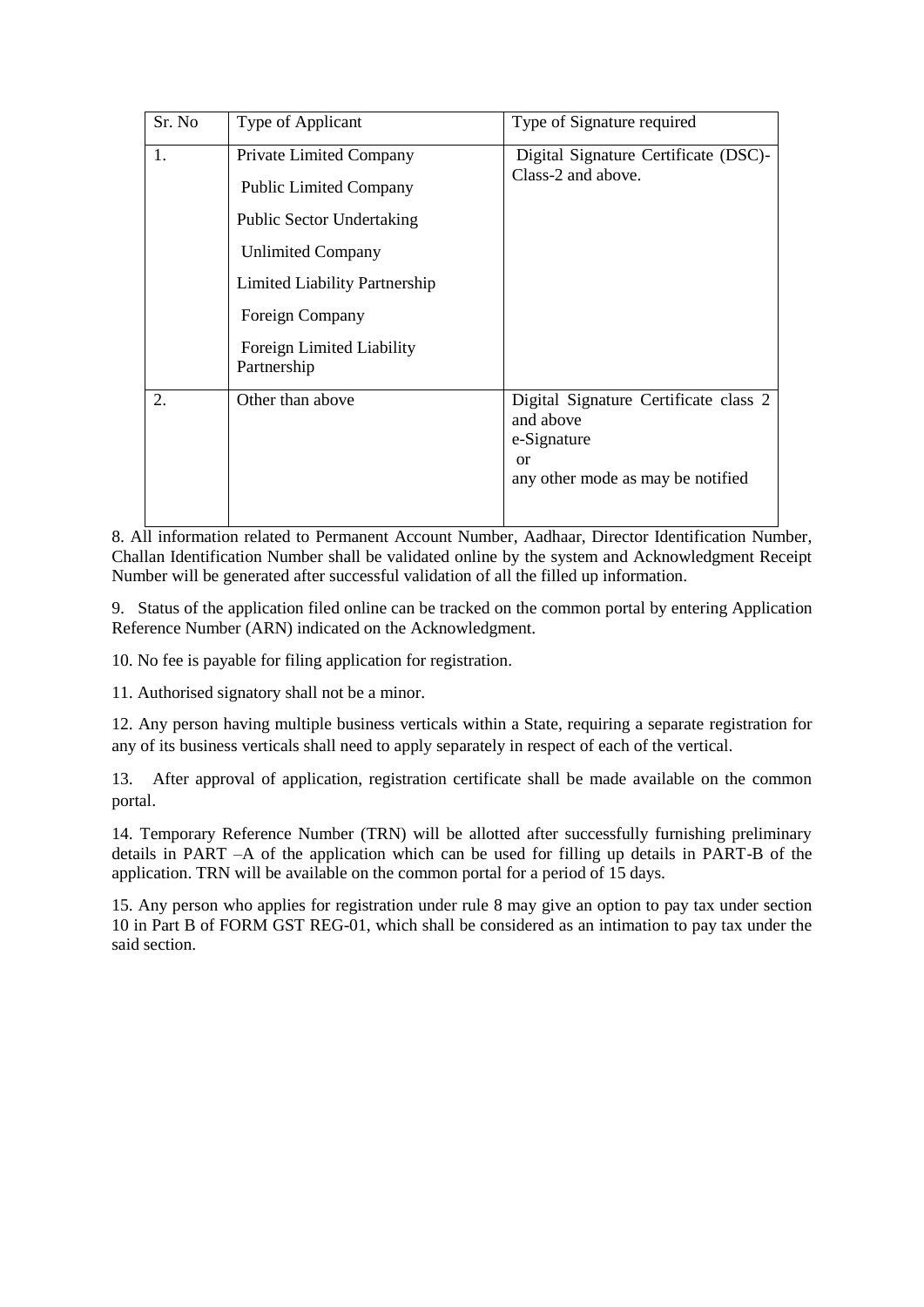| Sr. No | Type of Applicant                                                                                                                                                                                                               | Type of Signature required                                                                                              |
|--------|---------------------------------------------------------------------------------------------------------------------------------------------------------------------------------------------------------------------------------|-------------------------------------------------------------------------------------------------------------------------|
| 1.     | <b>Private Limited Company</b><br><b>Public Limited Company</b><br><b>Public Sector Undertaking</b><br><b>Unlimited Company</b><br>Limited Liability Partnership<br>Foreign Company<br>Foreign Limited Liability<br>Partnership | Digital Signature Certificate (DSC)-<br>Class-2 and above.                                                              |
| 2.     | Other than above                                                                                                                                                                                                                | Digital Signature Certificate class 2<br>and above<br>e-Signature<br><sub>or</sub><br>any other mode as may be notified |

8. All information related to Permanent Account Number, Aadhaar, Director Identification Number, Challan Identification Number shall be validated online by the system and Acknowledgment Receipt Number will be generated after successful validation of all the filled up information.

9. Status of the application filed online can be tracked on the common portal by entering Application Reference Number (ARN) indicated on the Acknowledgment.

10. No fee is payable for filing application for registration.

11. Authorised signatory shall not be a minor.

12. Any person having multiple business verticals within a State, requiring a separate registration for any of its business verticals shall need to apply separately in respect of each of the vertical.

13. After approval of application, registration certificate shall be made available on the common portal.

14. Temporary Reference Number (TRN) will be allotted after successfully furnishing preliminary details in PART –A of the application which can be used for filling up details in PART-B of the application. TRN will be available on the common portal for a period of 15 days.

15. Any person who applies for registration under rule 8 may give an option to pay tax under section 10 in Part B of FORM GST REG-01, which shall be considered as an intimation to pay tax under the said section.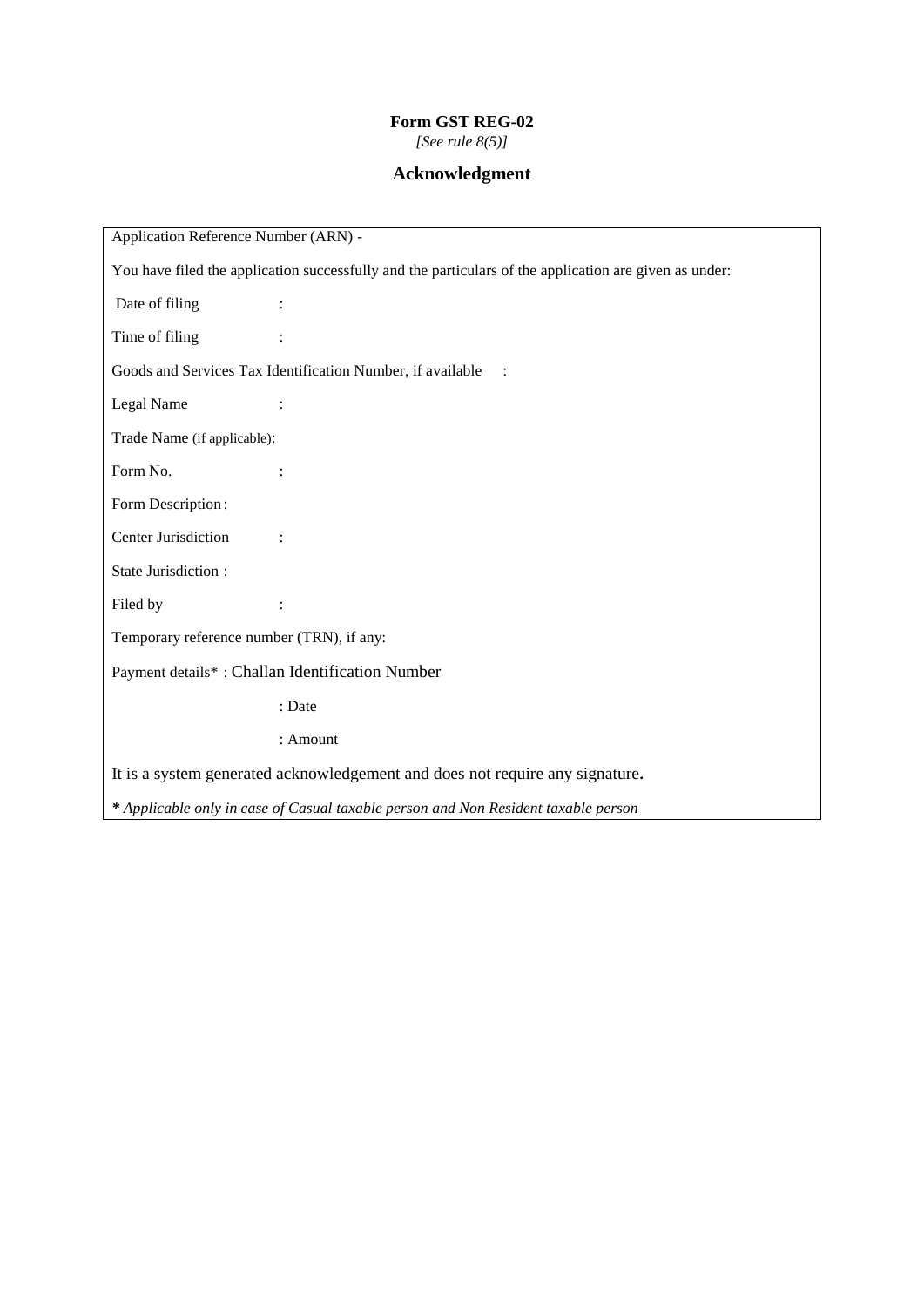# **Form GST REG-02**

*[See rule 8(5)]*

# **Acknowledgment**

| Application Reference Number (ARN) -                                                                   |                |  |
|--------------------------------------------------------------------------------------------------------|----------------|--|
| You have filed the application successfully and the particulars of the application are given as under: |                |  |
| Date of filing                                                                                         |                |  |
| Time of filing                                                                                         |                |  |
| Goods and Services Tax Identification Number, if available<br>$\therefore$                             |                |  |
| Legal Name                                                                                             | $\ddot{\cdot}$ |  |
| Trade Name (if applicable):                                                                            |                |  |
| Form No.                                                                                               |                |  |
| Form Description:                                                                                      |                |  |
| Center Jurisdiction                                                                                    |                |  |
| State Jurisdiction:                                                                                    |                |  |
| Filed by                                                                                               |                |  |
| Temporary reference number (TRN), if any:                                                              |                |  |
| Payment details*: Challan Identification Number                                                        |                |  |
|                                                                                                        | : Date         |  |
|                                                                                                        | : Amount       |  |
| It is a system generated acknowledgement and does not require any signature.                           |                |  |
| * Applicable only in case of Casual taxable person and Non Resident taxable person                     |                |  |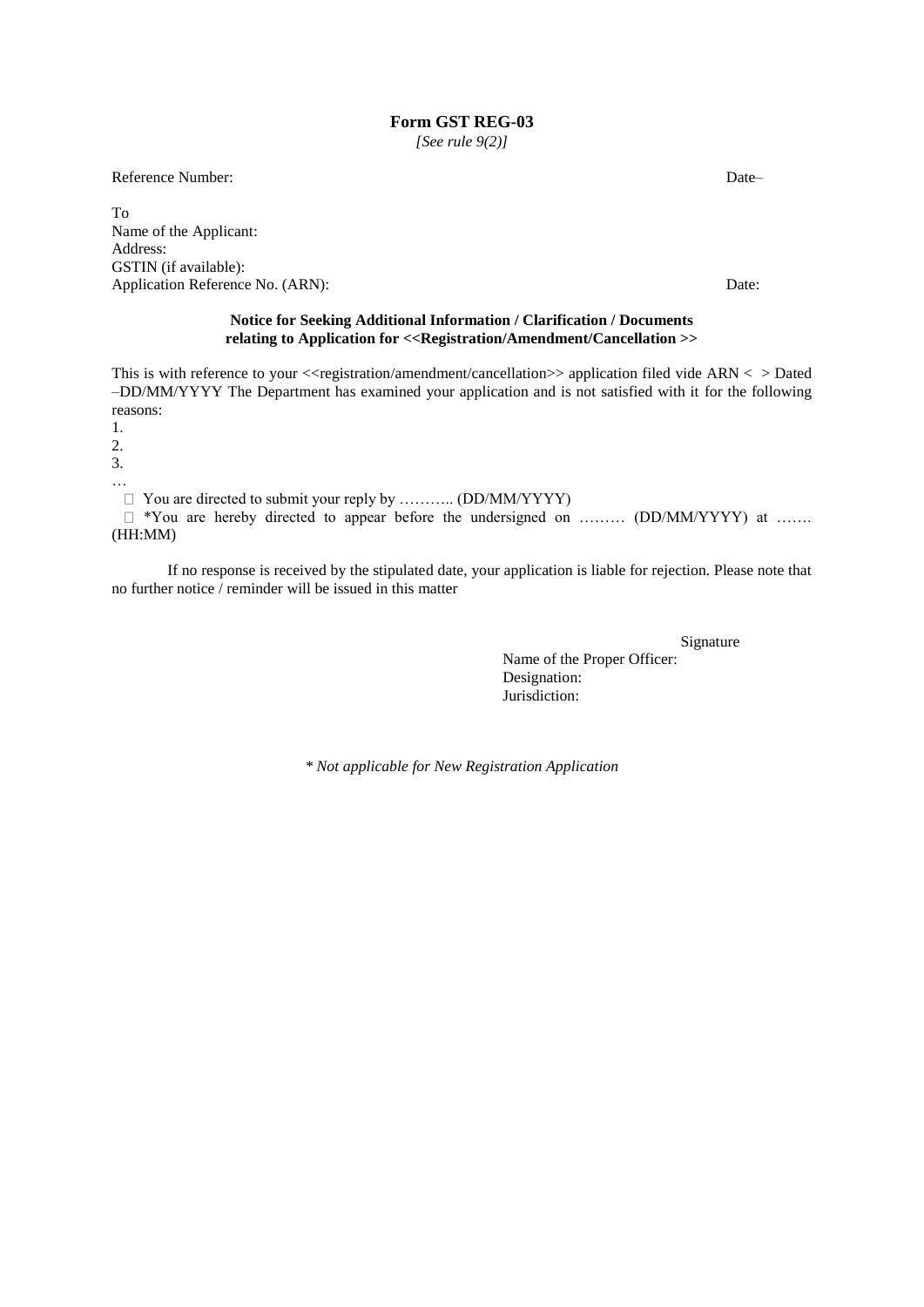*[See rule 9(2)]*

Reference Number: Date–

To Name of the Applicant: Address: GSTIN (if available): Application Reference No. (ARN): Date:

#### **Notice for Seeking Additional Information / Clarification / Documents relating to Application for <<Registration/Amendment/Cancellation >>**

This is with reference to your <<registration/amendment/cancellation>> application filed vide ARN < > Dated –DD/MM/YYYY The Department has examined your application and is not satisfied with it for the following reasons:

1.

2.

3.

…

 You are directed to submit your reply by ……….. (DD/MM/YYYY) \*You are hereby directed to appear before the undersigned on ……… (DD/MM/YYYY) at …….

(HH:MM)

If no response is received by the stipulated date, your application is liable for rejection. Please note that no further notice / reminder will be issued in this matter

> Signature Name of the Proper Officer: Designation: Jurisdiction:

*\* Not applicable for New Registration Application*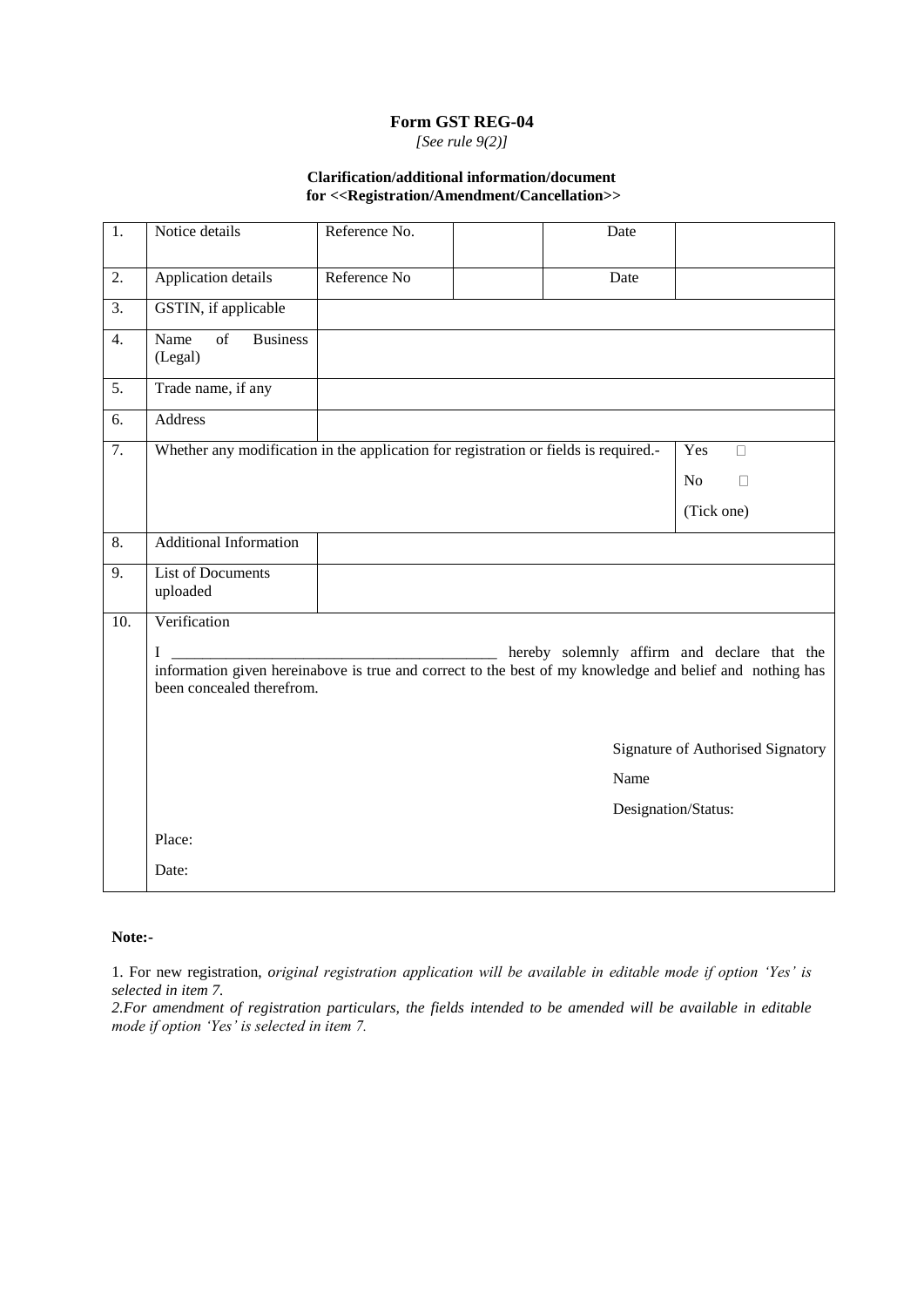*[See rule 9(2)]*

#### **Clarification/additional information/document for <<Registration/Amendment/Cancellation>>**

| $\overline{1}$ . | Notice details                                                                                                                                                                            | Reference No.       |  | Date |                     |  |  |  |
|------------------|-------------------------------------------------------------------------------------------------------------------------------------------------------------------------------------------|---------------------|--|------|---------------------|--|--|--|
| 2.               | Application details                                                                                                                                                                       | Reference No        |  | Date |                     |  |  |  |
| 3.               | GSTIN, if applicable                                                                                                                                                                      |                     |  |      |                     |  |  |  |
| $\overline{4}$ . | $\overline{\text{of}}$<br>Name<br><b>Business</b><br>(Legal)                                                                                                                              |                     |  |      |                     |  |  |  |
| 5.               | Trade name, if any                                                                                                                                                                        |                     |  |      |                     |  |  |  |
| 6.               | <b>Address</b>                                                                                                                                                                            |                     |  |      |                     |  |  |  |
| $\overline{7}$ . | Whether any modification in the application for registration or fields is required.-                                                                                                      |                     |  |      | Yes<br>$\Box$       |  |  |  |
|                  |                                                                                                                                                                                           |                     |  |      | N <sub>o</sub><br>П |  |  |  |
|                  |                                                                                                                                                                                           |                     |  |      | (Tick one)          |  |  |  |
| $\overline{8}$ . | <b>Additional Information</b>                                                                                                                                                             |                     |  |      |                     |  |  |  |
| 9.               | List of Documents<br>uploaded                                                                                                                                                             |                     |  |      |                     |  |  |  |
| 10.              | Verification                                                                                                                                                                              |                     |  |      |                     |  |  |  |
|                  | hereby solemnly affirm and declare that the<br>I<br>information given hereinabove is true and correct to the best of my knowledge and belief and nothing has<br>been concealed therefrom. |                     |  |      |                     |  |  |  |
|                  | Signature of Authorised Signatory                                                                                                                                                         |                     |  |      |                     |  |  |  |
|                  | Name                                                                                                                                                                                      |                     |  |      |                     |  |  |  |
|                  |                                                                                                                                                                                           | Designation/Status: |  |      |                     |  |  |  |
|                  | Place:                                                                                                                                                                                    |                     |  |      |                     |  |  |  |
|                  | Date:                                                                                                                                                                                     |                     |  |      |                     |  |  |  |

#### **Note:-**

1. For new registration, *original registration application will be available in editable mode if option "Yes" is selected in item 7.*

2. For amendment of registration particulars, the fields intended to be amended will be available in editable *mode if option "Yes" is selected in item 7.*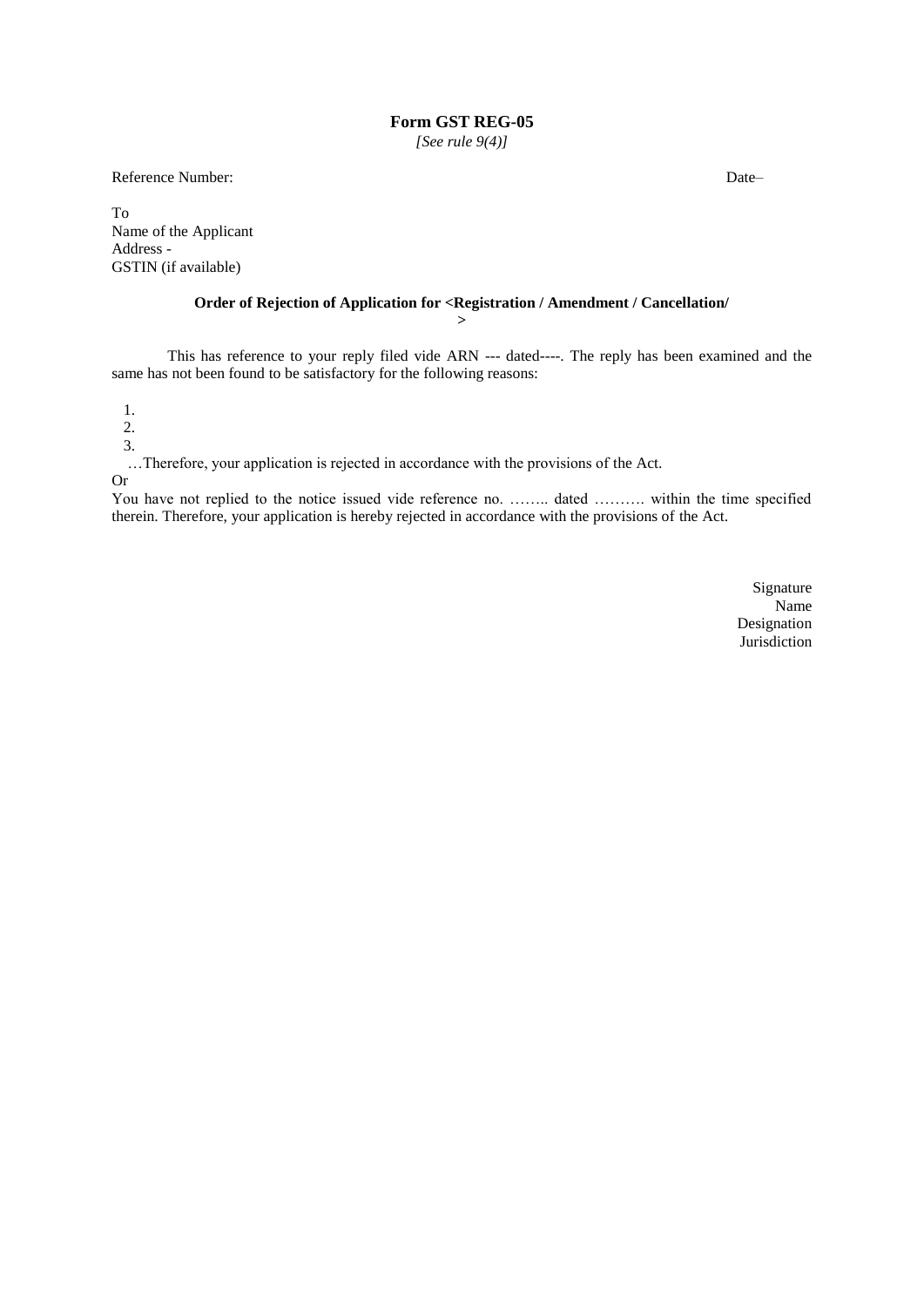*[See rule 9(4)]*

Reference Number: Date—

To Name of the Applicant Address - GSTIN (if available)

# **Order of Rejection of Application for <Registration / Amendment / Cancellation/**

**>**

This has reference to your reply filed vide ARN --- dated----. The reply has been examined and the same has not been found to be satisfactory for the following reasons:

1.

2.

3.

…Therefore, your application is rejected in accordance with the provisions of the Act.

Or

You have not replied to the notice issued vide reference no. …….. dated ………. within the time specified therein. Therefore, your application is hereby rejected in accordance with the provisions of the Act.

> Signature Name Designation Jurisdiction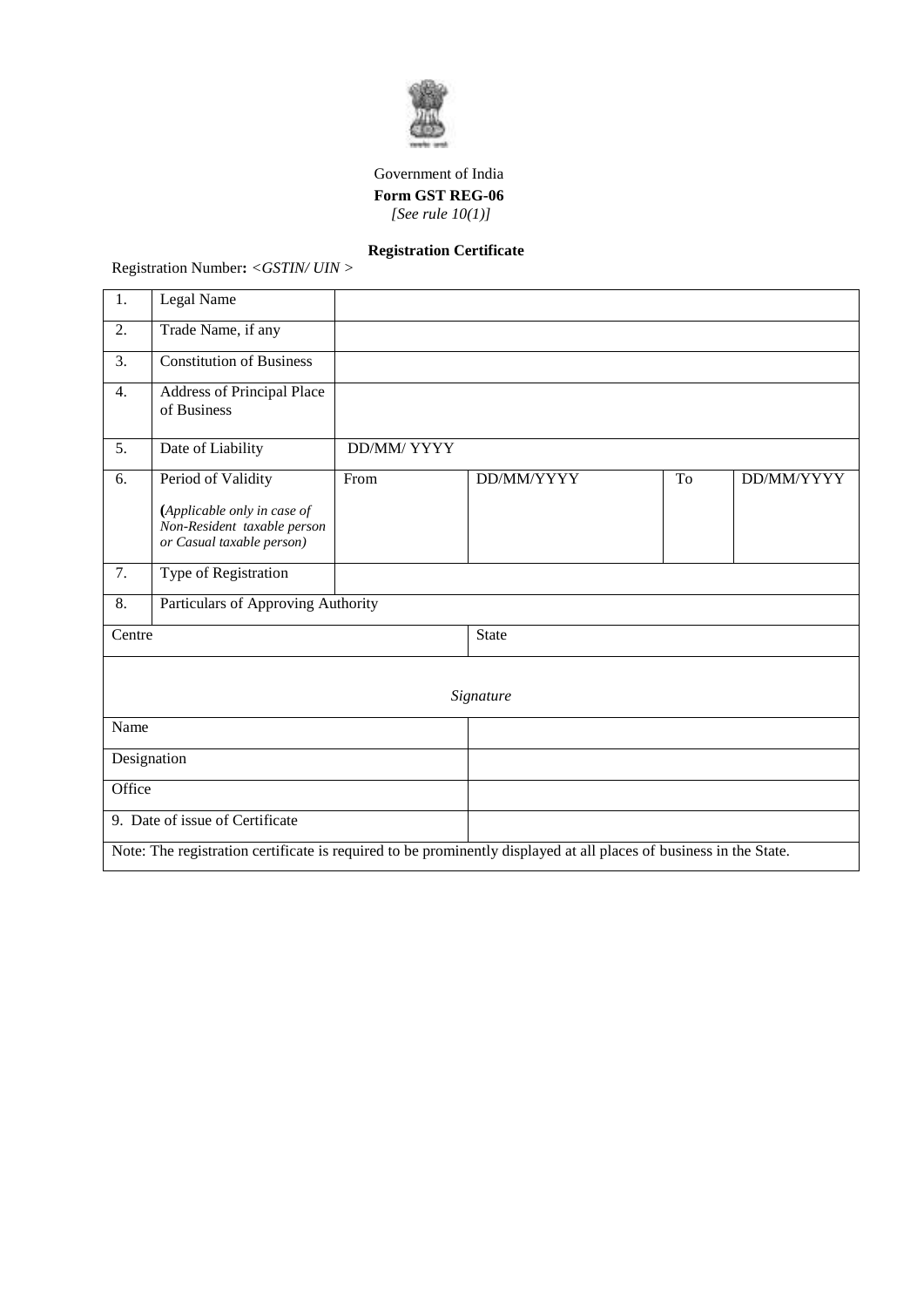

## Government of India  **Form GST REG-06** *[See rule 10(1)]*

# **Registration Certificate**

Registration Number**:** *<GSTIN/ UIN >*

| 1.                              | Legal Name                                                                                                         |                    |              |    |            |  |  |
|---------------------------------|--------------------------------------------------------------------------------------------------------------------|--------------------|--------------|----|------------|--|--|
| 2.                              | Trade Name, if any                                                                                                 |                    |              |    |            |  |  |
| 3.                              | <b>Constitution of Business</b>                                                                                    |                    |              |    |            |  |  |
| 4.                              | Address of Principal Place<br>of Business                                                                          |                    |              |    |            |  |  |
| 5.                              | Date of Liability                                                                                                  | <b>DD/MM/ YYYY</b> |              |    |            |  |  |
| 6.                              | Period of Validity                                                                                                 | From               | DD/MM/YYYY   | To | DD/MM/YYYY |  |  |
|                                 | (Applicable only in case of<br>Non-Resident taxable person<br>or Casual taxable person)                            |                    |              |    |            |  |  |
| 7.                              | Type of Registration                                                                                               |                    |              |    |            |  |  |
| 8.                              | Particulars of Approving Authority                                                                                 |                    |              |    |            |  |  |
| Centre                          |                                                                                                                    |                    | <b>State</b> |    |            |  |  |
|                                 |                                                                                                                    |                    |              |    |            |  |  |
|                                 |                                                                                                                    |                    | Signature    |    |            |  |  |
| Name                            |                                                                                                                    |                    |              |    |            |  |  |
| Designation                     |                                                                                                                    |                    |              |    |            |  |  |
| Office                          |                                                                                                                    |                    |              |    |            |  |  |
| 9. Date of issue of Certificate |                                                                                                                    |                    |              |    |            |  |  |
|                                 | Note: The registration certificate is required to be prominently displayed at all places of business in the State. |                    |              |    |            |  |  |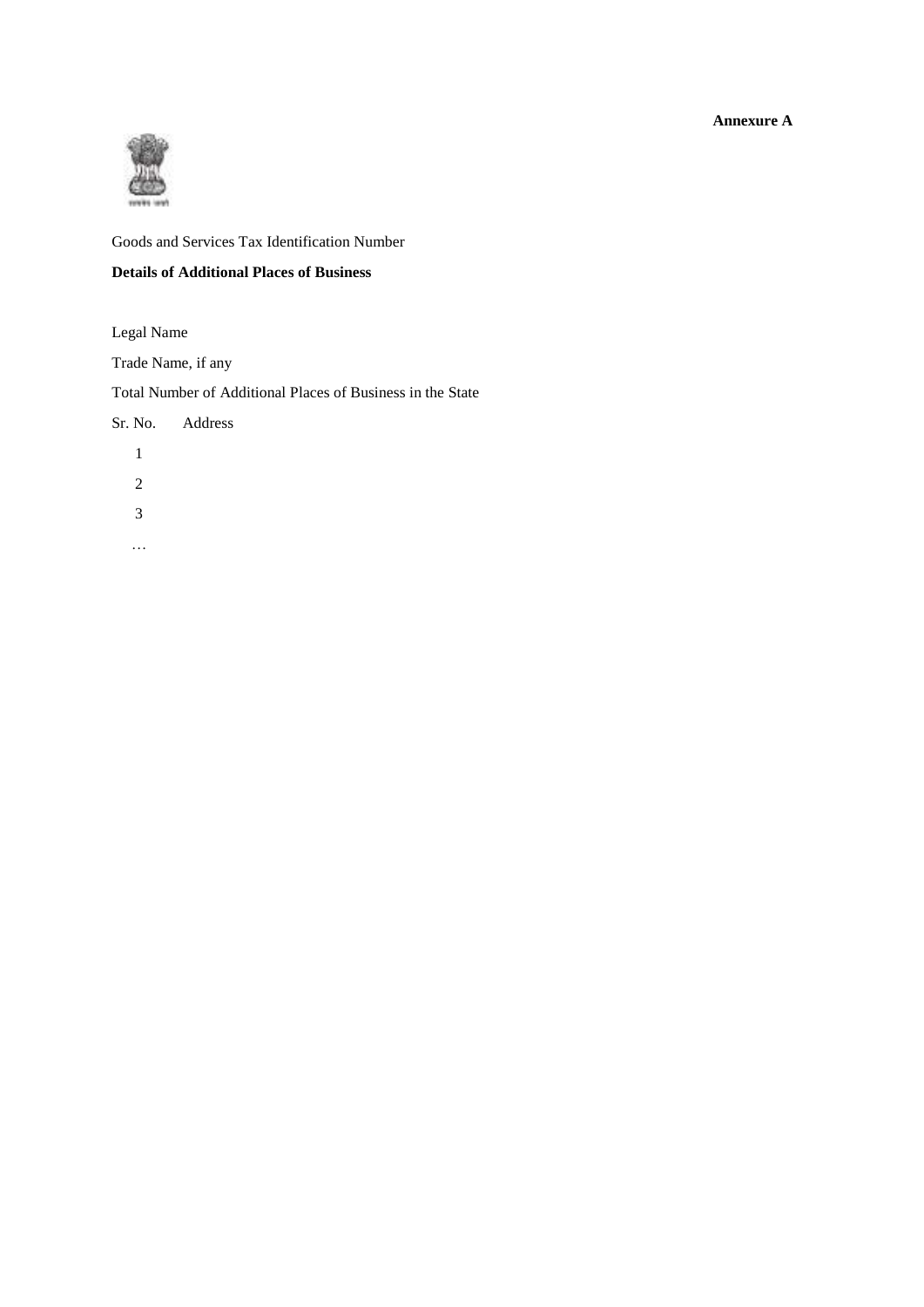**Annexure A** 



Goods and Services Tax Identification Number

## **Details of Additional Places of Business**

Legal Name

Trade Name, if any

Total Number of Additional Places of Business in the State

|   | Sr. No. Address |  |  |
|---|-----------------|--|--|
| 1 |                 |  |  |
| 2 |                 |  |  |
| 3 |                 |  |  |
|   |                 |  |  |
|   |                 |  |  |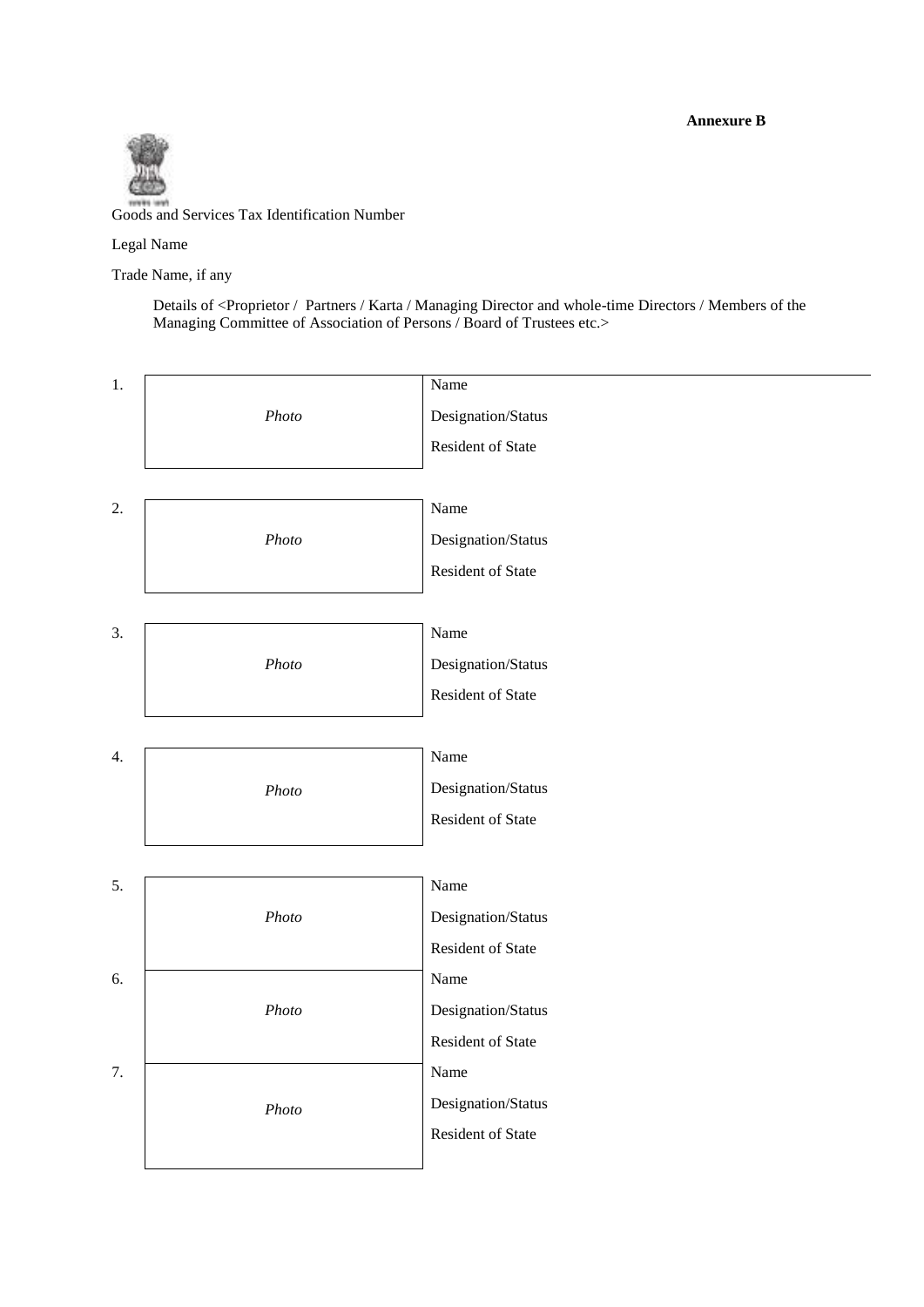**Annexure B** 



Goods and Services Tax Identification Number

Legal Name

Trade Name, if any

Details of <Proprietor / Partners / Karta / Managing Director and whole-time Directors / Members of the Managing Committee of Association of Persons / Board of Trustees etc.>

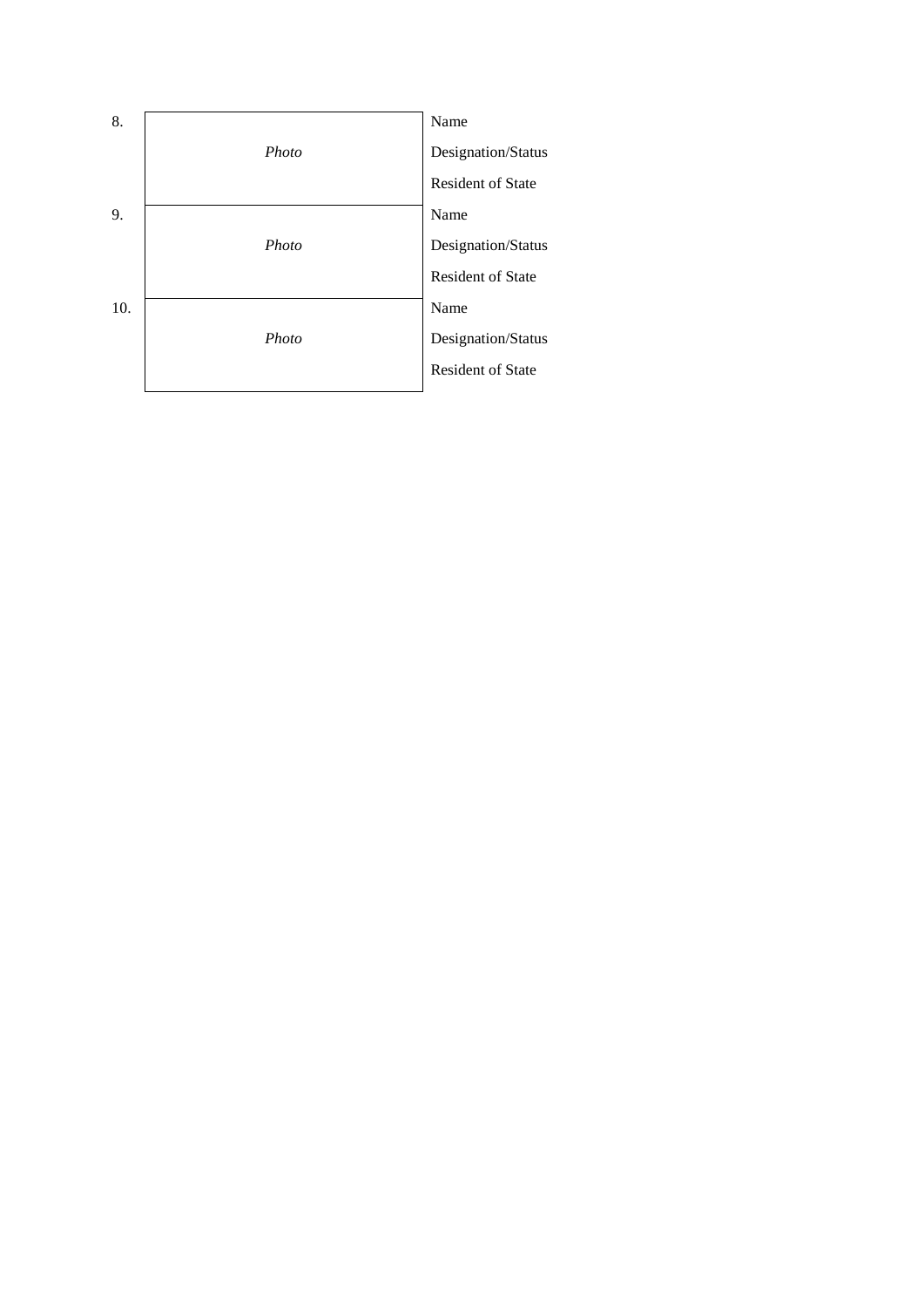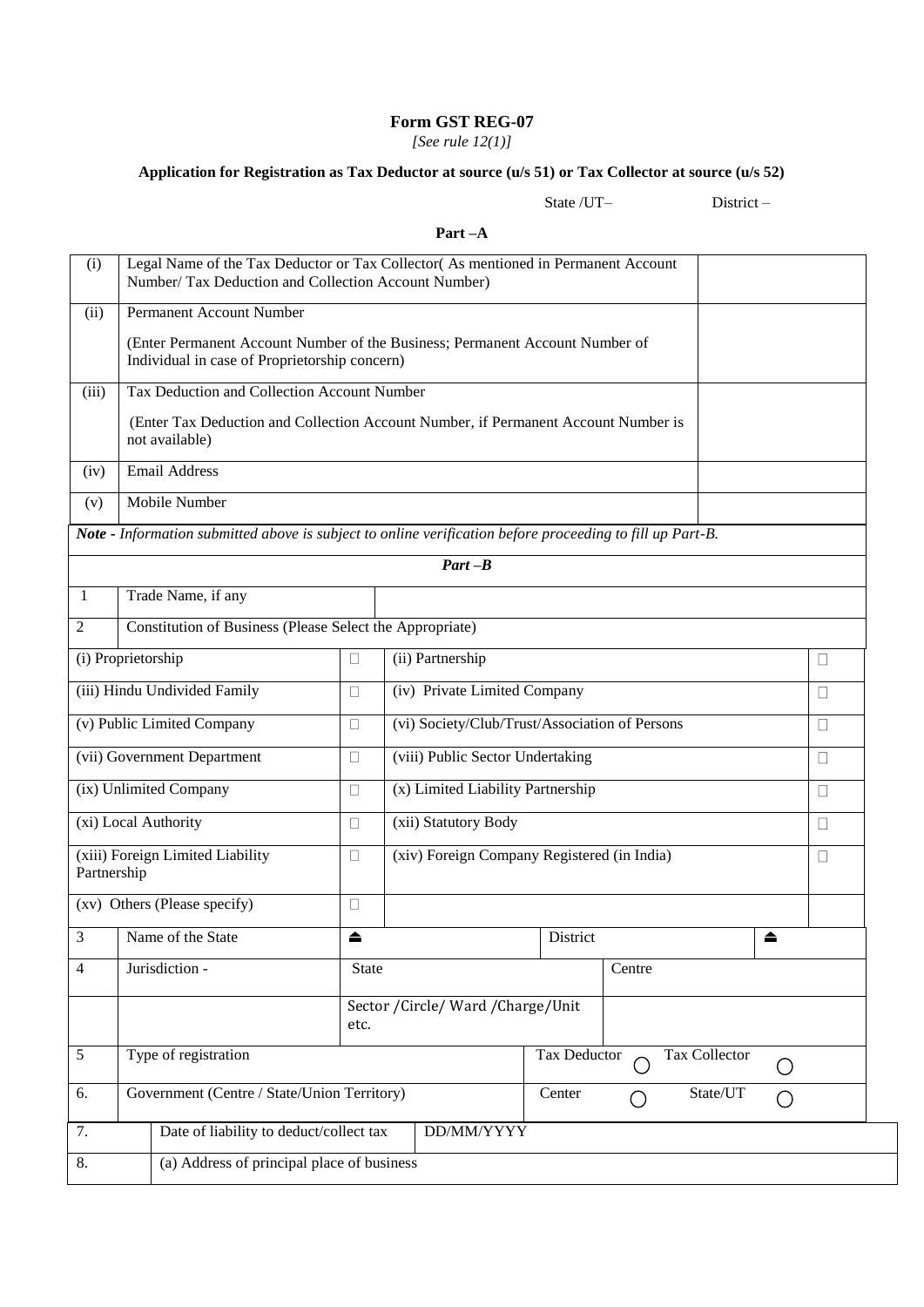*[See rule 12(1)]*

# **Application for Registration as Tax Deductor at source (u/s 51) or Tax Collector at source (u/s 52)**

State /UT– District –

| Legal Name of the Tax Deductor or Tax Collector(As mentioned in Permanent Account<br>Number/ Tax Deduction and Collection Account Number) |                                                                                    |  |  |  |  |  |  |  |  |
|-------------------------------------------------------------------------------------------------------------------------------------------|------------------------------------------------------------------------------------|--|--|--|--|--|--|--|--|
| <b>Permanent Account Number</b><br>(ii)                                                                                                   |                                                                                    |  |  |  |  |  |  |  |  |
| Individual in case of Proprietorship concern)                                                                                             | (Enter Permanent Account Number of the Business; Permanent Account Number of       |  |  |  |  |  |  |  |  |
| Tax Deduction and Collection Account Number<br>(iii)                                                                                      |                                                                                    |  |  |  |  |  |  |  |  |
| not available)                                                                                                                            | (Enter Tax Deduction and Collection Account Number, if Permanent Account Number is |  |  |  |  |  |  |  |  |
| <b>Email Address</b><br>(iv)                                                                                                              |                                                                                    |  |  |  |  |  |  |  |  |
| Mobile Number<br>(v)                                                                                                                      |                                                                                    |  |  |  |  |  |  |  |  |
| Note - Information submitted above is subject to online verification before proceeding to fill up Part-B.                                 |                                                                                    |  |  |  |  |  |  |  |  |
| $Part - B$                                                                                                                                |                                                                                    |  |  |  |  |  |  |  |  |
| Trade Name, if any<br>1                                                                                                                   |                                                                                    |  |  |  |  |  |  |  |  |
| Constitution of Business (Please Select the Appropriate)<br>$\mathfrak{2}$                                                                |                                                                                    |  |  |  |  |  |  |  |  |
| (i) Proprietorship<br>(ii) Partnership<br>$\Box$                                                                                          | П                                                                                  |  |  |  |  |  |  |  |  |
| (iv) Private Limited Company<br>(iii) Hindu Undivided Family<br>$\Box$                                                                    | $\Box$                                                                             |  |  |  |  |  |  |  |  |
| (v) Public Limited Company<br>$\Box$                                                                                                      | (vi) Society/Club/Trust/Association of Persons<br>П                                |  |  |  |  |  |  |  |  |
| (viii) Public Sector Undertaking<br>(vii) Government Department<br>$\Box$                                                                 | П                                                                                  |  |  |  |  |  |  |  |  |
| (x) Limited Liability Partnership<br>(ix) Unlimited Company<br>$\Box$                                                                     | $\Box$                                                                             |  |  |  |  |  |  |  |  |
| (xi) Local Authority<br>(xii) Statutory Body<br>$\Box$                                                                                    | П                                                                                  |  |  |  |  |  |  |  |  |
| (xiii) Foreign Limited Liability<br>(xiv) Foreign Company Registered (in India)<br>$\Box$<br>Partnership                                  | $\Box$                                                                             |  |  |  |  |  |  |  |  |
| (xv) Others (Please specify)<br>□                                                                                                         |                                                                                    |  |  |  |  |  |  |  |  |
| $\mathfrak{Z}$<br>Name of the State<br>▲                                                                                                  | District<br>≜                                                                      |  |  |  |  |  |  |  |  |
| Jurisdiction -<br>$\overline{4}$<br>State                                                                                                 | Centre                                                                             |  |  |  |  |  |  |  |  |
| Sector / Circle/ Ward / Charge/ Unit<br>etc.                                                                                              |                                                                                    |  |  |  |  |  |  |  |  |
| $\sqrt{5}$<br>Type of registration                                                                                                        | Tax Deductor<br>Tax Collector                                                      |  |  |  |  |  |  |  |  |
| Government (Centre / State/Union Territory)<br>6.                                                                                         | State/UT<br>Center                                                                 |  |  |  |  |  |  |  |  |
| Date of liability to deduct/collect tax<br>7.<br>DD/MM/YYYY                                                                               |                                                                                    |  |  |  |  |  |  |  |  |
| (a) Address of principal place of business<br>8.                                                                                          |                                                                                    |  |  |  |  |  |  |  |  |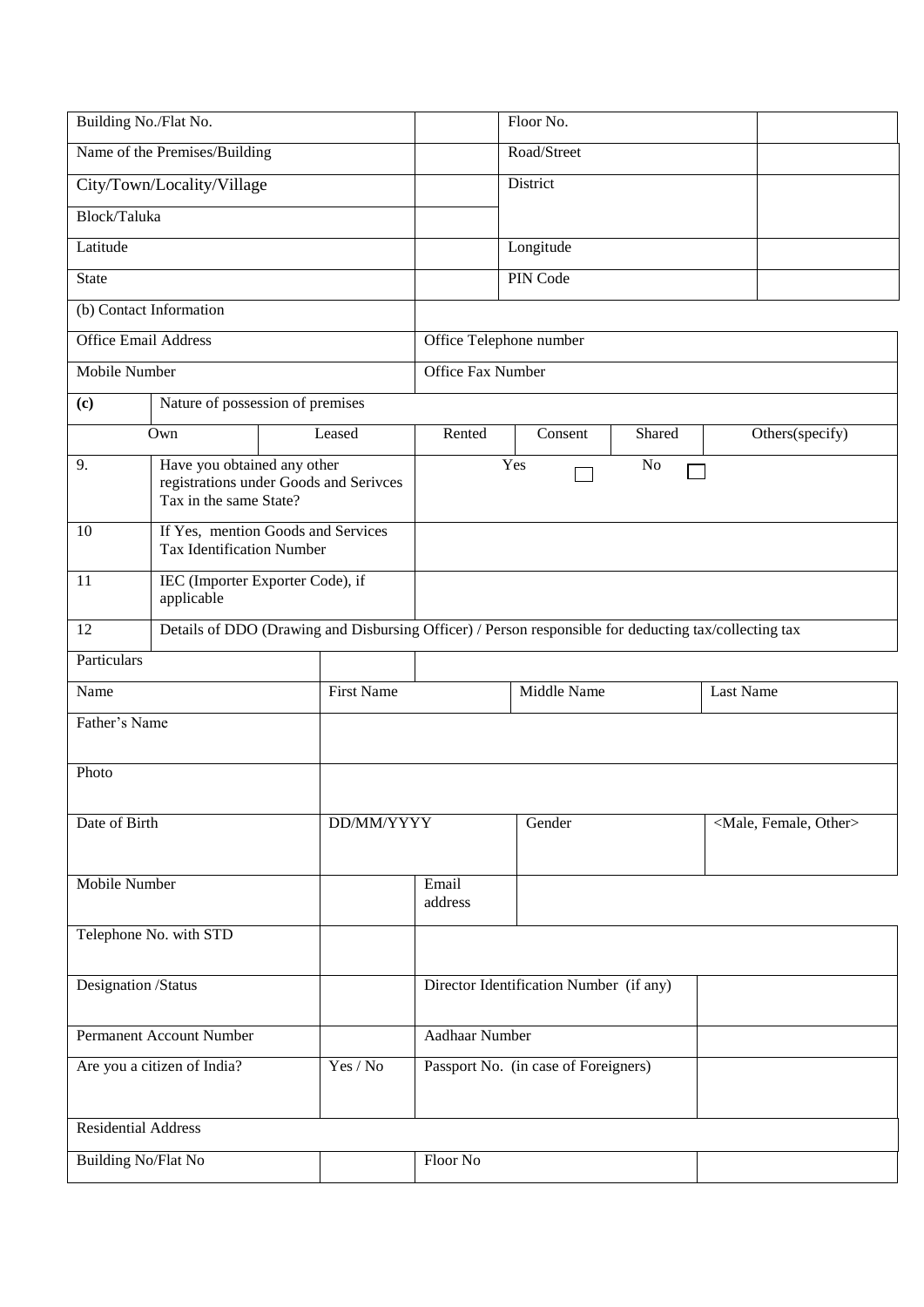| Building No./Flat No.                   |                                                       |                                                                                                       |                          | Floor No.   |                |                                     |  |
|-----------------------------------------|-------------------------------------------------------|-------------------------------------------------------------------------------------------------------|--------------------------|-------------|----------------|-------------------------------------|--|
|                                         | Name of the Premises/Building                         |                                                                                                       |                          | Road/Street |                |                                     |  |
|                                         | City/Town/Locality/Village                            |                                                                                                       |                          | District    |                |                                     |  |
| Block/Taluka                            |                                                       |                                                                                                       |                          |             |                |                                     |  |
| Latitude                                |                                                       |                                                                                                       |                          | Longitude   |                |                                     |  |
| <b>State</b>                            |                                                       |                                                                                                       |                          | PIN Code    |                |                                     |  |
|                                         | (b) Contact Information                               |                                                                                                       |                          |             |                |                                     |  |
| <b>Office Email Address</b>             |                                                       |                                                                                                       | Office Telephone number  |             |                |                                     |  |
| <b>Mobile Number</b>                    |                                                       |                                                                                                       | <b>Office Fax Number</b> |             |                |                                     |  |
| (c)                                     |                                                       | Nature of possession of premises                                                                      |                          |             |                |                                     |  |
|                                         | Own                                                   | Leased                                                                                                | Rented                   | Consent     | Shared         | Others(specify)                     |  |
| 9.                                      | Have you obtained any other<br>Tax in the same State? | registrations under Goods and Serivces                                                                |                          | Yes         | N <sub>o</sub> |                                     |  |
| 10                                      | <b>Tax Identification Number</b>                      | If Yes, mention Goods and Services                                                                    |                          |             |                |                                     |  |
| 11                                      | applicable                                            | IEC (Importer Exporter Code), if                                                                      |                          |             |                |                                     |  |
| 12                                      |                                                       | Details of DDO (Drawing and Disbursing Officer) / Person responsible for deducting tax/collecting tax |                          |             |                |                                     |  |
| Particulars                             |                                                       |                                                                                                       |                          |             |                |                                     |  |
| Name                                    |                                                       | <b>First Name</b>                                                                                     | Middle Name              |             |                | Last Name                           |  |
| Father's Name                           |                                                       |                                                                                                       |                          |             |                |                                     |  |
| Photo                                   |                                                       |                                                                                                       |                          |             |                |                                     |  |
| Date of Birth                           |                                                       | DD/MM/YYYY                                                                                            |                          | Gender      |                | <male, female,="" other=""></male,> |  |
| Mobile Number                           |                                                       |                                                                                                       | Email<br>address         |             |                |                                     |  |
| Telephone No. with STD                  |                                                       |                                                                                                       |                          |             |                |                                     |  |
| Designation /Status                     |                                                       | Director Identification Number (if any)                                                               |                          |             |                |                                     |  |
| Permanent Account Number                |                                                       | <b>Aadhaar Number</b>                                                                                 |                          |             |                |                                     |  |
| Are you a citizen of India?<br>Yes / No |                                                       | Passport No. (in case of Foreigners)                                                                  |                          |             |                |                                     |  |
| <b>Residential Address</b>              |                                                       |                                                                                                       |                          |             |                |                                     |  |
| <b>Building No/Flat No</b>              |                                                       |                                                                                                       | Floor No                 |             |                |                                     |  |
|                                         |                                                       |                                                                                                       |                          |             |                |                                     |  |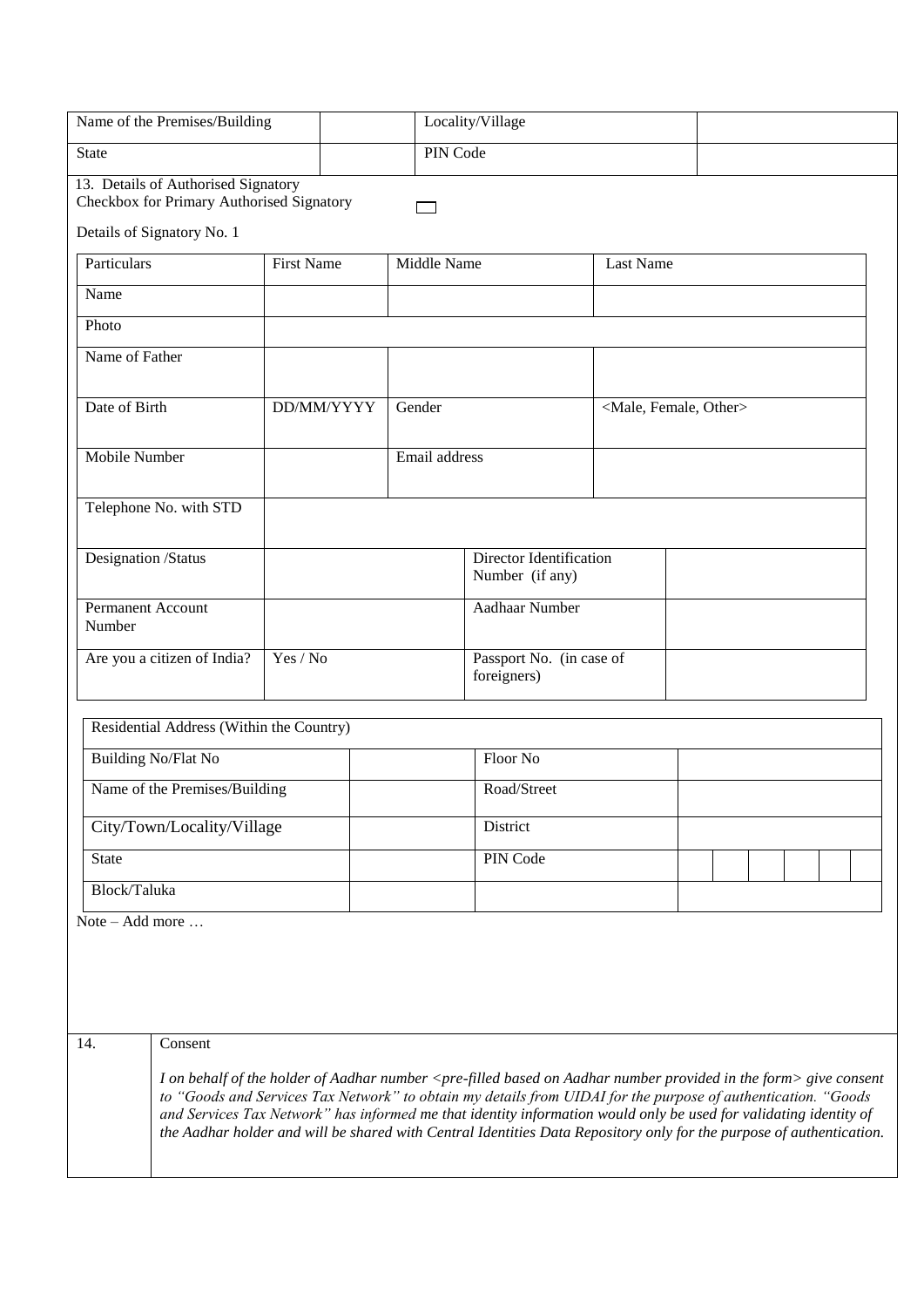| Name of the Premises/Building                                                                                  |                   | Locality/Village                        |                                                                                                                                                                                                                                                                                                                                                                                                                                                                                                                        |           |  |  |  |  |
|----------------------------------------------------------------------------------------------------------------|-------------------|-----------------------------------------|------------------------------------------------------------------------------------------------------------------------------------------------------------------------------------------------------------------------------------------------------------------------------------------------------------------------------------------------------------------------------------------------------------------------------------------------------------------------------------------------------------------------|-----------|--|--|--|--|
| PIN Code<br><b>State</b>                                                                                       |                   |                                         |                                                                                                                                                                                                                                                                                                                                                                                                                                                                                                                        |           |  |  |  |  |
| 13. Details of Authorised Signatory<br>Checkbox for Primary Authorised Signatory<br>Details of Signatory No. 1 |                   |                                         |                                                                                                                                                                                                                                                                                                                                                                                                                                                                                                                        |           |  |  |  |  |
| Particulars                                                                                                    | <b>First Name</b> | Middle Name                             |                                                                                                                                                                                                                                                                                                                                                                                                                                                                                                                        | Last Name |  |  |  |  |
| Name                                                                                                           |                   |                                         |                                                                                                                                                                                                                                                                                                                                                                                                                                                                                                                        |           |  |  |  |  |
| Photo                                                                                                          |                   |                                         |                                                                                                                                                                                                                                                                                                                                                                                                                                                                                                                        |           |  |  |  |  |
| Name of Father                                                                                                 |                   |                                         |                                                                                                                                                                                                                                                                                                                                                                                                                                                                                                                        |           |  |  |  |  |
| Date of Birth                                                                                                  | DD/MM/YYYY        | Gender                                  | <male, female,="" other=""></male,>                                                                                                                                                                                                                                                                                                                                                                                                                                                                                    |           |  |  |  |  |
| Mobile Number                                                                                                  |                   | Email address                           |                                                                                                                                                                                                                                                                                                                                                                                                                                                                                                                        |           |  |  |  |  |
| Telephone No. with STD                                                                                         |                   |                                         |                                                                                                                                                                                                                                                                                                                                                                                                                                                                                                                        |           |  |  |  |  |
| Designation /Status                                                                                            |                   |                                         | <b>Director Identification</b><br>Number (if any)                                                                                                                                                                                                                                                                                                                                                                                                                                                                      |           |  |  |  |  |
| Permanent Account<br>Number                                                                                    |                   |                                         | Aadhaar Number                                                                                                                                                                                                                                                                                                                                                                                                                                                                                                         |           |  |  |  |  |
| Yes / No<br>Are you a citizen of India?                                                                        |                   | Passport No. (in case of<br>foreigners) |                                                                                                                                                                                                                                                                                                                                                                                                                                                                                                                        |           |  |  |  |  |
| Residential Address (Within the Country)                                                                       |                   |                                         |                                                                                                                                                                                                                                                                                                                                                                                                                                                                                                                        |           |  |  |  |  |
| Building No/Flat No                                                                                            |                   |                                         | Floor No                                                                                                                                                                                                                                                                                                                                                                                                                                                                                                               |           |  |  |  |  |
| Name of the Premises/Building                                                                                  |                   |                                         | Road/Street                                                                                                                                                                                                                                                                                                                                                                                                                                                                                                            |           |  |  |  |  |
| City/Town/Locality/Village                                                                                     |                   |                                         | District                                                                                                                                                                                                                                                                                                                                                                                                                                                                                                               |           |  |  |  |  |
| State                                                                                                          |                   |                                         | PIN Code                                                                                                                                                                                                                                                                                                                                                                                                                                                                                                               |           |  |  |  |  |
| Block/Taluka                                                                                                   |                   |                                         |                                                                                                                                                                                                                                                                                                                                                                                                                                                                                                                        |           |  |  |  |  |
| Note – Add more $\ldots$                                                                                       |                   |                                         |                                                                                                                                                                                                                                                                                                                                                                                                                                                                                                                        |           |  |  |  |  |
| 14.<br>Consent                                                                                                 |                   |                                         |                                                                                                                                                                                                                                                                                                                                                                                                                                                                                                                        |           |  |  |  |  |
|                                                                                                                |                   |                                         | I on behalf of the holder of Aadhar number <pre-filled aadhar="" based="" form="" in="" number="" on="" provided="" the=""> give consent<br/>to "Goods and Services Tax Network" to obtain my details from UIDAI for the purpose of authentication. "Goods<br/>and Services Tax Network" has informed me that identity information would only be used for validating identity of<br/>the Aadhar holder and will be shared with Central Identities Data Repository only for the purpose of authentication.</pre-filled> |           |  |  |  |  |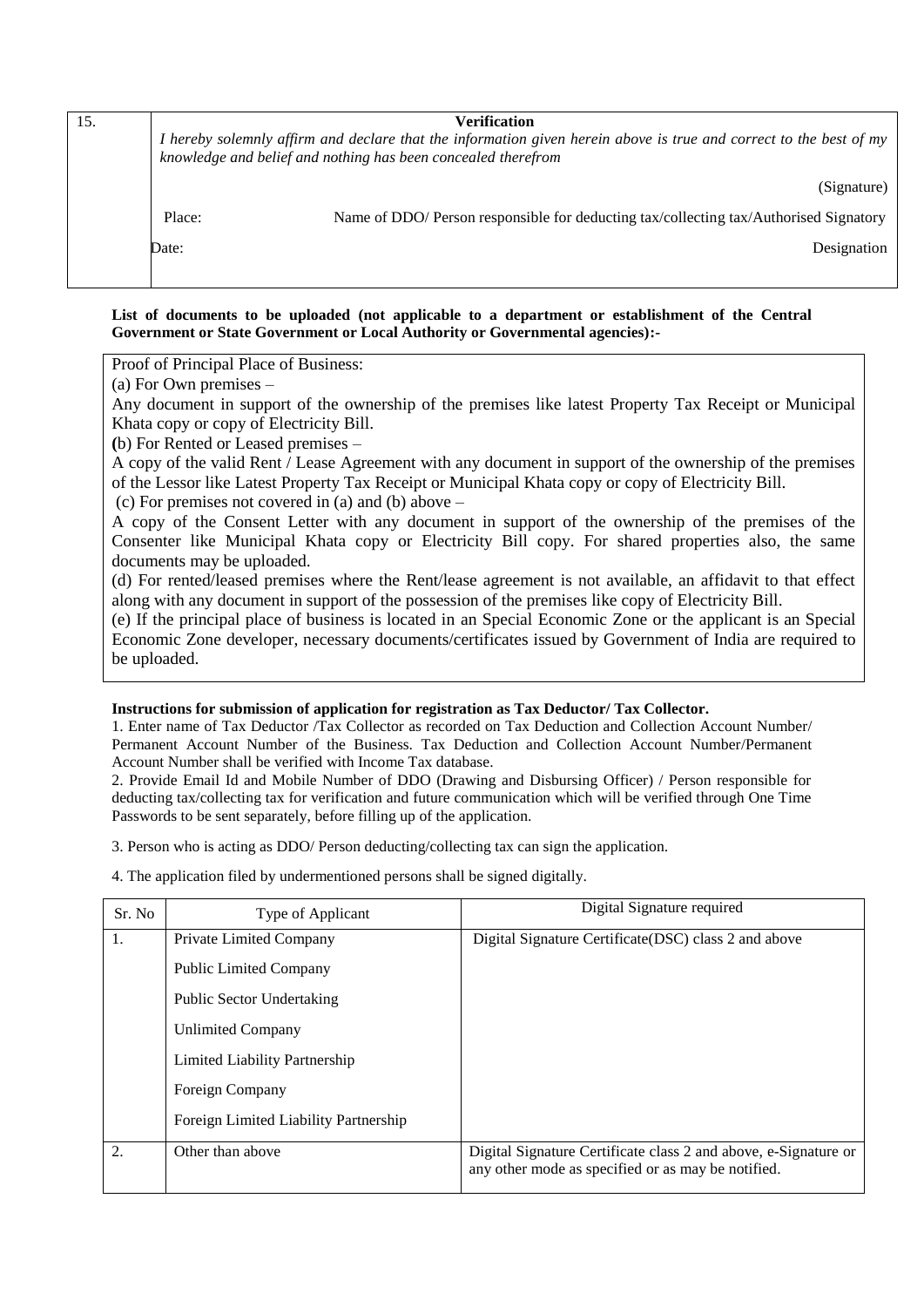| 15. |        | <b>Verification</b><br>I hereby solemnly affirm and declare that the information given herein above is true and correct to the best of my<br>knowledge and belief and nothing has been concealed therefrom |
|-----|--------|------------------------------------------------------------------------------------------------------------------------------------------------------------------------------------------------------------|
|     |        | (Signature)                                                                                                                                                                                                |
|     | Place: | Name of DDO/ Person responsible for deducting tax/collecting tax/Authorised Signatory                                                                                                                      |
|     | Date:  | Designation                                                                                                                                                                                                |
|     |        |                                                                                                                                                                                                            |

**List of documents to be uploaded (not applicable to a department or establishment of the Central Government or State Government or Local Authority or Governmental agencies):-**

Proof of Principal Place of Business:

(a) For Own premises –

Any document in support of the ownership of the premises like latest Property Tax Receipt or Municipal Khata copy or copy of Electricity Bill.

**(**b) For Rented or Leased premises –

A copy of the valid Rent / Lease Agreement with any document in support of the ownership of the premises of the Lessor like Latest Property Tax Receipt or Municipal Khata copy or copy of Electricity Bill.

(c) For premises not covered in (a) and (b) above –

A copy of the Consent Letter with any document in support of the ownership of the premises of the Consenter like Municipal Khata copy or Electricity Bill copy. For shared properties also, the same documents may be uploaded.

(d) For rented/leased premises where the Rent/lease agreement is not available, an affidavit to that effect along with any document in support of the possession of the premises like copy of Electricity Bill.

(e) If the principal place of business is located in an Special Economic Zone or the applicant is an Special Economic Zone developer, necessary documents/certificates issued by Government of India are required to be uploaded.

#### **Instructions for submission of application for registration as Tax Deductor/ Tax Collector.**

1. Enter name of Tax Deductor /Tax Collector as recorded on Tax Deduction and Collection Account Number/ Permanent Account Number of the Business. Tax Deduction and Collection Account Number/Permanent Account Number shall be verified with Income Tax database.

2. Provide Email Id and Mobile Number of DDO (Drawing and Disbursing Officer) / Person responsible for deducting tax/collecting tax for verification and future communication which will be verified through One Time Passwords to be sent separately, before filling up of the application.

3. Person who is acting as DDO/ Person deducting/collecting tax can sign the application.

4. The application filed by undermentioned persons shall be signed digitally.

| Sr. No. | Type of Applicant                     | Digital Signature required                                                                                            |  |  |  |  |
|---------|---------------------------------------|-----------------------------------------------------------------------------------------------------------------------|--|--|--|--|
| 1.      | Private Limited Company               | Digital Signature Certificate (DSC) class 2 and above                                                                 |  |  |  |  |
|         | <b>Public Limited Company</b>         |                                                                                                                       |  |  |  |  |
|         | <b>Public Sector Undertaking</b>      |                                                                                                                       |  |  |  |  |
|         | <b>Unlimited Company</b>              |                                                                                                                       |  |  |  |  |
|         | Limited Liability Partnership         |                                                                                                                       |  |  |  |  |
|         | Foreign Company                       |                                                                                                                       |  |  |  |  |
|         | Foreign Limited Liability Partnership |                                                                                                                       |  |  |  |  |
| 2.      | Other than above                      | Digital Signature Certificate class 2 and above, e-Signature or<br>any other mode as specified or as may be notified. |  |  |  |  |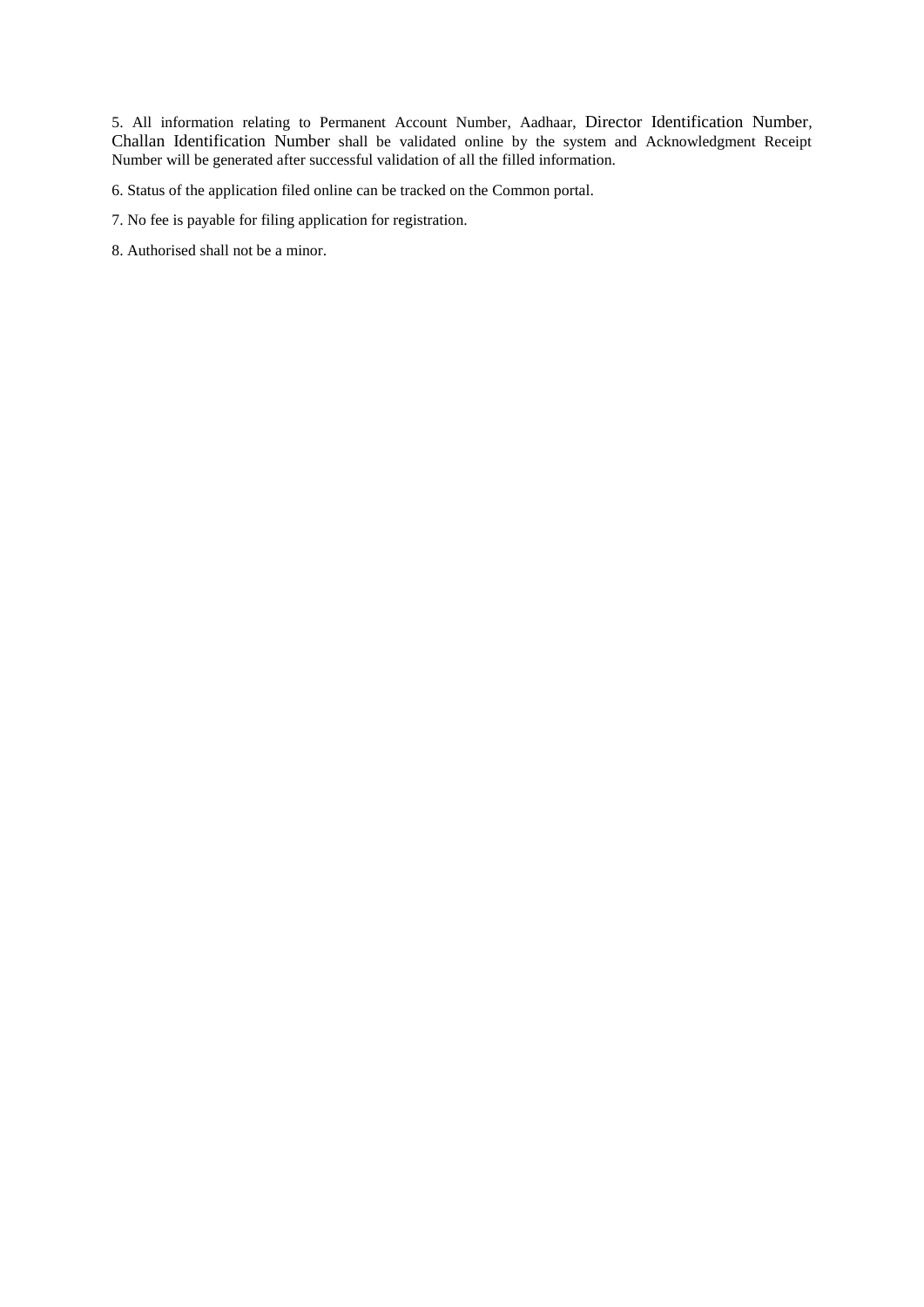5. All information relating to Permanent Account Number, Aadhaar, Director Identification Number, Challan Identification Number shall be validated online by the system and Acknowledgment Receipt Number will be generated after successful validation of all the filled information.

6. Status of the application filed online can be tracked on the Common portal.

- 7. No fee is payable for filing application for registration.
- 8. Authorised shall not be a minor.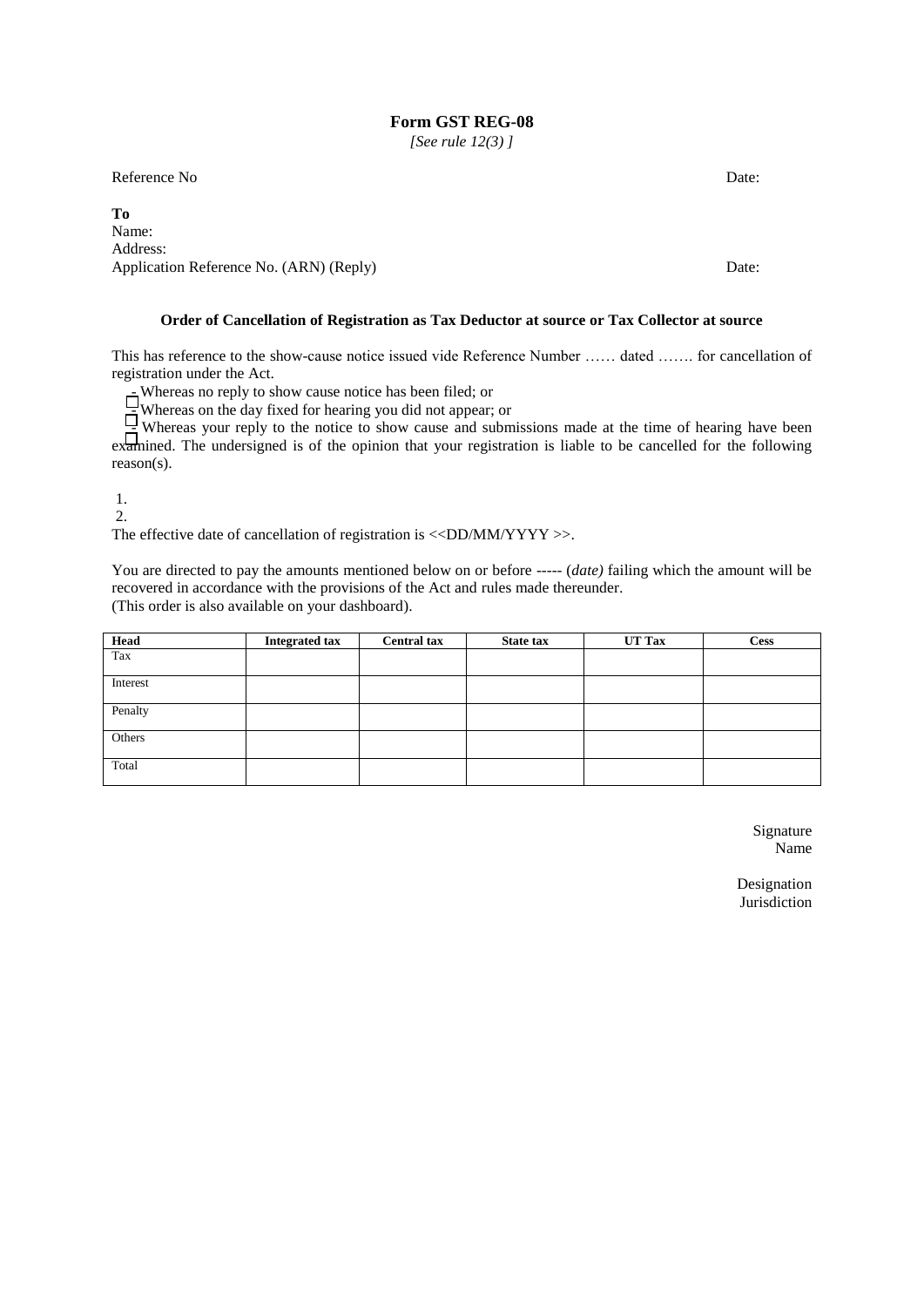*[See rule 12(3) ]*

Reference No Date:

**To** Name: Address: Application Reference No. (ARN) (Reply) Date:

#### **Order of Cancellation of Registration as Tax Deductor at source or Tax Collector at source**

This has reference to the show-cause notice issued vide Reference Number …… dated ……. for cancellation of registration under the Act.

- Whereas no reply to show cause notice has been filed; or

 $\equiv$  Whereas on the day fixed for hearing you did not appear; or

 $\Xi$  Whereas your reply to the notice to show cause and submissions made at the time of hearing have been examined. The undersigned is of the opinion that your registration is liable to be cancelled for the following reason(s).

1.

2.

The effective date of cancellation of registration is  $\langle \langle DD/MM/YYYY \rangle$ .

You are directed to pay the amounts mentioned below on or before ----- (*date*) failing which the amount will be recovered in accordance with the provisions of the Act and rules made thereunder. (This order is also available on your dashboard).

| <b>Head</b> | <b>Integrated tax</b> | <b>Central tax</b> | State tax | <b>UT Tax</b> | <b>Cess</b> |
|-------------|-----------------------|--------------------|-----------|---------------|-------------|
| Tax         |                       |                    |           |               |             |
| Interest    |                       |                    |           |               |             |
| Penalty     |                       |                    |           |               |             |
| Others      |                       |                    |           |               |             |
| Total       |                       |                    |           |               |             |

Signature Name

Designation Jurisdiction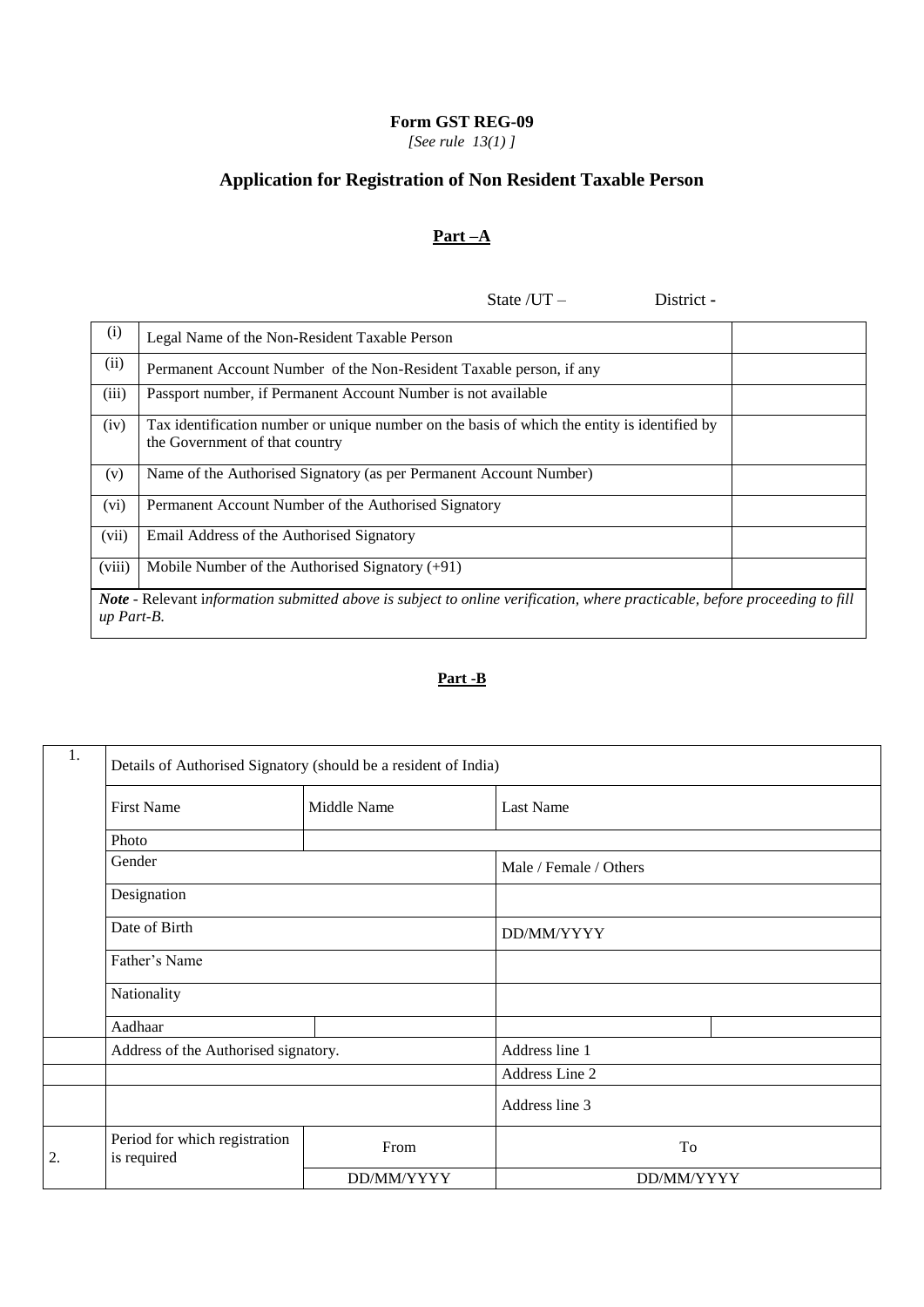*[See rule 13(1) ]*

# **Application for Registration of Non Resident Taxable Person**

# **Part –A**

State /UT – District **-**

| (i)                                                                                                                                              | Legal Name of the Non-Resident Taxable Person                                                                                  |  |  |  |  |  |
|--------------------------------------------------------------------------------------------------------------------------------------------------|--------------------------------------------------------------------------------------------------------------------------------|--|--|--|--|--|
| (ii)                                                                                                                                             | Permanent Account Number of the Non-Resident Taxable person, if any                                                            |  |  |  |  |  |
| (iii)                                                                                                                                            | Passport number, if Permanent Account Number is not available                                                                  |  |  |  |  |  |
| (iv)                                                                                                                                             | Tax identification number or unique number on the basis of which the entity is identified by<br>the Government of that country |  |  |  |  |  |
| (v)                                                                                                                                              | Name of the Authorised Signatory (as per Permanent Account Number)                                                             |  |  |  |  |  |
| (vi)                                                                                                                                             | Permanent Account Number of the Authorised Signatory                                                                           |  |  |  |  |  |
| (vii)                                                                                                                                            | Email Address of the Authorised Signatory                                                                                      |  |  |  |  |  |
| (viii)                                                                                                                                           | Mobile Number of the Authorised Signatory $(+91)$                                                                              |  |  |  |  |  |
| <b>Note</b> - Relevant information submitted above is subject to online verification, where practicable, before proceeding to fill<br>up Part-B. |                                                                                                                                |  |  |  |  |  |

# **Part -B**

| 1. | Details of Authorised Signatory (should be a resident of India) |             |                        |  |  |  |  |  |
|----|-----------------------------------------------------------------|-------------|------------------------|--|--|--|--|--|
|    | <b>First Name</b>                                               | Middle Name | Last Name              |  |  |  |  |  |
|    | Photo                                                           |             |                        |  |  |  |  |  |
|    | Gender                                                          |             | Male / Female / Others |  |  |  |  |  |
|    | Designation                                                     |             |                        |  |  |  |  |  |
|    | Date of Birth                                                   |             | DD/MM/YYYY             |  |  |  |  |  |
|    | Father's Name                                                   |             |                        |  |  |  |  |  |
|    | Nationality                                                     |             |                        |  |  |  |  |  |
|    | Aadhaar                                                         |             |                        |  |  |  |  |  |
|    | Address of the Authorised signatory.                            |             | Address line 1         |  |  |  |  |  |
|    |                                                                 |             | Address Line 2         |  |  |  |  |  |
|    |                                                                 |             | Address line 3         |  |  |  |  |  |
| 2. | Period for which registration<br>is required                    | From        | To                     |  |  |  |  |  |
|    |                                                                 | DD/MM/YYYY  | DD/MM/YYYY             |  |  |  |  |  |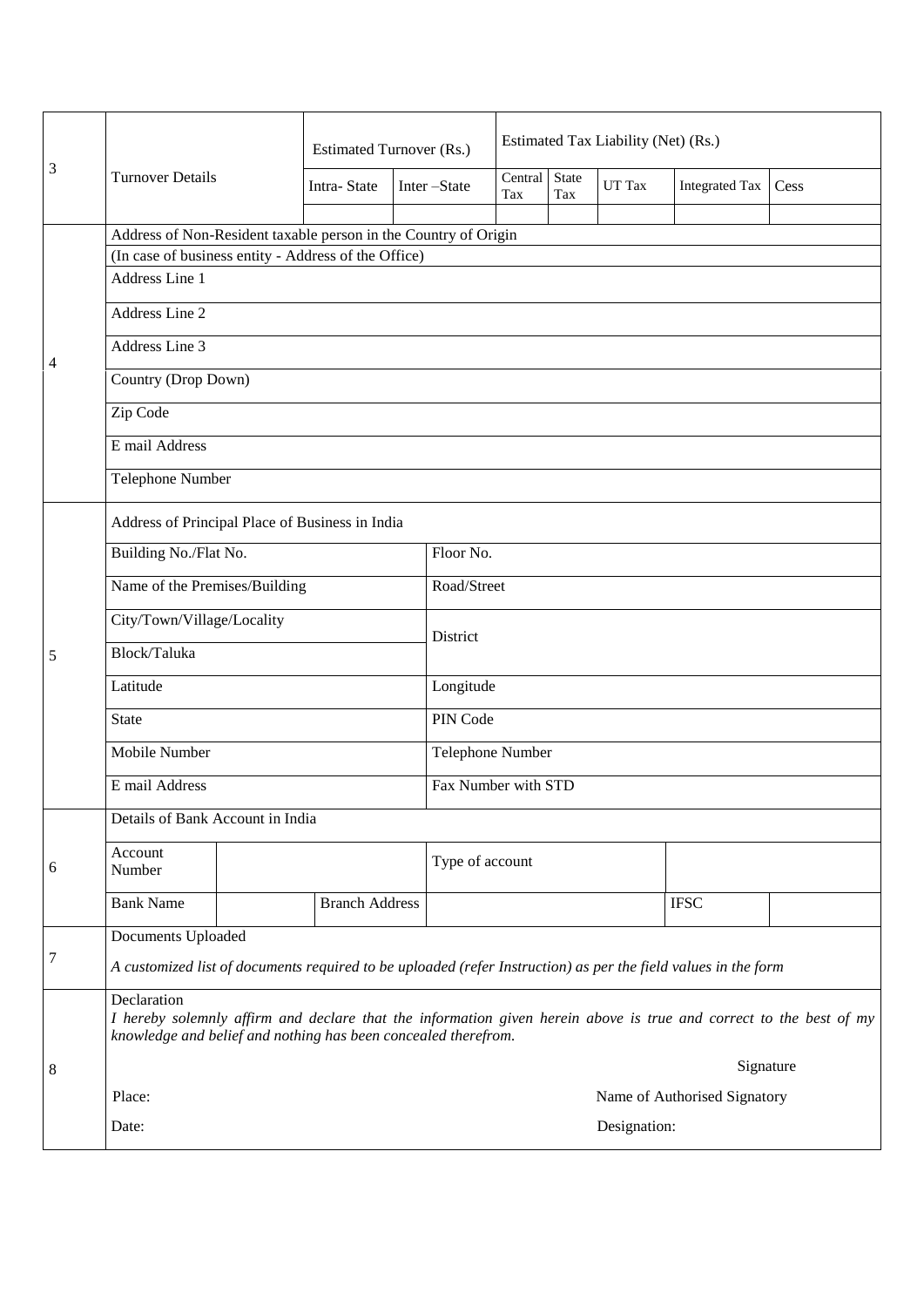|                |                                                                                                                                                                                                     |                | <b>Estimated Turnover (Rs.)</b> |  |                                                                                                                | Estimated Tax Liability (Net) (Rs.) |              |        |                       |      |  |
|----------------|-----------------------------------------------------------------------------------------------------------------------------------------------------------------------------------------------------|----------------|---------------------------------|--|----------------------------------------------------------------------------------------------------------------|-------------------------------------|--------------|--------|-----------------------|------|--|
| 3              | <b>Turnover Details</b>                                                                                                                                                                             |                | Intra-State                     |  | Inter-State                                                                                                    | Central<br>Tax                      | State<br>Tax | UT Tax | <b>Integrated Tax</b> | Cess |  |
|                |                                                                                                                                                                                                     |                |                                 |  |                                                                                                                |                                     |              |        |                       |      |  |
|                | Address of Non-Resident taxable person in the Country of Origin                                                                                                                                     |                |                                 |  |                                                                                                                |                                     |              |        |                       |      |  |
|                | (In case of business entity - Address of the Office)                                                                                                                                                |                |                                 |  |                                                                                                                |                                     |              |        |                       |      |  |
|                | Address Line 1                                                                                                                                                                                      |                |                                 |  |                                                                                                                |                                     |              |        |                       |      |  |
|                |                                                                                                                                                                                                     | Address Line 2 |                                 |  |                                                                                                                |                                     |              |        |                       |      |  |
| $\overline{4}$ | Address Line 3                                                                                                                                                                                      |                |                                 |  |                                                                                                                |                                     |              |        |                       |      |  |
|                | Country (Drop Down)                                                                                                                                                                                 |                |                                 |  |                                                                                                                |                                     |              |        |                       |      |  |
|                | Zip Code                                                                                                                                                                                            |                |                                 |  |                                                                                                                |                                     |              |        |                       |      |  |
|                | E mail Address                                                                                                                                                                                      |                |                                 |  |                                                                                                                |                                     |              |        |                       |      |  |
|                | Telephone Number                                                                                                                                                                                    |                |                                 |  |                                                                                                                |                                     |              |        |                       |      |  |
|                | Address of Principal Place of Business in India                                                                                                                                                     |                |                                 |  |                                                                                                                |                                     |              |        |                       |      |  |
|                | Building No./Flat No.                                                                                                                                                                               |                |                                 |  | Floor No.                                                                                                      |                                     |              |        |                       |      |  |
|                | Name of the Premises/Building                                                                                                                                                                       |                |                                 |  | Road/Street                                                                                                    |                                     |              |        |                       |      |  |
|                | City/Town/Village/Locality                                                                                                                                                                          |                |                                 |  | District                                                                                                       |                                     |              |        |                       |      |  |
| 5              | Block/Taluka                                                                                                                                                                                        |                |                                 |  |                                                                                                                |                                     |              |        |                       |      |  |
|                | Latitude                                                                                                                                                                                            |                |                                 |  | Longitude                                                                                                      |                                     |              |        |                       |      |  |
|                | <b>State</b>                                                                                                                                                                                        |                |                                 |  | PIN Code                                                                                                       |                                     |              |        |                       |      |  |
|                | Mobile Number                                                                                                                                                                                       |                |                                 |  | Telephone Number                                                                                               |                                     |              |        |                       |      |  |
|                | E mail Address                                                                                                                                                                                      |                |                                 |  | Fax Number with STD                                                                                            |                                     |              |        |                       |      |  |
|                | Details of Bank Account in India                                                                                                                                                                    |                |                                 |  |                                                                                                                |                                     |              |        |                       |      |  |
| 6              | Account<br>Number                                                                                                                                                                                   |                |                                 |  | Type of account                                                                                                |                                     |              |        |                       |      |  |
|                | <b>Bank Name</b>                                                                                                                                                                                    |                | <b>Branch Address</b>           |  |                                                                                                                |                                     |              |        | <b>IFSC</b>           |      |  |
|                | Documents Uploaded                                                                                                                                                                                  |                |                                 |  |                                                                                                                |                                     |              |        |                       |      |  |
| $\overline{7}$ |                                                                                                                                                                                                     |                |                                 |  | A customized list of documents required to be uploaded (refer Instruction) as per the field values in the form |                                     |              |        |                       |      |  |
|                | Declaration<br>I hereby solemnly affirm and declare that the information given herein above is true and correct to the best of my<br>knowledge and belief and nothing has been concealed therefrom. |                |                                 |  |                                                                                                                |                                     |              |        |                       |      |  |
| 8              |                                                                                                                                                                                                     |                |                                 |  | Signature                                                                                                      |                                     |              |        |                       |      |  |
|                | Place:                                                                                                                                                                                              |                |                                 |  | Name of Authorised Signatory                                                                                   |                                     |              |        |                       |      |  |
|                | Date:                                                                                                                                                                                               |                |                                 |  | Designation:                                                                                                   |                                     |              |        |                       |      |  |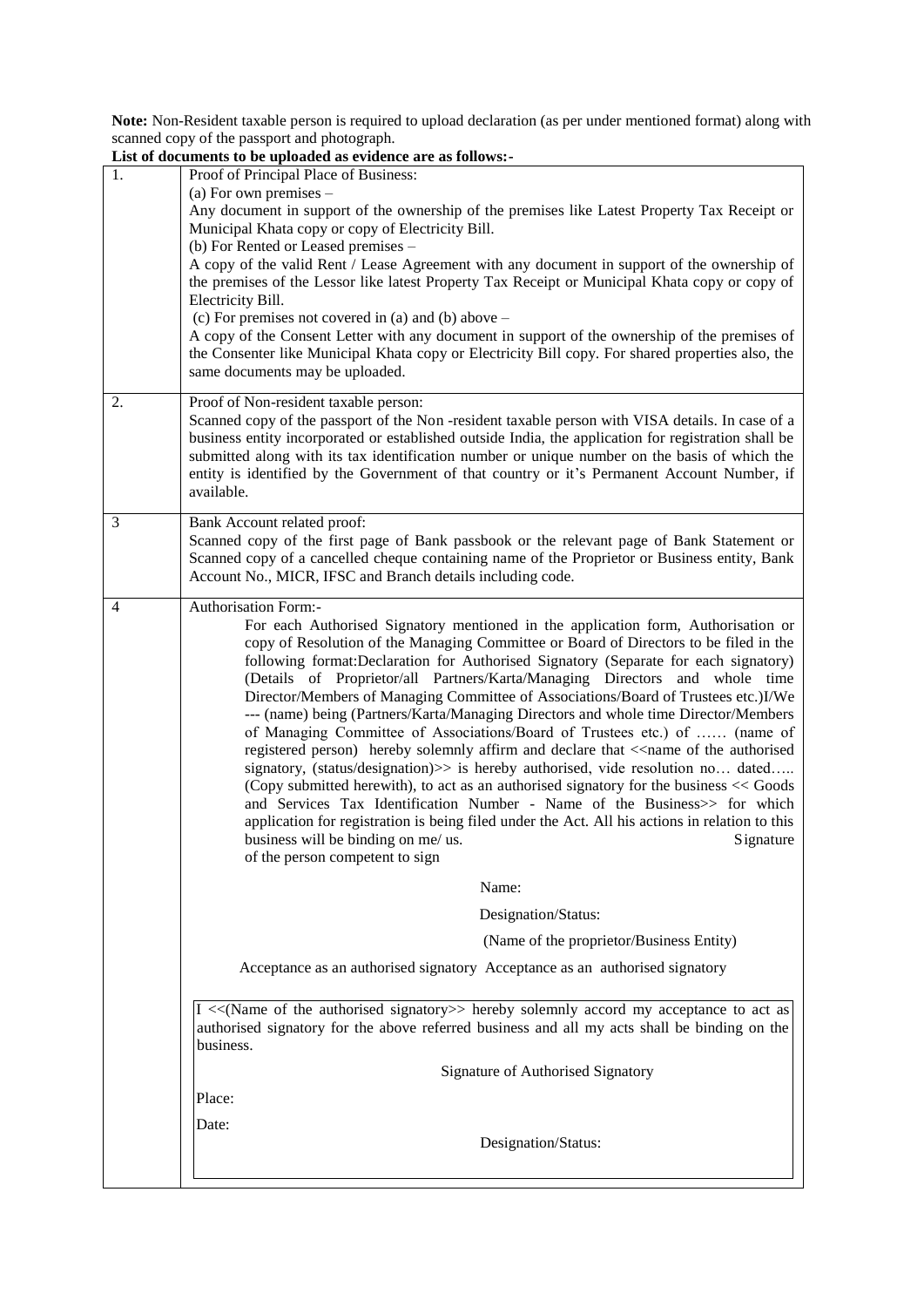**Note:** Non-Resident taxable person is required to upload declaration (as per under mentioned format) along with scanned copy of the passport and photograph.

|    | List of documents to be uploaded as evidence are as follows:-                                                                                                                                           |
|----|---------------------------------------------------------------------------------------------------------------------------------------------------------------------------------------------------------|
| 1. | Proof of Principal Place of Business:                                                                                                                                                                   |
|    | (a) For own premises $-$                                                                                                                                                                                |
|    | Any document in support of the ownership of the premises like Latest Property Tax Receipt or<br>Municipal Khata copy or copy of Electricity Bill.                                                       |
|    | (b) For Rented or Leased premises -                                                                                                                                                                     |
|    | A copy of the valid Rent / Lease Agreement with any document in support of the ownership of                                                                                                             |
|    | the premises of the Lessor like latest Property Tax Receipt or Municipal Khata copy or copy of                                                                                                          |
|    | Electricity Bill.                                                                                                                                                                                       |
|    | (c) For premises not covered in (a) and (b) above $-$                                                                                                                                                   |
|    | A copy of the Consent Letter with any document in support of the ownership of the premises of<br>the Consenter like Municipal Khata copy or Electricity Bill copy. For shared properties also, the      |
|    | same documents may be uploaded.                                                                                                                                                                         |
|    |                                                                                                                                                                                                         |
| 2. | Proof of Non-resident taxable person:                                                                                                                                                                   |
|    | Scanned copy of the passport of the Non-resident taxable person with VISA details. In case of a<br>business entity incorporated or established outside India, the application for registration shall be |
|    | submitted along with its tax identification number or unique number on the basis of which the                                                                                                           |
|    | entity is identified by the Government of that country or it's Permanent Account Number, if                                                                                                             |
|    | available.                                                                                                                                                                                              |
| 3  | Bank Account related proof:                                                                                                                                                                             |
|    | Scanned copy of the first page of Bank passbook or the relevant page of Bank Statement or                                                                                                               |
|    | Scanned copy of a cancelled cheque containing name of the Proprietor or Business entity, Bank                                                                                                           |
|    | Account No., MICR, IFSC and Branch details including code.                                                                                                                                              |
| 4  | <b>Authorisation Form:-</b>                                                                                                                                                                             |
|    | For each Authorised Signatory mentioned in the application form, Authorisation or                                                                                                                       |
|    | copy of Resolution of the Managing Committee or Board of Directors to be filed in the                                                                                                                   |
|    | following format: Declaration for Authorised Signatory (Separate for each signatory)                                                                                                                    |
|    | (Details of Proprietor/all Partners/Karta/Managing Directors and whole time                                                                                                                             |
|    | Director/Members of Managing Committee of Associations/Board of Trustees etc.)I/We<br>--- (name) being (Partners/Karta/Managing Directors and whole time Director/Members                               |
|    | of Managing Committee of Associations/Board of Trustees etc.) of  (name of                                                                                                                              |
|    | registered person) hereby solemnly affirm and declare that < <name authorised<="" of="" th="" the=""></name>                                                                                            |
|    | signatory, (status/designation)>> is hereby authorised, vide resolution no dated                                                                                                                        |
|    | (Copy submitted herewith), to act as an authorised signatory for the business << Goods                                                                                                                  |
|    | and Services Tax Identification Number - Name of the Business>> for which                                                                                                                               |
|    | application for registration is being filed under the Act. All his actions in relation to this                                                                                                          |
|    | business will be binding on me/ us.<br>Signature<br>of the person competent to sign                                                                                                                     |
|    |                                                                                                                                                                                                         |
|    | Name:                                                                                                                                                                                                   |
|    | Designation/Status:                                                                                                                                                                                     |
|    | (Name of the proprietor/Business Entity)                                                                                                                                                                |
|    | Acceptance as an authorised signatory Acceptance as an authorised signatory                                                                                                                             |
|    |                                                                                                                                                                                                         |
|    | I << (Name of the authorised signatory >> hereby solemnly accord my acceptance to act as                                                                                                                |
|    | authorised signatory for the above referred business and all my acts shall be binding on the                                                                                                            |
|    | business.                                                                                                                                                                                               |
|    | Signature of Authorised Signatory                                                                                                                                                                       |
|    | Place:                                                                                                                                                                                                  |
|    |                                                                                                                                                                                                         |
|    | Date:                                                                                                                                                                                                   |
|    | Designation/Status:                                                                                                                                                                                     |
|    |                                                                                                                                                                                                         |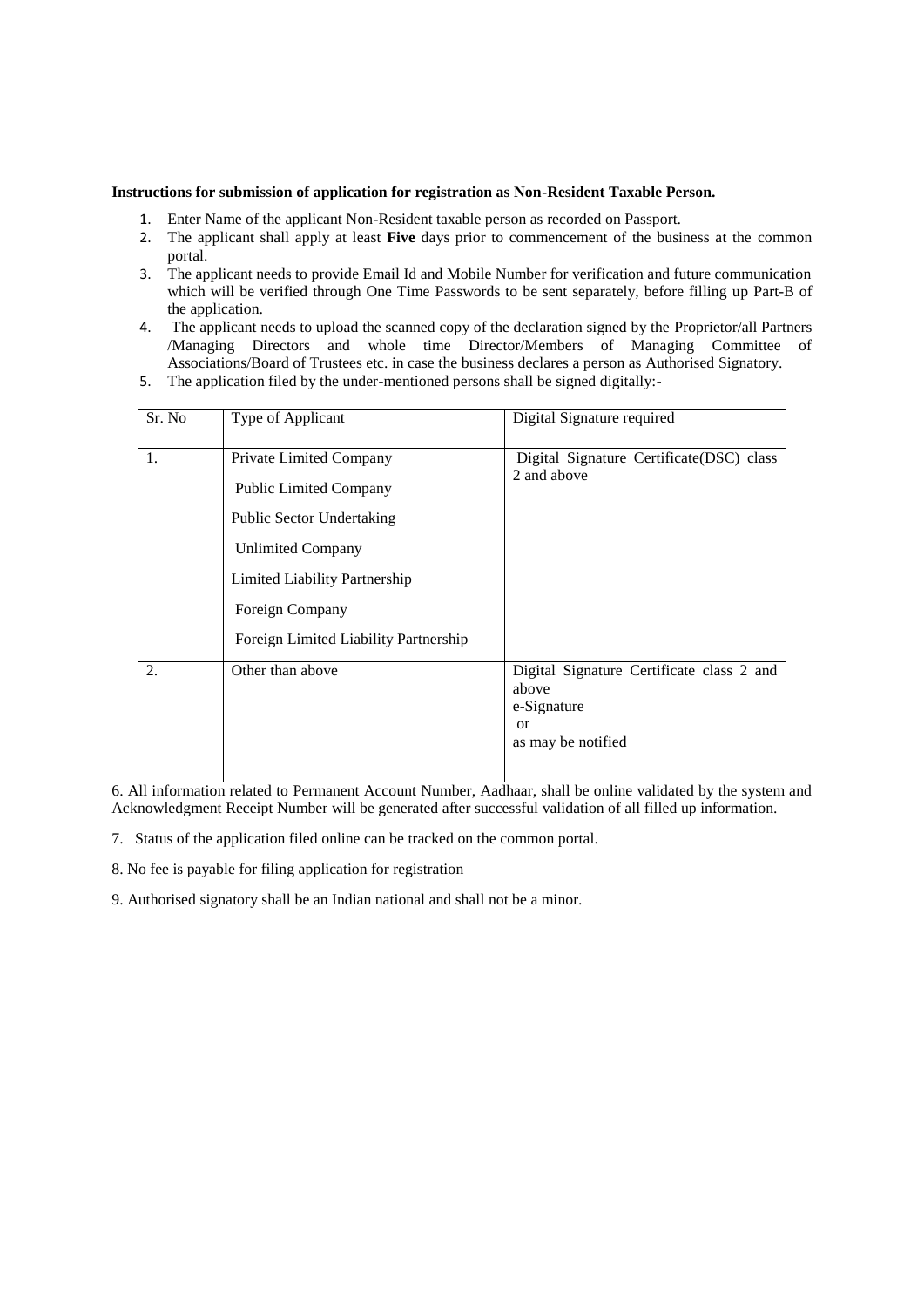#### **Instructions for submission of application for registration as Non-Resident Taxable Person.**

- 1. Enter Name of the applicant Non-Resident taxable person as recorded on Passport.
- 2. The applicant shall apply at least **Five** days prior to commencement of the business at the common portal.
- 3. The applicant needs to provide Email Id and Mobile Number for verification and future communication which will be verified through One Time Passwords to be sent separately, before filling up Part-B of the application.
- 4. The applicant needs to upload the scanned copy of the declaration signed by the Proprietor/all Partners /Managing Directors and whole time Director/Members of Managing Committee of Associations/Board of Trustees etc. in case the business declares a person as Authorised Signatory.
- 5. The application filed by the under-mentioned persons shall be signed digitally:-

| Sr. No | Type of Applicant                                        | Digital Signature required                                        |
|--------|----------------------------------------------------------|-------------------------------------------------------------------|
| 1.     | Private Limited Company<br><b>Public Limited Company</b> | Digital Signature Certificate(DSC) class<br>2 and above           |
|        | <b>Public Sector Undertaking</b>                         |                                                                   |
|        | <b>Unlimited Company</b>                                 |                                                                   |
|        | Limited Liability Partnership                            |                                                                   |
|        | Foreign Company                                          |                                                                   |
|        | Foreign Limited Liability Partnership                    |                                                                   |
| 2.     | Other than above                                         | Digital Signature Certificate class 2 and<br>above<br>e-Signature |
|        |                                                          | <sub>or</sub><br>as may be notified                               |

6. All information related to Permanent Account Number, Aadhaar, shall be online validated by the system and Acknowledgment Receipt Number will be generated after successful validation of all filled up information.

- 7. Status of the application filed online can be tracked on the common portal.
- 8. No fee is payable for filing application for registration
- 9. Authorised signatory shall be an Indian national and shall not be a minor.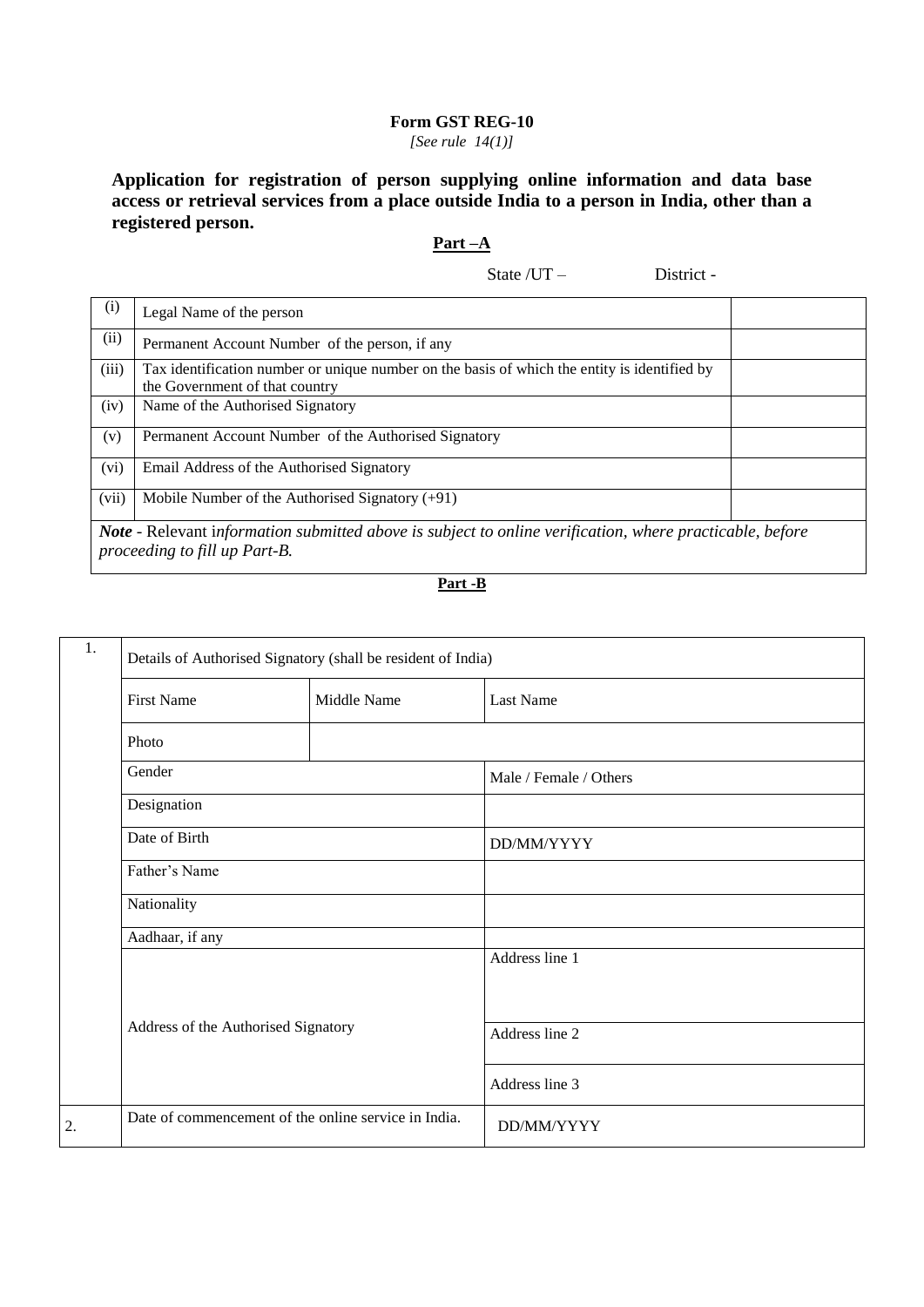## **Form GST REG-10** *[See rule 14(1)]*

**Application for registration of person supplying online information and data base access or retrieval services from a place outside India to a person in India, other than a registered person.**

## **Part –A**

State /UT – District -

| (i)   | Legal Name of the person                                                                                                                  |  |  |  |
|-------|-------------------------------------------------------------------------------------------------------------------------------------------|--|--|--|
| (ii)  | Permanent Account Number of the person, if any                                                                                            |  |  |  |
| (iii) | Tax identification number or unique number on the basis of which the entity is identified by<br>the Government of that country            |  |  |  |
| (iv)  | Name of the Authorised Signatory                                                                                                          |  |  |  |
| (v)   | Permanent Account Number of the Authorised Signatory                                                                                      |  |  |  |
| (vi)  | Email Address of the Authorised Signatory                                                                                                 |  |  |  |
| (vii) | Mobile Number of the Authorised Signatory $(+91)$                                                                                         |  |  |  |
|       | Note - Relevant information submitted above is subject to online verification, where practicable, before<br>proceeding to fill up Part-B. |  |  |  |

## **Part -B**

| 1. | Details of Authorised Signatory (shall be resident of India) |             |                        |  |
|----|--------------------------------------------------------------|-------------|------------------------|--|
|    | <b>First Name</b>                                            | Middle Name | <b>Last Name</b>       |  |
|    | Photo                                                        |             |                        |  |
|    | Gender                                                       |             | Male / Female / Others |  |
|    | Designation                                                  |             |                        |  |
|    | Date of Birth<br>Father's Name                               |             | DD/MM/YYYY             |  |
|    |                                                              |             |                        |  |
|    | Nationality                                                  |             |                        |  |
|    | Aadhaar, if any                                              |             |                        |  |
|    |                                                              |             | Address line 1         |  |
|    | Address of the Authorised Signatory                          |             | Address line 2         |  |
|    |                                                              |             | Address line 3         |  |
| 2. | Date of commencement of the online service in India.         |             | DD/MM/YYYY             |  |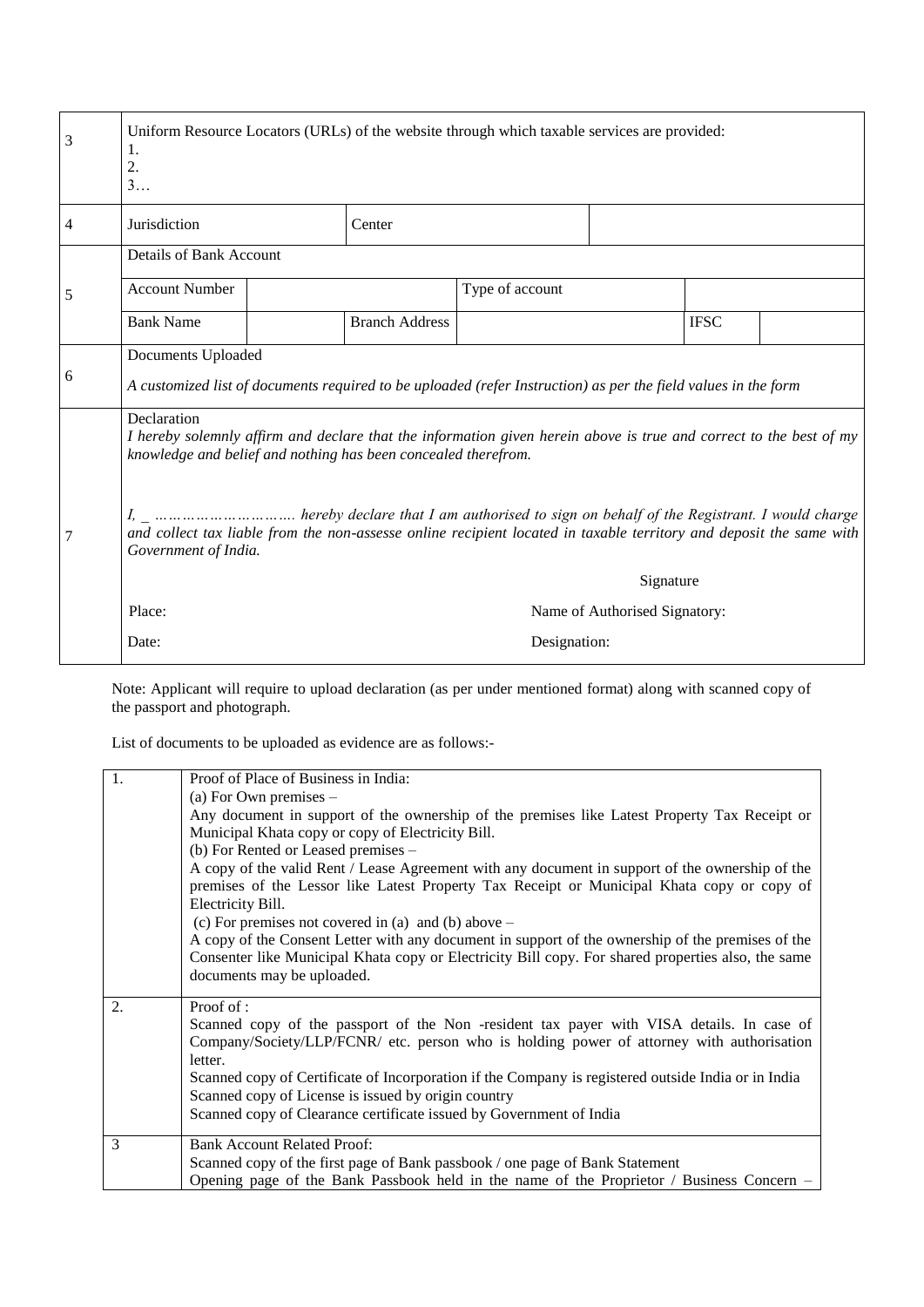| 3 | Uniform Resource Locators (URLs) of the website through which taxable services are provided:<br>1.<br>$\overline{2}$ .<br>3                 |  |                       |                                                                                                                    |                               |             |  |
|---|---------------------------------------------------------------------------------------------------------------------------------------------|--|-----------------------|--------------------------------------------------------------------------------------------------------------------|-------------------------------|-------------|--|
| 4 | Jurisdiction                                                                                                                                |  | Center                |                                                                                                                    |                               |             |  |
|   | Details of Bank Account                                                                                                                     |  |                       |                                                                                                                    |                               |             |  |
| 5 | <b>Account Number</b>                                                                                                                       |  |                       | Type of account                                                                                                    |                               |             |  |
|   | <b>Bank Name</b>                                                                                                                            |  | <b>Branch Address</b> |                                                                                                                    |                               | <b>IFSC</b> |  |
| 6 | Documents Uploaded                                                                                                                          |  |                       | A customized list of documents required to be uploaded (refer Instruction) as per the field values in the form     |                               |             |  |
|   | Declaration<br>knowledge and belief and nothing has been concealed therefrom.                                                               |  |                       | I hereby solemnly affirm and declare that the information given herein above is true and correct to the best of my |                               |             |  |
|   | and collect tax liable from the non-assesse online recipient located in taxable territory and deposit the same with<br>Government of India. |  |                       |                                                                                                                    |                               |             |  |
|   |                                                                                                                                             |  |                       |                                                                                                                    | Signature                     |             |  |
|   | Place:                                                                                                                                      |  |                       |                                                                                                                    | Name of Authorised Signatory: |             |  |
|   | Designation:<br>Date:                                                                                                                       |  |                       |                                                                                                                    |                               |             |  |

Note: Applicant will require to upload declaration (as per under mentioned format) along with scanned copy of the passport and photograph.

List of documents to be uploaded as evidence are as follows:-

| 1. | Proof of Place of Business in India:                                                                |
|----|-----------------------------------------------------------------------------------------------------|
|    | (a) For Own premises $-$                                                                            |
|    | Any document in support of the ownership of the premises like Latest Property Tax Receipt or        |
|    | Municipal Khata copy or copy of Electricity Bill.                                                   |
|    | (b) For Rented or Leased premises –                                                                 |
|    | A copy of the valid Rent / Lease Agreement with any document in support of the ownership of the     |
|    | premises of the Lessor like Latest Property Tax Receipt or Municipal Khata copy or copy of          |
|    | Electricity Bill.                                                                                   |
|    | (c) For premises not covered in (a) and (b) above $-$                                               |
|    | A copy of the Consent Letter with any document in support of the ownership of the premises of the   |
|    | Consenter like Municipal Khata copy or Electricity Bill copy. For shared properties also, the same  |
|    | documents may be uploaded.                                                                          |
| 2. | Proof of:                                                                                           |
|    | Scanned copy of the passport of the Non -resident tax payer with VISA details. In case of           |
|    | Company/Society/LLP/FCNR/ etc. person who is holding power of attorney with authorisation           |
|    | letter.                                                                                             |
|    | Scanned copy of Certificate of Incorporation if the Company is registered outside India or in India |
|    | Scanned copy of License is issued by origin country                                                 |
|    | Scanned copy of Clearance certificate issued by Government of India                                 |
| 3  | <b>Bank Account Related Proof:</b>                                                                  |
|    | Scanned copy of the first page of Bank passbook / one page of Bank Statement                        |
|    | Opening page of the Bank Passbook held in the name of the Proprietor / Business Concern $-$         |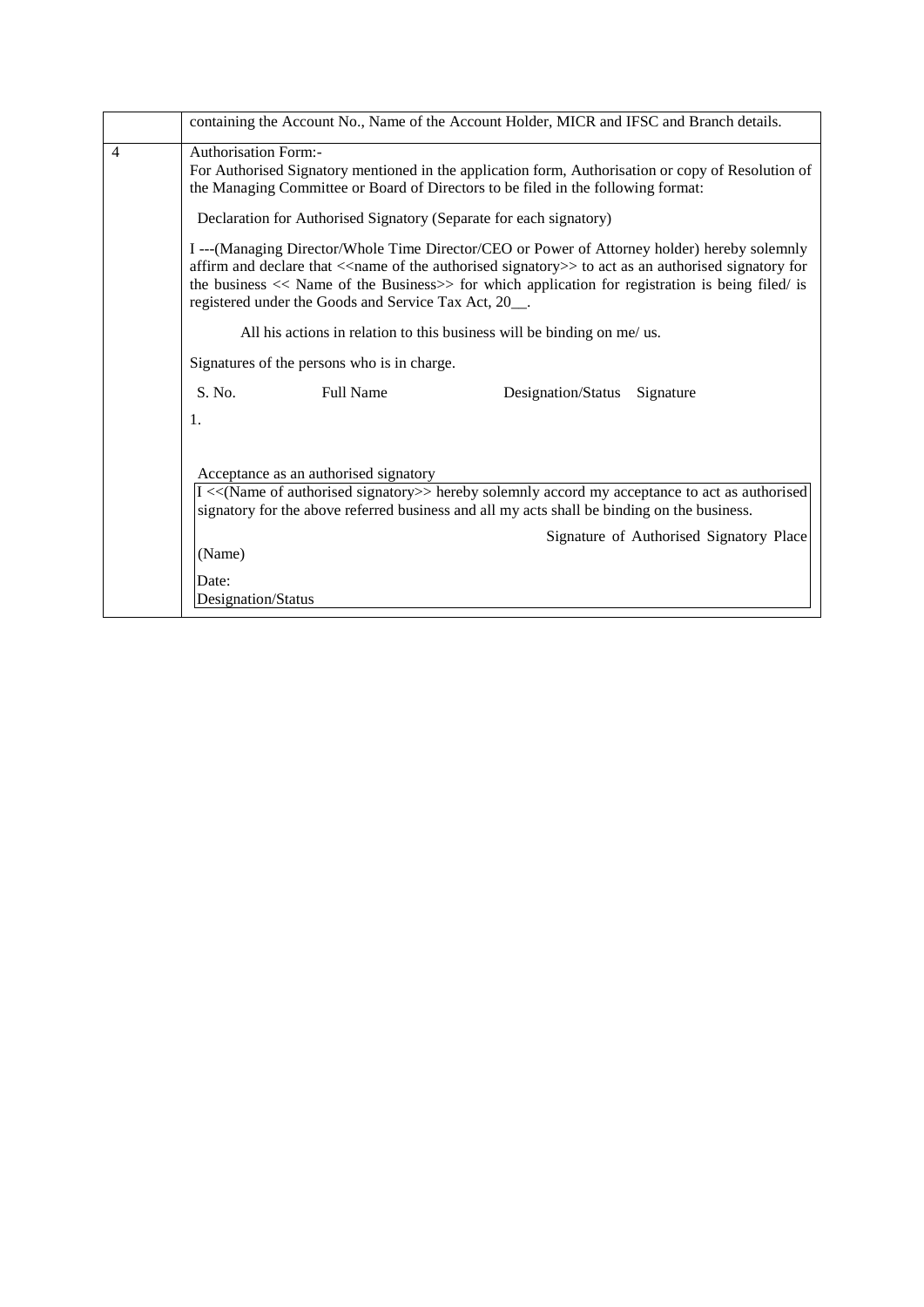|                | containing the Account No., Name of the Account Holder, MICR and IFSC and Branch details.                                                                                                                                                                                                                                                                                                                                                  |  |  |  |  |  |
|----------------|--------------------------------------------------------------------------------------------------------------------------------------------------------------------------------------------------------------------------------------------------------------------------------------------------------------------------------------------------------------------------------------------------------------------------------------------|--|--|--|--|--|
| $\overline{4}$ | <b>Authorisation Form:-</b><br>For Authorised Signatory mentioned in the application form, Authorisation or copy of Resolution of<br>the Managing Committee or Board of Directors to be filed in the following format:                                                                                                                                                                                                                     |  |  |  |  |  |
|                | Declaration for Authorised Signatory (Separate for each signatory)                                                                                                                                                                                                                                                                                                                                                                         |  |  |  |  |  |
|                | I --- (Managing Director/Whole Time Director/CEO or Power of Attorney holder) hereby solemnly<br>affirm and declare that < <name authorised="" of="" signatory="" the="">&gt; to act as an authorised signatory for<br/>the business <math>&lt;&lt;</math> Name of the Business<math>&gt;&gt;</math> for which application for registration is being filed/ is<br/>registered under the Goods and Service Tax Act, 20<sub>__</sub>.</name> |  |  |  |  |  |
|                | All his actions in relation to this business will be binding on me/ us.                                                                                                                                                                                                                                                                                                                                                                    |  |  |  |  |  |
|                | Signatures of the persons who is in charge.                                                                                                                                                                                                                                                                                                                                                                                                |  |  |  |  |  |
|                | S. No.<br><b>Full Name</b><br>Designation/Status<br>Signature                                                                                                                                                                                                                                                                                                                                                                              |  |  |  |  |  |
|                | 1.                                                                                                                                                                                                                                                                                                                                                                                                                                         |  |  |  |  |  |
|                | Acceptance as an authorised signatory<br>I << (Name of authorised signatory>> hereby solemnly accord my acceptance to act as authorised<br>signatory for the above referred business and all my acts shall be binding on the business.<br>Signature of Authorised Signatory Place                                                                                                                                                          |  |  |  |  |  |
|                | (Name)                                                                                                                                                                                                                                                                                                                                                                                                                                     |  |  |  |  |  |
|                | Date:                                                                                                                                                                                                                                                                                                                                                                                                                                      |  |  |  |  |  |
|                | Designation/Status                                                                                                                                                                                                                                                                                                                                                                                                                         |  |  |  |  |  |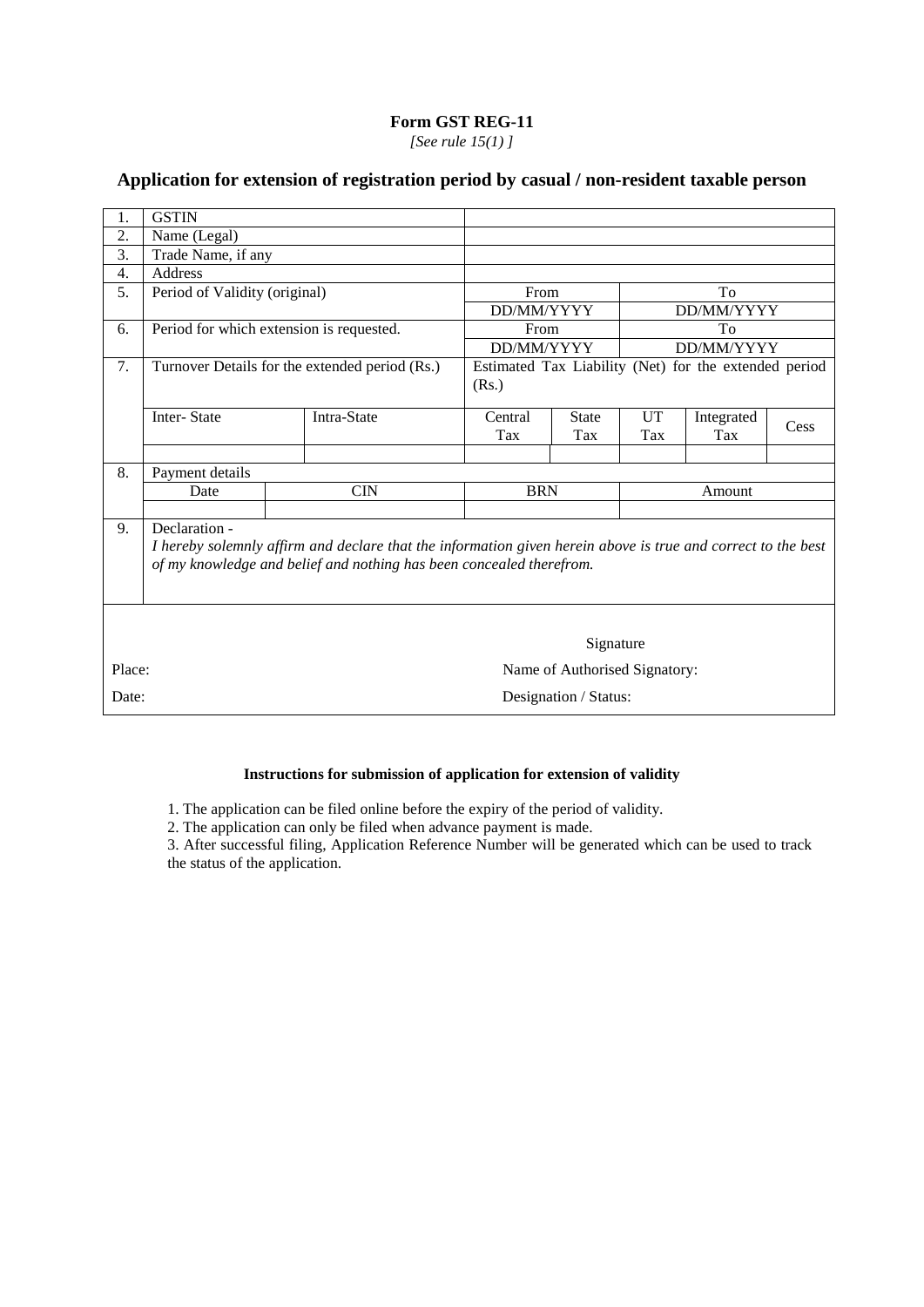*[See rule 15(1) ]*

# **Application for extension of registration period by casual / non-resident taxable person**

| 1.     | <b>GSTIN</b>                                                                                                                                                                                          |                                                |            |                               |        |                                                       |      |
|--------|-------------------------------------------------------------------------------------------------------------------------------------------------------------------------------------------------------|------------------------------------------------|------------|-------------------------------|--------|-------------------------------------------------------|------|
| 2.     | Name (Legal)                                                                                                                                                                                          |                                                |            |                               |        |                                                       |      |
| 3.     | Trade Name, if any                                                                                                                                                                                    |                                                |            |                               |        |                                                       |      |
| 4.     | Address                                                                                                                                                                                               |                                                |            |                               |        |                                                       |      |
| 5.     | Period of Validity (original)                                                                                                                                                                         |                                                | From       |                               |        | To                                                    |      |
|        |                                                                                                                                                                                                       |                                                | DD/MM/YYYY |                               |        | DD/MM/YYYY                                            |      |
| 6.     | Period for which extension is requested.                                                                                                                                                              |                                                | From       |                               |        | To                                                    |      |
|        |                                                                                                                                                                                                       |                                                | DD/MM/YYYY |                               |        | DD/MM/YYYY                                            |      |
| 7.     |                                                                                                                                                                                                       | Turnover Details for the extended period (Rs.) |            |                               |        | Estimated Tax Liability (Net) for the extended period |      |
|        |                                                                                                                                                                                                       |                                                | (Rs.)      |                               |        |                                                       |      |
|        | Inter-State                                                                                                                                                                                           | Intra-State                                    | Central    | <b>State</b>                  | UT     | Integrated                                            |      |
|        |                                                                                                                                                                                                       |                                                | Tax        | Tax                           | Tax    | Tax                                                   | Cess |
|        |                                                                                                                                                                                                       |                                                |            |                               |        |                                                       |      |
| 8.     | Payment details                                                                                                                                                                                       |                                                |            |                               |        |                                                       |      |
|        | Date                                                                                                                                                                                                  | <b>CIN</b>                                     | <b>BRN</b> |                               | Amount |                                                       |      |
|        |                                                                                                                                                                                                       |                                                |            |                               |        |                                                       |      |
| 9.     | Declaration -<br>I hereby solemnly affirm and declare that the information given herein above is true and correct to the best<br>of my knowledge and belief and nothing has been concealed therefrom. |                                                |            |                               |        |                                                       |      |
|        | Signature                                                                                                                                                                                             |                                                |            |                               |        |                                                       |      |
| Place: |                                                                                                                                                                                                       |                                                |            | Name of Authorised Signatory: |        |                                                       |      |
| Date:  |                                                                                                                                                                                                       |                                                |            | Designation / Status:         |        |                                                       |      |

## **Instructions for submission of application for extension of validity**

1. The application can be filed online before the expiry of the period of validity.

2. The application can only be filed when advance payment is made.

3. After successful filing, Application Reference Number will be generated which can be used to track the status of the application.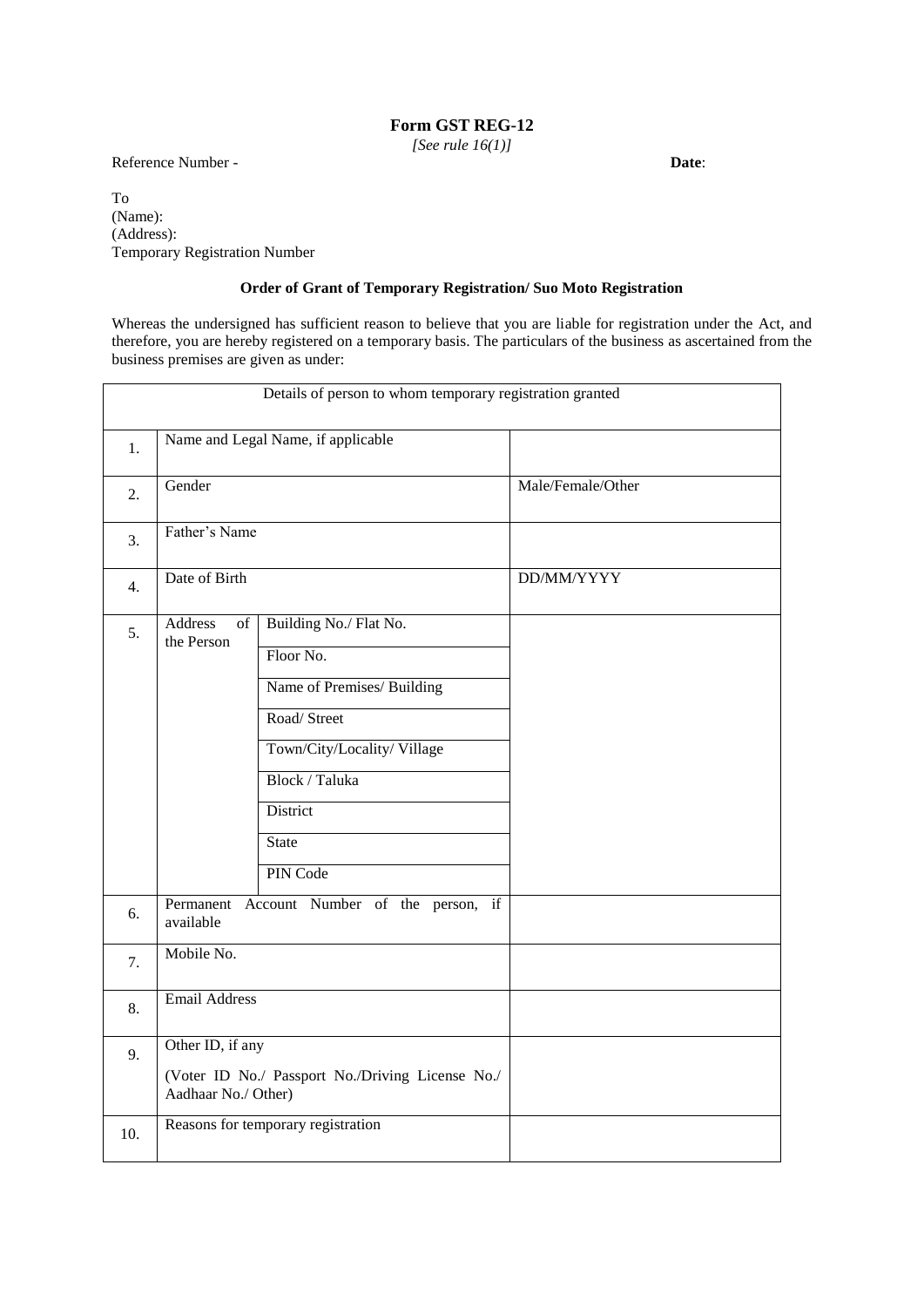*[See rule 16(1)]*

Reference Number - **Date**:

To (Name): (Address): Temporary Registration Number

## **Order of Grant of Temporary Registration/ Suo Moto Registration**

Whereas the undersigned has sufficient reason to believe that you are liable for registration under the Act, and therefore, you are hereby registered on a temporary basis. The particulars of the business as ascertained from the business premises are given as under:

|     |                                         | Details of person to whom temporary registration granted                                                                                                                 |                   |
|-----|-----------------------------------------|--------------------------------------------------------------------------------------------------------------------------------------------------------------------------|-------------------|
| 1.  |                                         | Name and Legal Name, if applicable                                                                                                                                       |                   |
| 2.  | Gender                                  |                                                                                                                                                                          | Male/Female/Other |
| 3.  | Father's Name                           |                                                                                                                                                                          |                   |
| 4.  | Date of Birth                           |                                                                                                                                                                          | DD/MM/YYYY        |
| 5.  | <b>Address</b><br>of<br>the Person      | Building No./ Flat No.<br>Floor No.<br>Name of Premises/ Building<br>Road/Street<br>Town/City/Locality/Village<br>Block / Taluka<br>District<br><b>State</b><br>PIN Code |                   |
| 6.  | available                               | Permanent Account Number of the person, if                                                                                                                               |                   |
| 7.  | Mobile No.                              |                                                                                                                                                                          |                   |
| 8.  | <b>Email Address</b>                    |                                                                                                                                                                          |                   |
| 9.  | Other ID, if any<br>Aadhaar No./ Other) | (Voter ID No./ Passport No./Driving License No./                                                                                                                         |                   |
| 10. |                                         | Reasons for temporary registration                                                                                                                                       |                   |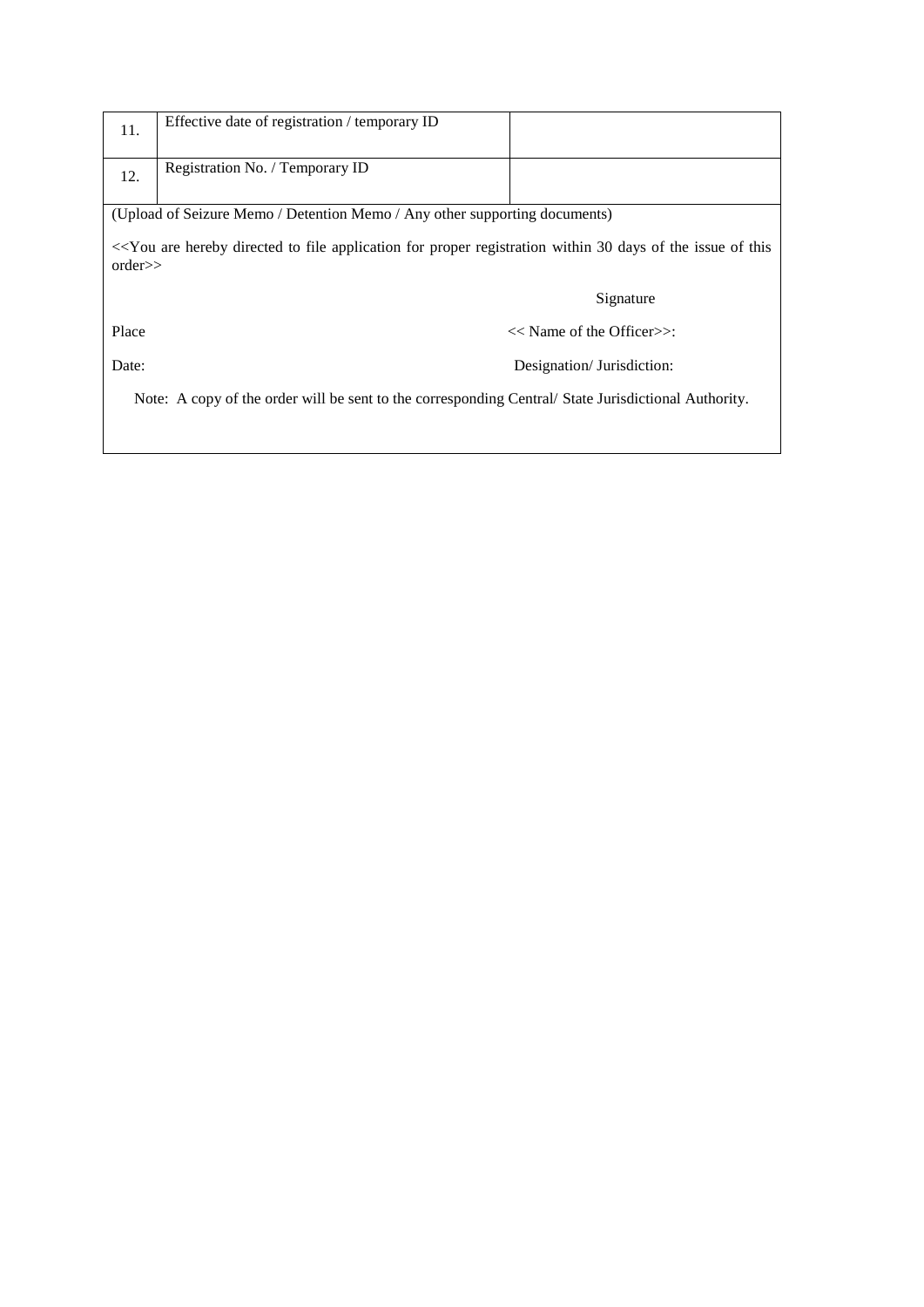| 11.                                                                                                 | Effective date of registration / temporary ID                                                                                                                           |                                 |  |  |
|-----------------------------------------------------------------------------------------------------|-------------------------------------------------------------------------------------------------------------------------------------------------------------------------|---------------------------------|--|--|
|                                                                                                     |                                                                                                                                                                         |                                 |  |  |
| 12.                                                                                                 | Registration No. / Temporary ID                                                                                                                                         |                                 |  |  |
|                                                                                                     |                                                                                                                                                                         |                                 |  |  |
|                                                                                                     | (Upload of Seizure Memo / Detention Memo / Any other supporting documents)                                                                                              |                                 |  |  |
|                                                                                                     | < <you 30="" application="" are="" days="" directed="" file="" for="" hereby="" issue="" of="" proper="" registration="" the="" this<br="" to="" within="">orders</you> |                                 |  |  |
|                                                                                                     |                                                                                                                                                                         | Signature                       |  |  |
| Place                                                                                               |                                                                                                                                                                         | $<<$ Name of the Officer $>>$ : |  |  |
| Date:                                                                                               |                                                                                                                                                                         | Designation/ Jurisdiction:      |  |  |
| Note: A copy of the order will be sent to the corresponding Central/State Jurisdictional Authority. |                                                                                                                                                                         |                                 |  |  |
|                                                                                                     |                                                                                                                                                                         |                                 |  |  |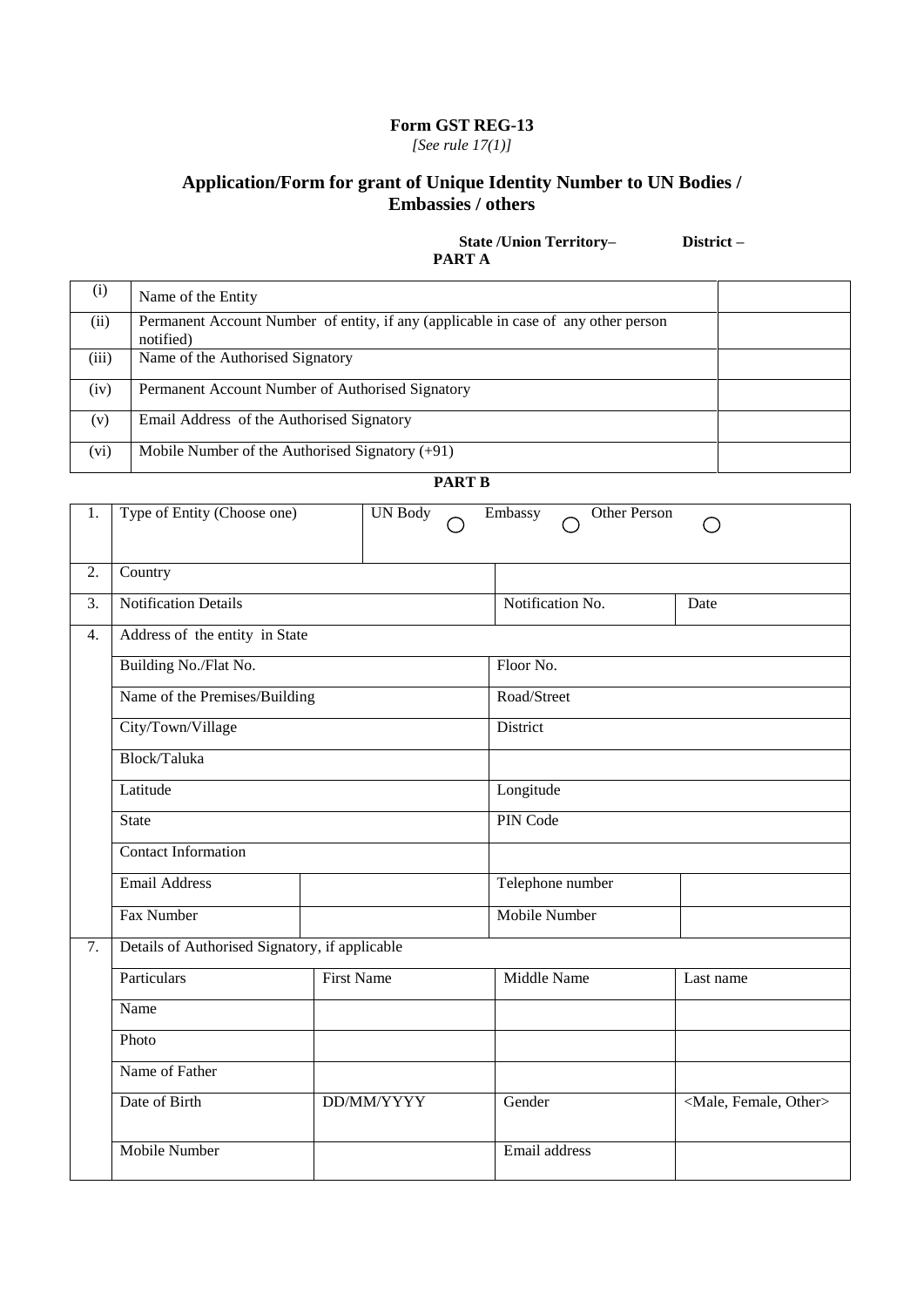*[See rule 17(1)]*

# **Application/Form for grant of Unique Identity Number to UN Bodies / Embassies / others**

## **State /Union Territory– District – PART A**

| (1)   | Name of the Entity                                                                              |  |
|-------|-------------------------------------------------------------------------------------------------|--|
| (ii)  | Permanent Account Number of entity, if any (applicable in case of any other person<br>notified) |  |
| (iii) | Name of the Authorised Signatory                                                                |  |
| (iv)  | Permanent Account Number of Authorised Signatory                                                |  |
| (v)   | Email Address of the Authorised Signatory                                                       |  |
| (vi)  | Mobile Number of the Authorised Signatory $(+91)$                                               |  |

## **PART B**

| 1. | Type of Entity (Choose one)                    | <b>UN Body</b>    | Other Person<br>Embassy |                                     |  |  |
|----|------------------------------------------------|-------------------|-------------------------|-------------------------------------|--|--|
| 2. | Country                                        |                   |                         |                                     |  |  |
| 3. | <b>Notification Details</b>                    |                   | Notification No.        | Date                                |  |  |
| 4. | Address of the entity in State                 |                   |                         |                                     |  |  |
|    | Building No./Flat No.                          |                   | Floor No.               |                                     |  |  |
|    | Name of the Premises/Building                  |                   | Road/Street             |                                     |  |  |
|    | City/Town/Village                              |                   | District                |                                     |  |  |
|    | Block/Taluka                                   |                   |                         |                                     |  |  |
|    | Latitude                                       |                   | Longitude               |                                     |  |  |
|    | <b>State</b>                                   |                   |                         | PIN Code                            |  |  |
|    | <b>Contact Information</b>                     |                   |                         |                                     |  |  |
|    | <b>Email Address</b>                           |                   | Telephone number        |                                     |  |  |
|    | Fax Number                                     |                   | <b>Mobile Number</b>    |                                     |  |  |
| 7. | Details of Authorised Signatory, if applicable |                   |                         |                                     |  |  |
|    | Particulars                                    | <b>First Name</b> | <b>Middle Name</b>      | Last name                           |  |  |
|    | Name                                           |                   |                         |                                     |  |  |
|    | Photo                                          |                   |                         |                                     |  |  |
|    | Name of Father                                 |                   |                         |                                     |  |  |
|    | Date of Birth                                  | DD/MM/YYYY        | Gender                  | <male, female,="" other=""></male,> |  |  |
|    | <b>Mobile Number</b>                           |                   | Email address           |                                     |  |  |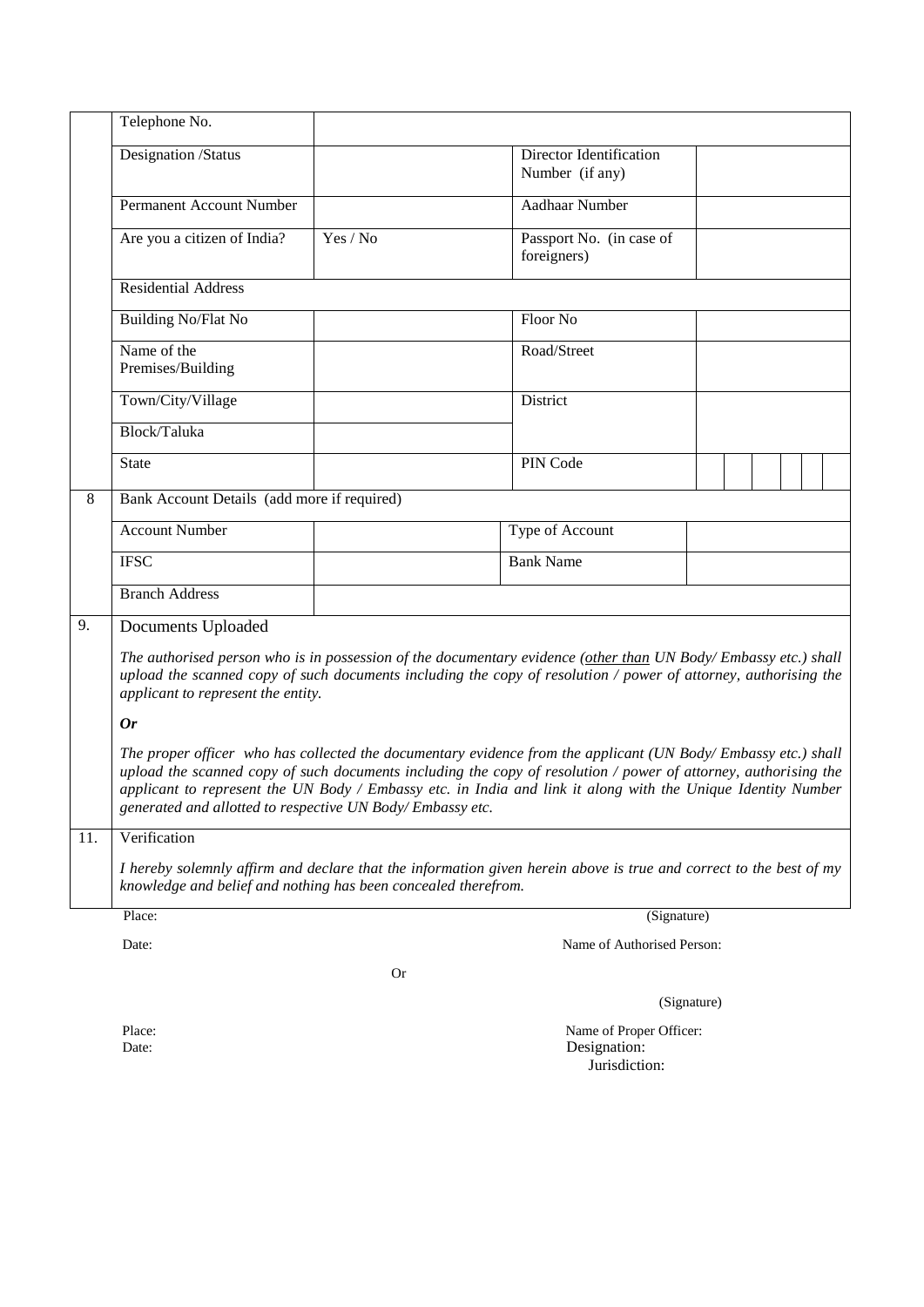|     | Telephone No.                                                                                                                                                                                                                                                                                                                                                                                                 |             |                                            |  |  |  |  |  |
|-----|---------------------------------------------------------------------------------------------------------------------------------------------------------------------------------------------------------------------------------------------------------------------------------------------------------------------------------------------------------------------------------------------------------------|-------------|--------------------------------------------|--|--|--|--|--|
|     | Designation /Status                                                                                                                                                                                                                                                                                                                                                                                           |             | Director Identification<br>Number (if any) |  |  |  |  |  |
|     | <b>Permanent Account Number</b>                                                                                                                                                                                                                                                                                                                                                                               |             | Aadhaar Number                             |  |  |  |  |  |
|     | Are you a citizen of India?                                                                                                                                                                                                                                                                                                                                                                                   | Yes / No    | Passport No. (in case of<br>foreigners)    |  |  |  |  |  |
|     | <b>Residential Address</b>                                                                                                                                                                                                                                                                                                                                                                                    |             |                                            |  |  |  |  |  |
|     | <b>Building No/Flat No</b>                                                                                                                                                                                                                                                                                                                                                                                    |             | Floor No                                   |  |  |  |  |  |
|     | Name of the<br>Premises/Building                                                                                                                                                                                                                                                                                                                                                                              |             | Road/Street                                |  |  |  |  |  |
|     | Town/City/Village                                                                                                                                                                                                                                                                                                                                                                                             |             | District                                   |  |  |  |  |  |
|     | Block/Taluka                                                                                                                                                                                                                                                                                                                                                                                                  |             |                                            |  |  |  |  |  |
|     | <b>State</b>                                                                                                                                                                                                                                                                                                                                                                                                  |             | PIN Code                                   |  |  |  |  |  |
| 8   | Bank Account Details (add more if required)                                                                                                                                                                                                                                                                                                                                                                   |             |                                            |  |  |  |  |  |
|     | <b>Account Number</b>                                                                                                                                                                                                                                                                                                                                                                                         |             | Type of Account                            |  |  |  |  |  |
|     | <b>IFSC</b>                                                                                                                                                                                                                                                                                                                                                                                                   |             | <b>Bank Name</b>                           |  |  |  |  |  |
|     | <b>Branch Address</b>                                                                                                                                                                                                                                                                                                                                                                                         |             |                                            |  |  |  |  |  |
| 9.  | Documents Uploaded                                                                                                                                                                                                                                                                                                                                                                                            |             |                                            |  |  |  |  |  |
|     | The authorised person who is in possession of the documentary evidence (other than UN Body/Embassy etc.) shall<br>upload the scanned copy of such documents including the copy of resolution / power of attorney, authorising the<br>applicant to represent the entity.                                                                                                                                       |             |                                            |  |  |  |  |  |
|     | <b>Or</b>                                                                                                                                                                                                                                                                                                                                                                                                     |             |                                            |  |  |  |  |  |
|     | The proper officer who has collected the documentary evidence from the applicant (UN Body/Embassy etc.) shall<br>upload the scanned copy of such documents including the copy of resolution / power of attorney, authorising the<br>applicant to represent the UN Body / Embassy etc. in India and link it along with the Unique Identity Number<br>generated and allotted to respective UN Body/Embassy etc. |             |                                            |  |  |  |  |  |
| 11. | Verification                                                                                                                                                                                                                                                                                                                                                                                                  |             |                                            |  |  |  |  |  |
|     | I hereby solemnly affirm and declare that the information given herein above is true and correct to the best of my<br>knowledge and belief and nothing has been concealed therefrom.                                                                                                                                                                                                                          |             |                                            |  |  |  |  |  |
|     | Place:<br>(Signature)                                                                                                                                                                                                                                                                                                                                                                                         |             |                                            |  |  |  |  |  |
|     | Name of Authorised Person:<br>Date:                                                                                                                                                                                                                                                                                                                                                                           |             |                                            |  |  |  |  |  |
|     | <b>Or</b>                                                                                                                                                                                                                                                                                                                                                                                                     |             |                                            |  |  |  |  |  |
|     |                                                                                                                                                                                                                                                                                                                                                                                                               | (Signature) |                                            |  |  |  |  |  |
|     | Place:<br>Name of Proper Officer:<br>Designation:<br>Date:<br>Jurisdiction:                                                                                                                                                                                                                                                                                                                                   |             |                                            |  |  |  |  |  |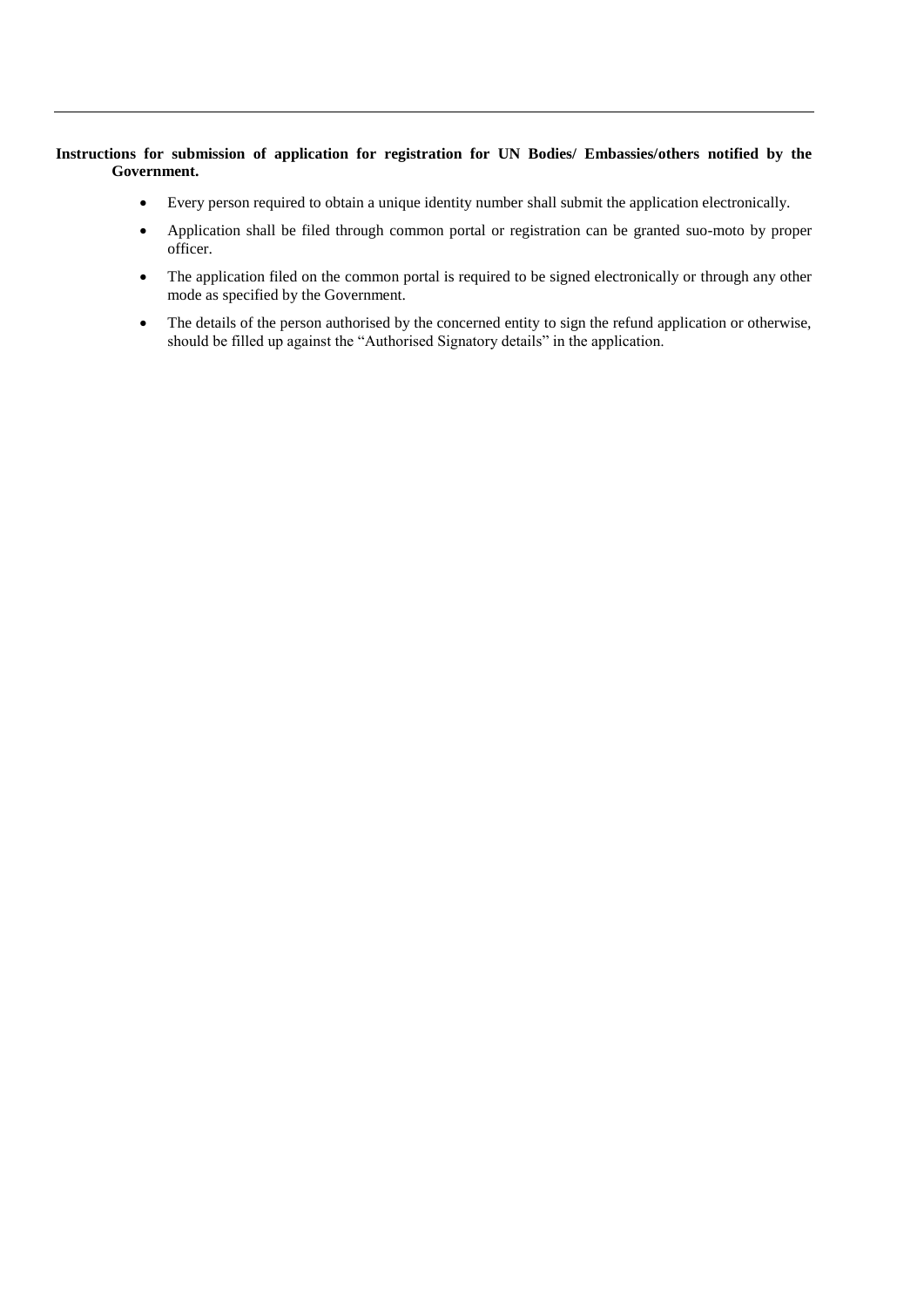#### **Instructions for submission of application for registration for UN Bodies/ Embassies/others notified by the Government.**

- Every person required to obtain a unique identity number shall submit the application electronically.
- Application shall be filed through common portal or registration can be granted suo-moto by proper officer.
- The application filed on the common portal is required to be signed electronically or through any other mode as specified by the Government.
- The details of the person authorised by the concerned entity to sign the refund application or otherwise, should be filled up against the "Authorised Signatory details" in the application.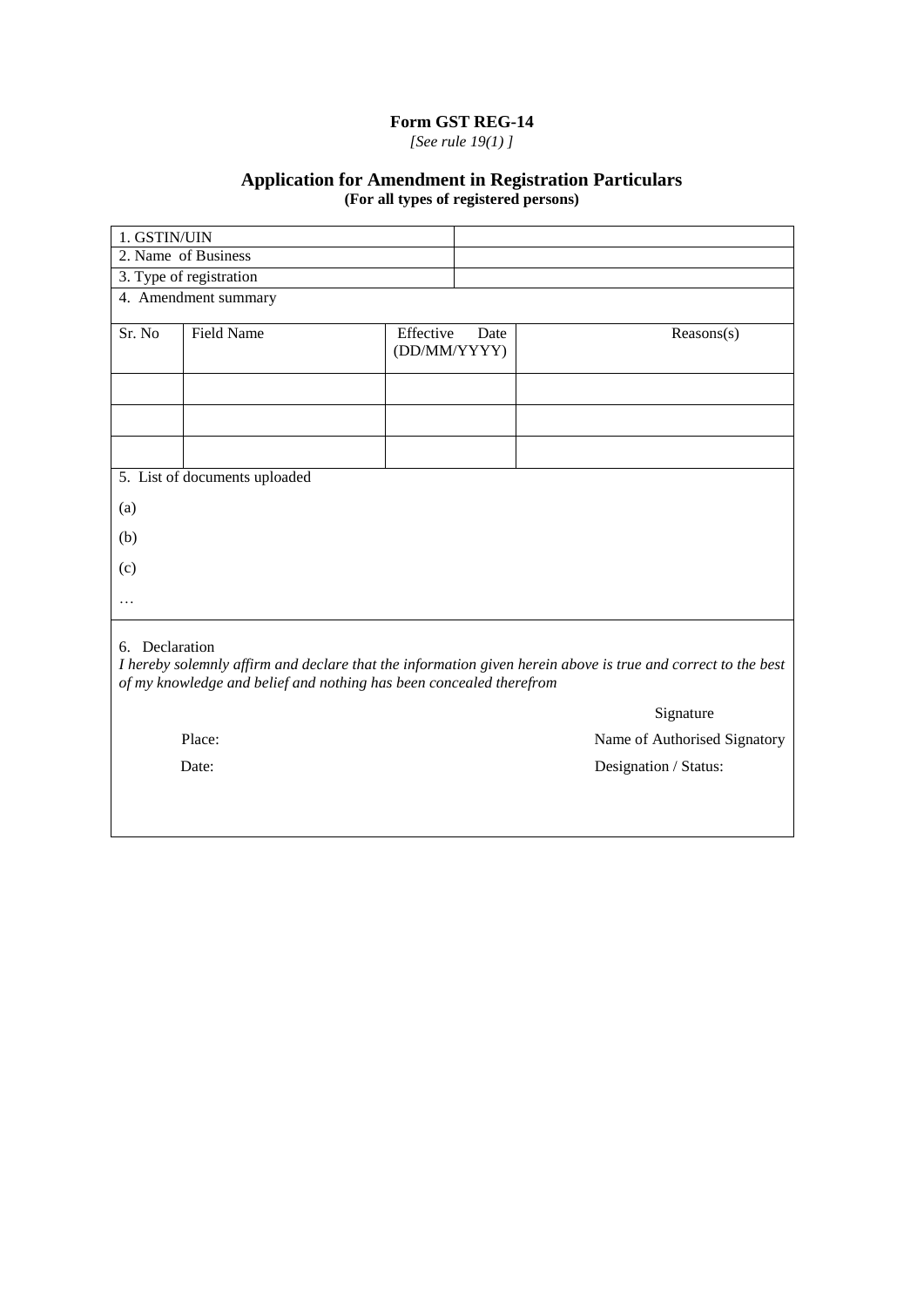*[See rule 19(1) ]*

## **Application for Amendment in Registration Particulars (For all types of registered persons)**

| 1. GSTIN/UIN                                                                                                                                                                                          |                                        |                           |      |            |  |  |  |  |
|-------------------------------------------------------------------------------------------------------------------------------------------------------------------------------------------------------|----------------------------------------|---------------------------|------|------------|--|--|--|--|
|                                                                                                                                                                                                       | 2. Name of Business                    |                           |      |            |  |  |  |  |
| 3. Type of registration                                                                                                                                                                               |                                        |                           |      |            |  |  |  |  |
|                                                                                                                                                                                                       | 4. Amendment summary                   |                           |      |            |  |  |  |  |
| Sr. No                                                                                                                                                                                                | <b>Field Name</b>                      | Effective<br>(DD/MM/YYYY) | Date | Reasons(s) |  |  |  |  |
|                                                                                                                                                                                                       |                                        |                           |      |            |  |  |  |  |
|                                                                                                                                                                                                       |                                        |                           |      |            |  |  |  |  |
|                                                                                                                                                                                                       |                                        |                           |      |            |  |  |  |  |
|                                                                                                                                                                                                       | 5. List of documents uploaded          |                           |      |            |  |  |  |  |
| (a)                                                                                                                                                                                                   |                                        |                           |      |            |  |  |  |  |
| (b)                                                                                                                                                                                                   |                                        |                           |      |            |  |  |  |  |
| (c)                                                                                                                                                                                                   |                                        |                           |      |            |  |  |  |  |
| $\cdots$                                                                                                                                                                                              |                                        |                           |      |            |  |  |  |  |
| 6. Declaration<br>I hereby solemnly affirm and declare that the information given herein above is true and correct to the best<br>of my knowledge and belief and nothing has been concealed therefrom |                                        |                           |      |            |  |  |  |  |
|                                                                                                                                                                                                       | Signature                              |                           |      |            |  |  |  |  |
|                                                                                                                                                                                                       | Place:<br>Name of Authorised Signatory |                           |      |            |  |  |  |  |
| Date:<br>Designation / Status:                                                                                                                                                                        |                                        |                           |      |            |  |  |  |  |
|                                                                                                                                                                                                       |                                        |                           |      |            |  |  |  |  |
|                                                                                                                                                                                                       |                                        |                           |      |            |  |  |  |  |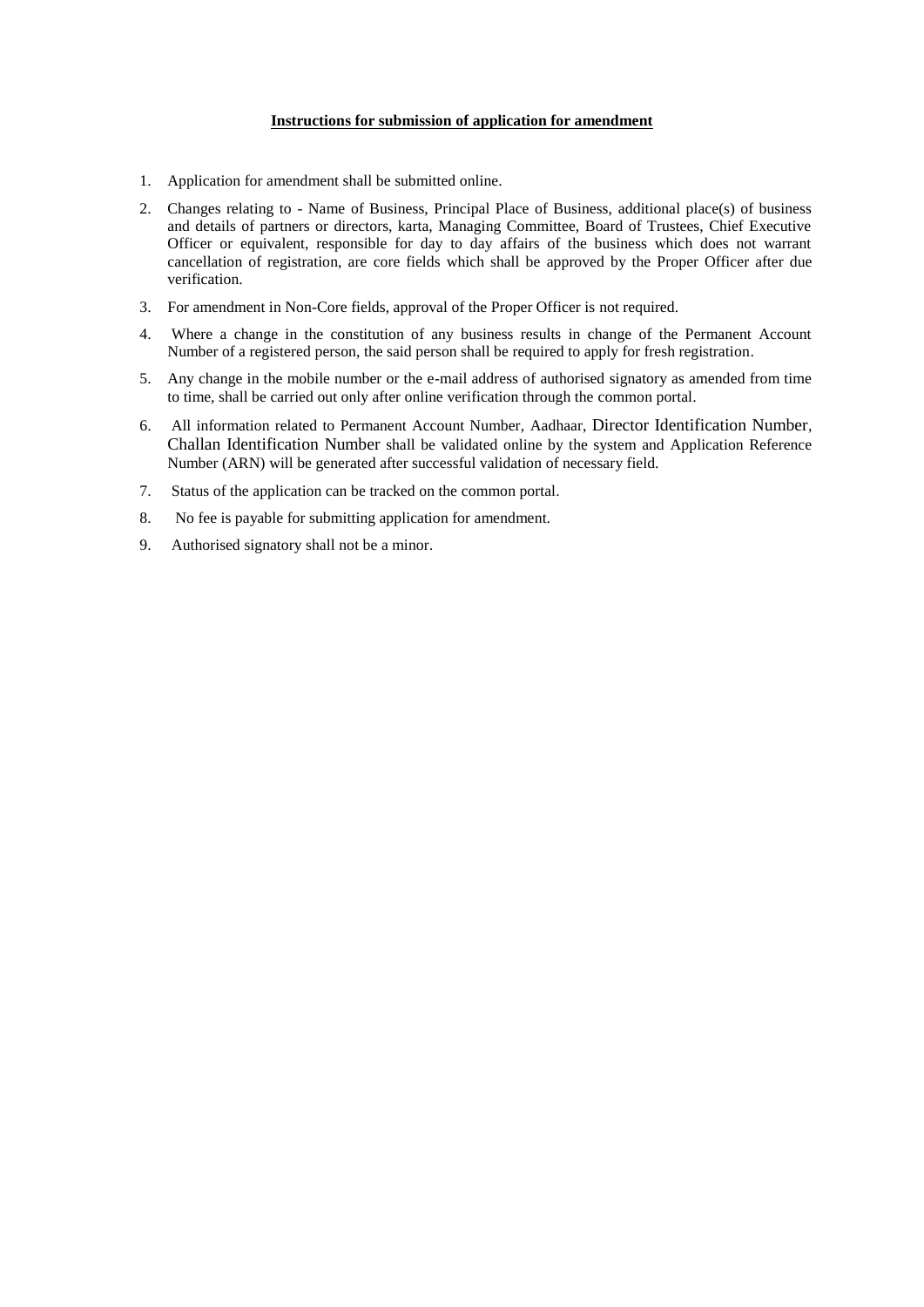#### **Instructions for submission of application for amendment**

- 1. Application for amendment shall be submitted online.
- 2. Changes relating to Name of Business, Principal Place of Business, additional place(s) of business and details of partners or directors, karta, Managing Committee, Board of Trustees, Chief Executive Officer or equivalent, responsible for day to day affairs of the business which does not warrant cancellation of registration, are core fields which shall be approved by the Proper Officer after due verification.
- 3. For amendment in Non-Core fields, approval of the Proper Officer is not required.
- 4. Where a change in the constitution of any business results in change of the Permanent Account Number of a registered person, the said person shall be required to apply for fresh registration.
- 5. Any change in the mobile number or the e-mail address of authorised signatory as amended from time to time, shall be carried out only after online verification through the common portal.
- 6. All information related to Permanent Account Number, Aadhaar, Director Identification Number, Challan Identification Number shall be validated online by the system and Application Reference Number (ARN) will be generated after successful validation of necessary field.
- 7. Status of the application can be tracked on the common portal.
- 8. No fee is payable for submitting application for amendment.
- 9. Authorised signatory shall not be a minor.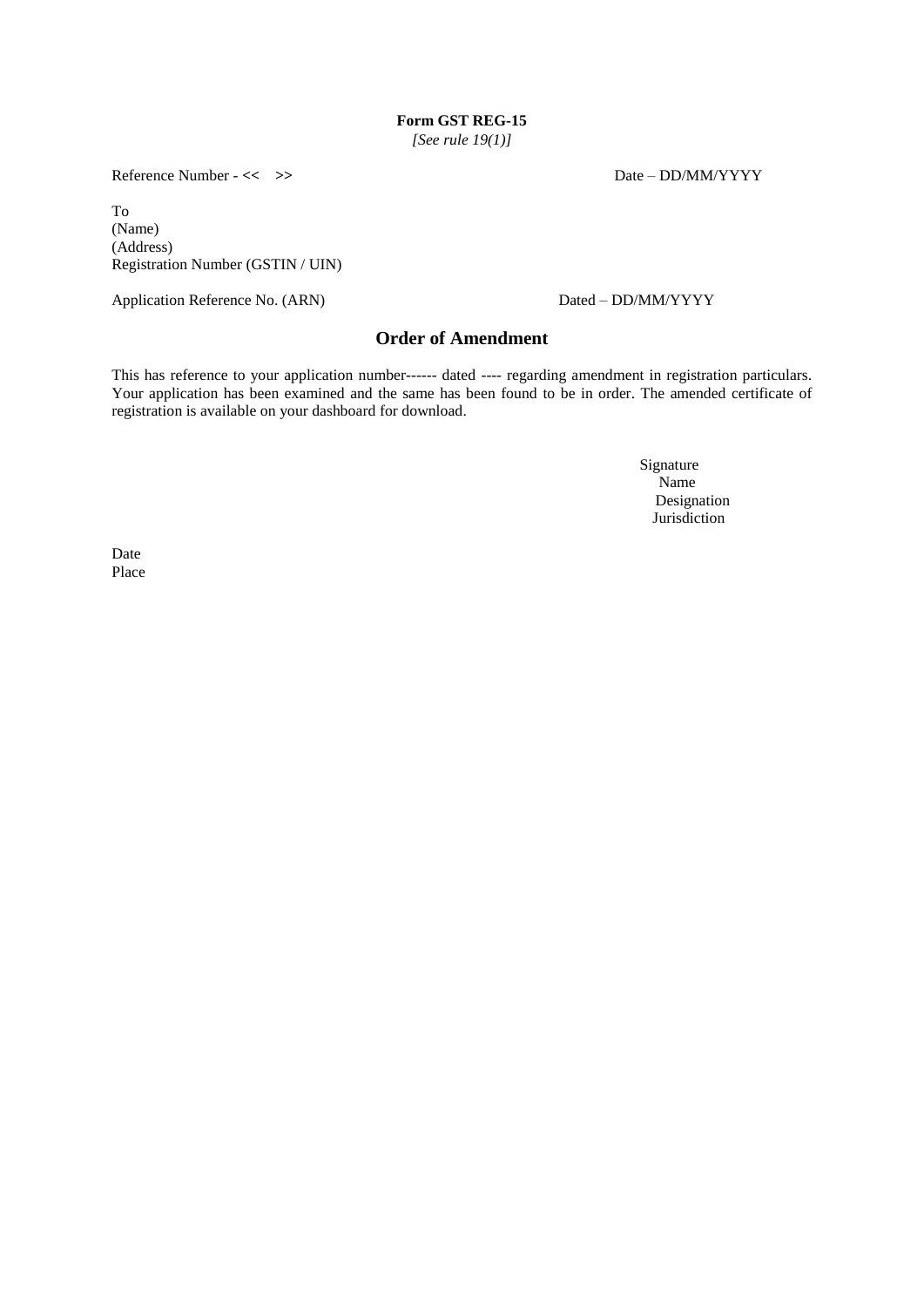*[See rule 19(1)]*

Reference Number - << >>  $\triangleright$  Date – DD/MM/YYYY

To (Name) (Address) Registration Number (GSTIN / UIN)

Application Reference No. (ARN) Dated – DD/MM/YYYY

# **Order of Amendment**

This has reference to your application number------ dated ---- regarding amendment in registration particulars. Your application has been examined and the same has been found to be in order. The amended certificate of registration is available on your dashboard for download.

> Signature Name **Name**  Designation Jurisdiction

Date Place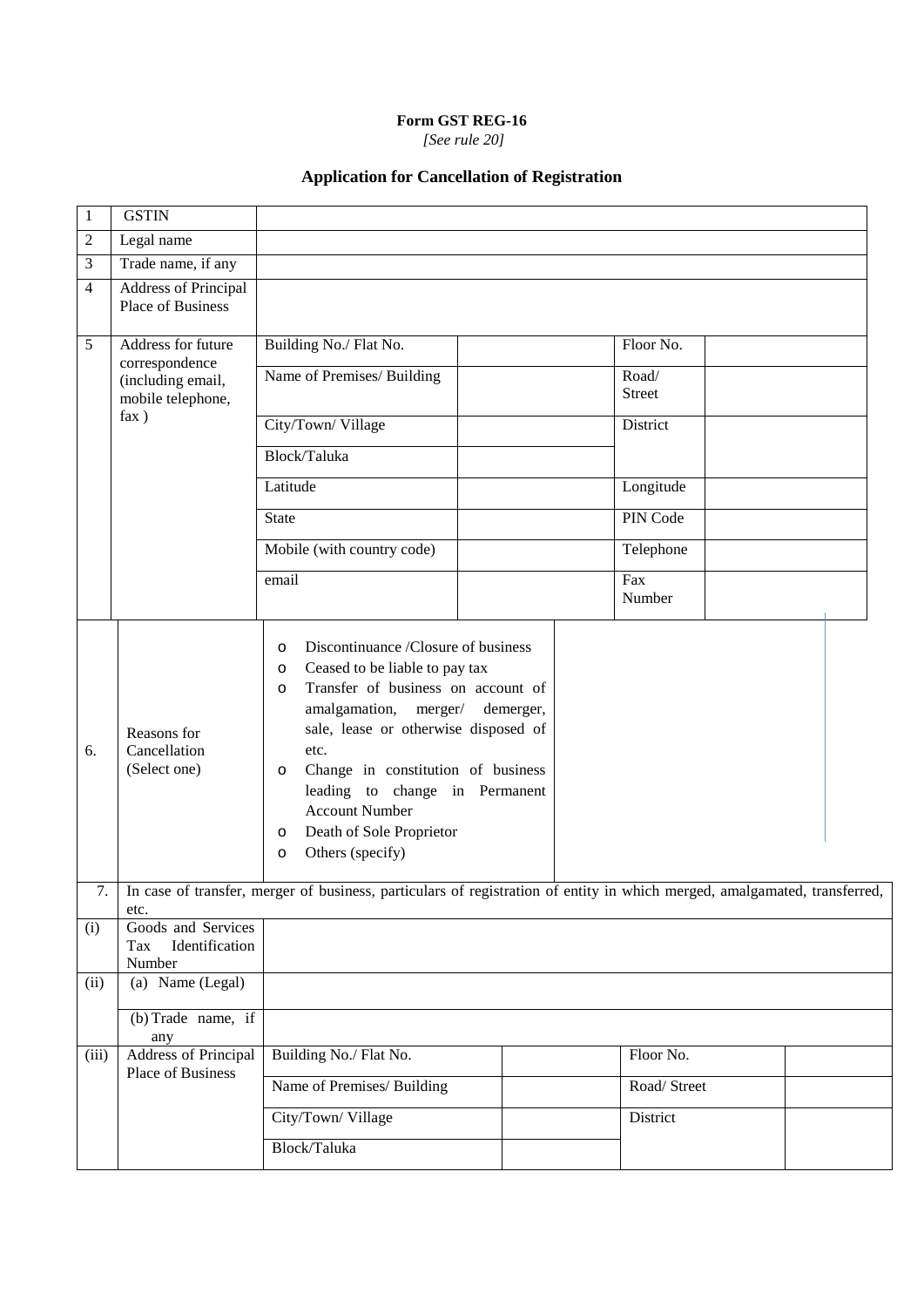*[See rule 20]*

# **Application for Cancellation of Registration**

| 1              | <b>GSTIN</b>                                             |                                                                                                                                                                                                                                                                                                                                                                                                                |  |                        |  |  |  |
|----------------|----------------------------------------------------------|----------------------------------------------------------------------------------------------------------------------------------------------------------------------------------------------------------------------------------------------------------------------------------------------------------------------------------------------------------------------------------------------------------------|--|------------------------|--|--|--|
| $\overline{c}$ | Legal name                                               |                                                                                                                                                                                                                                                                                                                                                                                                                |  |                        |  |  |  |
| 3              | Trade name, if any                                       |                                                                                                                                                                                                                                                                                                                                                                                                                |  |                        |  |  |  |
| 4              | <b>Address of Principal</b><br>Place of Business         |                                                                                                                                                                                                                                                                                                                                                                                                                |  |                        |  |  |  |
| 5              | Address for future                                       | Building No./ Flat No.                                                                                                                                                                                                                                                                                                                                                                                         |  | Floor No.              |  |  |  |
|                | correspondence<br>(including email,<br>mobile telephone, | Name of Premises/ Building                                                                                                                                                                                                                                                                                                                                                                                     |  | Road/<br><b>Street</b> |  |  |  |
|                | fax)                                                     | City/Town/Village                                                                                                                                                                                                                                                                                                                                                                                              |  | District               |  |  |  |
|                |                                                          | Block/Taluka                                                                                                                                                                                                                                                                                                                                                                                                   |  |                        |  |  |  |
|                |                                                          | Latitude                                                                                                                                                                                                                                                                                                                                                                                                       |  | Longitude              |  |  |  |
|                |                                                          | <b>State</b>                                                                                                                                                                                                                                                                                                                                                                                                   |  | PIN Code               |  |  |  |
|                |                                                          | Mobile (with country code)                                                                                                                                                                                                                                                                                                                                                                                     |  | Telephone              |  |  |  |
|                |                                                          | email                                                                                                                                                                                                                                                                                                                                                                                                          |  | Fax<br>Number          |  |  |  |
| 6.             | Reasons for<br>Cancellation<br>(Select one)              | Discontinuance /Closure of business<br>$\circ$<br>Ceased to be liable to pay tax<br>O<br>Transfer of business on account of<br>$\circ$<br>amalgamation, merger/<br>demerger,<br>sale, lease or otherwise disposed of<br>etc.<br>Change in constitution of business<br>$\circ$<br>leading to change in Permanent<br><b>Account Number</b><br>Death of Sole Proprietor<br>$\circ$<br>Others (specify)<br>$\circ$ |  |                        |  |  |  |
| 7.             | etc.                                                     | In case of transfer, merger of business, particulars of registration of entity in which merged, amalgamated, transferred,                                                                                                                                                                                                                                                                                      |  |                        |  |  |  |
| (i)            | Goods and Services<br>Identification<br>Tax<br>Number    |                                                                                                                                                                                                                                                                                                                                                                                                                |  |                        |  |  |  |
| (ii)           | (a) Name (Legal)                                         |                                                                                                                                                                                                                                                                                                                                                                                                                |  |                        |  |  |  |
|                | $(b)$ Trade name, if<br>any                              |                                                                                                                                                                                                                                                                                                                                                                                                                |  |                        |  |  |  |
| (iii)          | <b>Address of Principal</b>                              | Building No./ Flat No.                                                                                                                                                                                                                                                                                                                                                                                         |  | Floor No.              |  |  |  |
|                | Place of Business                                        | Name of Premises/ Building                                                                                                                                                                                                                                                                                                                                                                                     |  | Road/Street            |  |  |  |
|                |                                                          | City/Town/Village                                                                                                                                                                                                                                                                                                                                                                                              |  | District               |  |  |  |
|                |                                                          | Block/Taluka                                                                                                                                                                                                                                                                                                                                                                                                   |  |                        |  |  |  |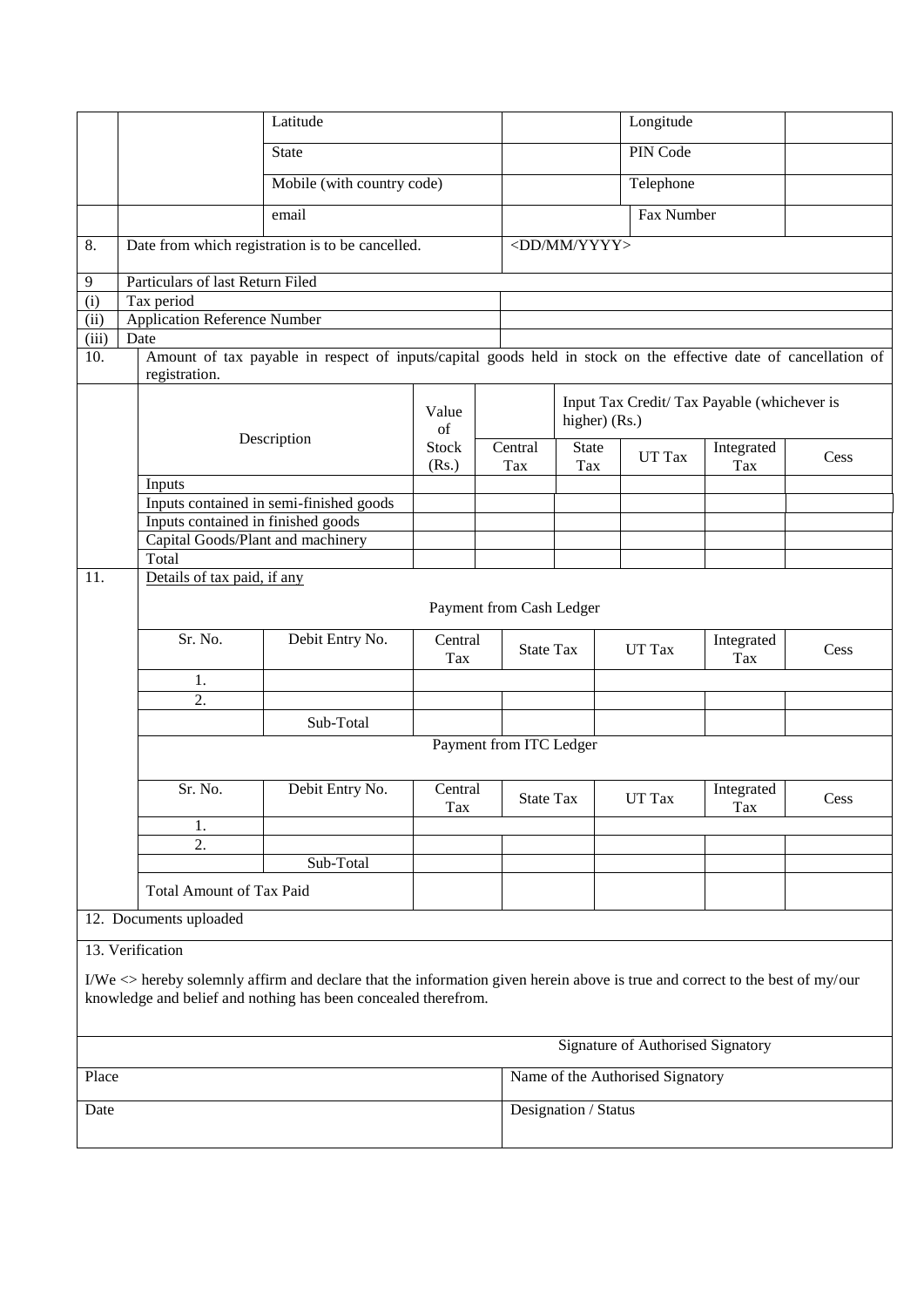|                                                                                                                                                                                                       | Latitude                          |                                     |                                                                                                                 |                       |                         | Longitude                                                    |            |                   |      |  |
|-------------------------------------------------------------------------------------------------------------------------------------------------------------------------------------------------------|-----------------------------------|-------------------------------------|-----------------------------------------------------------------------------------------------------------------|-----------------------|-------------------------|--------------------------------------------------------------|------------|-------------------|------|--|
|                                                                                                                                                                                                       |                                   | <b>State</b>                        |                                                                                                                 |                       |                         | PIN Code                                                     |            |                   |      |  |
|                                                                                                                                                                                                       |                                   | Mobile (with country code)          |                                                                                                                 |                       |                         |                                                              | Telephone  |                   |      |  |
|                                                                                                                                                                                                       |                                   |                                     | email                                                                                                           |                       |                         |                                                              | Fax Number |                   |      |  |
| 8.                                                                                                                                                                                                    |                                   |                                     | Date from which registration is to be cancelled.                                                                |                       |                         | <dd mm="" yyyy=""></dd>                                      |            |                   |      |  |
| 9                                                                                                                                                                                                     |                                   | Particulars of last Return Filed    |                                                                                                                 |                       |                         |                                                              |            |                   |      |  |
| $\overline{(\text{i})}$                                                                                                                                                                               | Tax period                        |                                     |                                                                                                                 |                       |                         |                                                              |            |                   |      |  |
| $\overline{(\mathrm{ii})}$                                                                                                                                                                            |                                   | <b>Application Reference Number</b> |                                                                                                                 |                       |                         |                                                              |            |                   |      |  |
| (iii)                                                                                                                                                                                                 |                                   |                                     |                                                                                                                 |                       |                         |                                                              |            |                   |      |  |
|                                                                                                                                                                                                       | Date                              |                                     |                                                                                                                 |                       |                         |                                                              |            |                   |      |  |
| 10.                                                                                                                                                                                                   | registration.                     |                                     | Amount of tax payable in respect of inputs/capital goods held in stock on the effective date of cancellation of |                       |                         |                                                              |            |                   |      |  |
|                                                                                                                                                                                                       |                                   | Value<br>of                         |                                                                                                                 |                       |                         | Input Tax Credit/ Tax Payable (whichever is<br>higher) (Rs.) |            |                   |      |  |
|                                                                                                                                                                                                       |                                   |                                     | Description                                                                                                     | <b>Stock</b><br>(Rs.) | Central<br>Tax          | <b>State</b><br>Tax                                          | UT Tax     | Integrated<br>Tax | Cess |  |
|                                                                                                                                                                                                       | Inputs                            |                                     |                                                                                                                 |                       |                         |                                                              |            |                   |      |  |
|                                                                                                                                                                                                       |                                   |                                     | Inputs contained in semi-finished goods                                                                         |                       |                         |                                                              |            |                   |      |  |
|                                                                                                                                                                                                       |                                   |                                     | Inputs contained in finished goods                                                                              |                       |                         |                                                              |            |                   |      |  |
|                                                                                                                                                                                                       |                                   |                                     | Capital Goods/Plant and machinery                                                                               |                       |                         |                                                              |            |                   |      |  |
|                                                                                                                                                                                                       | Total                             |                                     |                                                                                                                 |                       |                         |                                                              |            |                   |      |  |
| 11.                                                                                                                                                                                                   |                                   | Details of tax paid, if any         |                                                                                                                 |                       |                         |                                                              |            |                   |      |  |
|                                                                                                                                                                                                       | Payment from Cash Ledger          |                                     |                                                                                                                 |                       |                         |                                                              |            |                   |      |  |
|                                                                                                                                                                                                       |                                   | Sr. No.                             | Debit Entry No.                                                                                                 | Central               |                         |                                                              |            | Integrated        |      |  |
|                                                                                                                                                                                                       |                                   |                                     |                                                                                                                 | Tax                   |                         | <b>State Tax</b>                                             | UT Tax     | Tax               | Cess |  |
|                                                                                                                                                                                                       |                                   | 1.                                  |                                                                                                                 |                       |                         |                                                              |            |                   |      |  |
|                                                                                                                                                                                                       |                                   | 2.                                  |                                                                                                                 |                       |                         |                                                              |            |                   |      |  |
|                                                                                                                                                                                                       |                                   |                                     | Sub-Total                                                                                                       |                       |                         |                                                              |            |                   |      |  |
|                                                                                                                                                                                                       |                                   |                                     |                                                                                                                 |                       | Payment from ITC Ledger |                                                              |            |                   |      |  |
|                                                                                                                                                                                                       |                                   | Sr. No.                             | Debit Entry No.                                                                                                 | Central<br>Tax        |                         | <b>State Tax</b>                                             | UT Tax     | Integrated<br>Tax | Cess |  |
|                                                                                                                                                                                                       |                                   | 1.                                  |                                                                                                                 |                       |                         |                                                              |            |                   |      |  |
|                                                                                                                                                                                                       |                                   | 2.                                  |                                                                                                                 |                       |                         |                                                              |            |                   |      |  |
|                                                                                                                                                                                                       |                                   |                                     | Sub-Total                                                                                                       |                       |                         |                                                              |            |                   |      |  |
|                                                                                                                                                                                                       |                                   | <b>Total Amount of Tax Paid</b>     |                                                                                                                 |                       |                         |                                                              |            |                   |      |  |
| 12. Documents uploaded                                                                                                                                                                                |                                   |                                     |                                                                                                                 |                       |                         |                                                              |            |                   |      |  |
| 13. Verification                                                                                                                                                                                      |                                   |                                     |                                                                                                                 |                       |                         |                                                              |            |                   |      |  |
| I/We $\langle$ hereby solemnly affirm and declare that the information given herein above is true and correct to the best of my/our<br>knowledge and belief and nothing has been concealed therefrom. |                                   |                                     |                                                                                                                 |                       |                         |                                                              |            |                   |      |  |
|                                                                                                                                                                                                       | Signature of Authorised Signatory |                                     |                                                                                                                 |                       |                         |                                                              |            |                   |      |  |
|                                                                                                                                                                                                       | Place                             |                                     |                                                                                                                 |                       |                         | Name of the Authorised Signatory                             |            |                   |      |  |

Designation / Status

| I<br>---<br>× |
|---------------|
|---------------|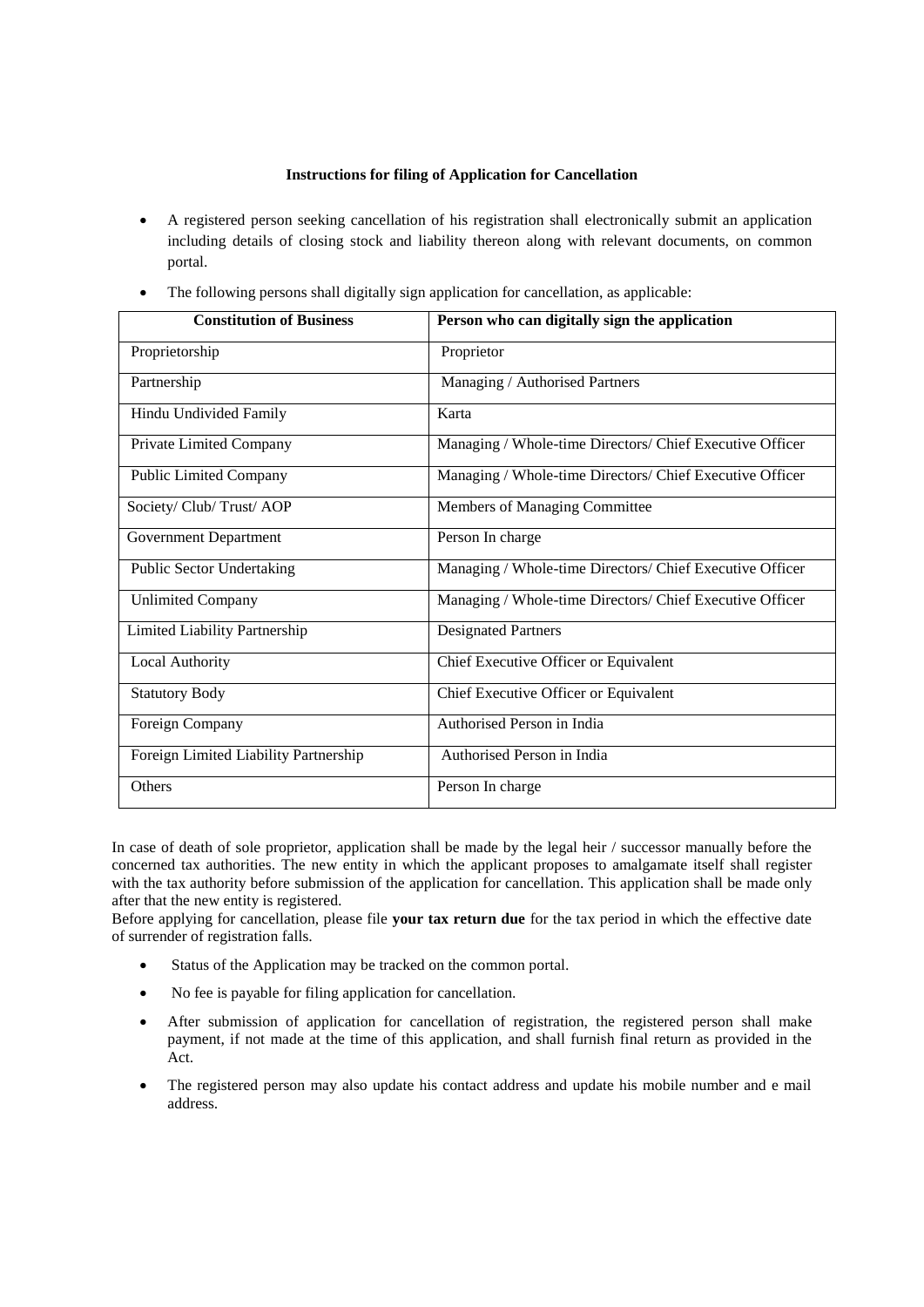#### **Instructions for filing of Application for Cancellation**

- A registered person seeking cancellation of his registration shall electronically submit an application including details of closing stock and liability thereon along with relevant documents, on common portal.
- The following persons shall digitally sign application for cancellation, as applicable:

| <b>Constitution of Business</b>       | Person who can digitally sign the application            |
|---------------------------------------|----------------------------------------------------------|
| Proprietorship                        | Proprietor                                               |
| Partnership                           | Managing / Authorised Partners                           |
| Hindu Undivided Family                | Karta                                                    |
| Private Limited Company               | Managing / Whole-time Directors/ Chief Executive Officer |
| <b>Public Limited Company</b>         | Managing / Whole-time Directors/ Chief Executive Officer |
| Society/ Club/ Trust/ AOP             | Members of Managing Committee                            |
| <b>Government Department</b>          | Person In charge                                         |
| <b>Public Sector Undertaking</b>      | Managing / Whole-time Directors/ Chief Executive Officer |
| <b>Unlimited Company</b>              | Managing / Whole-time Directors/ Chief Executive Officer |
| Limited Liability Partnership         | <b>Designated Partners</b>                               |
| Local Authority                       | Chief Executive Officer or Equivalent                    |
| <b>Statutory Body</b>                 | Chief Executive Officer or Equivalent                    |
| Foreign Company                       | Authorised Person in India                               |
| Foreign Limited Liability Partnership | Authorised Person in India                               |
| Others                                | Person In charge                                         |

In case of death of sole proprietor, application shall be made by the legal heir / successor manually before the concerned tax authorities. The new entity in which the applicant proposes to amalgamate itself shall register with the tax authority before submission of the application for cancellation. This application shall be made only after that the new entity is registered*.*

Before applying for cancellation, please file **your tax return due** for the tax period in which the effective date of surrender of registration falls.

- Status of the Application may be tracked on the common portal.
- No fee is payable for filing application for cancellation.
- After submission of application for cancellation of registration, the registered person shall make payment, if not made at the time of this application, and shall furnish final return as provided in the Act.
- The registered person may also update his contact address and update his mobile number and e mail address.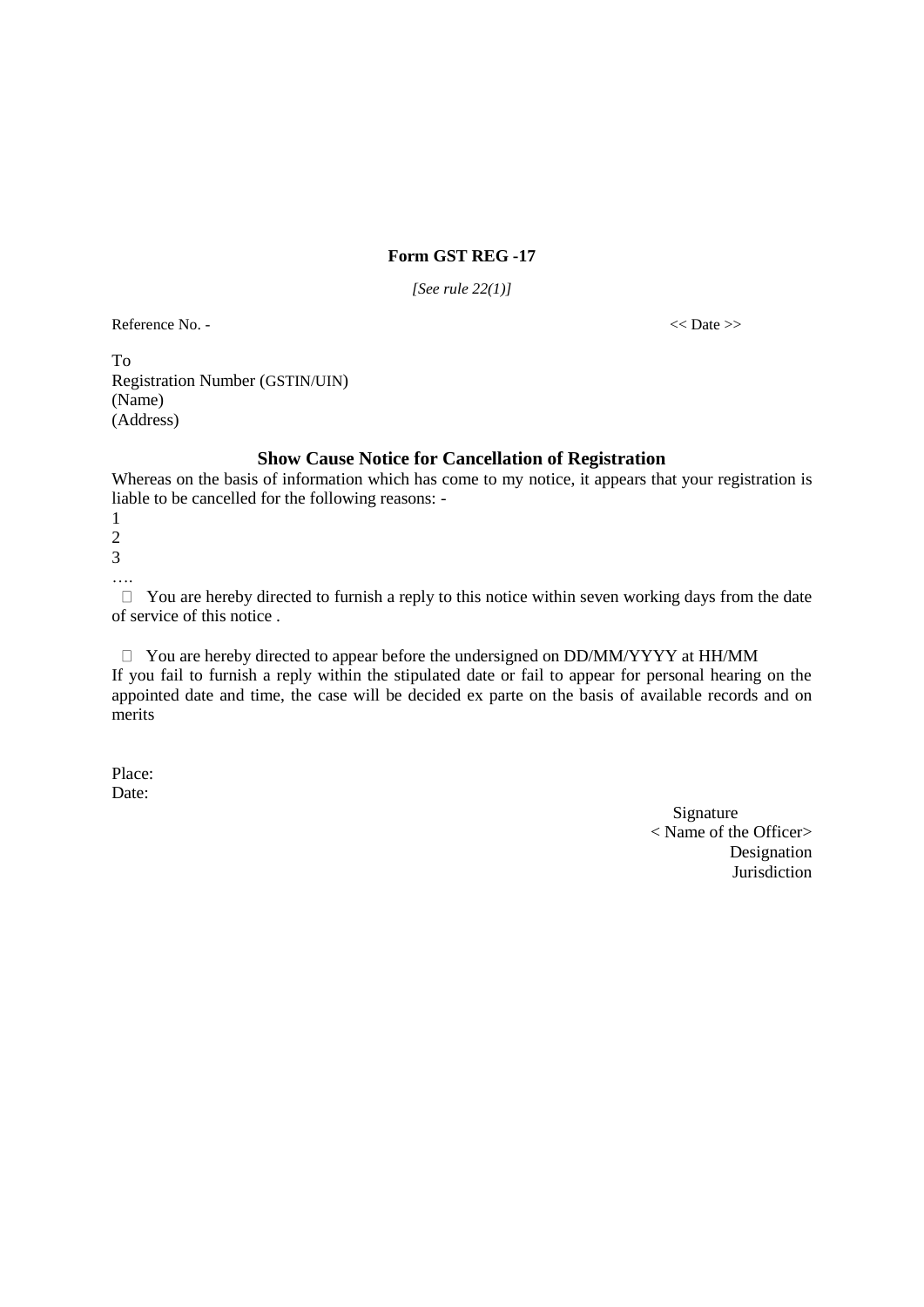*[See rule 22(1)]*

Reference No. -  $\langle$  Date >>

To Registration Number (GSTIN/UIN) (Name) (Address)

## **Show Cause Notice for Cancellation of Registration**

Whereas on the basis of information which has come to my notice, it appears that your registration is liable to be cancelled for the following reasons: -

1  $\mathcal{L}$ 3

….

 $\Box$  You are hereby directed to furnish a reply to this notice within seven working days from the date of service of this notice .

 $\Box$  You are hereby directed to appear before the undersigned on DD/MM/YYYY at HH/MM If you fail to furnish a reply within the stipulated date or fail to appear for personal hearing on the appointed date and time, the case will be decided ex parte on the basis of available records and on merits

Place: Date:

> Signature < Name of the Officer> Designation **Jurisdiction**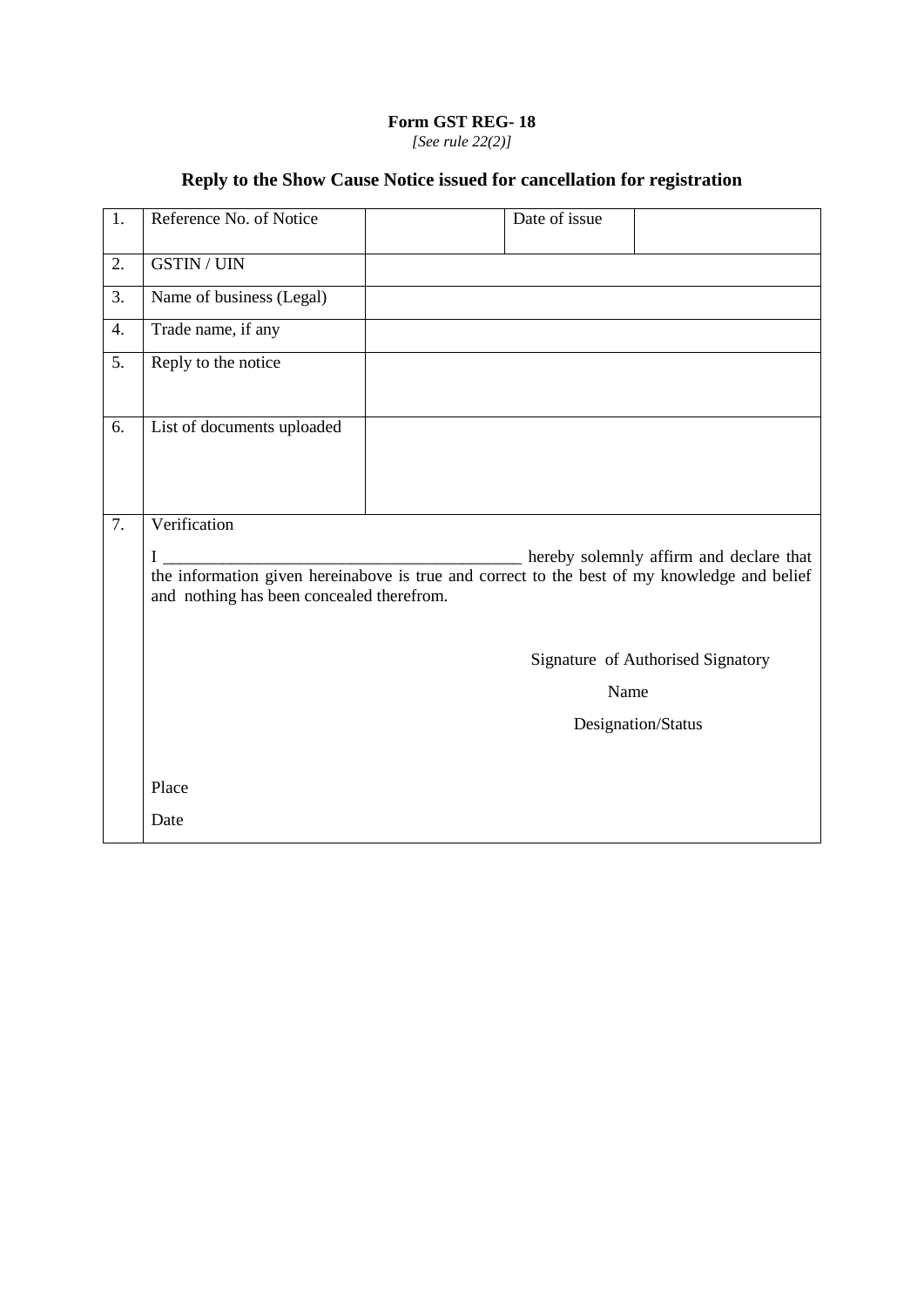# **Form GST REG- 18** *[See rule 22(2)]*

# **Reply to the Show Cause Notice issued for cancellation for registration**

| 1. | Reference No. of Notice                                                                                                                        | Date of issue |                                         |
|----|------------------------------------------------------------------------------------------------------------------------------------------------|---------------|-----------------------------------------|
| 2. | <b>GSTIN / UIN</b>                                                                                                                             |               |                                         |
| 3. | Name of business (Legal)                                                                                                                       |               |                                         |
| 4. | Trade name, if any                                                                                                                             |               |                                         |
| 5. | Reply to the notice                                                                                                                            |               |                                         |
| 6. | List of documents uploaded                                                                                                                     |               |                                         |
| 7. | Verification                                                                                                                                   |               |                                         |
|    | I<br>the information given hereinabove is true and correct to the best of my knowledge and belief<br>and nothing has been concealed therefrom. |               | hereby solemnly affirm and declare that |
|    |                                                                                                                                                |               | Signature of Authorised Signatory       |
|    |                                                                                                                                                | Name          |                                         |
|    |                                                                                                                                                |               | Designation/Status                      |
|    |                                                                                                                                                |               |                                         |
|    | Place                                                                                                                                          |               |                                         |
|    | Date                                                                                                                                           |               |                                         |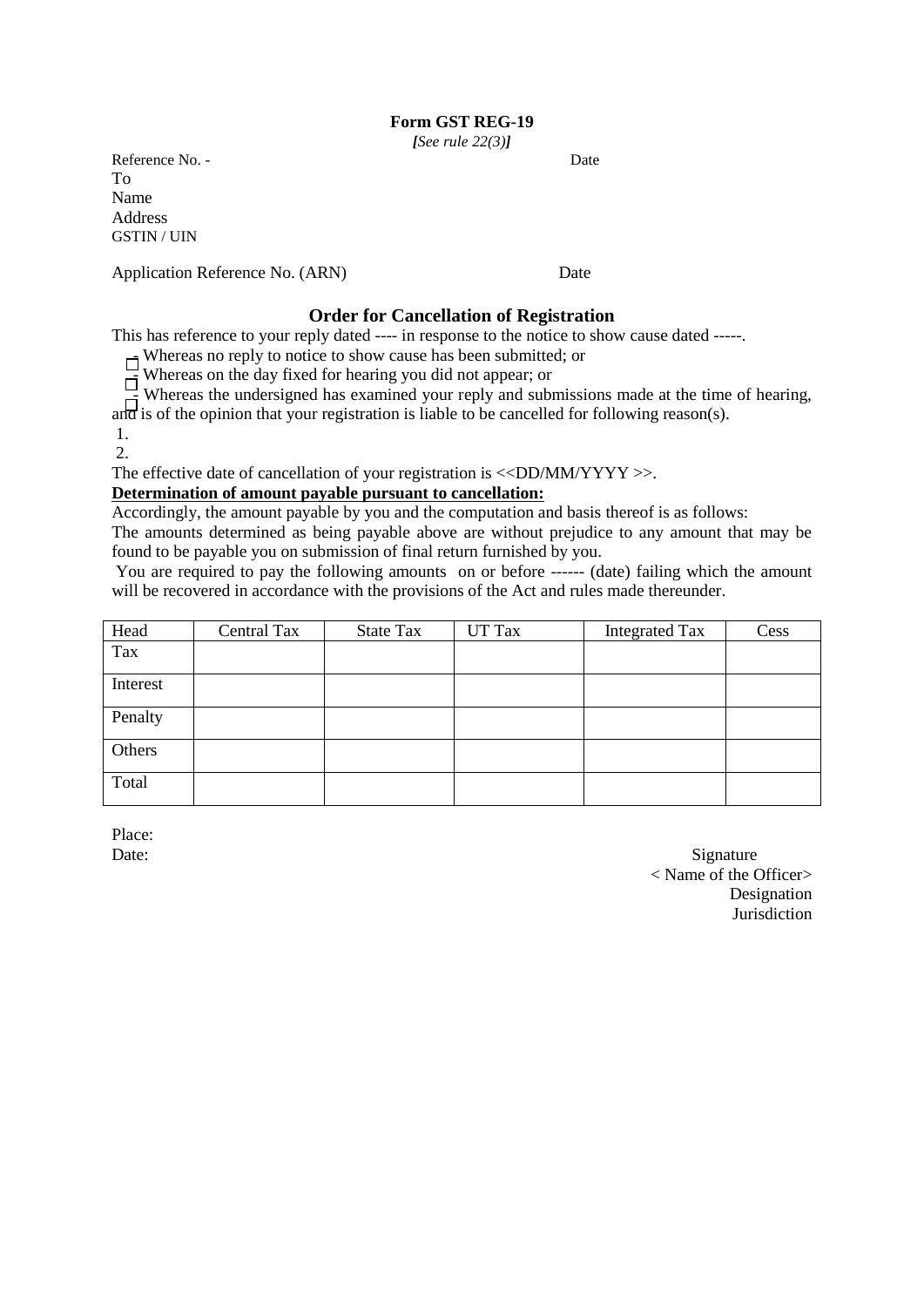*[See rule 22(3)]*

Reference No. - Date To Name Address GSTIN / UIN

Application Reference No. (ARN) Date

## **Order for Cancellation of Registration**

This has reference to your reply dated ---- in response to the notice to show cause dated -----.

 $\Box$  Whereas no reply to notice to show cause has been submitted; or

 $\overrightarrow{F}$  Whereas on the day fixed for hearing you did not appear; or

 $\overrightarrow{H}$  Whereas the undersigned has examined your reply and submissions made at the time of hearing,

and is of the opinion that your registration is liable to be cancelled for following reason(s).

1. 2.

The effective date of cancellation of your registration is <<DD/MM/YYYY >>.

## **Determination of amount payable pursuant to cancellation:**

Accordingly, the amount payable by you and the computation and basis thereof is as follows:

The amounts determined as being payable above are without prejudice to any amount that may be found to be payable you on submission of final return furnished by you.

You are required to pay the following amounts on or before ------ (date) failing which the amount will be recovered in accordance with the provisions of the Act and rules made thereunder.

| Head     | Central Tax | <b>State Tax</b> | UT Tax | <b>Integrated Tax</b> | Cess |
|----------|-------------|------------------|--------|-----------------------|------|
| Tax      |             |                  |        |                       |      |
| Interest |             |                  |        |                       |      |
| Penalty  |             |                  |        |                       |      |
| Others   |             |                  |        |                       |      |
| Total    |             |                  |        |                       |      |

Place:

Date: Signature < Name of the Officer> **Designation** Jurisdiction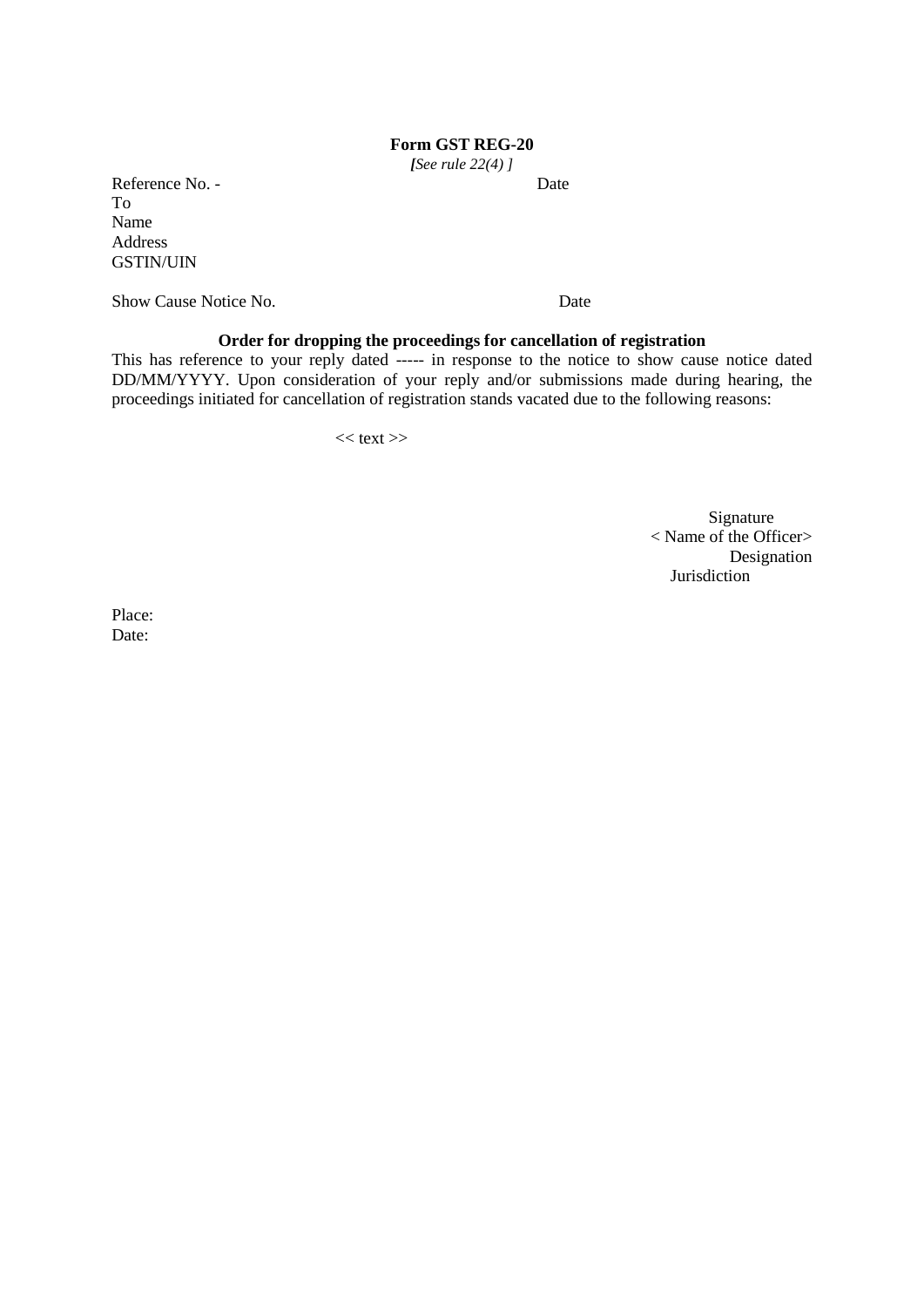*[See rule 22(4) ]*

Reference No. - Date To Name Address GSTIN/UIN

Show Cause Notice No. **Date** 

# **Order for dropping the proceedings for cancellation of registration**

This has reference to your reply dated ----- in response to the notice to show cause notice dated DD/MM/YYYY. Upon consideration of your reply and/or submissions made during hearing, the proceedings initiated for cancellation of registration stands vacated due to the following reasons:

 $<<$  text $>>$ 

Signature < Name of the Officer> Designation Jurisdiction

Place: Date: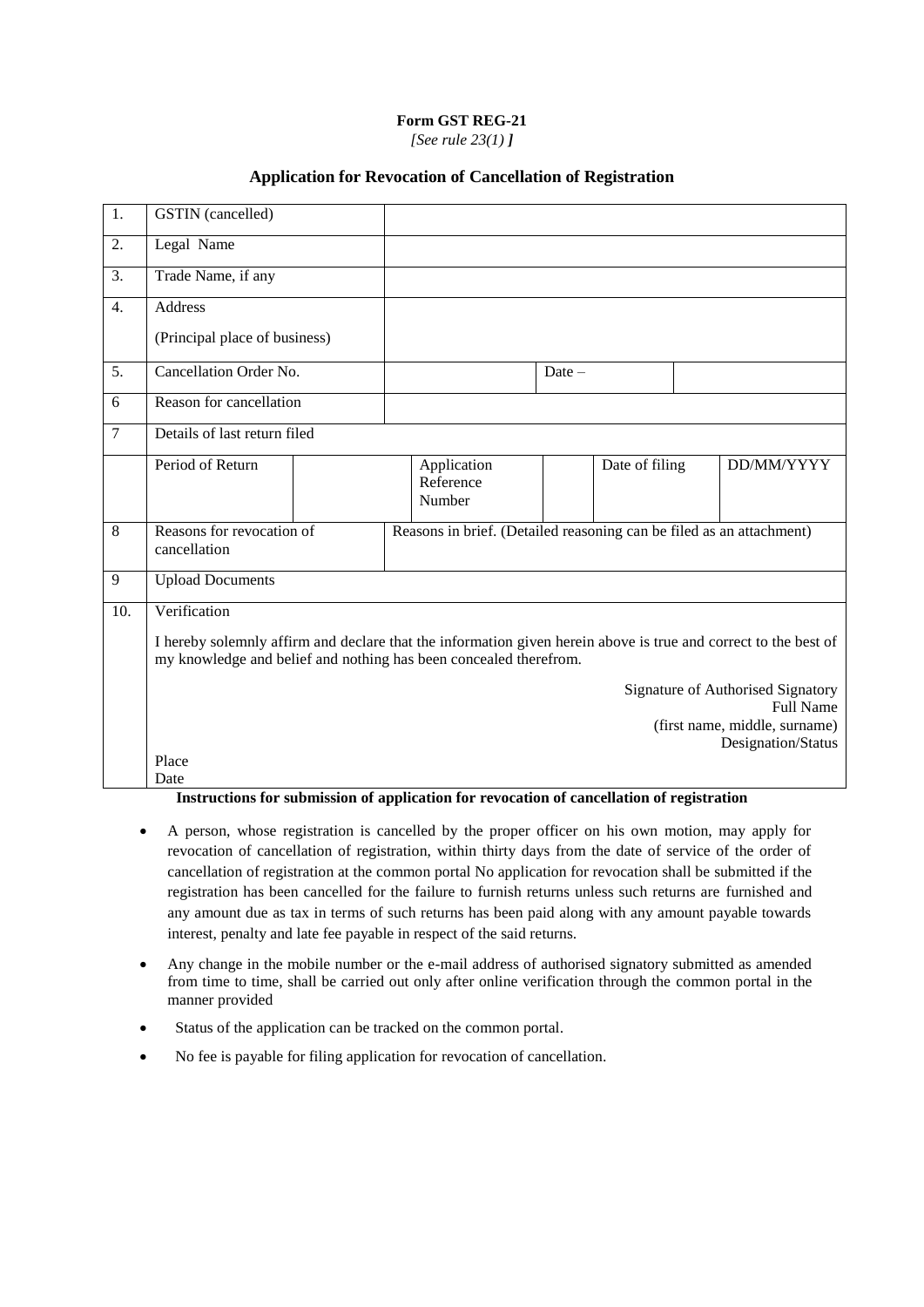*[See rule 23(1) ]*

## **Application for Revocation of Cancellation of Registration**

| 1.             | <b>GSTIN</b> (cancelled)                                                                                                                                                             |  |  |                                                                      |          |                |  |                    |
|----------------|--------------------------------------------------------------------------------------------------------------------------------------------------------------------------------------|--|--|----------------------------------------------------------------------|----------|----------------|--|--------------------|
| 2.             | Legal Name                                                                                                                                                                           |  |  |                                                                      |          |                |  |                    |
| 3.             | Trade Name, if any                                                                                                                                                                   |  |  |                                                                      |          |                |  |                    |
| 4.             | <b>Address</b>                                                                                                                                                                       |  |  |                                                                      |          |                |  |                    |
|                | (Principal place of business)                                                                                                                                                        |  |  |                                                                      |          |                |  |                    |
| 5.             | Cancellation Order No.                                                                                                                                                               |  |  |                                                                      | $Date -$ |                |  |                    |
| 6              | Reason for cancellation                                                                                                                                                              |  |  |                                                                      |          |                |  |                    |
| $\overline{7}$ | Details of last return filed                                                                                                                                                         |  |  |                                                                      |          |                |  |                    |
|                | Period of Return                                                                                                                                                                     |  |  | Application<br>Reference<br>Number                                   |          | Date of filing |  | DD/MM/YYYY         |
| 8              | Reasons for revocation of<br>cancellation                                                                                                                                            |  |  | Reasons in brief. (Detailed reasoning can be filed as an attachment) |          |                |  |                    |
| 9              | <b>Upload Documents</b>                                                                                                                                                              |  |  |                                                                      |          |                |  |                    |
| 10.            | Verification                                                                                                                                                                         |  |  |                                                                      |          |                |  |                    |
|                | I hereby solemnly affirm and declare that the information given herein above is true and correct to the best of<br>my knowledge and belief and nothing has been concealed therefrom. |  |  |                                                                      |          |                |  |                    |
|                | Signature of Authorised Signatory<br><b>Full Name</b><br>(first name, middle, surname)                                                                                               |  |  |                                                                      |          |                |  |                    |
|                | Place                                                                                                                                                                                |  |  |                                                                      |          |                |  | Designation/Status |
|                | Date                                                                                                                                                                                 |  |  |                                                                      |          |                |  |                    |

**Instructions for submission of application for revocation of cancellation of registration**

- A person, whose registration is cancelled by the proper officer on his own motion, may apply for revocation of cancellation of registration, within thirty days from the date of service of the order of cancellation of registration at the common portal No application for revocation shall be submitted if the registration has been cancelled for the failure to furnish returns unless such returns are furnished and any amount due as tax in terms of such returns has been paid along with any amount payable towards interest, penalty and late fee payable in respect of the said returns.
- Any change in the mobile number or the e-mail address of authorised signatory submitted as amended from time to time, shall be carried out only after online verification through the common portal in the manner provided
- Status of the application can be tracked on the common portal.
- No fee is payable for filing application for revocation of cancellation.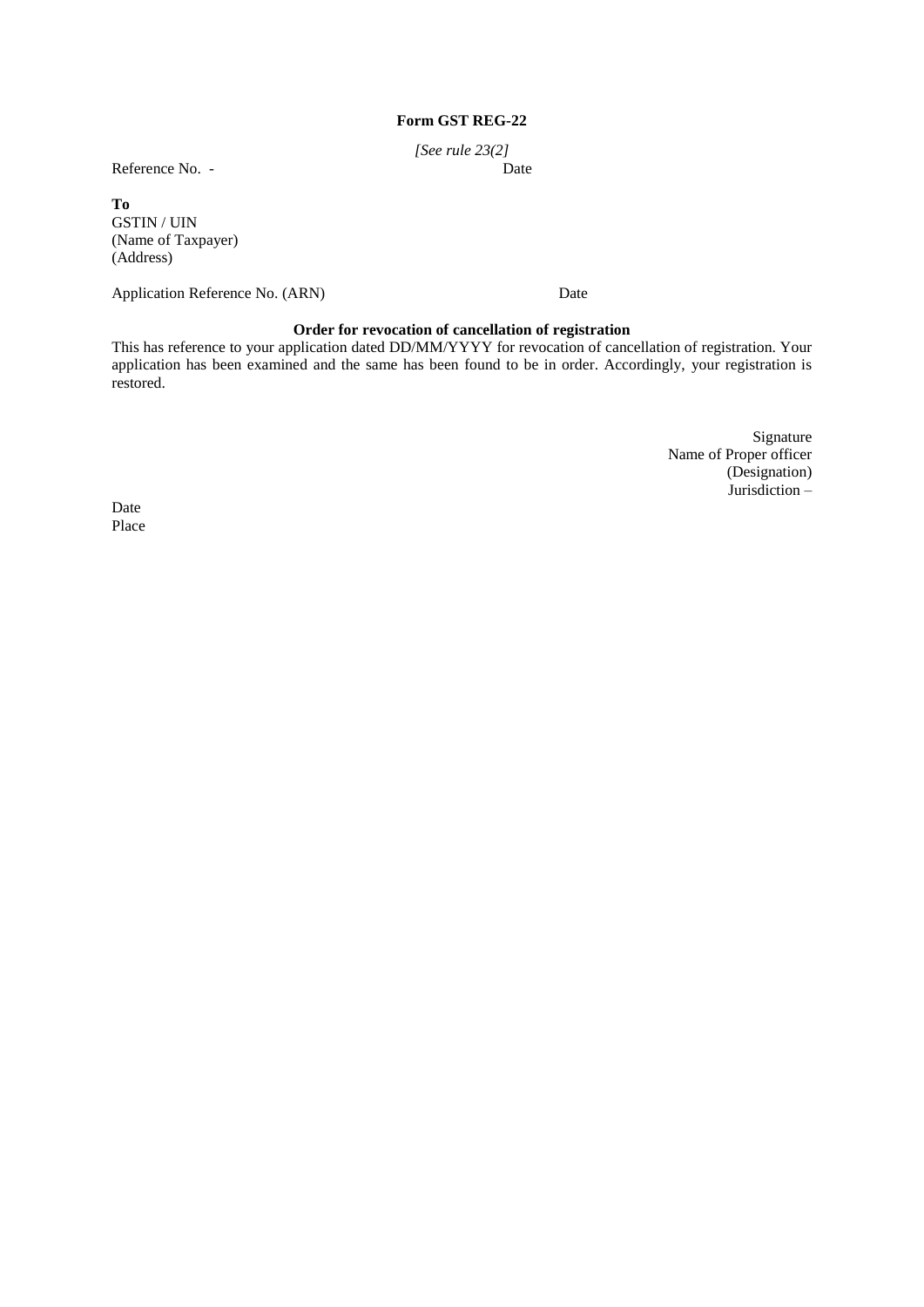*[See rule 23(2]*

Reference No. -

#### **To**

GSTIN / UIN (Name of Taxpayer) (Address)

Application Reference No. (ARN) Date

## **Order for revocation of cancellation of registration**

This has reference to your application dated DD/MM/YYYY for revocation of cancellation of registration. Your application has been examined and the same has been found to be in order. Accordingly, your registration is restored.

> Signature Name of Proper officer (Designation) Jurisdiction –

Date<br>Place Place **Place**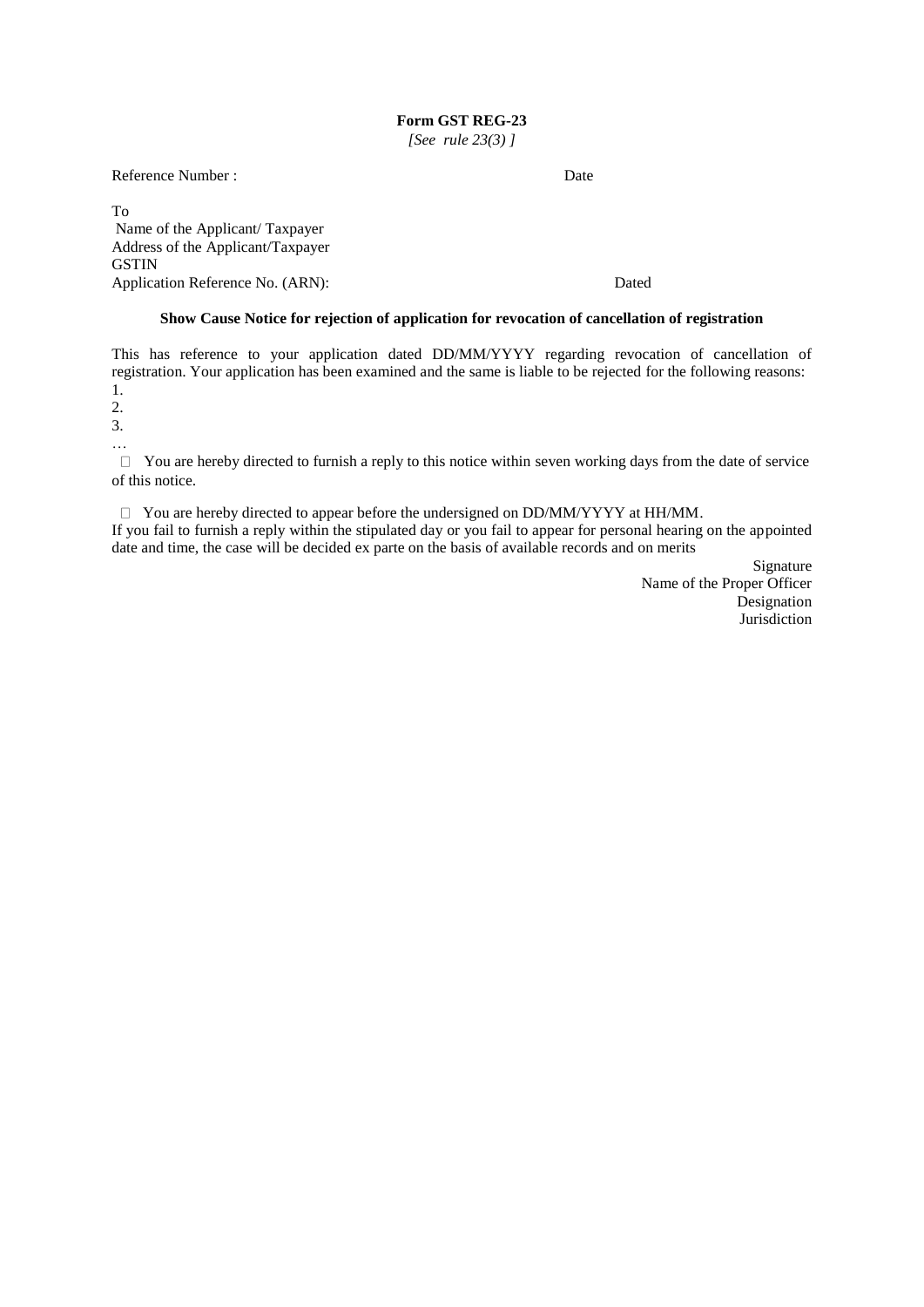*[See rule 23(3) ]*

Reference Number : Date

To Name of the Applicant/ Taxpayer Address of the Applicant/Taxpayer **GSTIN** Application Reference No. (ARN): Dated

#### **Show Cause Notice for rejection of application for revocation of cancellation of registration**

This has reference to your application dated DD/MM/YYYY regarding revocation of cancellation of registration. Your application has been examined and the same is liable to be rejected for the following reasons: 1.

2.

3.

…

 $\Box$  You are hereby directed to furnish a reply to this notice within seven working days from the date of service of this notice.

 $\Box$  You are hereby directed to appear before the undersigned on DD/MM/YYYY at HH/MM. If you fail to furnish a reply within the stipulated day or you fail to appear for personal hearing on the appointed date and time, the case will be decided ex parte on the basis of available records and on merits

> Signature Name of the Proper Officer Designation Jurisdiction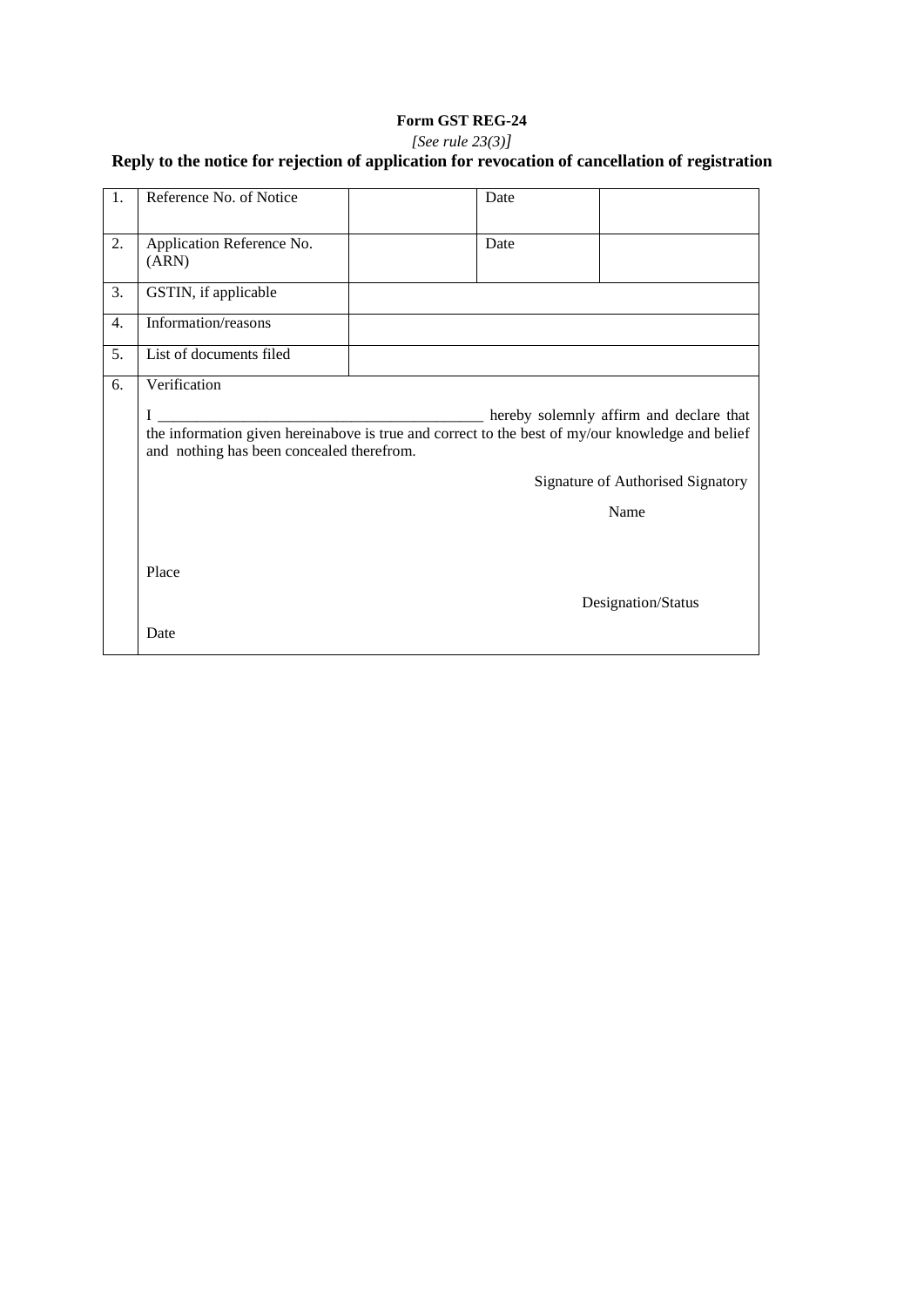## *[See rule 23(3)]*

| 1. | Reference No. of Notice                                                                                                                            | Date |                                         |
|----|----------------------------------------------------------------------------------------------------------------------------------------------------|------|-----------------------------------------|
| 2. | Application Reference No.<br>(ARN)                                                                                                                 | Date |                                         |
| 3. | GSTIN, if applicable                                                                                                                               |      |                                         |
| 4. | Information/reasons                                                                                                                                |      |                                         |
| 5. | List of documents filed                                                                                                                            |      |                                         |
| 6. | Verification                                                                                                                                       |      |                                         |
|    | I<br>the information given hereinabove is true and correct to the best of my/our knowledge and belief<br>and nothing has been concealed therefrom. |      | hereby solemnly affirm and declare that |
|    |                                                                                                                                                    |      | Signature of Authorised Signatory       |
|    |                                                                                                                                                    |      | Name                                    |
|    | Place                                                                                                                                              |      | Designation/Status                      |
|    | Date                                                                                                                                               |      |                                         |

# **Reply to the notice for rejection of application for revocation of cancellation of registration**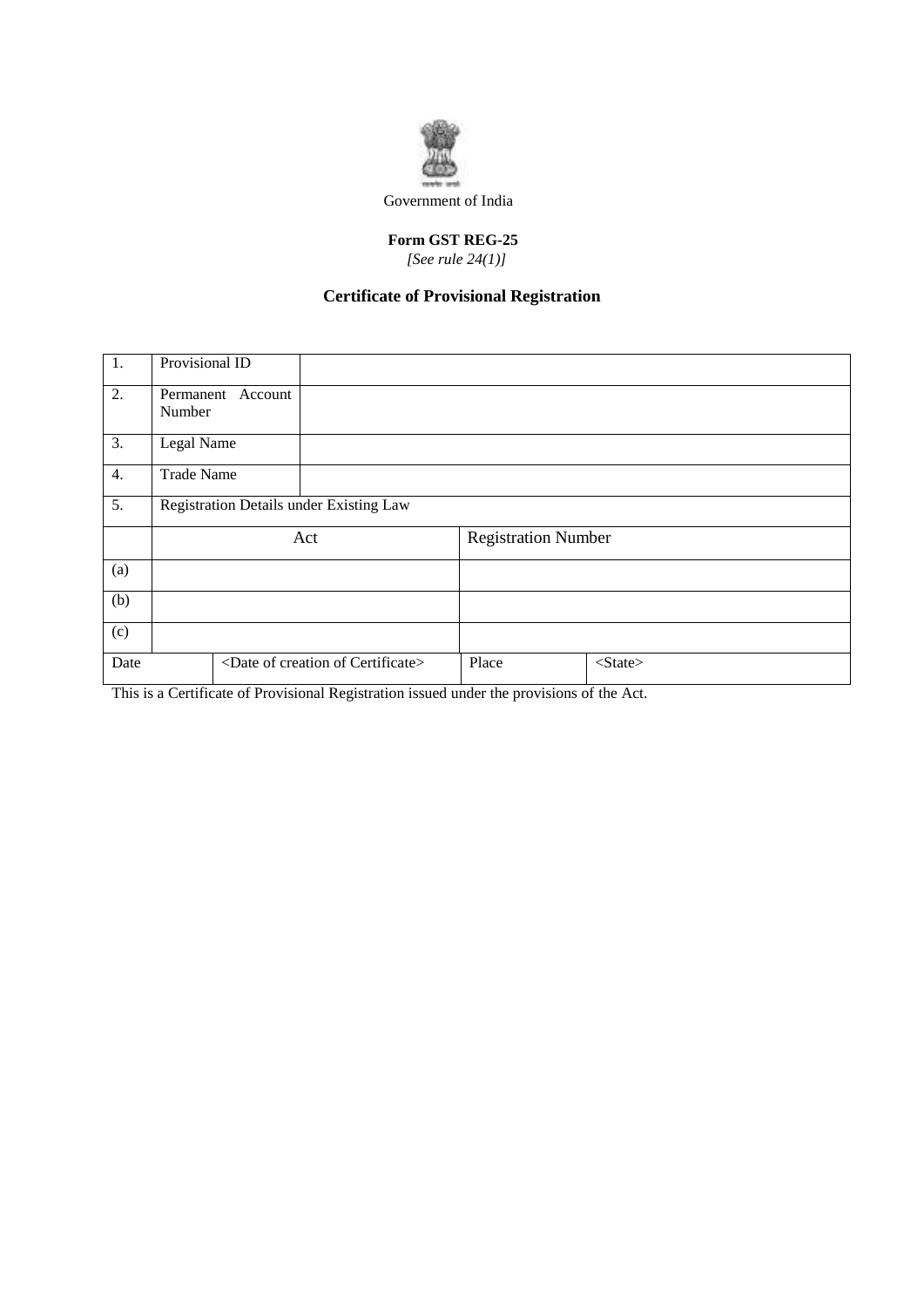

## **Form GST REG-25**  *[See rule 24(1)]*

# **Certificate of Provisional Registration**

| 1.               | Provisional ID                          |                                                |  |                            |               |  |
|------------------|-----------------------------------------|------------------------------------------------|--|----------------------------|---------------|--|
| 2.               | Permanent Account<br>Number             |                                                |  |                            |               |  |
| 3.               | Legal Name                              |                                                |  |                            |               |  |
| 4.               | <b>Trade Name</b>                       |                                                |  |                            |               |  |
| $\overline{5}$ . | Registration Details under Existing Law |                                                |  |                            |               |  |
|                  | Act                                     |                                                |  | <b>Registration Number</b> |               |  |
| (a)              |                                         |                                                |  |                            |               |  |
| (b)              |                                         |                                                |  |                            |               |  |
| (c)              |                                         |                                                |  |                            |               |  |
| Date             |                                         | <date certificate="" creation="" of=""></date> |  | Place                      | $<$ State $>$ |  |

This is a Certificate of Provisional Registration issued under the provisions of the Act.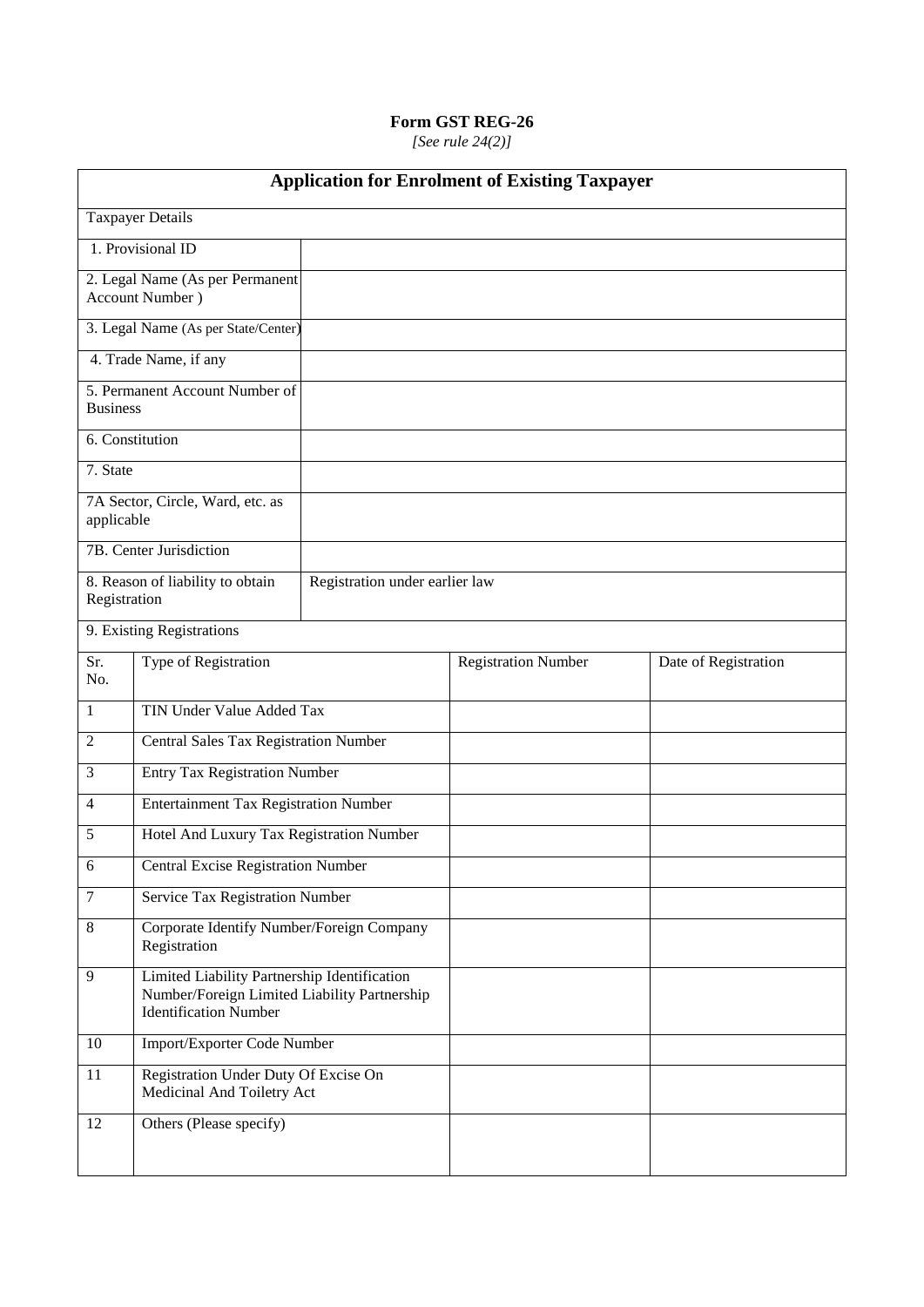*[See rule 24(2)]*

| <b>Application for Enrolment of Existing Taxpayer</b> |                                                                                                                                     |                                |                            |                      |  |
|-------------------------------------------------------|-------------------------------------------------------------------------------------------------------------------------------------|--------------------------------|----------------------------|----------------------|--|
|                                                       | <b>Taxpayer Details</b>                                                                                                             |                                |                            |                      |  |
|                                                       | 1. Provisional ID                                                                                                                   |                                |                            |                      |  |
|                                                       | 2. Legal Name (As per Permanent<br>Account Number)                                                                                  |                                |                            |                      |  |
|                                                       | 3. Legal Name (As per State/Center)                                                                                                 |                                |                            |                      |  |
|                                                       | 4. Trade Name, if any                                                                                                               |                                |                            |                      |  |
| <b>Business</b>                                       | 5. Permanent Account Number of                                                                                                      |                                |                            |                      |  |
| 6. Constitution                                       |                                                                                                                                     |                                |                            |                      |  |
| 7. State                                              |                                                                                                                                     |                                |                            |                      |  |
| applicable                                            | 7A Sector, Circle, Ward, etc. as                                                                                                    |                                |                            |                      |  |
|                                                       | 7B. Center Jurisdiction                                                                                                             |                                |                            |                      |  |
| Registration                                          | 8. Reason of liability to obtain                                                                                                    | Registration under earlier law |                            |                      |  |
|                                                       | 9. Existing Registrations                                                                                                           |                                |                            |                      |  |
| Sr.<br>No.                                            | Type of Registration                                                                                                                |                                | <b>Registration Number</b> | Date of Registration |  |
| 1                                                     | TIN Under Value Added Tax                                                                                                           |                                |                            |                      |  |
| $\overline{c}$                                        | Central Sales Tax Registration Number                                                                                               |                                |                            |                      |  |
| 3                                                     | <b>Entry Tax Registration Number</b>                                                                                                |                                |                            |                      |  |
| 4                                                     | <b>Entertainment Tax Registration Number</b>                                                                                        |                                |                            |                      |  |
| 5                                                     | Hotel And Luxury Tax Registration Number                                                                                            |                                |                            |                      |  |
| 6                                                     | <b>Central Excise Registration Number</b>                                                                                           |                                |                            |                      |  |
| $\tau$                                                | Service Tax Registration Number                                                                                                     |                                |                            |                      |  |
| 8                                                     | Corporate Identify Number/Foreign Company<br>Registration                                                                           |                                |                            |                      |  |
| 9                                                     | <b>Limited Liability Partnership Identification</b><br>Number/Foreign Limited Liability Partnership<br><b>Identification</b> Number |                                |                            |                      |  |
| 10                                                    | Import/Exporter Code Number                                                                                                         |                                |                            |                      |  |
| 11                                                    | Registration Under Duty Of Excise On<br>Medicinal And Toiletry Act                                                                  |                                |                            |                      |  |
| 12                                                    | Others (Please specify)                                                                                                             |                                |                            |                      |  |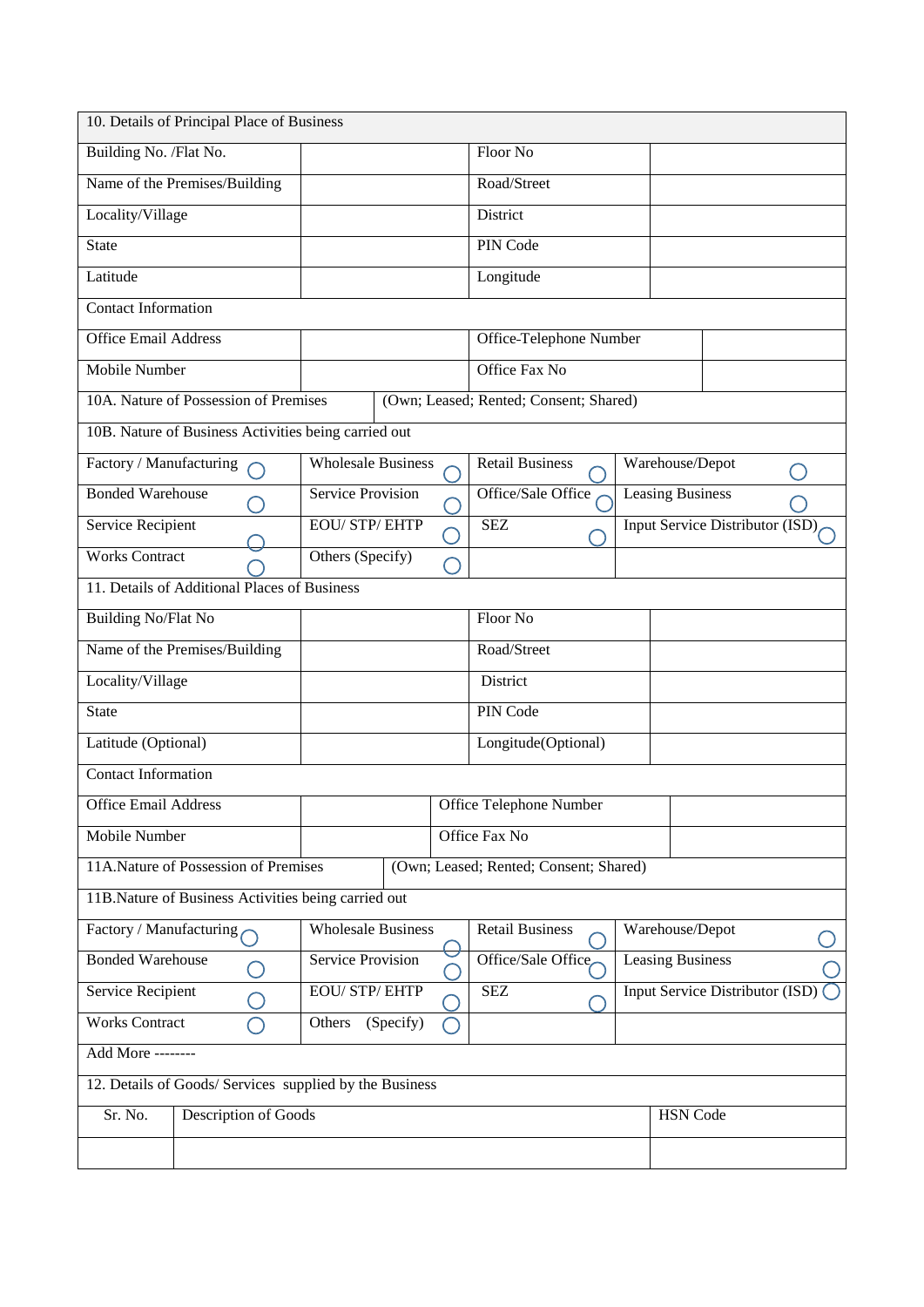|                                              | 10. Details of Principal Place of Business              |                           |                         |  |                                           |  |                                        |  |        |
|----------------------------------------------|---------------------------------------------------------|---------------------------|-------------------------|--|-------------------------------------------|--|----------------------------------------|--|--------|
| Building No. /Flat No.                       |                                                         |                           |                         |  | Floor No                                  |  |                                        |  |        |
|                                              | Name of the Premises/Building                           |                           |                         |  | Road/Street                               |  |                                        |  |        |
| Locality/Village                             |                                                         |                           |                         |  | District                                  |  |                                        |  |        |
| <b>State</b>                                 |                                                         |                           |                         |  | PIN Code                                  |  |                                        |  |        |
| Latitude                                     |                                                         |                           |                         |  | Longitude                                 |  |                                        |  |        |
| <b>Contact Information</b>                   |                                                         |                           |                         |  |                                           |  |                                        |  |        |
| <b>Office Email Address</b>                  |                                                         |                           |                         |  | Office-Telephone Number                   |  |                                        |  |        |
| Mobile Number                                |                                                         |                           |                         |  | Office Fax No                             |  |                                        |  |        |
|                                              | 10A. Nature of Possession of Premises                   |                           |                         |  | (Own; Leased; Rented; Consent; Shared)    |  |                                        |  |        |
|                                              | 10B. Nature of Business Activities being carried out    |                           |                         |  |                                           |  |                                        |  |        |
| Factory / Manufacturing                      |                                                         | <b>Wholesale Business</b> |                         |  | <b>Retail Business</b>                    |  | Warehouse/Depot                        |  | $\Box$ |
| <b>Bonded Warehouse</b>                      |                                                         | <b>Service Provision</b>  |                         |  | Office/Sale Office                        |  | <b>Leasing Business</b>                |  |        |
| Service Recipient                            |                                                         | <b>EOU/STP/EHTP</b>       |                         |  | <b>SEZ</b>                                |  | Input Service Distributor (ISD)        |  |        |
| <b>Works Contract</b>                        |                                                         | Others (Specify)          |                         |  |                                           |  |                                        |  |        |
|                                              | 11. Details of Additional Places of Business            |                           |                         |  |                                           |  |                                        |  |        |
| <b>Building No/Flat No</b>                   |                                                         |                           |                         |  | Floor No                                  |  |                                        |  |        |
|                                              | Name of the Premises/Building                           |                           |                         |  | Road/Street                               |  |                                        |  |        |
| Locality/Village                             |                                                         |                           |                         |  | District                                  |  |                                        |  |        |
| <b>State</b>                                 |                                                         |                           |                         |  | PIN Code                                  |  |                                        |  |        |
| Latitude (Optional)                          |                                                         |                           |                         |  | Longitude(Optional)                       |  |                                        |  |        |
| <b>Contact Information</b>                   |                                                         |                           |                         |  |                                           |  |                                        |  |        |
| <b>Office Email Address</b>                  |                                                         |                           |                         |  | Office Telephone Number                   |  |                                        |  |        |
| Mobile Number                                |                                                         |                           |                         |  | Office Fax No                             |  |                                        |  |        |
|                                              | 11A.Nature of Possession of Premises                    |                           |                         |  | (Own; Leased; Rented; Consent; Shared)    |  |                                        |  |        |
|                                              | 11B.Nature of Business Activities being carried out     |                           |                         |  |                                           |  |                                        |  |        |
| Factory / Manufacturing                      |                                                         | <b>Wholesale Business</b> |                         |  | <b>Retail Business</b><br>Warehouse/Depot |  |                                        |  |        |
| <b>Bonded Warehouse</b><br>Service Provision |                                                         | Office/Sale Office        | <b>Leasing Business</b> |  |                                           |  |                                        |  |        |
| <b>Service Recipient</b>                     |                                                         | <b>EOU/STP/EHTP</b>       |                         |  | <b>SEZ</b>                                |  | <b>Input Service Distributor (ISD)</b> |  |        |
| <b>Works Contract</b><br>(Specify)<br>Others |                                                         |                           |                         |  |                                           |  |                                        |  |        |
| Add More --------                            |                                                         |                           |                         |  |                                           |  |                                        |  |        |
|                                              | 12. Details of Goods/ Services supplied by the Business |                           |                         |  |                                           |  |                                        |  |        |
| Sr. No.                                      | Description of Goods                                    |                           |                         |  |                                           |  | <b>HSN</b> Code                        |  |        |
|                                              |                                                         |                           |                         |  |                                           |  |                                        |  |        |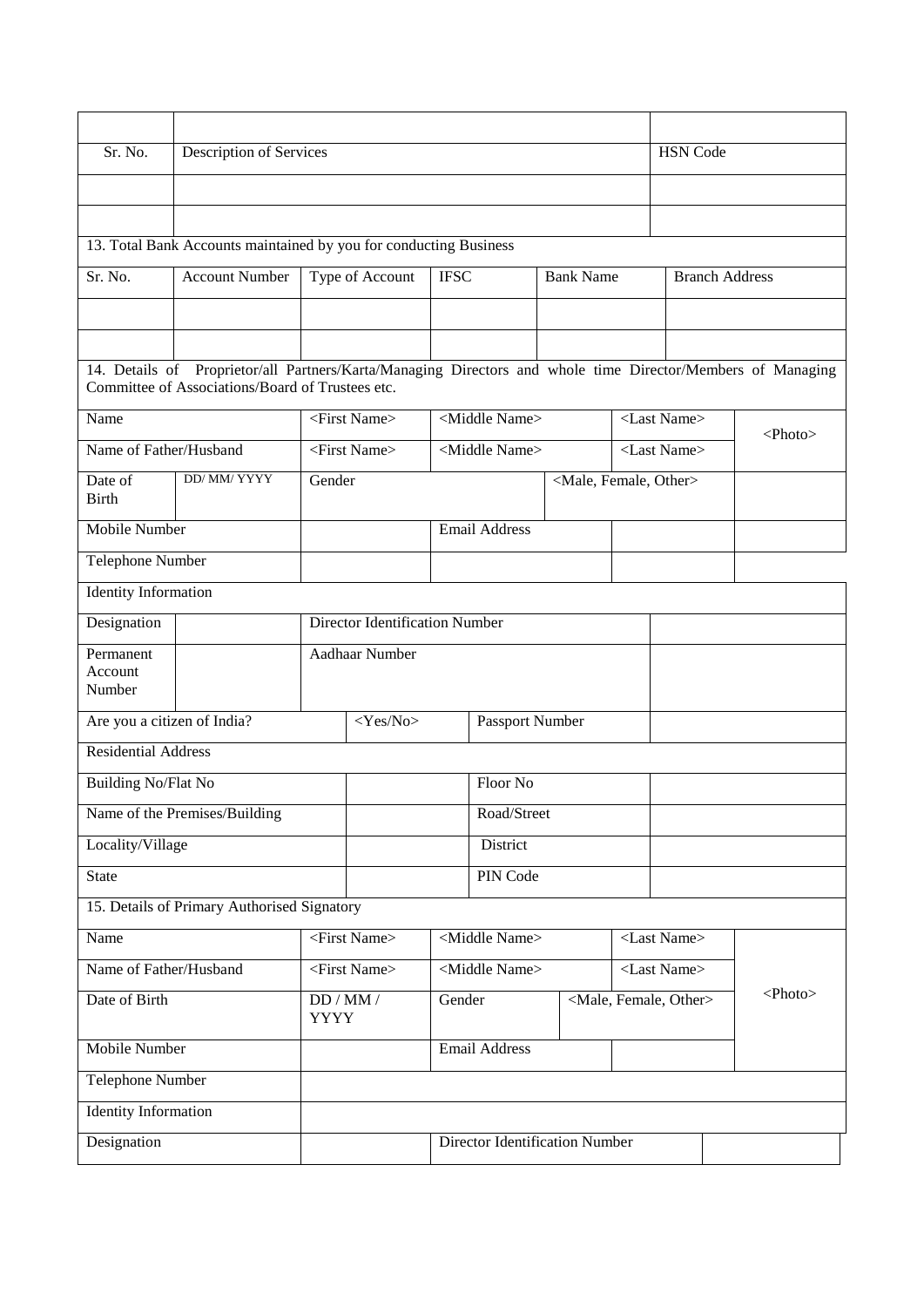| Sr. No.                                                                                                                                                         | Description of Services                                           |                       |                                                   |                                |                           |  |                                     |  | <b>HSN</b> Code                     |                       |               |
|-----------------------------------------------------------------------------------------------------------------------------------------------------------------|-------------------------------------------------------------------|-----------------------|---------------------------------------------------|--------------------------------|---------------------------|--|-------------------------------------|--|-------------------------------------|-----------------------|---------------|
|                                                                                                                                                                 |                                                                   |                       |                                                   |                                |                           |  |                                     |  |                                     |                       |               |
|                                                                                                                                                                 |                                                                   |                       |                                                   |                                |                           |  |                                     |  |                                     |                       |               |
|                                                                                                                                                                 | 13. Total Bank Accounts maintained by you for conducting Business |                       |                                                   |                                |                           |  |                                     |  |                                     |                       |               |
| Sr. No.                                                                                                                                                         | <b>Account Number</b>                                             |                       | Type of Account                                   | <b>IFSC</b>                    |                           |  | <b>Bank Name</b>                    |  |                                     | <b>Branch Address</b> |               |
|                                                                                                                                                                 |                                                                   |                       |                                                   |                                |                           |  |                                     |  |                                     |                       |               |
|                                                                                                                                                                 |                                                                   |                       |                                                   |                                |                           |  |                                     |  |                                     |                       |               |
| 14. Details of Proprietor/all Partners/Karta/Managing Directors and whole time Director/Members of Managing<br>Committee of Associations/Board of Trustees etc. |                                                                   |                       |                                                   |                                |                           |  |                                     |  |                                     |                       |               |
| Name                                                                                                                                                            |                                                                   |                       | <first name=""></first>                           |                                | <middle name=""></middle> |  |                                     |  | <last name=""></last>               |                       | $<$ Photo $>$ |
| Name of Father/Husband                                                                                                                                          |                                                                   |                       | <first name=""></first>                           |                                | <middle name=""></middle> |  |                                     |  | <last name=""></last>               |                       |               |
| Date of<br><b>Birth</b>                                                                                                                                         | DD/ MM/ YYYY                                                      | Gender                |                                                   |                                |                           |  | <male, female,="" other=""></male,> |  |                                     |                       |               |
| <b>Mobile Number</b>                                                                                                                                            |                                                                   |                       |                                                   |                                | <b>Email Address</b>      |  |                                     |  |                                     |                       |               |
| Telephone Number                                                                                                                                                |                                                                   |                       |                                                   |                                |                           |  |                                     |  |                                     |                       |               |
| <b>Identity Information</b>                                                                                                                                     |                                                                   |                       |                                                   |                                |                           |  |                                     |  |                                     |                       |               |
| Designation                                                                                                                                                     |                                                                   |                       | <b>Director Identification Number</b>             |                                |                           |  |                                     |  |                                     |                       |               |
| Permanent<br>Account<br>Number                                                                                                                                  |                                                                   |                       | Aadhaar Number                                    |                                |                           |  |                                     |  |                                     |                       |               |
| Are you a citizen of India?                                                                                                                                     |                                                                   |                       | $<$ Yes $\overline{\text{No}}$<br>Passport Number |                                |                           |  |                                     |  |                                     |                       |               |
| <b>Residential Address</b>                                                                                                                                      |                                                                   |                       |                                                   |                                |                           |  |                                     |  |                                     |                       |               |
| <b>Building No/Flat No</b>                                                                                                                                      |                                                                   |                       | Floor No                                          |                                |                           |  |                                     |  |                                     |                       |               |
|                                                                                                                                                                 | Name of the Premises/Building                                     |                       |                                                   | Road/Street                    |                           |  |                                     |  |                                     |                       |               |
| Locality/Village                                                                                                                                                |                                                                   |                       |                                                   |                                | District                  |  |                                     |  |                                     |                       |               |
| <b>State</b>                                                                                                                                                    |                                                                   |                       |                                                   |                                | PIN Code                  |  |                                     |  |                                     |                       |               |
|                                                                                                                                                                 | 15. Details of Primary Authorised Signatory                       |                       |                                                   |                                |                           |  |                                     |  |                                     |                       |               |
| Name                                                                                                                                                            |                                                                   |                       | <first name=""></first>                           |                                | <middle name=""></middle> |  |                                     |  | <last name=""></last>               |                       |               |
| Name of Father/Husband                                                                                                                                          |                                                                   |                       | <first name=""></first>                           |                                | <middle name=""></middle> |  |                                     |  | <last name=""></last>               |                       |               |
| Date of Birth                                                                                                                                                   |                                                                   | DD/MM/<br><b>YYYY</b> |                                                   | Gender                         |                           |  |                                     |  | <male, female,="" other=""></male,> |                       | $<$ Photo $>$ |
| Mobile Number                                                                                                                                                   |                                                                   |                       |                                                   | <b>Email Address</b>           |                           |  |                                     |  |                                     |                       |               |
| Telephone Number                                                                                                                                                |                                                                   |                       |                                                   |                                |                           |  |                                     |  |                                     |                       |               |
|                                                                                                                                                                 | Identity Information                                              |                       |                                                   |                                |                           |  |                                     |  |                                     |                       |               |
| Designation                                                                                                                                                     |                                                                   |                       |                                                   | Director Identification Number |                           |  |                                     |  |                                     |                       |               |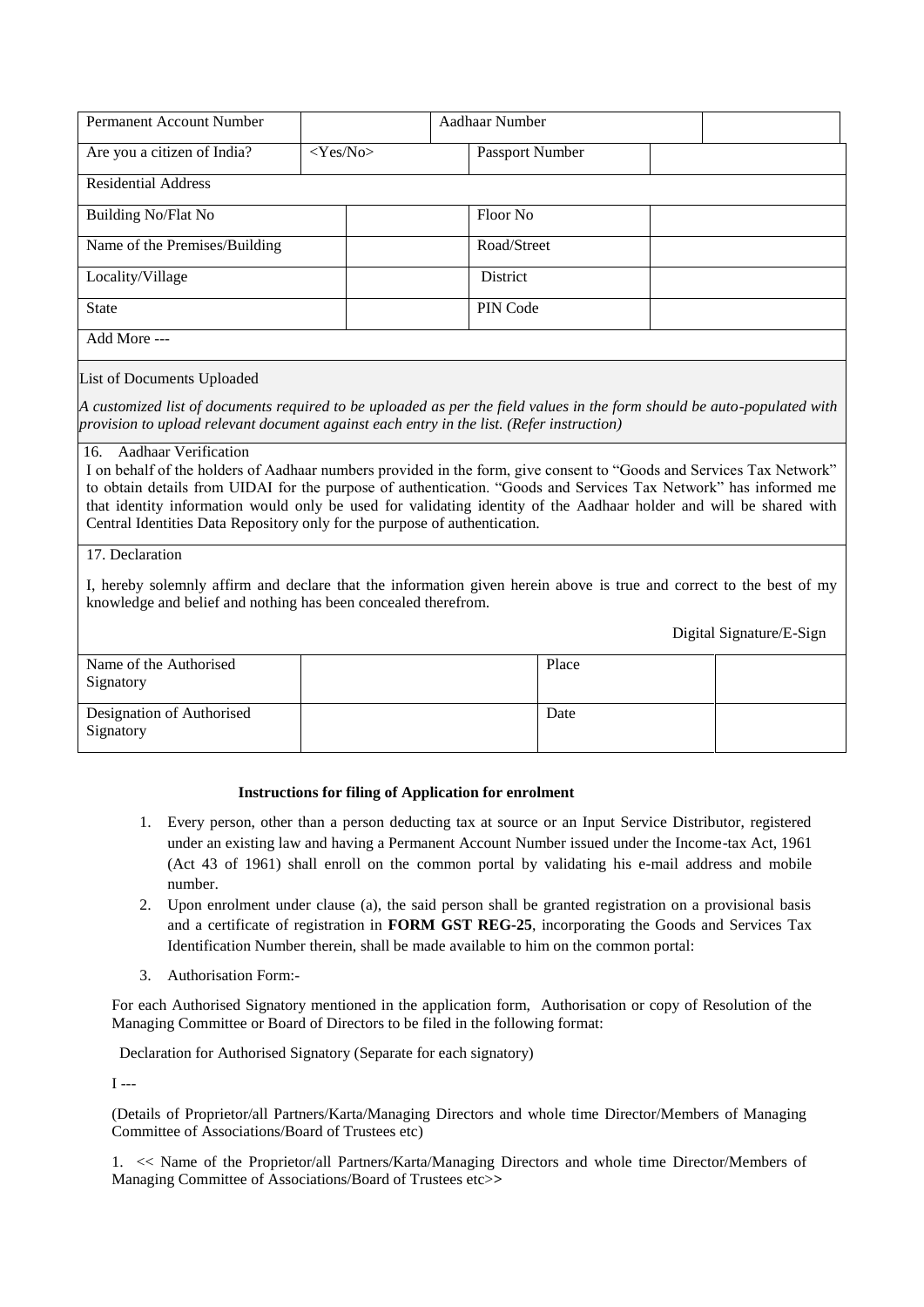| <b>Permanent Account Number</b> | Aadhaar Number |                 |  |
|---------------------------------|----------------|-----------------|--|
| Are you a citizen of India?     | $<$ Yes/No $>$ | Passport Number |  |
| <b>Residential Address</b>      |                |                 |  |
| <b>Building No/Flat No</b>      |                | Floor No        |  |
| Name of the Premises/Building   |                | Road/Street     |  |
| Locality/Village                |                | District        |  |
| <b>State</b>                    |                | PIN Code        |  |
| Add More ---                    |                |                 |  |

### List of Documents Uploaded

*15. A customized list of documents required to be uploaded as per the field values in the form should be auto-populated with provision to upload relevant document against each entry in the list. (Refer instruction)* 

#### 16. Aadhaar Verification

I on behalf of the holders of Aadhaar numbers provided in the form, give consent to "Goods and Services Tax Network" to obtain details from UIDAI for the purpose of authentication. "Goods and Services Tax Network" has informed me that identity information would only be used for validating identity of the Aadhaar holder and will be shared with Central Identities Data Repository only for the purpose of authentication.

#### 17. Declaration

I, hereby solemnly affirm and declare that the information given herein above is true and correct to the best of my knowledge and belief and nothing has been concealed therefrom.

Digital Signature/E-Sign

| Name of the Authorised<br>Signatory    | Place |  |
|----------------------------------------|-------|--|
| Designation of Authorised<br>Signatory | Date  |  |

#### **Instructions for filing of Application for enrolment**

- 1. Every person, other than a person deducting tax at source or an Input Service Distributor, registered under an existing law and having a Permanent Account Number issued under the Income-tax Act, 1961 (Act 43 of 1961) shall enroll on the common portal by validating his e-mail address and mobile number.
- 2. Upon enrolment under clause (a), the said person shall be granted registration on a provisional basis and a certificate of registration in **FORM GST REG-25**, incorporating the Goods and Services Tax Identification Number therein, shall be made available to him on the common portal:
- 3. Authorisation Form:-

For each Authorised Signatory mentioned in the application form, Authorisation or copy of Resolution of the Managing Committee or Board of Directors to be filed in the following format:

Declaration for Authorised Signatory (Separate for each signatory)

 $I - -$ 

(Details of Proprietor/all Partners/Karta/Managing Directors and whole time Director/Members of Managing Committee of Associations/Board of Trustees etc)

1. << Name of the Proprietor/all Partners/Karta/Managing Directors and whole time Director/Members of Managing Committee of Associations/Board of Trustees etc>**>**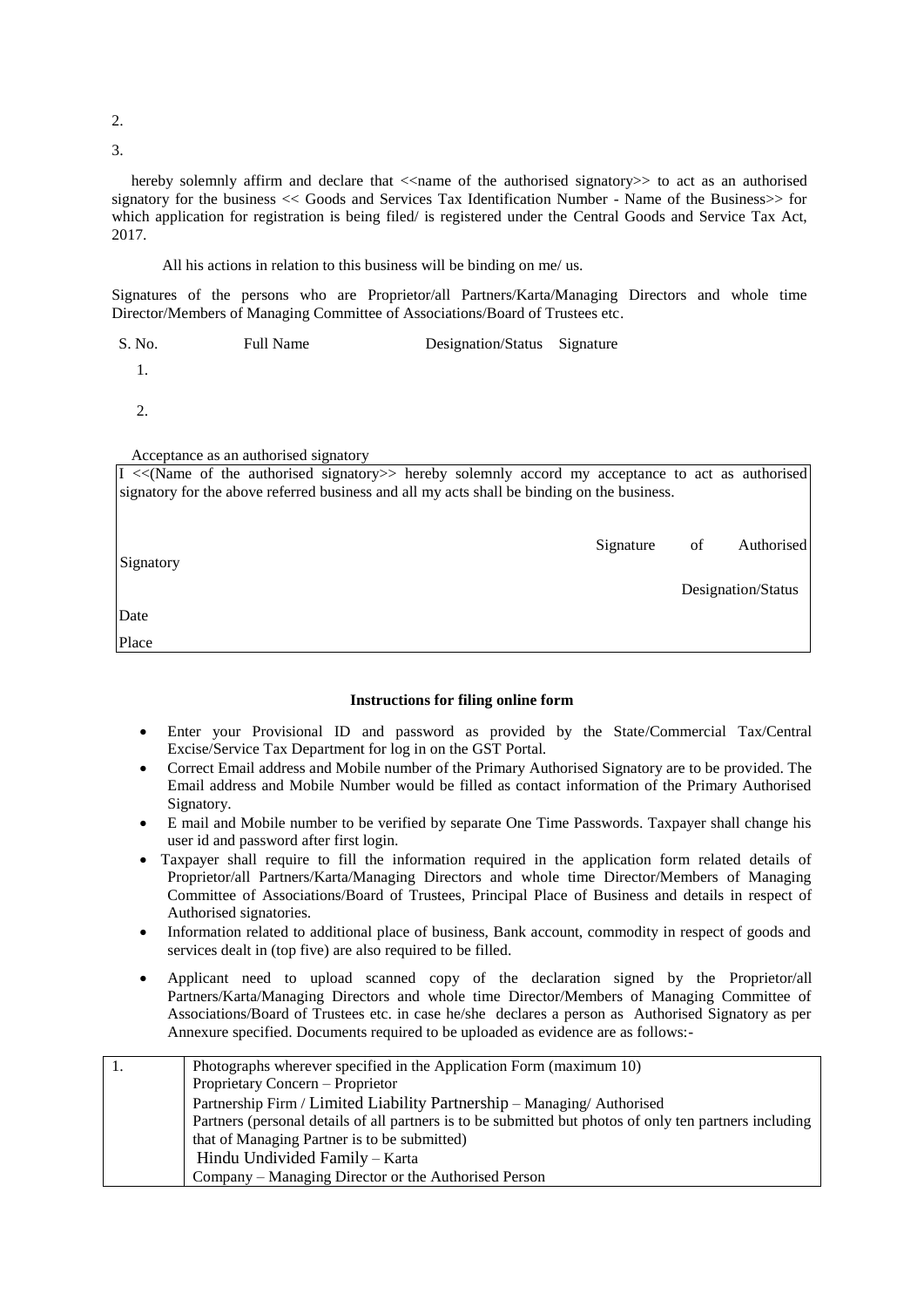2.

3.

hereby solemnly affirm and declare that  $\le$  name of the authorised signatory  $\gt$  to act as an authorised signatory for the business << Goods and Services Tax Identification Number - Name of the Business>> for which application for registration is being filed/ is registered under the Central Goods and Service Tax Act, 2017.

All his actions in relation to this business will be binding on me/ us.

Signatures of the persons who are Proprietor/all Partners/Karta/Managing Directors and whole time Director/Members of Managing Committee of Associations/Board of Trustees etc.

S. No. Full Name Designation/Status Signature

1.

2.

Acceptance as an authorised signatory

| $I \ll(Name$ of the authorised signatory >> hereby solemnly accord my acceptance to act as authorised |  |  |  |           |    |                    |
|-------------------------------------------------------------------------------------------------------|--|--|--|-----------|----|--------------------|
| signatory for the above referred business and all my acts shall be binding on the business.           |  |  |  |           |    |                    |
|                                                                                                       |  |  |  |           |    |                    |
|                                                                                                       |  |  |  |           |    |                    |
|                                                                                                       |  |  |  | Signature | of | Authorised         |
| Signatory                                                                                             |  |  |  |           |    |                    |
|                                                                                                       |  |  |  |           |    | Designation/Status |
|                                                                                                       |  |  |  |           |    |                    |
| Date                                                                                                  |  |  |  |           |    |                    |
| Place                                                                                                 |  |  |  |           |    |                    |

#### **Instructions for filing online form**

- Enter your Provisional ID and password as provided by the State/Commercial Tax/Central Excise/Service Tax Department for log in on the GST Portal.
- Correct Email address and Mobile number of the Primary Authorised Signatory are to be provided. The Email address and Mobile Number would be filled as contact information of the Primary Authorised Signatory.
- E mail and Mobile number to be verified by separate One Time Passwords. Taxpayer shall change his user id and password after first login.
- Taxpayer shall require to fill the information required in the application form related details of Proprietor/all Partners/Karta/Managing Directors and whole time Director/Members of Managing Committee of Associations/Board of Trustees, Principal Place of Business and details in respect of Authorised signatories.
- Information related to additional place of business, Bank account, commodity in respect of goods and services dealt in (top five) are also required to be filled.
- Applicant need to upload scanned copy of the declaration signed by the Proprietor/all Partners/Karta/Managing Directors and whole time Director/Members of Managing Committee of Associations/Board of Trustees etc. in case he/she declares a person as Authorised Signatory as per Annexure specified. Documents required to be uploaded as evidence are as follows:-

| Photographs wherever specified in the Application Form (maximum 10)                                     |
|---------------------------------------------------------------------------------------------------------|
| Proprietary Concern – Proprietor                                                                        |
| Partnership Firm / Limited Liability Partnership - Managing/ Authorised                                 |
| Partners (personal details of all partners is to be submitted but photos of only ten partners including |
| that of Managing Partner is to be submitted)                                                            |
| Hindu Undivided Family – Karta                                                                          |
| Company – Managing Director or the Authorised Person                                                    |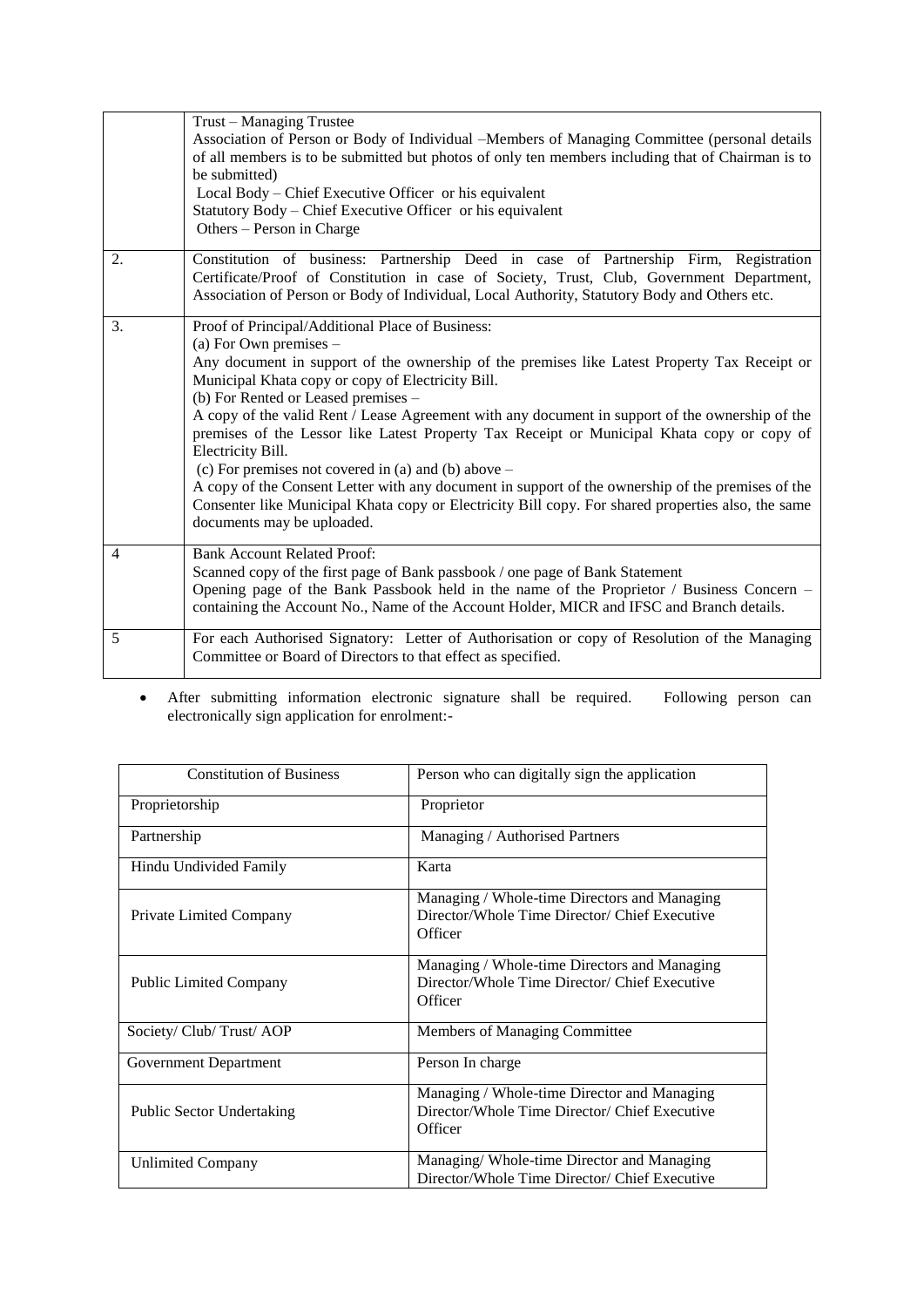|    | Trust – Managing Trustee                                                                                                                                                                  |
|----|-------------------------------------------------------------------------------------------------------------------------------------------------------------------------------------------|
|    | Association of Person or Body of Individual –Members of Managing Committee (personal details                                                                                              |
|    | of all members is to be submitted but photos of only ten members including that of Chairman is to                                                                                         |
|    | be submitted)                                                                                                                                                                             |
|    | Local Body – Chief Executive Officer or his equivalent                                                                                                                                    |
|    | Statutory Body – Chief Executive Officer or his equivalent                                                                                                                                |
|    | Others – Person in Charge                                                                                                                                                                 |
| 2. | Constitution of business: Partnership Deed in case of Partnership Firm, Registration                                                                                                      |
|    | Certificate/Proof of Constitution in case of Society, Trust, Club, Government Department,<br>Association of Person or Body of Individual, Local Authority, Statutory Body and Others etc. |
|    |                                                                                                                                                                                           |
| 3. | Proof of Principal/Additional Place of Business:                                                                                                                                          |
|    | (a) For Own premises $-$                                                                                                                                                                  |
|    | Any document in support of the ownership of the premises like Latest Property Tax Receipt or                                                                                              |
|    | Municipal Khata copy or copy of Electricity Bill.                                                                                                                                         |
|    | (b) For Rented or Leased premises -                                                                                                                                                       |
|    | A copy of the valid Rent / Lease Agreement with any document in support of the ownership of the                                                                                           |
|    | premises of the Lessor like Latest Property Tax Receipt or Municipal Khata copy or copy of                                                                                                |
|    | Electricity Bill.                                                                                                                                                                         |
|    | (c) For premises not covered in (a) and (b) above $-$                                                                                                                                     |
|    | A copy of the Consent Letter with any document in support of the ownership of the premises of the                                                                                         |
|    | Consenter like Municipal Khata copy or Electricity Bill copy. For shared properties also, the same                                                                                        |
|    | documents may be uploaded.                                                                                                                                                                |
| 4  | <b>Bank Account Related Proof:</b>                                                                                                                                                        |
|    | Scanned copy of the first page of Bank passbook / one page of Bank Statement                                                                                                              |
|    | Opening page of the Bank Passbook held in the name of the Proprietor / Business Concern –                                                                                                 |
|    | containing the Account No., Name of the Account Holder, MICR and IFSC and Branch details.                                                                                                 |
| 5  | For each Authorised Signatory: Letter of Authorisation or copy of Resolution of the Managing                                                                                              |
|    | Committee or Board of Directors to that effect as specified.                                                                                                                              |
|    |                                                                                                                                                                                           |

 After submitting information electronic signature shall be required. Following person can electronically sign application for enrolment:-

| <b>Constitution of Business</b>  | Person who can digitally sign the application                                                            |
|----------------------------------|----------------------------------------------------------------------------------------------------------|
| Proprietorship                   | Proprietor                                                                                               |
| Partnership                      | Managing / Authorised Partners                                                                           |
| Hindu Undivided Family           | Karta                                                                                                    |
| <b>Private Limited Company</b>   | Managing / Whole-time Directors and Managing<br>Director/Whole Time Director/ Chief Executive<br>Officer |
| <b>Public Limited Company</b>    | Managing / Whole-time Directors and Managing<br>Director/Whole Time Director/ Chief Executive<br>Officer |
| Society/ Club/ Trust/ AOP        | Members of Managing Committee                                                                            |
| Government Department            | Person In charge                                                                                         |
| <b>Public Sector Undertaking</b> | Managing / Whole-time Director and Managing<br>Director/Whole Time Director/ Chief Executive<br>Officer  |
| <b>Unlimited Company</b>         | Managing/Whole-time Director and Managing<br>Director/Whole Time Director/ Chief Executive               |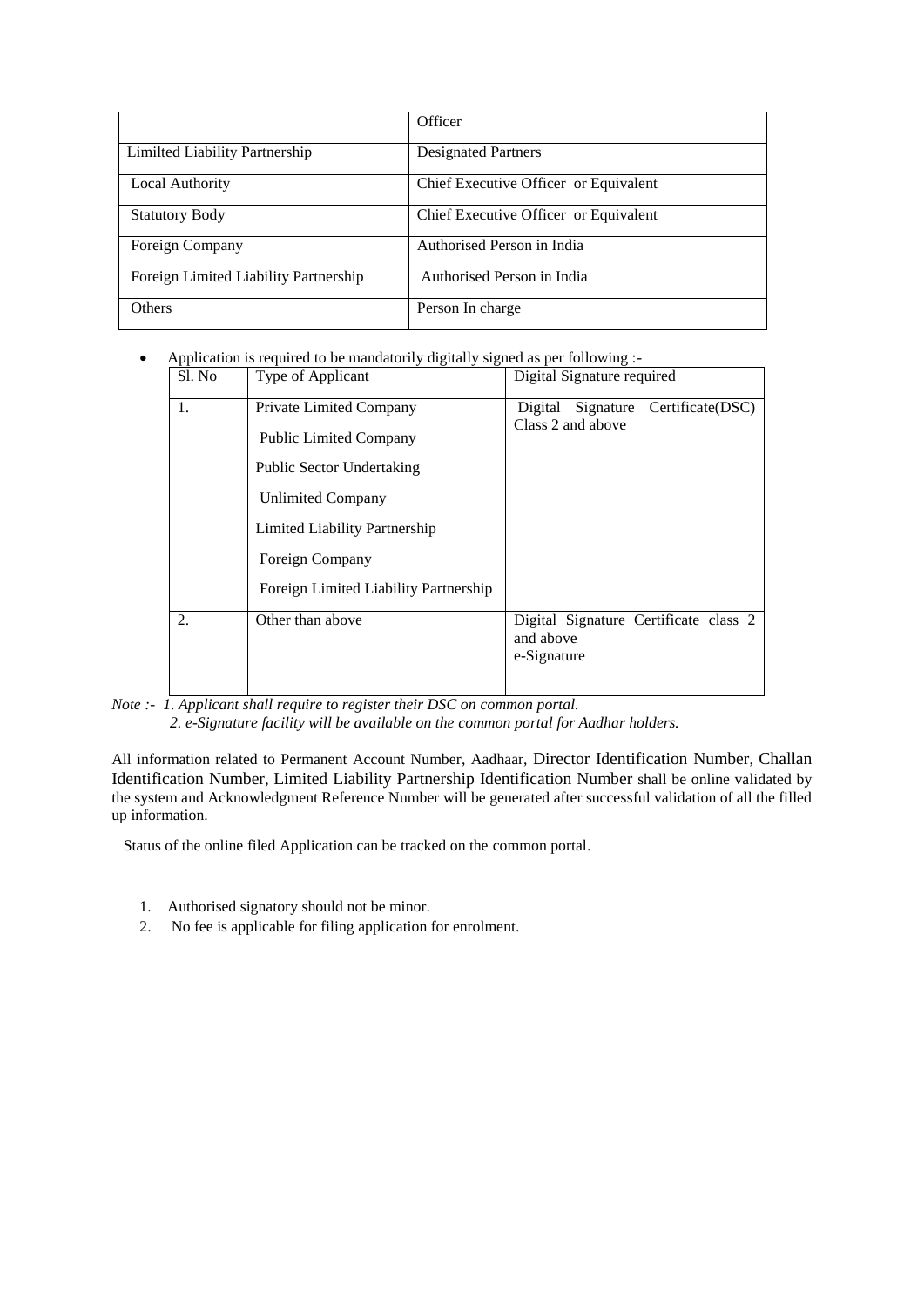|                                       | Officer                               |
|---------------------------------------|---------------------------------------|
| Limilted Liability Partnership        | <b>Designated Partners</b>            |
| Local Authority                       | Chief Executive Officer or Equivalent |
| <b>Statutory Body</b>                 | Chief Executive Officer or Equivalent |
| Foreign Company                       | Authorised Person in India            |
| Foreign Limited Liability Partnership | Authorised Person in India            |
| <b>Others</b>                         | Person In charge                      |

Application is required to be mandatorily digitally signed as per following :-

| Sl. No | Type of Applicant                     | Digital Signature required                                 |
|--------|---------------------------------------|------------------------------------------------------------|
| 1.     | Private Limited Company               | Signature Certificate(DSC)<br>Digital<br>Class 2 and above |
|        | <b>Public Limited Company</b>         |                                                            |
|        | <b>Public Sector Undertaking</b>      |                                                            |
|        | <b>Unlimited Company</b>              |                                                            |
|        | Limited Liability Partnership         |                                                            |
|        | Foreign Company                       |                                                            |
|        | Foreign Limited Liability Partnership |                                                            |
| 2.     | Other than above                      | Digital Signature Certificate class 2<br>and above         |
|        |                                       | e-Signature                                                |

*Note :- 1. Applicant shall require to register their DSC on common portal. 2. e-Signature facility will be available on the common portal for Aadhar holders.*

All information related to Permanent Account Number, Aadhaar, Director Identification Number, Challan Identification Number, Limited Liability Partnership Identification Number shall be online validated by the system and Acknowledgment Reference Number will be generated after successful validation of all the filled up information.

Status of the online filed Application can be tracked on the common portal.

- 1. Authorised signatory should not be minor.
- 2. No fee is applicable for filing application for enrolment.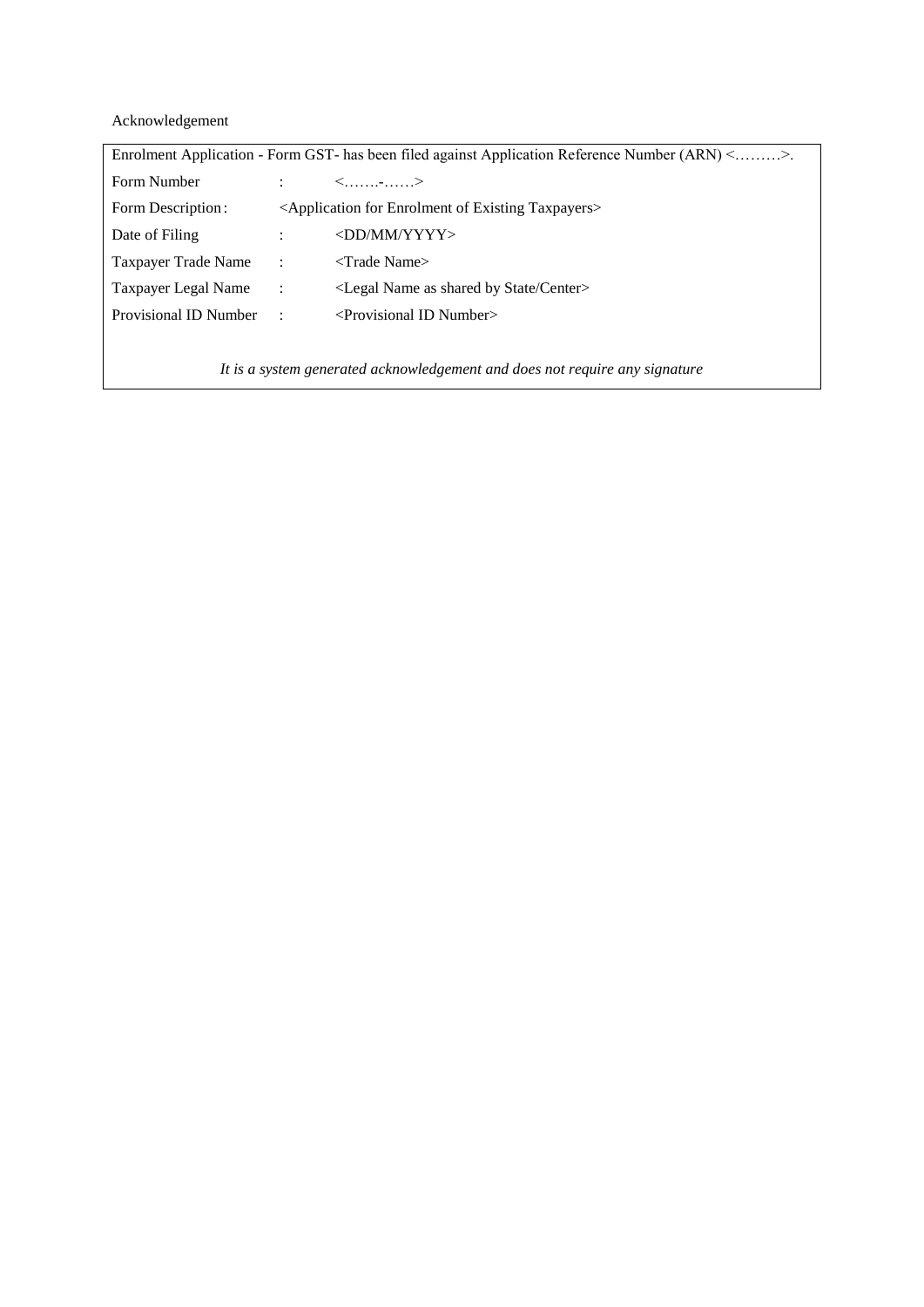Acknowledgement

| Enrolment Application - Form GST- has been filed against Application Reference Number (ARN) <>. |                                                                                |                                                                  |  |
|-------------------------------------------------------------------------------------------------|--------------------------------------------------------------------------------|------------------------------------------------------------------|--|
| Form Number                                                                                     |                                                                                | $\langle$ >                                                      |  |
| Form Description:                                                                               | <application enrolment="" existing="" for="" of="" taxpayers=""></application> |                                                                  |  |
| Date of Filing                                                                                  |                                                                                | $\langle$ DD/MM/YYYY>                                            |  |
| Taxpayer Trade Name                                                                             | $\sim$ 1.1                                                                     | $\langle$ Trade Name $\rangle$                                   |  |
| Taxpayer Legal Name                                                                             | $\sim 100$                                                                     | <legal as="" by="" center="" name="" shared="" state=""></legal> |  |
| Provisional ID Number                                                                           | $\cdot$ :                                                                      | $\le$ Provisional ID Number $>$                                  |  |
|                                                                                                 |                                                                                |                                                                  |  |

*It is a system generated acknowledgement and does not require any signature*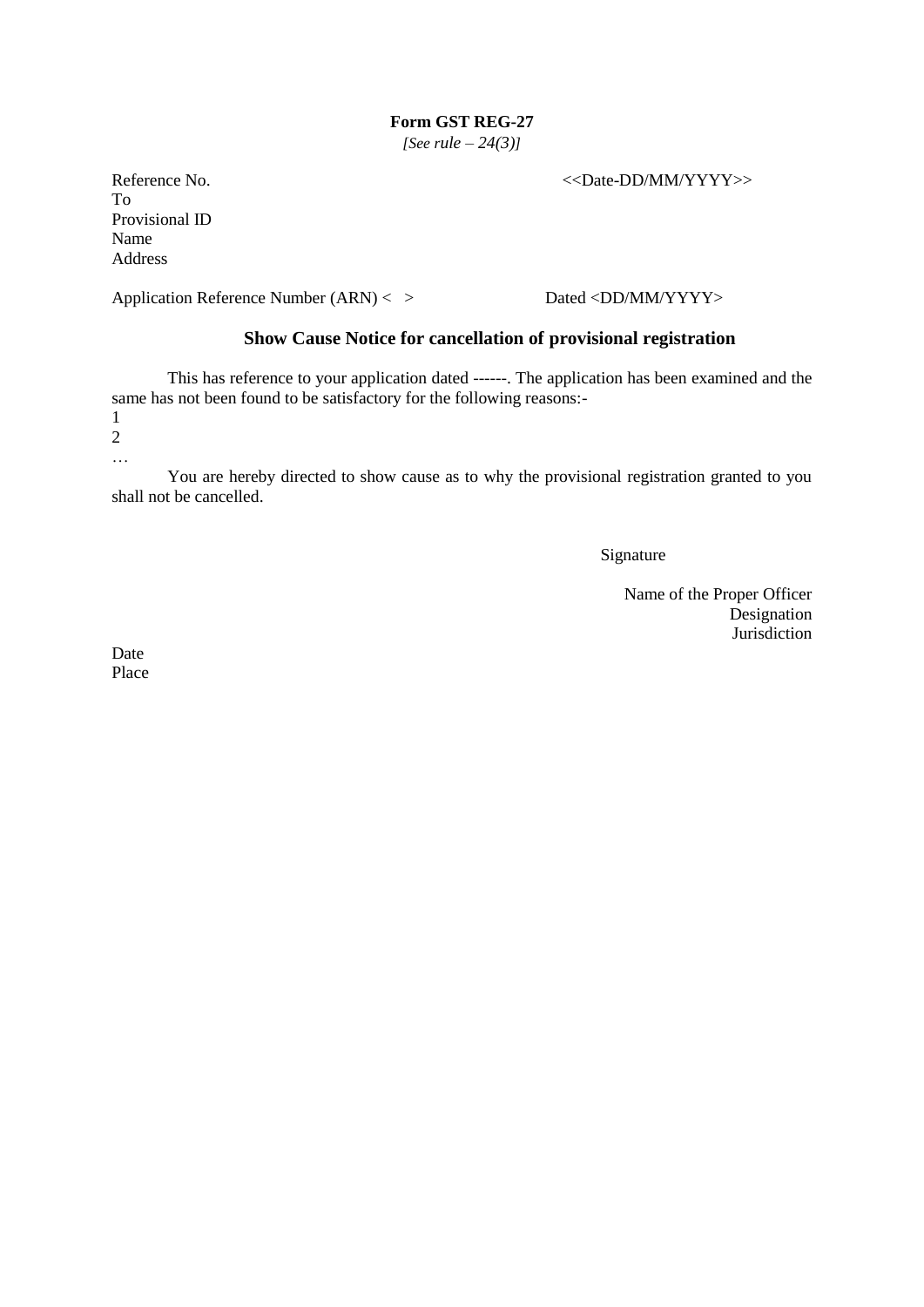*[See rule – 24(3)]*

Reference No.  $\leq$ Date-DD/MM/YYYY>> To Provisional ID Name Address

Application Reference Number (ARN) < > Dated <DD/MM/YYYY>

## **Show Cause Notice for cancellation of provisional registration**

This has reference to your application dated ------. The application has been examined and the same has not been found to be satisfactory for the following reasons:- 1

2

…

You are hereby directed to show cause as to why the provisional registration granted to you shall not be cancelled.

Signature

Name of the Proper Officer Designation Jurisdiction

Date Place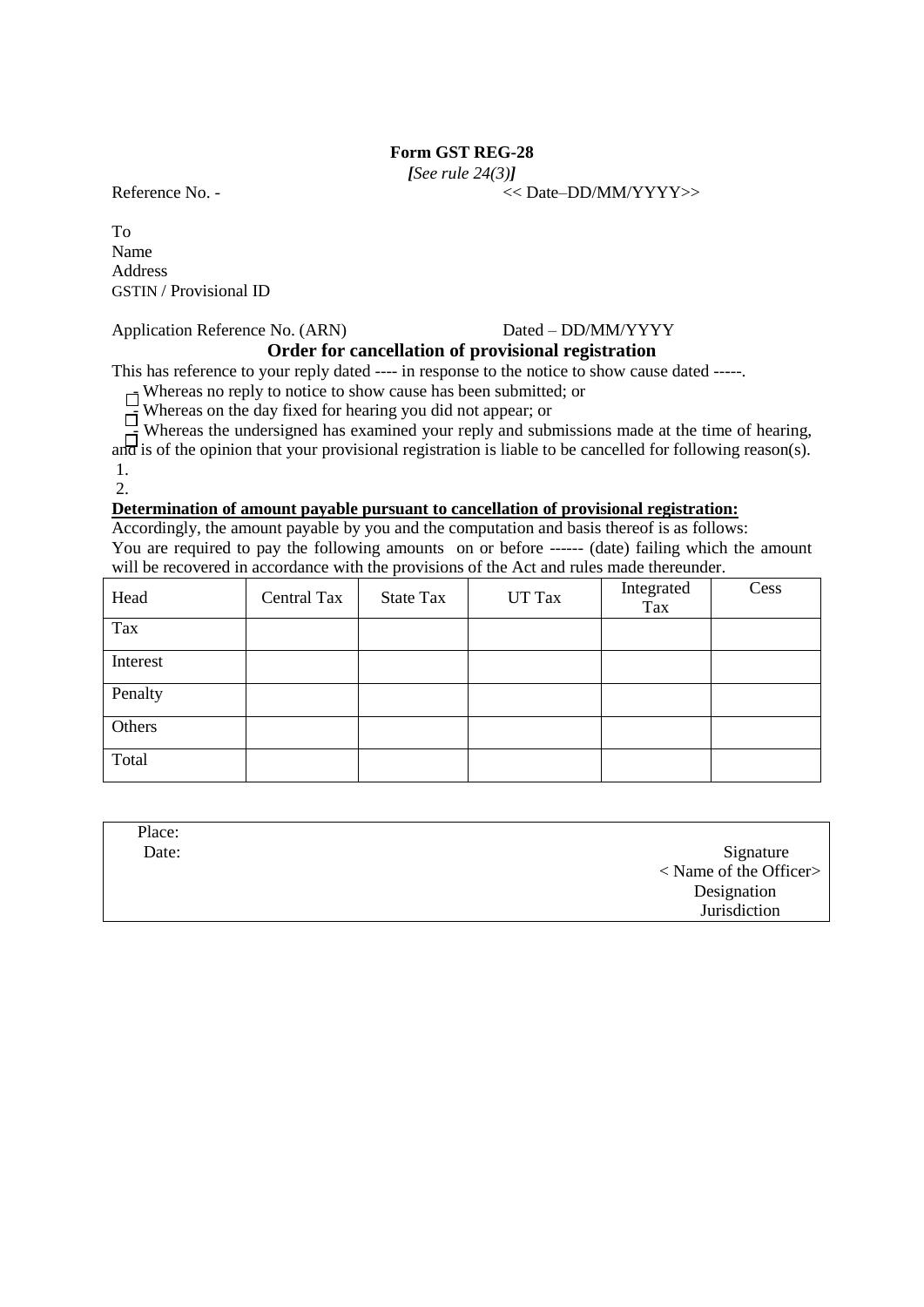*[See rule 24(3)]*

To Name Address GSTIN / Provisional ID

## Application Reference No. (ARN) Dated – DD/MM/YYYY

Reference No. -  $\langle$  Date–DD/MM/YYYY>>

# **Order for cancellation of provisional registration**

This has reference to your reply dated ---- in response to the notice to show cause dated -----.

 $\overline{\phantom{a}}$  Whereas no reply to notice to show cause has been submitted; or

 $\overline{\phantom{a}}$  Whereas on the day fixed for hearing you did not appear; or

Whereas on the day fixed for hearing you are not appear, or  $\Box$ <br>Whereas the undersigned has examined your reply and submissions made at the time of hearing, and is of the opinion that your provisional registration is liable to be cancelled for following reason(s). 1.

 $2<sup>2</sup>$ 

## **Determination of amount payable pursuant to cancellation of provisional registration:**

Accordingly, the amount payable by you and the computation and basis thereof is as follows: You are required to pay the following amounts on or before ------ (date) failing which the amount will be recovered in accordance with the provisions of the Act and rules made thereunder.

| Head     | Central Tax | State Tax | UT Tax | Integrated<br>Tax | Cess |
|----------|-------------|-----------|--------|-------------------|------|
| Tax      |             |           |        |                   |      |
| Interest |             |           |        |                   |      |
| Penalty  |             |           |        |                   |      |
| Others   |             |           |        |                   |      |
| Total    |             |           |        |                   |      |

| Place: |                        |
|--------|------------------------|
| Date:  | Signature              |
|        | < Name of the Officer> |
|        | Designation            |
|        | Jurisdiction           |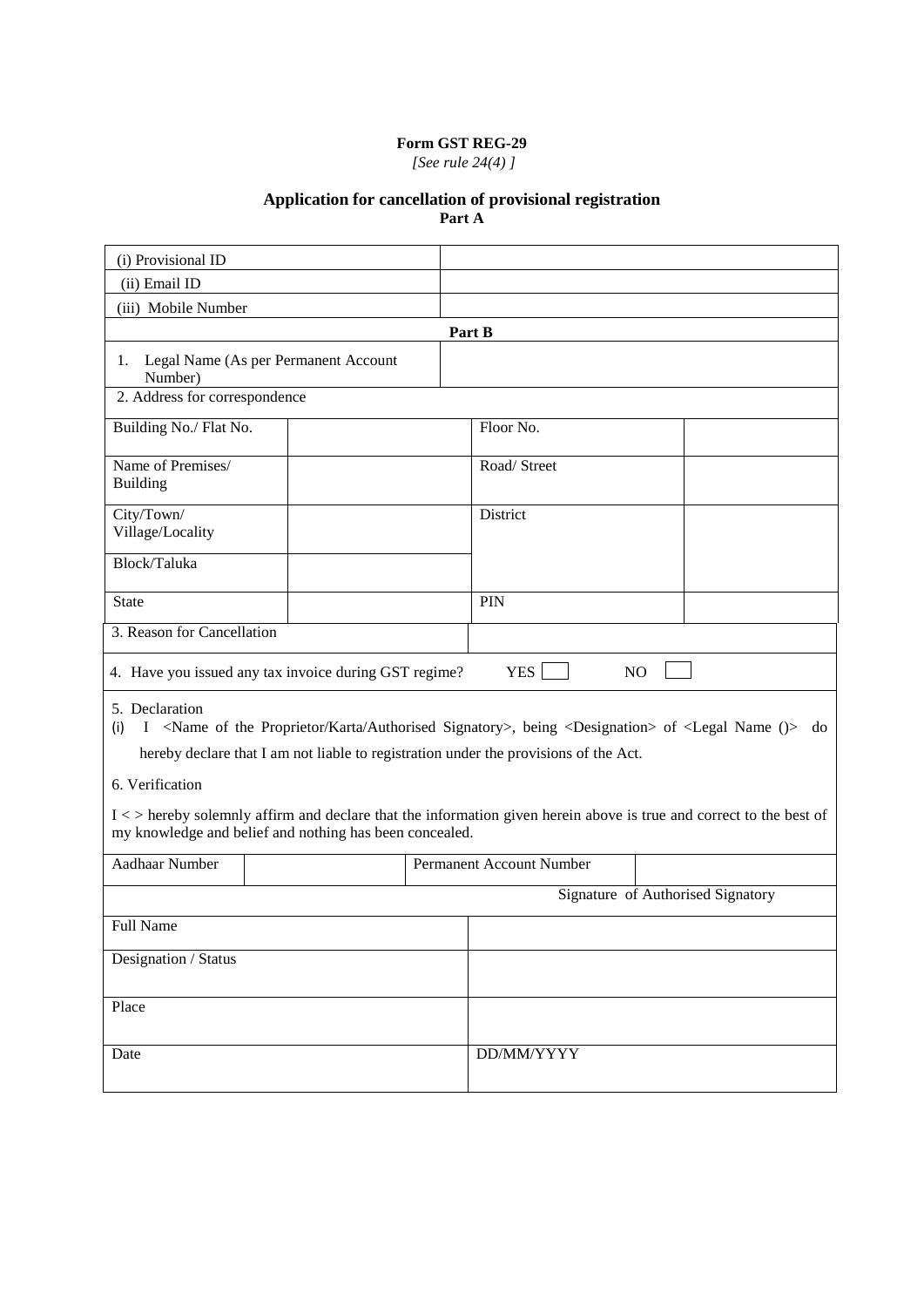*[See rule 24(4) ]*

#### **Application for cancellation of provisional registration**

**Part A**

| (i) Provisional ID                   |                                                                                                                                                                                |                                 |                                   |
|--------------------------------------|--------------------------------------------------------------------------------------------------------------------------------------------------------------------------------|---------------------------------|-----------------------------------|
| (ii) Email ID                        |                                                                                                                                                                                |                                 |                                   |
| (iii) Mobile Number                  |                                                                                                                                                                                |                                 |                                   |
|                                      |                                                                                                                                                                                | Part B                          |                                   |
| Number)                              | 1. Legal Name (As per Permanent Account                                                                                                                                        |                                 |                                   |
| 2. Address for correspondence        |                                                                                                                                                                                |                                 |                                   |
| Building No./ Flat No.               |                                                                                                                                                                                | Floor No.                       |                                   |
| Name of Premises/<br><b>Building</b> |                                                                                                                                                                                | Road/Street                     |                                   |
| City/Town/<br>Village/Locality       |                                                                                                                                                                                | District                        |                                   |
| Block/Taluka                         |                                                                                                                                                                                |                                 |                                   |
| <b>State</b>                         |                                                                                                                                                                                | PIN                             |                                   |
| 3. Reason for Cancellation           |                                                                                                                                                                                |                                 |                                   |
|                                      | 4. Have you issued any tax invoice during GST regime?                                                                                                                          | YES <sup>[</sup>                | NO                                |
| 5. Declaration                       | (i) I <name authorised="" karta="" of="" proprietor="" signatory="" the="">, being <designation> of <legal ()="" name=""> do</legal></designation></name>                      |                                 |                                   |
|                                      | hereby declare that I am not liable to registration under the provisions of the Act.                                                                                           |                                 |                                   |
| 6. Verification                      |                                                                                                                                                                                |                                 |                                   |
|                                      | I < > hereby solemnly affirm and declare that the information given herein above is true and correct to the best of<br>my knowledge and belief and nothing has been concealed. |                                 |                                   |
| <b>Aadhaar Number</b>                |                                                                                                                                                                                | <b>Permanent Account Number</b> |                                   |
|                                      |                                                                                                                                                                                |                                 | Signature of Authorised Signatory |
| Full Name                            |                                                                                                                                                                                |                                 |                                   |
| Designation / Status                 |                                                                                                                                                                                |                                 |                                   |
|                                      |                                                                                                                                                                                |                                 |                                   |
| Place                                |                                                                                                                                                                                |                                 |                                   |
| Date                                 |                                                                                                                                                                                | DD/MM/YYYY                      |                                   |
|                                      |                                                                                                                                                                                |                                 |                                   |